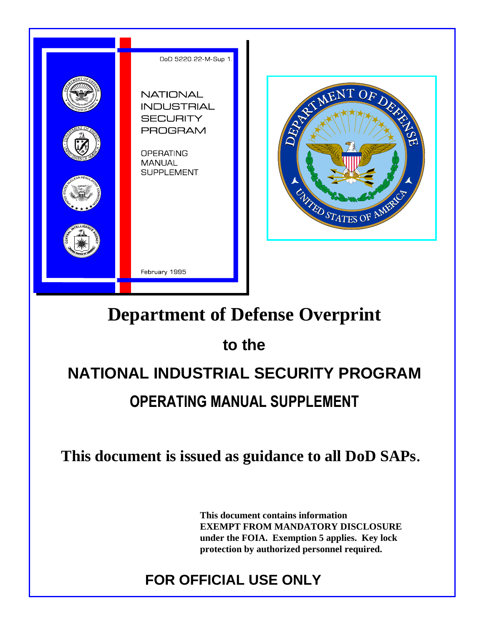

# **Department of Defense Overprint**

# **to the**

# **NATIONAL INDUSTRIAL SECURITY PROGRAM 23 OPERATING MANUAL SUPPLEMENT**

**This document is issued as guidance to all DoD SAPs**.

**This document contains information EXEMPT FROM MANDATORY DISCLOSURE under the FOIA. Exemption 5 applies. Key lock protection by authorized personnel required.**

## **FOR OFFICIAL USE ONLY**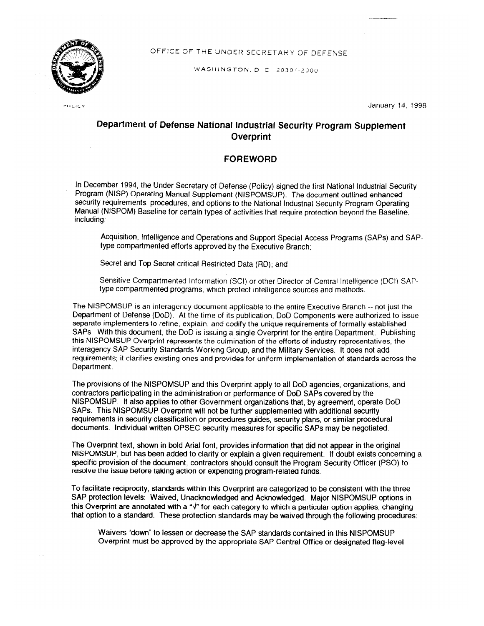WASHINGTON, D.C. 20301-2000

POLICY

January 14, 1998

## Department of Defense National Industrial Security Program Supplement Overprint

#### **FOREWORD**

In December 1994, the Under Secretary of Defense (Policy) signed the first National Industrial Security Program (NISP) Operating Manual Supplement (NISPOMSUP). The document outlined enhanced security requirements, procedures, and options to the National Industrial Security Program Operating Manual (NISPOM) Baseline for certain types of activities that require protection beyond the Baseline, including:

Acquisition, Intelligence and Operations and Support Special Access Programs (SAPs) and SAPtype compartmented efforts approved by the Executive Branch;

Secret and Top Secret critical Restricted Data (RD); and

Sensitive Compartmented Information (SCI) or other Director of Central Intelligence (DCI) SAPtype compartmented programs, which protect intelligence sources and methods.

The NISPOMSUP is an interagency document applicable to the entire Executive Branch -- not just the Department of Defense (DoD). At the time of its publication, DoD Components were authorized to issue separate implementers to refine, explain, and codify the unique requirements of formally established SAPs. With this document, the DoD is issuing a single Overprint for the entire Department. Publishing this NISPOMSUP Overprint represents the culmination of the efforts of industry representatives, the interagency SAP Security Standards Working Group, and the Military Services. It does not add requirements; it clarifies existing ones and provides for uniform implementation of standards across the Department.

The provisions of the NISPOMSUP and this Overprint apply to all DoD agencies, organizations, and contractors participating in the administration or performance of DoD SAPs covered by the NISPOMSUP. It also applies to other Government organizations that, by agreement, operate DoD SAPs. This NISPOMSUP Overprint will not be further supplemented with additional security requirements in security classification or procedures guides, security plans, or similar procedural documents. Individual written OPSEC security measures for specific SAPs may be negotiated.

The Overprint text, shown in bold Arial font, provides information that did not appear in the original NISPOMSUP, but has been added to clarify or explain a given requirement. If doubt exists concerning a specific provision of the document, contractors should consult the Program Security Officer (PSO) to resolve the issue before taking action or expending program-related funds.

To facilitate reciprocity, standards within this Overprint are categorized to be consistent with the three SAP protection levels: Waived, Unacknowledged and Acknowledged. Major NISPOMSUP options in this Overprint are annotated with a " $\sqrt{ }$ " for each category to which a particular option applies, changing that option to a standard. These protection standards may be waived through the following procedures:

Waivers "down" to lessen or decrease the SAP standards contained in this NISPOMSUP Overprint must be approved by the appropriate SAP Central Office or designated flag-level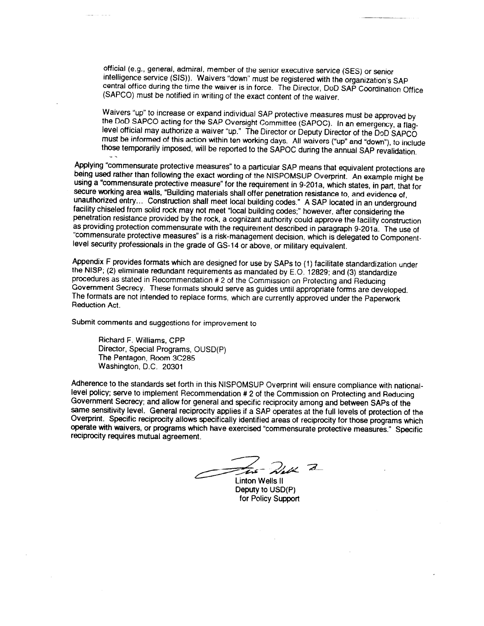official (e.g., general, admiral, member of the senior executive service (SES) or senior intelligence service (SIS)). Waivers "down" must be registered with the organization's SAP central office during the time the waiver is in force. The Director, DoD SAP Coordination Office (SAPCO) must be notified in writing of the exact content of the waiver.

Waivers "up" to increase or expand individual SAP protective measures must be approved by the DoD SAPCO acting for the SAP Oversight Committee (SAPOC). In an emergency, a flaglevel official may authorize a waiver "up." The Director or Deputy Director of the DoD SAPCO must be informed of this action within ten working days. All waivers ("up" and "down"), to include those temporarily imposed, will be reported to the SAPOC during the annual SAP revalidation.

Applying "commensurate protective measures" to a particular SAP means that equivalent protections are being used rather than following the exact wording of the NISPOMSUP Overprint. An example might be using a "commensurate protective measure" for the requirement in 9-201a, which states, in part, that for secure working area walls, "Building materials shall offer penetration resistance to, and evidence of, unauthorized entry... Construction shall meet local building codes." A SAP located in an underground facility chiseled from solid rock may not meet "local building codes;" however, after considering the penetration resistance provided by the rock, a cognizant authority could approve the facility construction as providing protection commensurate with the requirement described in paragraph 9-201a. The use of "commensurate protective measures" is a risk-management decision, which is delegated to Componentlevel security professionals in the grade of GS-14 or above, or military equivalent.

Appendix F provides formats which are designed for use by SAPs to (1) facilitate standardization under the NISP; (2) eliminate redundant requirements as mandated by E.O. 12829; and (3) standardize procedures as stated in Recommendation # 2 of the Commission on Protecting and Reducing Government Secrecy. These formats should serve as guides until appropriate forms are developed. The formats are not intended to replace forms, which are currently approved under the Paperwork Reduction Act.

Submit comments and suggestions for improvement to

 $\sim$   $\sim$ 

Richard F. Williams, CPP Director, Special Programs, OUSD(P) The Pentagon, Room 3C285 Washington, D.C. 20301

Adherence to the standards set forth in this NISPOMSUP Overprint will ensure compliance with nationallevel policy; serve to implement Recommendation # 2 of the Commission on Protecting and Reducing Government Secrecy; and allow for general and specific reciprocity among and between SAPs of the same sensitivity level. General reciprocity applies if a SAP operates at the full levels of protection of the Overprint. Specific reciprocity allows specifically identified areas of reciprocity for those programs which operate with waivers, or programs which have exercised "commensurate protective measures." Specific reciprocity requires mutual agreement.

to Dell 2

Linton Wells II Deputy to USD(P) for Policy Support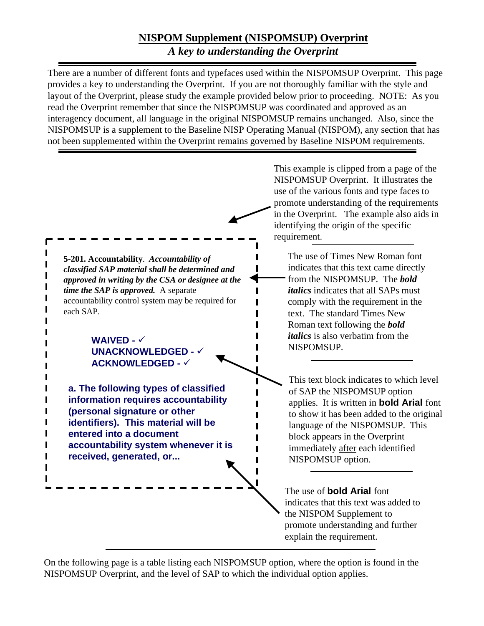## **NISPOM Supplement (NISPOMSUP) Overprint** *A key to understanding the Overprint*

There are a number of different fonts and typefaces used within the NISPOMSUP Overprint. This page provides a key to understanding the Overprint. If you are not thoroughly familiar with the style and layout of the Overprint, please study the example provided below prior to proceeding. NOTE: As you read the Overprint remember that since the NISPOMSUP was coordinated and approved as an interagency document, all language in the original NISPOMSUP remains unchanged. Also, since the NISPOMSUP is a supplement to the Baseline NISP Operating Manual (NISPOM), any section that has not been supplemented within the Overprint remains governed by Baseline NISPOM requirements.



On the following page is a table listing each NISPOMSUP option, where the option is found in the NISPOMSUP Overprint, and the level of SAP to which the individual option applies.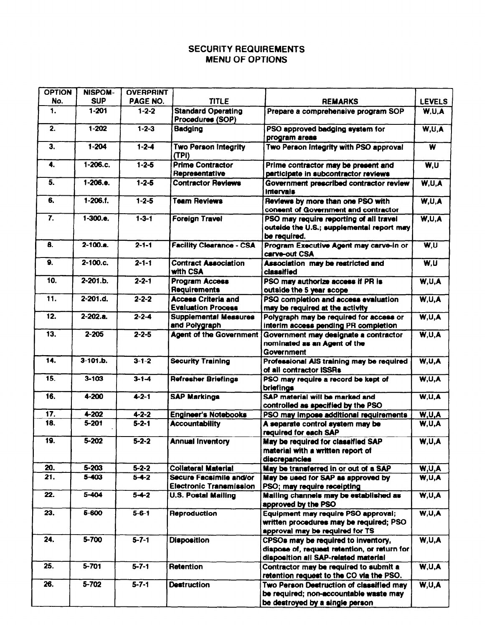## **SECURITY REQUIREMENTS MENU OF OPTIONS**

| <b>OPTION</b> | <b>NISPOM-</b> | <b>OVERPRINT</b> |                                                           |                                                                                                                             |               |
|---------------|----------------|------------------|-----------------------------------------------------------|-----------------------------------------------------------------------------------------------------------------------------|---------------|
| No.           | <b>SUP</b>     | PAGE NO.         | <b>TITLE</b>                                              | <b>REMARKS</b>                                                                                                              | <b>LEVELS</b> |
| 1.            | $1 - 201$      | $1 - 2 - 2$      | <b>Standard Operating</b><br>Procedures (SOP)             | Prepare a comprehensive program SOP                                                                                         | W.U.A         |
| 2.            | 1-202          | $1 - 2 - 3$      | Badging                                                   | PSO approved badging system for<br>program areas                                                                            | W,U,A         |
| 3.            | $1 - 204$      | $1 - 2 - 4$      | <b>Two Person Integrity</b><br>(TPI)                      | Two Person Integrity with PSO approval                                                                                      | W             |
| 4.            | 1-206.c.       | $1 - 2 - 5$      | <b>Prime Contractor</b><br>Representative                 | Prime contractor may be present and<br>participate in subcontractor reviews                                                 | W,U           |
| 5.            | 1-206.e.       | $1 - 2 - 5$      | <b>Contractor Reviews</b>                                 | Government prescribed contractor review<br>intervais                                                                        | W, U, A       |
| 6.            | $1-206.1$ .    | $1 - 2 - 5$      | <b>Team Reviews</b>                                       | Reviews by more than one PSO with<br>consent of Government and contractor                                                   | W,U,A         |
| 7.            | $1 - 300.$ e.  | $1 - 3 - 1$      | <b>Foreign Travel</b>                                     | PSO may require reporting of all travel<br>outside the U.S.; supplemental report may<br>be required.                        | W, U, A       |
| 8.            | $2-100.a.$     | $2 - 1 - 1$      | <b>Facility Clearance - CSA</b>                           | Program Executive Agent may carve-in or<br>carve-out CSA                                                                    | W,U           |
| 9.            | $2 - 100.c.$   | $2 - 1 - 1$      | <b>Contract Association</b><br>with CSA                   | Association may be restricted and<br>classified                                                                             | W,U           |
| 10.           | $2 - 201.b.$   | $2 - 2 - 1$      | Program Access<br><b>Requirements</b>                     | PSO may authorize access if PR is<br>outside the 5 year scope                                                               | W,U,A         |
| 11.           | $2-201.d.$     | $2 - 2 - 2$      | <b>Access Criteria and</b><br><b>Evaluation Process</b>   | PSQ completion and access evaluation<br>may be required at the activity                                                     | W,U,A         |
| 12.           | $2 - 202.a.$   | $2 - 2 - 4$      | <b>Supplemental Measures</b><br>and Polygraph             | Polygraph may be required for access or<br>interim access pending PR completion                                             | W,U,A         |
| 13.           | $2 - 205$      | $2 - 2 - 5$      | <b>Agent of the Government</b>                            | Government may designate a contractor<br>nominated as an Agent of the<br>Government                                         | W, U, A       |
| 14.           | $3 - 101.b.$   | $3 - 1 - 2$      | <b>Security Training</b>                                  | Professional AIS training may be required<br>of all contractor ISSRs                                                        | W,U,A         |
| 15.           | $3 - 103$      | $3 - 1 - 4$      | <b>Refresher Briefings</b>                                | PSO may require a record be kept of<br><b>briefings</b>                                                                     | W, U, A       |
| 16.           | 4-200          | $4 - 2 - 1$      | <b>SAP Markings</b>                                       | SAP material will be marked and<br>controlled as specified by the PSO                                                       | W,U,A         |
| 17.           | $4 - 202$      | $4 - 2 - 2$      | <b>Engineer's Notebooks</b>                               | PSO may impose additional requirements                                                                                      | W,U,A         |
| 18.           | $5 - 201$      | $5 - 2 - 1$      | <b>Accountability</b>                                     | A separate control system may be<br>required for each SAP                                                                   | W,U,A         |
| 19.           | $5 - 202$      | $5 - 2 - 2$      | <b>Annual Inventory</b>                                   | May be required for classified SAP<br>material with a written report of<br>discrepancies                                    | W, U, A       |
| 20.           | 5-203          | $5 - 2 - 2$      | <b>Collateral Material</b>                                | May be transferred in or out of a SAP                                                                                       | W, U, A       |
| 21.           | 5-403          | $5 - 4 - 2$      | Secure Facsimile and/or<br><b>Electronic Transmission</b> | May be used for SAP as approved by<br>PSO; may require receipting                                                           | W, U, A       |
| 22.           | 5-404          | $5 - 4 - 2$      | <b>U.S. Postal Mailing</b>                                | Mailing channels may be established as<br>approved by the PSO                                                               | W,U,A         |
| 23.           | 5-600          | $5 - 6 - 1$      | Reproduction                                              | Equipment may require PSO approval;<br>written procedures may be required; PSO<br>approval may be required for TS           | W, U, A       |
| 24.           | 5-700          | $5 - 7 - 1$      | <b>Disposition</b>                                        | CPSOs may be required to inventory,<br>dispose of, request retention, or return for<br>disposition all SAP-related material | W, U, A       |
| 25.           | 5-701          | $5 - 7 - 1$      | Retention                                                 | Contractor may be required to submit a<br>retention request to the CO via the PSO.                                          | W,U,A         |
| 26.           | 5-702          | $5 - 7 - 1$      | <b>Destruction</b>                                        | Two Person Destruction of classified may<br>be required; non-accountable waste may<br>be destroyed by a single person       | W, U, A       |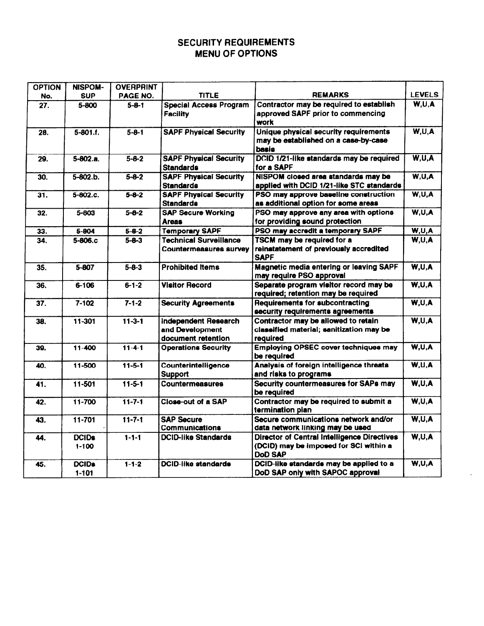## **SECURITY REQUIREMENTS MENU OF OPTIONS**

| <b>OPTION</b>     | <b>NISPOM-</b>            | <b>OVERPRINT</b> |                                                                      |                                                                                                                |               |
|-------------------|---------------------------|------------------|----------------------------------------------------------------------|----------------------------------------------------------------------------------------------------------------|---------------|
| No.               | <b>SUP</b>                | PAGE NO.         | <b>TITLE</b>                                                         | <b>REMARKS</b>                                                                                                 | <b>LEVELS</b> |
| $\overline{27}$ . | $5 - 800$                 | $5 - 8 - 1$      | <b>Special Access Program</b><br><b>Facility</b>                     | Contractor may be required to establish<br>approved SAPF prior to commencing<br>work                           | W, U, A       |
| 28.               | $5 - 801.1$ .             | $5 - 8 - 1$      | <b>SAPF Physical Security</b>                                        | Unique physical security requirements<br>may be established on a case-by-case<br>basis                         | W, U, A       |
| 29.               | $5 - 802.a.$              | $5 - 8 - 2$      | <b>SAPF Physical Security</b><br><b>Standards</b>                    | DCID 1/21-like standards may be required<br>for a SAPF                                                         | W, U, A       |
| 30.               | 5-802.b.                  | $5 - 8 - 2$      | <b>SAPF Physical Security</b><br><b>Standards</b>                    | <b>NISPOM closed area standards may be</b><br>applied with DCID 1/21-like STC standards                        | W, U, A       |
| 31.               | $5 - 802.c.$              | $5 - 8 - 2$      | <b>SAPF Physical Security</b><br><b>Standards</b>                    | PSO may approve baseline construction<br>as additional option for some areas                                   | W, U, A       |
| 32.               | 5-803                     | $5 - 8 - 2$      | <b>SAP Secure Working</b><br><b>Areas</b>                            | PSO may approve any area with options<br>for providing sound protection                                        | W,U,A         |
| 33.               | 5-804                     | $5 - 8 - 2$      | <b>Temporary SAPF</b>                                                | PSO may accredit a temporary SAPF                                                                              | W, U, A       |
| 34.               | 5-806.c                   | $5 - 8 - 3$      | <b>Technical Surveillance</b><br>Countermeasures survey              | <b>TSCM</b> may be required for a<br>reinstatement of previously accredited<br><b>SAPF</b>                     | W, U, A       |
| 35.               | 5-807                     | $5 - 8 - 3$      | <b>Prohibited Items</b>                                              | Magnetic media entering or leaving SAPF<br>may require PSO approval                                            | W, U, A       |
| 36.               | 6-106                     | $6 - 1 - 2$      | <b>Visitor Record</b>                                                | Separate program visitor record may be<br>required; retention may be required                                  | W,U,A         |
| $\overline{37}$ . | $7 - 102$                 | $7 - 1 - 2$      | <b>Security Agreements</b>                                           | <b>Requirements for subcontracting</b><br>security requirements agreements                                     | W, U, A       |
| 38.               | $11 - 301$                | $11 - 3 - 1$     | <b>Independent Research</b><br>and Development<br>document retention | Contractor may be allowed to retain<br>classified material; sanitization may be<br>required                    | W, U, A       |
| 39.               | $11 - 400$                | $11-4-1$         | <b>Operations Security</b>                                           | <b>Employing OPSEC cover techniques may</b><br>be required                                                     | W, U, A       |
| 40.               | 11-500                    | $11 - 5 - 1$     | Counterintelligence<br><b>Support</b>                                | Analysis of foreign intelligence threats<br>and risks to programs                                              | W, U, A       |
| 41.               | $11 - 501$                | $11-5-1$         | <b>Countermeasures</b>                                               | Security countermeasures for SAPs may<br>be required                                                           | W, U, A       |
| 42.               | 11-700                    | $11 - 7 - 1$     | Close-out of a SAP                                                   | Contractor may be required to submit a<br>termination plan                                                     | W, U, A       |
| 43.               | 11-701                    | $11 - 7 - 1$     | <b>SAP Secure</b><br><b>Communications</b>                           | Secure communications network and/or<br>data network linking may be used                                       | W, U, A       |
| 44.               | <b>DCIDs</b><br>$1 - 100$ | $1 - 1 - 1$      | <b>DCID-like Standards</b>                                           | <b>Director of Central Intelligence Directives</b><br>(DCID) may be imposed for SCI within a<br><b>DoD SAP</b> | W, U, A       |
| 45.               | <b>DCIDs</b><br>$1 - 101$ | $1 - 1 - 2$      | <b>DCID-like standards</b>                                           | DCID-like standards may be applied to a<br>DoD SAP only with SAPOC approval                                    | W, U, A       |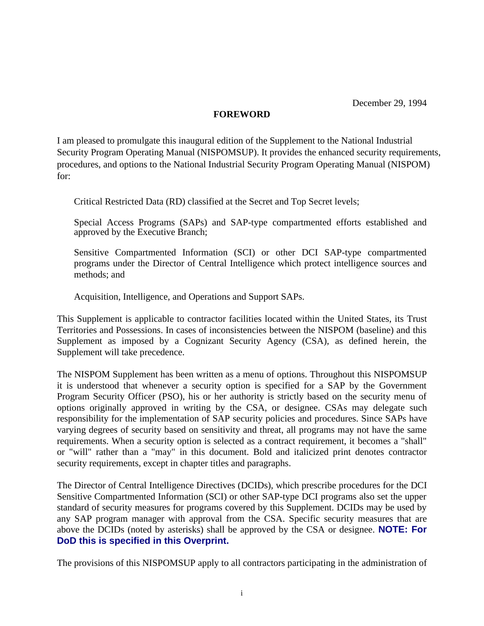#### **FOREWORD**

I am pleased to promulgate this inaugural edition of the Supplement to the National Industrial Security Program Operating Manual (NISPOMSUP). It provides the enhanced security requirements, procedures, and options to the National Industrial Security Program Operating Manual (NISPOM) for:

Critical Restricted Data (RD) classified at the Secret and Top Secret levels;

Special Access Programs (SAPs) and SAP-type compartmented efforts established and approved by the Executive Branch;

Sensitive Compartmented Information (SCI) or other DCI SAP-type compartmented programs under the Director of Central Intelligence which protect intelligence sources and methods; and

Acquisition, Intelligence, and Operations and Support SAPs.

This Supplement is applicable to contractor facilities located within the United States, its Trust Territories and Possessions. In cases of inconsistencies between the NISPOM (baseline) and this Supplement as imposed by a Cognizant Security Agency (CSA), as defined herein, the Supplement will take precedence.

The NISPOM Supplement has been written as a menu of options. Throughout this NISPOMSUP it is understood that whenever a security option is specified for a SAP by the Government Program Security Officer (PSO), his or her authority is strictly based on the security menu of options originally approved in writing by the CSA, or designee. CSAs may delegate such responsibility for the implementation of SAP security policies and procedures. Since SAPs have varying degrees of security based on sensitivity and threat, all programs may not have the same requirements. When a security option is selected as a contract requirement, it becomes a "shall" or "will" rather than a "may" in this document. Bold and italicized print denotes contractor security requirements, except in chapter titles and paragraphs.

The Director of Central Intelligence Directives (DCIDs), which prescribe procedures for the DCI Sensitive Compartmented Information (SCI) or other SAP-type DCI programs also set the upper standard of security measures for programs covered by this Supplement. DCIDs may be used by any SAP program manager with approval from the CSA. Specific security measures that are above the DCIDs (noted by asterisks) shall be approved by the CSA or designee. **NOTE: For DoD this is specified in this Overprint.**

The provisions of this NISPOMSUP apply to all contractors participating in the administration of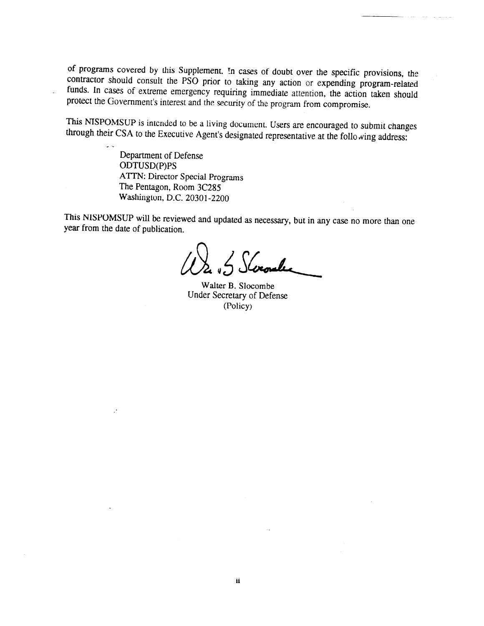of programs covered by this Supplement. In cases of doubt over the specific provisions, the contractor should consult the PSO prior to taking any action or expending program-related funds. In cases of extreme emergency requiring immediate attention, the action taken should protect the Government's interest and the security of the program from compromise.

This NISPOMSUP is intended to be a living document. Users are encouraged to submit changes through their CSA to the Executive Agent's designated representative at the follo wing address:

> Department of Defense ODTUSD(P)PS **ATTN: Director Special Programs** The Pentagon, Room 3C285 Washington, D.C. 20301-2200

This NISPOMSUP will be reviewed and updated as necessary, but in any case no more than one year from the date of publication.

 $\frac{1}{2}$  of Strache

Walter B. Slocombe Under Secretary of Defense (Policy)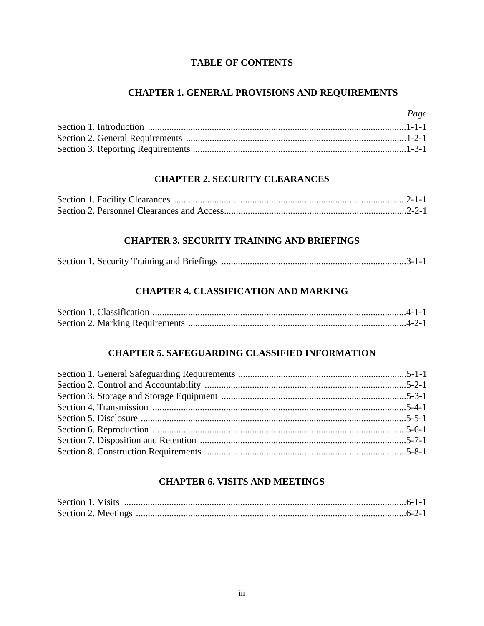## **TABLE OF CONTENTS**

## **CHAPTER 1. GENERAL PROVISIONS AND REQUIREMENTS**

| Page |
|------|
|      |
|      |
|      |

## **CHAPTER 2. SECURITY CLEARANCES**

## **CHAPTER 3. SECURITY TRAINING AND BRIEFINGS**

#### **CHAPTER 4. CLASSIFICATION AND MARKING**

## **CHAPTER 5. SAFEGUARDING CLASSIFIED INFORMATION**

## **CHAPTER 6. VISITS AND MEETINGS**

| Section 1. Visits. |  |
|--------------------|--|
|                    |  |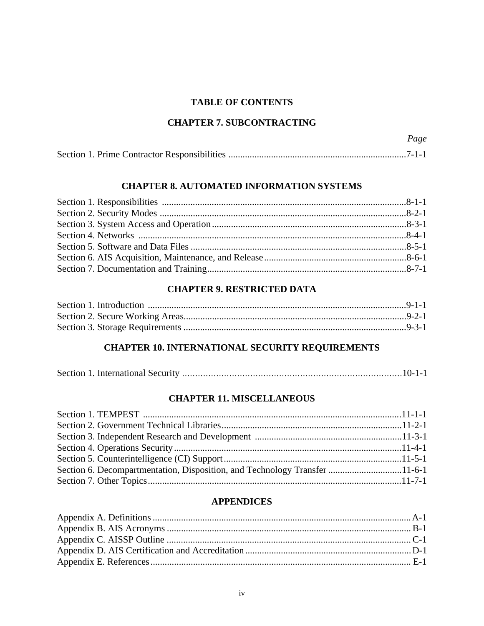#### **TABLE OF CONTENTS**

## **CHAPTER 7. SUBCONTRACTING**

*Page*

## **CHAPTER 8. AUTOMATED INFORMATION SYSTEMS**

## **CHAPTER 9. RESTRICTED DATA**

## **CHAPTER 10. INTERNATIONAL SECURITY REQUIREMENTS**

|--|--|--|--|--|

## **CHAPTER 11. MISCELLANEOUS**

| Section 6. Decompartmentation, Disposition, and Technology Transfer 11-6-1 |
|----------------------------------------------------------------------------|
|                                                                            |
|                                                                            |

#### **APPENDICES**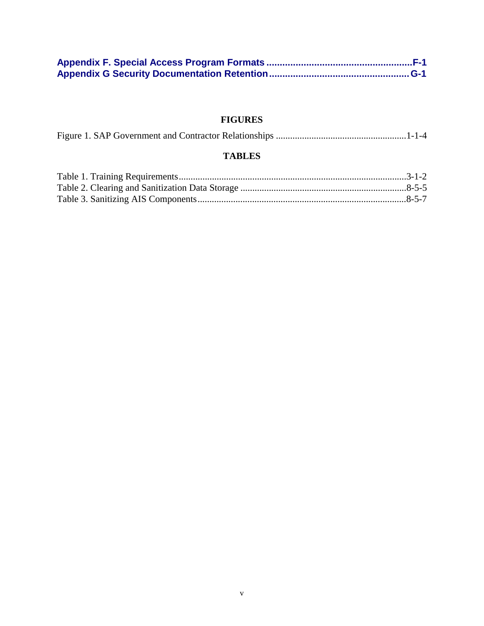## **FIGURES**

|--|--|--|--|--|--|

## **TABLES**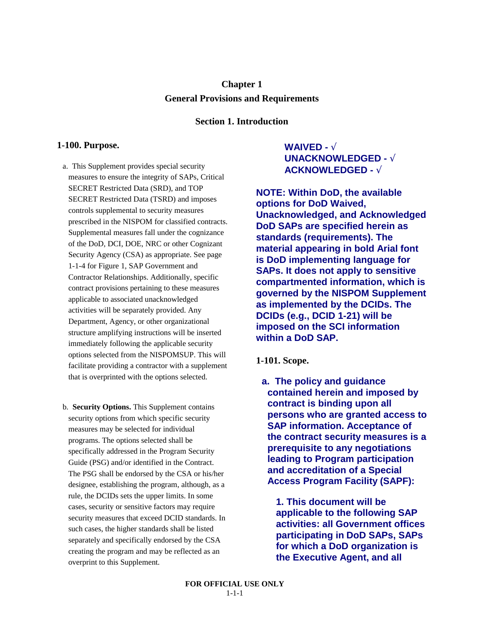## **Chapter 1 General Provisions and Requirements**

**Section 1. Introduction**

#### **1-100. Purpose.**

- a. This Supplement provides special security measures to ensure the integrity of SAPs, Critical SECRET Restricted Data (SRD), and TOP SECRET Restricted Data (TSRD) and imposes controls supplemental to security measures prescribed in the NISPOM for classified contracts. Supplemental measures fall under the cognizance of the DoD, DCI, DOE, NRC or other Cognizant Security Agency (CSA) as appropriate. See page 1-1-4 for Figure 1, SAP Government and Contractor Relationships. Additionally, specific contract provisions pertaining to these measures applicable to associated unacknowledged activities will be separately provided. Any Department, Agency, or other organizational structure amplifying instructions will be inserted immediately following the applicable security options selected from the NISPOMSUP. This will facilitate providing a contractor with a supplement that is overprinted with the options selected.
- b. **Security Options.** This Supplement contains security options from which specific security measures may be selected for individual programs. The options selected shall be specifically addressed in the Program Security Guide (PSG) and/or identified in the Contract. The PSG shall be endorsed by the CSA or his/her designee, establishing the program, although, as a rule, the DCIDs sets the upper limits. In some cases, security or sensitive factors may require security measures that exceed DCID standards. In such cases, the higher standards shall be listed separately and specifically endorsed by the CSA creating the program and may be reflected as an overprint to this Supplement.

## **WAIVED -** √ **UNACKNOWLEDGED -** √ **ACKNOWLEDGED -** √

**NOTE: Within DoD, the available options for DoD Waived, Unacknowledged, and Acknowledged DoD SAPs are specified herein as standards (requirements). The material appearing in bold Arial font is DoD implementing language for SAPs. It does not apply to sensitive compartmented information, which is governed by the NISPOM Supplement as implemented by the DCIDs. The DCIDs (e.g., DCID 1-21) will be imposed on the SCI information within a DoD SAP.**

#### **1-101. Scope.**

**a. The policy and guidance contained herein and imposed by contract is binding upon all persons who are granted access to SAP information. Acceptance of the contract security measures is a prerequisite to any negotiations leading to Program participation and accreditation of a Special Access Program Facility (SAPF):**

**1. This document will be applicable to the following SAP activities: all Government offices participating in DoD SAPs, SAPs for which a DoD organization is the Executive Agent, and all**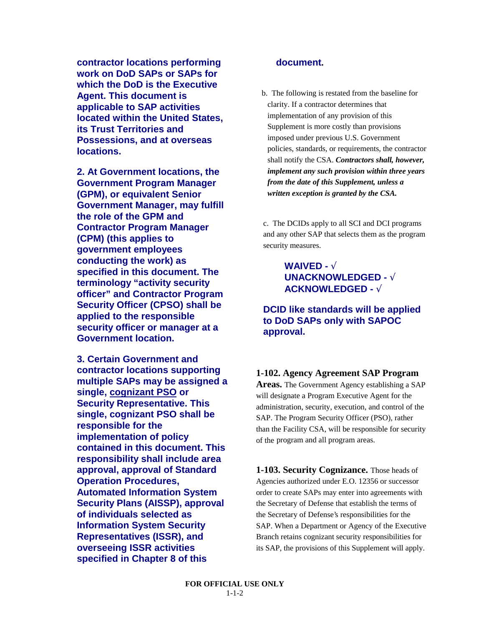**contractor locations performing work on DoD SAPs or SAPs for which the DoD is the Executive Agent. This document is applicable to SAP activities located within the United States, its Trust Territories and Possessions, and at overseas locations.**

**2. At Government locations, the Government Program Manager (GPM), or equivalent Senior Government Manager, may fulfill the role of the GPM and Contractor Program Manager (CPM) (this applies to government employees conducting the work) as specified in this document. The terminology "activity security officer" and Contractor Program Security Officer (CPSO) shall be applied to the responsible security officer or manager at a Government location.**

**3. Certain Government and contractor locations supporting multiple SAPs may be assigned a single, cognizant PSO or Security Representative. This single, cognizant PSO shall be responsible for the implementation of policy contained in this document. This responsibility shall include area approval, approval of Standard Operation Procedures, Automated Information System Security Plans (AISSP), approval of individuals selected as Information System Security Representatives (ISSR), and overseeing ISSR activities specified in Chapter 8 of this**

#### **document.**

b. The following is restated from the baseline for clarity. If a contractor determines that implementation of any provision of this Supplement is more costly than provisions imposed under previous U.S. Government policies, standards, or requirements, the contractor shall notify the CSA. *Contractors shall, however, implement any such provision within three years from the date of this Supplement, unless a written exception is granted by the CSA.*

c. The DCIDs apply to all SCI and DCI programs and any other SAP that selects them as the program security measures.

## **WAIVED -** √ **UNACKNOWLEDGED -** √ **ACKNOWLEDGED -** √

**DCID like standards will be applied to DoD SAPs only with SAPOC approval.**

#### **1-102. Agency Agreement SAP Program**

**Areas.** The Government Agency establishing a SAP will designate a Program Executive Agent for the administration, security, execution, and control of the SAP. The Program Security Officer (PSO), rather than the Facility CSA, will be responsible for security of the program and all program areas.

**1-103. Security Cognizance.** Those heads of Agencies authorized under E.O. 12356 or successor order to create SAPs may enter into agreements with the Secretary of Defense that establish the terms of the Secretary of Defense's responsibilities for the SAP. When a Department or Agency of the Executive Branch retains cognizant security responsibilities for its SAP, the provisions of this Supplement will apply.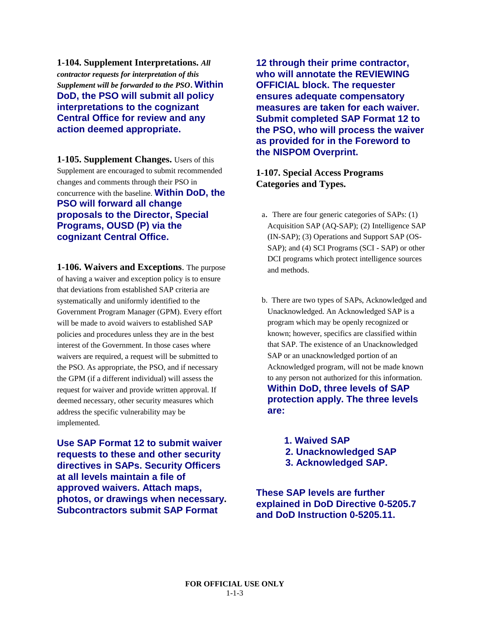**1-104. Supplement Interpretations.** *All contractor requests for interpretation of this Supplement will be forwarded to the PSO***. Within DoD, the PSO will submit all policy interpretations to the cognizant Central Office for review and any action deemed appropriate.**

**1-105. Supplement Changes.** Users of this Supplement are encouraged to submit recommended changes and comments through their PSO in concurrence with the baseline. **Within DoD, the PSO will forward all change proposals to the Director, Special Programs, OUSD (P) via the cognizant Central Office.**

**1-106. Waivers and Exceptions**. The purpose of having a waiver and exception policy is to ensure that deviations from established SAP criteria are systematically and uniformly identified to the Government Program Manager (GPM). Every effort will be made to avoid waivers to established SAP policies and procedures unless they are in the best interest of the Government. In those cases where waivers are required, a request will be submitted to the PSO. As appropriate, the PSO, and if necessary the GPM (if a different individual) will assess the request for waiver and provide written approval. If deemed necessary, other security measures which address the specific vulnerability may be implemented.

**Use SAP Format 12 to submit waiver requests to these and other security directives in SAPs. Security Officers at all levels maintain a file of approved waivers. Attach maps, photos, or drawings when necessary. Subcontractors submit SAP Format**

**12 through their prime contractor, who will annotate the REVIEWING OFFICIAL block. The requester ensures adequate compensatory measures are taken for each waiver. Submit completed SAP Format 12 to the PSO, who will process the waiver as provided for in the Foreword to the NISPOM Overprint.**

#### **1-107. Special Access Programs Categories and Types.**

- a. There are four generic categories of SAPs: (1) Acquisition SAP (AQ-SAP); (2) Intelligence SAP (IN-SAP); (3) Operations and Support SAP (OS-SAP); and (4) SCI Programs (SCI - SAP) or other DCI programs which protect intelligence sources and methods.
- b. There are two types of SAPs, Acknowledged and Unacknowledged. An Acknowledged SAP is a program which may be openly recognized or known; however, specifics are classified within that SAP. The existence of an Unacknowledged SAP or an unacknowledged portion of an Acknowledged program, will not be made known to any person not authorized for this information. **Within DoD, three levels of SAP protection apply. The three levels are:**
	- **1. Waived SAP**
	- **2. Unacknowledged SAP**
	- **3. Acknowledged SAP.**

**These SAP levels are further explained in DoD Directive 0-5205.7 and DoD Instruction 0-5205.11.**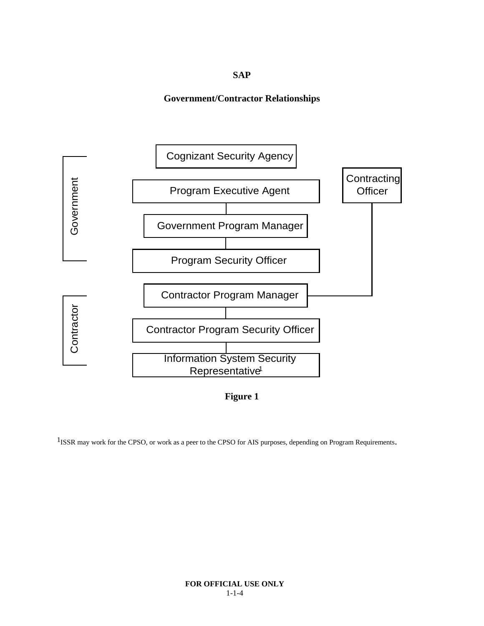## **SAP**

## **Government/Contractor Relationships**



**Figure 1**

<sup>1</sup>ISSR may work for the CPSO, or work as a peer to the CPSO for AIS purposes, depending on Program Requirements.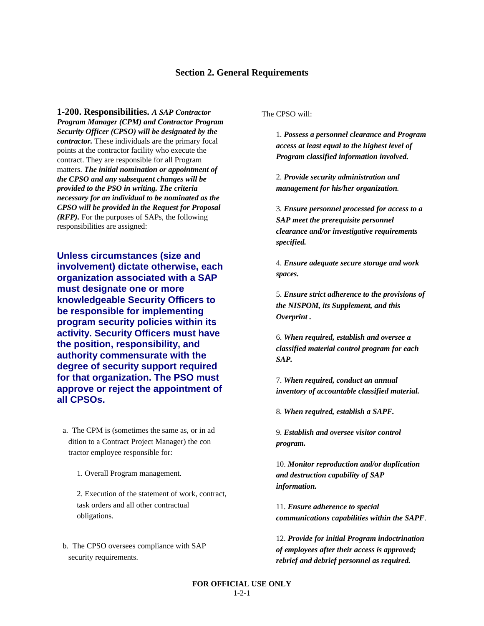#### **Section 2. General Requirements**

**1-200. Responsibilities.** *A SAP Contractor Program Manager (CPM) and Contractor Program Security Officer (CPSO) will be designated by the contractor.* These individuals are the primary focal points at the contractor facility who execute the contract. They are responsible for all Program matters. *The initial nomination or appointment of the CPSO and any subsequent changes will be provided to the PSO in writing. The criteria necessary for an individual to be nominated as the CPSO will be provided in the Request for Proposal (RFP).* For the purposes of SAPs, the following responsibilities are assigned:

**Unless circumstances (size and involvement) dictate otherwise, each organization associated with a SAP must designate one or more knowledgeable Security Officers to be responsible for implementing program security policies within its activity. Security Officers must have the position, responsibility, and authority commensurate with the degree of security support required for that organization. The PSO must approve or reject the appointment of all CPSOs.**

- a. The CPM is (sometimes the same as, or in ad dition to a Contract Project Manager) the con tractor employee responsible for:
	- 1. Overall Program management.

2. Execution of the statement of work, contract, task orders and all other contractual obligations.

b. The CPSO oversees compliance with SAP security requirements.

The CPSO will:

1. *Possess a personnel clearance and Program access at least equal to the highest level of Program classified information involved.*

2. *Provide security administration and management for his/her organization*.

3. *Ensure personnel processed for access to a SAP meet the prerequisite personnel clearance and/or investigative requirements specified.*

4. *Ensure adequate secure storage and work spaces.*

5. *Ensure strict adherence to the provisions of the NISPOM, its Supplement, and this Overprint .*

6. *When required, establish and oversee a classified material control program for each SAP.*

7. *When required, conduct an annual inventory of accountable classified material.*

8. *When required, establish a SAPF.*

9. *Establish and oversee visitor control program.*

10. *Monitor reproduction and/or duplication and destruction capability of SAP information.*

11. *Ensure adherence to special communications capabilities within the SAPF*.

12. *Provide for initial Program indoctrination of employees after their access is approved; rebrief and debrief personnel as required.*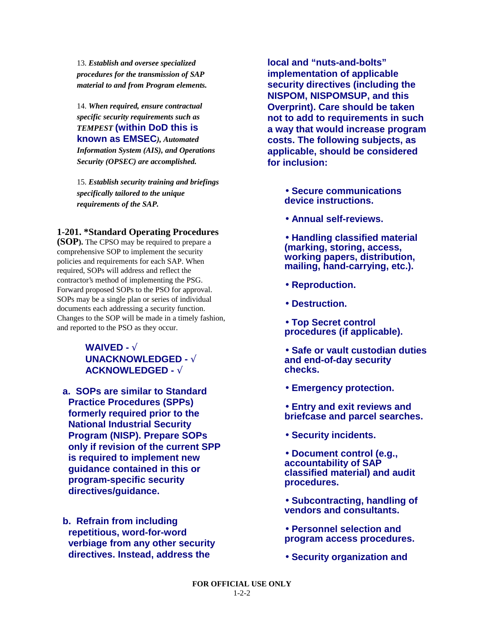13. *Establish and oversee specialized procedures for the transmission of SAP material to and from Program elements.*

14. *When required, ensure contractual specific security requirements such as TEMPEST* **(within DoD this is known as EMSEC***), Automated Information System (AIS), and Operations Security (OPSEC) are accomplished.*

15. *Establish security training and briefings specifically tailored to the unique requirements of the SAP.*

#### **1-201. \*Standard Operating Procedures**

**(SOP).** The CPSO may be required to prepare a comprehensive SOP to implement the security policies and requirements for each SAP. When required, SOPs will address and reflect the contractor's method of implementing the PSG. Forward proposed SOPs to the PSO for approval. SOPs may be a single plan or series of individual documents each addressing a security function. Changes to the SOP will be made in a timely fashion, and reported to the PSO as they occur.

## **WAIVED -** √ **UNACKNOWLEDGED -** √ **ACKNOWLEDGED -** √

**a. SOPs are similar to Standard Practice Procedures (SPPs) formerly required prior to the National Industrial Security Program (NISP). Prepare SOPs only if revision of the current SPP is required to implement new guidance contained in this or program-specific security directives/guidance.**

**b. Refrain from including repetitious, word-for-word verbiage from any other security directives. Instead, address the**

**local and "nuts-and-bolts" implementation of applicable security directives (including the NISPOM, NISPOMSUP, and this Overprint). Care should be taken not to add to requirements in such a way that would increase program costs. The following subjects, as applicable, should be considered for inclusion:**

- • **Secure communications device instructions.**
- • **Annual self-reviews.**

• **Handling classified material (marking, storing, access, working papers, distribution, mailing, hand-carrying, etc.).**

- • **Reproduction.**
- • **Destruction.**
- • **Top Secret control procedures (if applicable).**
- • **Safe or vault custodian duties and end-of-day security checks.**
- • **Emergency protection.**
- • **Entry and exit reviews and briefcase and parcel searches.**
- • **Security incidents.**
- • **Document control (e.g., accountability of SAP classified material) and audit procedures.**
- • **Subcontracting, handling of vendors and consultants.**
- • **Personnel selection and program access procedures.**
- • **Security organization and**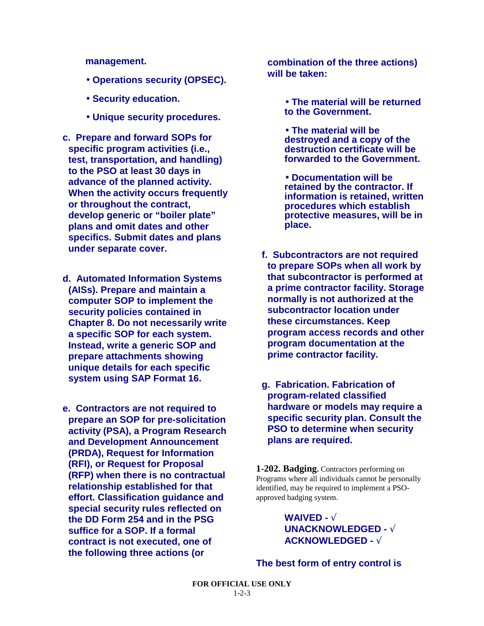**management.**

- • **Operations security (OPSEC).**
- • **Security education.**
- • **Unique security procedures.**
- **c. Prepare and forward SOPs for specific program activities (i.e., test, transportation, and handling) to the PSO at least 30 days in advance of the planned activity. When the activity occurs frequently or throughout the contract, develop generic or "boiler plate" plans and omit dates and other specifics. Submit dates and plans under separate cover.**
- **d. Automated Information Systems (AISs). Prepare and maintain a computer SOP to implement the security policies contained in Chapter 8. Do not necessarily write a specific SOP for each system. Instead, write a generic SOP and prepare attachments showing unique details for each specific system using SAP Format 16.**
- **e. Contractors are not required to prepare an SOP for pre-solicitation activity (PSA), a Program Research and Development Announcement (PRDA), Request for Information (RFI), or Request for Proposal (RFP) when there is no contractual relationship established for that effort. Classification guidance and special security rules reflected on the DD Form 254 and in the PSG suffice for a SOP. If a formal contract is not executed, one of the following three actions (or**

**combination of the three actions) will be taken:**

- • **The material will be returned to the Government.**
- • **The material will be destroyed and a copy of the destruction certificate will be forwarded to the Government.**
- • **Documentation will be retained by the contractor. If information is retained, written procedures which establish protective measures, will be in place.**
- **f. Subcontractors are not required to prepare SOPs when all work by that subcontractor is performed at a prime contractor facility. Storage normally is not authorized at the subcontractor location under these circumstances. Keep program access records and other program documentation at the prime contractor facility.**
- **g. Fabrication. Fabrication of program-related classified hardware or models may require a specific security plan. Consult the PSO to determine when security plans are required.**

**1-202. Badging.** Contractors performing on Programs where all individuals cannot be personally identified, may be required to implement a PSOapproved badging system.

> **WAIVED -** √ **UNACKNOWLEDGED -** √ **ACKNOWLEDGED -** √

**The best form of entry control is**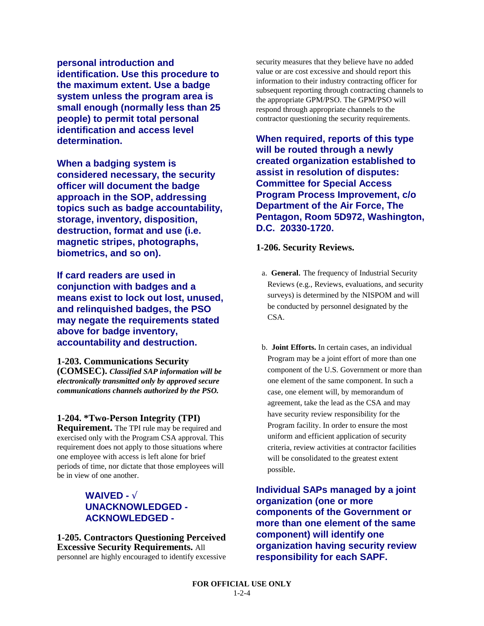**personal introduction and identification. Use this procedure to the maximum extent. Use a badge system unless the program area is small enough (normally less than 25 people) to permit total personal identification and access level determination.**

**When a badging system is considered necessary, the security officer will document the badge approach in the SOP, addressing topics such as badge accountability, storage, inventory, disposition, destruction, format and use (i.e. magnetic stripes, photographs, biometrics, and so on).**

**If card readers are used in conjunction with badges and a means exist to lock out lost, unused, and relinquished badges, the PSO may negate the requirements stated above for badge inventory, accountability and destruction.**

#### **1-203. Communications Security**

**(COMSEC).** *Classified SAP information will be electronically transmitted only by approved secure communications channels authorized by the PSO.*

#### **1-204. \*Two-Person Integrity (TPI)**

**Requirement.** The TPI rule may be required and exercised only with the Program CSA approval. This requirement does not apply to those situations where one employee with access is left alone for brief periods of time, nor dictate that those employees will be in view of one another.

## **WAIVED -** √ **UNACKNOWLEDGED - ACKNOWLEDGED -**

#### **1-205. Contractors Questioning Perceived Excessive Security Requirements.** All

personnel are highly encouraged to identify excessive

security measures that they believe have no added value or are cost excessive and should report this information to their industry contracting officer for subsequent reporting through contracting channels to the appropriate GPM/PSO. The GPM/PSO will respond through appropriate channels to the contractor questioning the security requirements.

**When required, reports of this type will be routed through a newly created organization established to assist in resolution of disputes: Committee for Special Access Program Process Improvement, c/o Department of the Air Force, The Pentagon, Room 5D972, Washington, D.C. 20330-1720.**

#### **1-206. Security Reviews.**

- a. **General**. The frequency of Industrial Security Reviews (e.g., Reviews, evaluations, and security surveys) is determined by the NISPOM and will be conducted by personnel designated by the CSA.
- b. **Joint Efforts.** In certain cases, an individual Program may be a joint effort of more than one component of the U.S. Government or more than one element of the same component. In such a case, one element will, by memorandum of agreement, take the lead as the CSA and may have security review responsibility for the Program facility. In order to ensure the most uniform and efficient application of security criteria, review activities at contractor facilities will be consolidated to the greatest extent possible.

**Individual SAPs managed by a joint organization (one or more components of the Government or more than one element of the same component) will identify one organization having security review responsibility for each SAPF.**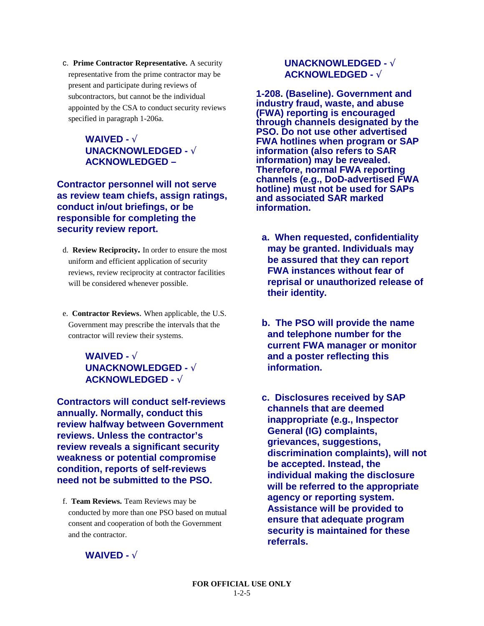c. **Prime Contractor Representative.** A security representative from the prime contractor may be present and participate during reviews of subcontractors, but cannot be the individual appointed by the CSA to conduct security reviews specified in paragraph 1-206a.

## **WAIVED -** √ **UNACKNOWLEDGED -** √ **ACKNOWLEDGED –**

**Contractor personnel will not serve as review team chiefs, assign ratings, conduct in/out briefings, or be responsible for completing the security review report.**

- d. **Review Reciprocity.** In order to ensure the most uniform and efficient application of security reviews, review reciprocity at contractor facilities will be considered whenever possible.
- e. **Contractor Reviews**. When applicable, the U.S. Government may prescribe the intervals that the contractor will review their systems.

## **WAIVED -** √ **UNACKNOWLEDGED -** √ **ACKNOWLEDGED -** √

**Contractors will conduct self-reviews annually. Normally, conduct this review halfway between Government reviews. Unless the contractor's review reveals a significant security weakness or potential compromise condition, reports of self-reviews need not be submitted to the PSO.**

f. **Team Reviews.** Team Reviews may be conducted by more than one PSO based on mutual consent and cooperation of both the Government and the contractor.

## **UNACKNOWLEDGED -** √ **ACKNOWLEDGED -** √

**1-208. (Baseline). Government and industry fraud, waste, and abuse (FWA) reporting is encouraged through channels designated by the PSO. Do not use other advertised FWA hotlines when program or SAP information (also refers to SAR information) may be revealed. Therefore, normal FWA reporting channels (e.g., DoD-advertised FWA hotline) must not be used for SAPs and associated SAR marked information.**

- **a. When requested, confidentiality may be granted. Individuals may be assured that they can report FWA instances without fear of reprisal or unauthorized release of their identity.**
- **b. The PSO will provide the name and telephone number for the current FWA manager or monitor and a poster reflecting this information.**
- **c. Disclosures received by SAP channels that are deemed inappropriate (e.g., Inspector General (IG) complaints, grievances, suggestions, discrimination complaints), will not be accepted. Instead, the individual making the disclosure will be referred to the appropriate agency or reporting system. Assistance will be provided to ensure that adequate program security is maintained for these referrals.**

**WAIVED -** √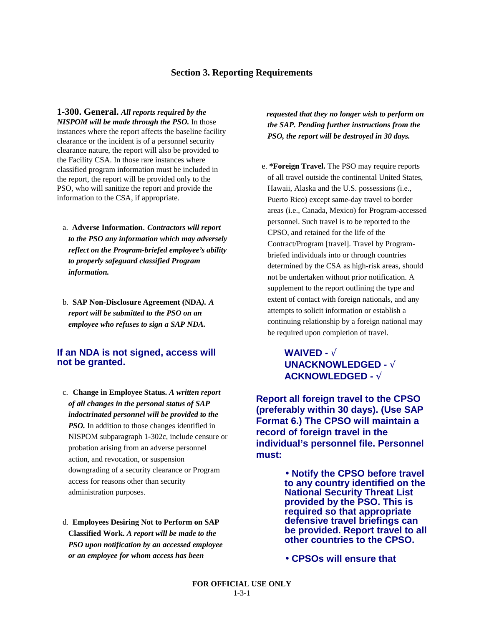#### **Section 3. Reporting Requirements**

**1-300. General.** *All reports required by the NISPOM will be made through the PSO.* In those instances where the report affects the baseline facility clearance or the incident is of a personnel security clearance nature, the report will also be provided to the Facility CSA. In those rare instances where classified program information must be included in the report, the report will be provided only to the PSO, who will sanitize the report and provide the information to the CSA, if appropriate.

- a. **Adverse Information**. *Contractors will report to the PSO any information which may adversely reflect on the Program-briefed employee's ability to properly safeguard classified Program information.*
- b. **SAP Non-Disclosure Agreement (NDA***). A report will be submitted to the PSO on an employee who refuses to sign a SAP NDA.*

#### **If an NDA is not signed, access will not be granted.**

- c. **Change in Employee Status.** *A written report of all changes in the personal status of SAP indoctrinated personnel will be provided to the PSO.* In addition to those changes identified in NISPOM subparagraph 1-302c, include censure or probation arising from an adverse personnel action, and revocation, or suspension downgrading of a security clearance or Program access for reasons other than security administration purposes.
- d. **Employees Desiring Not to Perform on SAP Classified Work.** *A report will be made to the PSO upon notification by an accessed employee or an employee for whom access has been*

*requested that they no longer wish to perform on the SAP. Pending further instructions from the PSO, the report will be destroyed in 30 days.*

e. **\*Foreign Travel.** The PSO may require reports of all travel outside the continental United States, Hawaii, Alaska and the U.S. possessions (i.e., Puerto Rico) except same-day travel to border areas (i.e., Canada, Mexico) for Program-accessed personnel. Such travel is to be reported to the CPSO, and retained for the life of the Contract/Program [travel]. Travel by Programbriefed individuals into or through countries determined by the CSA as high-risk areas, should not be undertaken without prior notification. A supplement to the report outlining the type and extent of contact with foreign nationals, and any attempts to solicit information or establish a continuing relationship by a foreign national may be required upon completion of travel.

## **WAIVED -** √ **UNACKNOWLEDGED -** √ **ACKNOWLEDGED -** √

**Report all foreign travel to the CPSO (preferably within 30 days). (Use SAP Format 6.) The CPSO will maintain a record of foreign travel in the individual's personnel file. Personnel must:**

> • **Notify the CPSO before travel to any country identified on the National Security Threat List provided by the PSO. This is required so that appropriate defensive travel briefings can be provided. Report travel to all other countries to the CPSO.**

• **CPSOs will ensure that**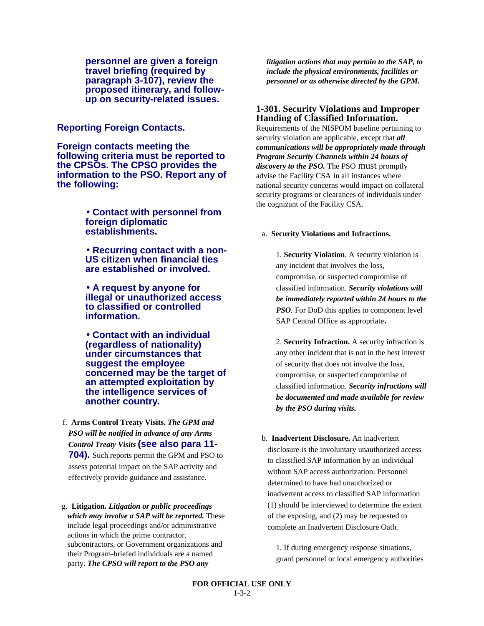**personnel are given a foreign travel briefing (required by paragraph 3-107), review the proposed itinerary, and followup on security-related issues.**

**Reporting Foreign Contacts.**

**Foreign contacts meeting the following criteria must be reported to the CPSOs. The CPSO provides the information to the PSO. Report any of the following:**

> • **Contact with personnel from foreign diplomatic establishments.**

• **Recurring contact with a non-US citizen when financial ties are established or involved.**

• **A request by anyone for illegal or unauthorized access to classified or controlled information.**

• **Contact with an individual (regardless of nationality) under circumstances that suggest the employee concerned may be the target of an attempted exploitation by the intelligence services of another country.**

f. **Arms Control Treaty Visits.** *The GPM and PSO will be notified in advance of any Arms Control Treaty Visits* **(see also para 11- 704).** Such reports permit the GPM and PSO to assess potential impact on the SAP activity and effectively provide guidance and assistance.

g. **Litigation.** *Litigation or public proceedings which may involve a SAP will be reported.* These include legal proceedings and/or administrative actions in which the prime contractor, subcontractors, or Government organizations and their Program-briefed individuals are a named party. *The CPSO will report to the PSO any*

*litigation actions that may pertain to the SAP, to include the physical environments, facilities or personnel or as otherwise directed by the GPM.*

#### **1-301. Security Violations and Improper Handing of Classified Information.**

Requirements of the NISPOM baseline pertaining to security violation are applicable, except that *all communications will be appropriately made through Program Security Channels within 24 hours of discovery to the PSO.* The PSO must promptly advise the Facility CSA in all instances where national security concerns would impact on collateral security programs or clearances of individuals under the cognizant of the Facility CSA.

#### a. **Security Violations and Infractions.**

1. **Security Violation**. A security violation is any incident that involves the loss, compromise, or suspected compromise of classified information. *Security violations will be immediately reported within 24 hours to the PSO*. For DoD this applies to component level SAP Central Office as appropriate**.**

2. **Security Infraction.** A security infraction is any other incident that is not in the best interest of security that does not involve the loss, compromise, or suspected compromise of classified information. *Security infractions will be documented and made available for review by the PSO during visits.*

b. **Inadvertent Disclosure.** An inadvertent disclosure is the involuntary unauthorized access to classified SAP information by an individual without SAP access authorization. Personnel determined to have had unauthorized or inadvertent access to classified SAP information (1) should be interviewed to determine the extent of the exposing, and (2) may be requested to complete an Inadvertent Disclosure Oath.

1. If during emergency response situations, guard personnel or local emergency authorities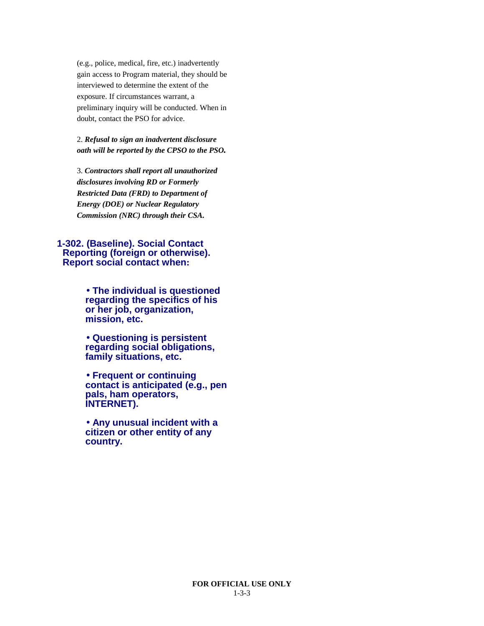(e.g., police, medical, fire, etc.) inadvertently gain access to Program material, they should be interviewed to determine the extent of the exposure. If circumstances warrant, a preliminary inquiry will be conducted. When in doubt, contact the PSO for advice.

2. *Refusal to sign an inadvertent disclosure oath will be reported by the CPSO to the PSO.*

3. *Contractors shall report all unauthorized disclosures involving RD or Formerly Restricted Data (FRD) to Department of Energy (DOE) or Nuclear Regulatory Commission (NRC) through their CSA.*

**1-302. (Baseline). Social Contact Reporting (foreign or otherwise). Report social contact when:**

> • **The individual is questioned regarding the specifics of his or her job, organization, mission, etc.**

• **Questioning is persistent regarding social obligations, family situations, etc.**

• **Frequent or continuing contact is anticipated (e.g., pen pals, ham operators, INTERNET).**

• **Any unusual incident with a citizen or other entity of any country.**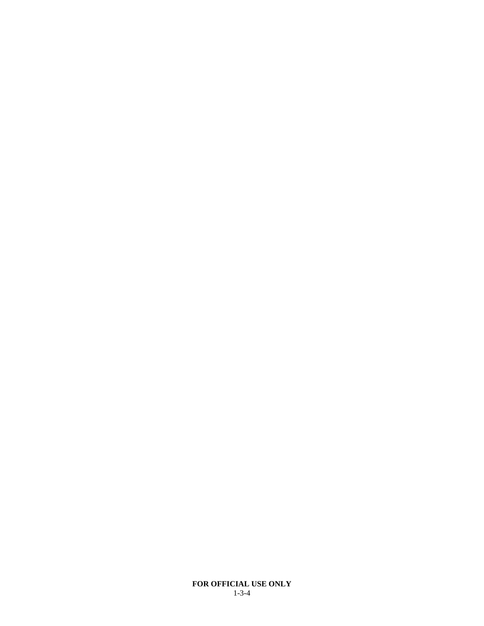#### **FOR OFFICIAL USE ONLY** 1-3-4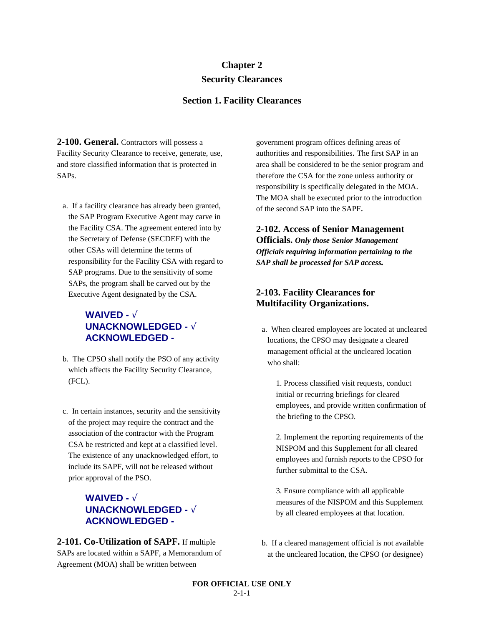## **Chapter 2 Security Clearances**

#### **Section 1. Facility Clearances**

**2-100. General.** Contractors will possess a Facility Security Clearance to receive, generate, use, and store classified information that is protected in SAPs.

a. If a facility clearance has already been granted, the SAP Program Executive Agent may carve in the Facility CSA. The agreement entered into by the Secretary of Defense (SECDEF) with the other CSAs will determine the terms of responsibility for the Facility CSA with regard to SAP programs. Due to the sensitivity of some SAPs, the program shall be carved out by the Executive Agent designated by the CSA.

## **WAIVED -** √ **UNACKNOWLEDGED -** √ **ACKNOWLEDGED -**

- b. The CPSO shall notify the PSO of any activity which affects the Facility Security Clearance, (FCL).
- c. In certain instances, security and the sensitivity of the project may require the contract and the association of the contractor with the Program CSA be restricted and kept at a classified level. The existence of any unacknowledged effort, to include its SAPF, will not be released without prior approval of the PSO.

## **WAIVED -** √ **UNACKNOWLEDGED -** √ **ACKNOWLEDGED -**

**2-101. Co-Utilization of SAPF.** If multiple SAPs are located within a SAPF, a Memorandum of Agreement (MOA) shall be written between

government program offices defining areas of authorities and responsibilities. The first SAP in an area shall be considered to be the senior program and therefore the CSA for the zone unless authority or responsibility is specifically delegated in the MOA. The MOA shall be executed prior to the introduction of the second SAP into the SAPF.

## **2-102. Access of Senior Management**

**Officials.** *Only those Senior Management Officials requiring information pertaining to the SAP shall be processed for SAP access.*

## **2-103. Facility Clearances for Multifacility Organizations.**

- a. When cleared employees are located at uncleared locations, the CPSO may designate a cleared management official at the uncleared location who shall:
	- 1. Process classified visit requests, conduct initial or recurring briefings for cleared employees, and provide written confirmation of the briefing to the CPSO.

2. Implement the reporting requirements of the NISPOM and this Supplement for all cleared employees and furnish reports to the CPSO for further submittal to the CSA.

3. Ensure compliance with all applicable measures of the NISPOM and this Supplement by all cleared employees at that location.

b. If a cleared management official is not available at the uncleared location, the CPSO (or designee)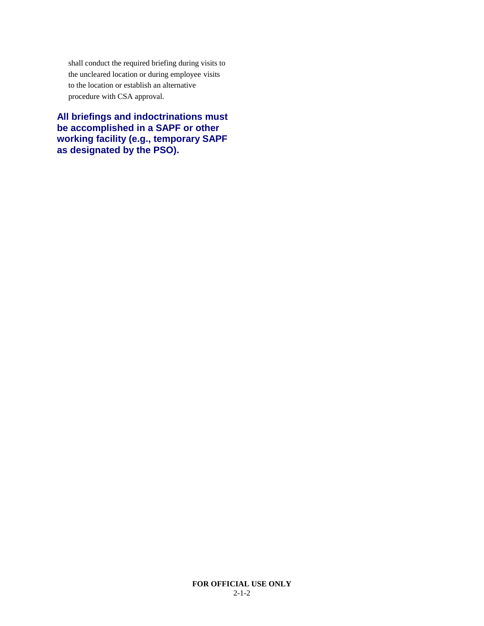shall conduct the required briefing during visits to the uncleared location or during employee visits to the location or establish an alternative procedure with CSA approval.

**All briefings and indoctrinations must be accomplished in a SAPF or other working facility (e.g., temporary SAPF as designated by the PSO).**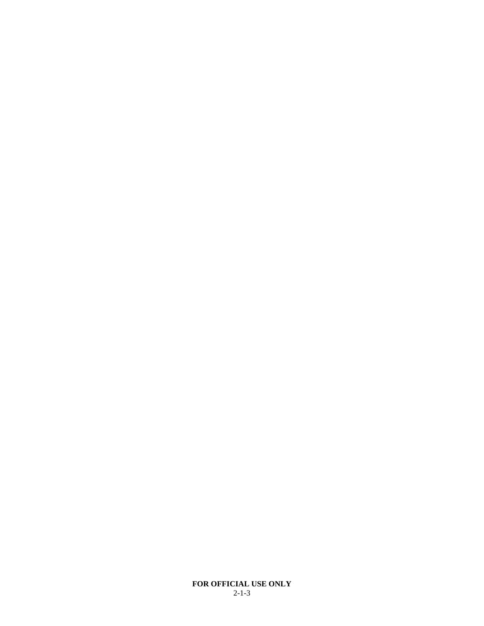#### **FOR OFFICIAL USE ONLY** 2-1-3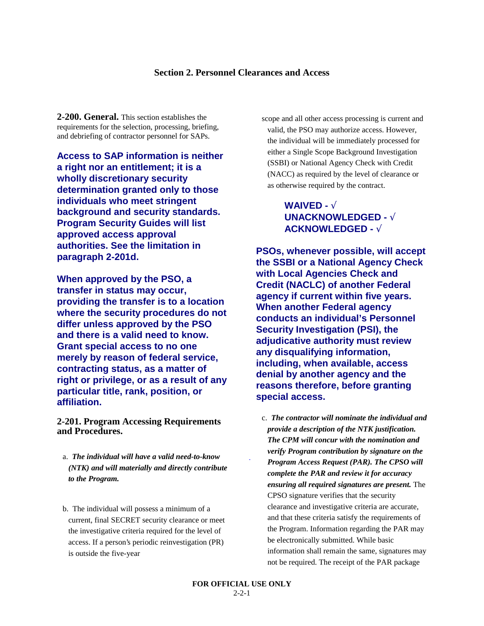**2-200. General.** This section establishes the requirements for the selection, processing, briefing, and debriefing of contractor personnel for SAPs.

**Access to SAP information is neither a right nor an entitlement; it is a wholly discretionary security determination granted only to those individuals who meet stringent background and security standards. Program Security Guides will list approved access approval authorities. See the limitation in paragraph 2-201d.**

**When approved by the PSO, a transfer in status may occur, providing the transfer is to a location where the security procedures do not differ unless approved by the PSO and there is a valid need to know. Grant special access to no one merely by reason of federal service, contracting status, as a matter of right or privilege, or as a result of any particular title, rank, position, or affiliation.**

**2-201. Program Accessing Requirements and Procedures.**

- a. *The individual will have a valid need-to-know (NTK) and will materially and directly contribute to the Program.*
- b. The individual will possess a minimum of a current, final SECRET security clearance or meet the investigative criteria required for the level of access. If a person's periodic reinvestigation (PR) is outside the five-year

scope and all other access processing is current and valid, the PSO may authorize access. However, the individual will be immediately processed for either a Single Scope Background Investigation (SSBI) or National Agency Check with Credit (NACC) as required by the level of clearance or as otherwise required by the contract.

## **WAIVED -** √ **UNACKNOWLEDGED -** √ **ACKNOWLEDGED -** √

**PSOs, whenever possible, will accept the SSBI or a National Agency Check with Local Agencies Check and Credit (NACLC) of another Federal agency if current within five years. When another Federal agency conducts an individual's Personnel Security Investigation (PSI), the adjudicative authority must review any disqualifying information, including, when available, access denial by another agency and the reasons therefore, before granting special access.**

c. *The contractor will nominate the individual and provide a description of the NTK justification. The CPM will concur with the nomination and verify Program contribution by signature on the Program Access Request (PAR). The CPSO will complete the PAR and review it for accuracy ensuring all required signatures are present.* The CPSO signature verifies that the security clearance and investigative criteria are accurate, and that these criteria satisfy the requirements of the Program. Information regarding the PAR may be electronically submitted. While basic information shall remain the same, signatures may not be required. The receipt of the PAR package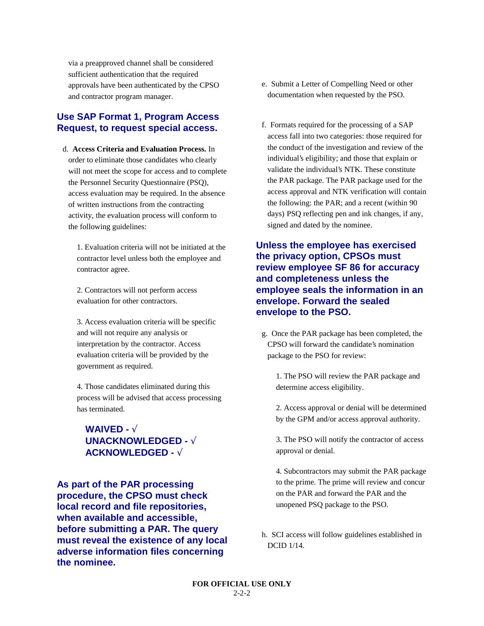via a preapproved channel shall be considered sufficient authentication that the required approvals have been authenticated by the CPSO and contractor program manager.

## **Use SAP Format 1, Program Access Request, to request special access.**

d. **Access Criteria and Evaluation Process.** In order to eliminate those candidates who clearly will not meet the scope for access and to complete the Personnel Security Questionnaire (PSQ), access evaluation may be required. In the absence of written instructions from the contracting activity, the evaluation process will conform to the following guidelines:

1. Evaluation criteria will not be initiated at the contractor level unless both the employee and contractor agree.

2. Contractors will not perform access evaluation for other contractors.

3. Access evaluation criteria will be specific and will not require any analysis or interpretation by the contractor. Access evaluation criteria will be provided by the government as required.

4. Those candidates eliminated during this process will be advised that access processing has terminated.

## **WAIVED -** √ **UNACKNOWLEDGED -** √ **ACKNOWLEDGED -** √

**As part of the PAR processing procedure, the CPSO must check local record and file repositories, when available and accessible, before submitting a PAR. The query must reveal the existence of any local adverse information files concerning the nominee.**

- e. Submit a Letter of Compelling Need or other documentation when requested by the PSO.
- f. Formats required for the processing of a SAP access fall into two categories: those required for the conduct of the investigation and review of the individual's eligibility; and those that explain or validate the individual's NTK. These constitute the PAR package. The PAR package used for the access approval and NTK verification will contain the following: the PAR; and a recent (within 90 days) PSQ reflecting pen and ink changes, if any, signed and dated by the nominee.

**Unless the employee has exercised the privacy option, CPSOs must review employee SF 86 for accuracy and completeness unless the employee seals the information in an envelope. Forward the sealed envelope to the PSO.**

- g. Once the PAR package has been completed, the CPSO will forward the candidate's nomination package to the PSO for review:
	- 1. The PSO will review the PAR package and determine access eligibility.
	- 2. Access approval or denial will be determined by the GPM and/or access approval authority.
	- 3. The PSO will notify the contractor of access approval or denial.

4. Subcontractors may submit the PAR package to the prime. The prime will review and concur on the PAR and forward the PAR and the unopened PSQ package to the PSO.

h. SCI access will follow guidelines established in DCID 1/14.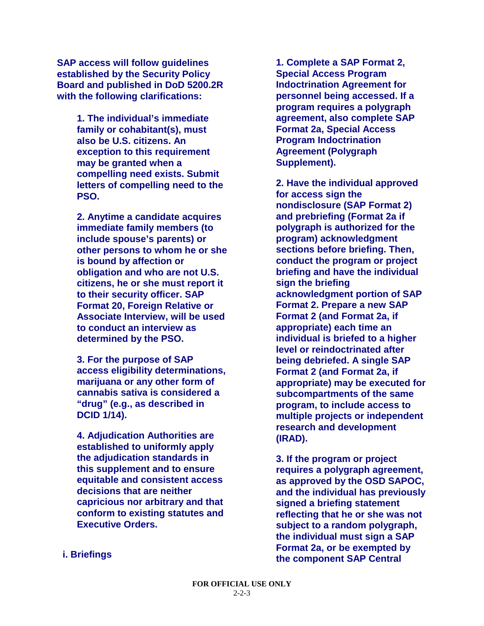**SAP access will follow guidelines established by the Security Policy Board and published in DoD 5200.2R with the following clarifications:**

> **1. The individual's immediate family or cohabitant(s), must also be U.S. citizens. An exception to this requirement may be granted when a compelling need exists. Submit letters of compelling need to the PSO.**

**2. Anytime a candidate acquires immediate family members (to include spouse's parents) or other persons to whom he or she is bound by affection or obligation and who are not U.S. citizens, he or she must report it to their security officer. SAP Format 20, Foreign Relative or Associate Interview, will be used to conduct an interview as determined by the PSO.**

**3. For the purpose of SAP access eligibility determinations, marijuana or any other form of cannabis sativa is considered a "drug" (e.g., as described in DCID 1/14).**

**4. Adjudication Authorities are established to uniformly apply the adjudication standards in this supplement and to ensure equitable and consistent access decisions that are neither capricious nor arbitrary and that conform to existing statutes and Executive Orders.**

**1. Complete a SAP Format 2, Special Access Program Indoctrination Agreement for personnel being accessed. If a program requires a polygraph agreement, also complete SAP Format 2a, Special Access Program Indoctrination Agreement (Polygraph Supplement).**

**2. Have the individual approved for access sign the nondisclosure (SAP Format 2) and prebriefing (Format 2a if polygraph is authorized for the program) acknowledgment sections before briefing. Then, conduct the program or project briefing and have the individual sign the briefing acknowledgment portion of SAP Format 2. Prepare a new SAP Format 2 (and Format 2a, if appropriate) each time an individual is briefed to a higher level or reindoctrinated after being debriefed. A single SAP Format 2 (and Format 2a, if appropriate) may be executed for subcompartments of the same program, to include access to multiple projects or independent research and development (IRAD).**

**3. If the program or project requires a polygraph agreement, as approved by the OSD SAPOC, and the individual has previously signed a briefing statement reflecting that he or she was not subject to a random polygraph, the individual must sign a SAP Format 2a, or be exempted by the component SAP Central**

**i. Briefings**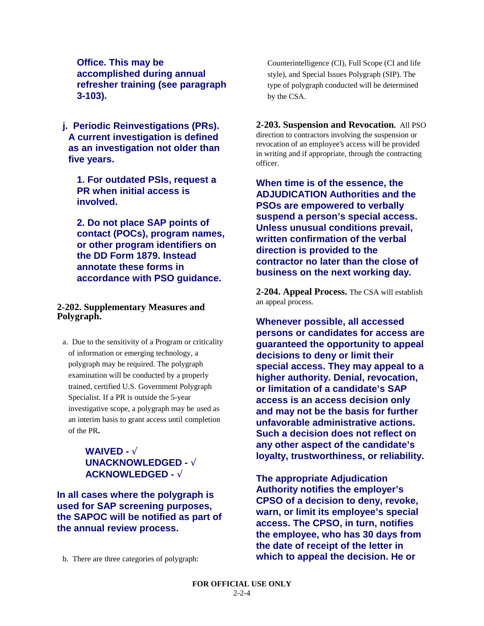**Office. This may be accomplished during annual refresher training (see paragraph 3-103).**

**j. Periodic Reinvestigations (PRs). A current investigation is defined as an investigation not older than five years.**

**1. For outdated PSIs, request a PR when initial access is involved.**

**2. Do not place SAP points of contact (POCs), program names, or other program identifiers on the DD Form 1879. Instead annotate these forms in accordance with PSO guidance.**

#### **2-202. Supplementary Measures and Polygraph.**

a. Due to the sensitivity of a Program or criticality of information or emerging technology, a polygraph may be required. The polygraph examination will be conducted by a properly trained, certified U.S. Government Polygraph Specialist. If a PR is outside the 5-year investigative scope, a polygraph may be used as an interim basis to grant access until completion of the PR**.**

## **WAIVED -** √ **UNACKNOWLEDGED -** √ **ACKNOWLEDGED -** √

**In all cases where the polygraph is used for SAP screening purposes, the SAPOC will be notified as part of the annual review process.**

b. There are three categories of polygraph:

Counterintelligence (CI), Full Scope (CI and life style), and Special Issues Polygraph (SIP). The type of polygraph conducted will be determined by the CSA.

**2-203. Suspension and Revocation.** All PSO direction to contractors involving the suspension or revocation of an employee's access will be provided in writing and if appropriate, through the contracting officer.

**When time is of the essence, the ADJUDICATION Authorities and the PSOs are empowered to verbally suspend a person's special access. Unless unusual conditions prevail, written confirmation of the verbal direction is provided to the contractor no later than the close of business on the next working day.**

**2-204. Appeal Process.** The CSA will establish an appeal process.

**Whenever possible, all accessed persons or candidates for access are guaranteed the opportunity to appeal decisions to deny or limit their special access. They may appeal to a higher authority. Denial, revocation, or limitation of a candidate's SAP access is an access decision only and may not be the basis for further unfavorable administrative actions. Such a decision does not reflect on any other aspect of the candidate's loyalty, trustworthiness, or reliability.**

**The appropriate Adjudication Authority notifies the employer's CPSO of a decision to deny, revoke, warn, or limit its employee's special access. The CPSO, in turn, notifies the employee, who has 30 days from the date of receipt of the letter in which to appeal the decision. He or**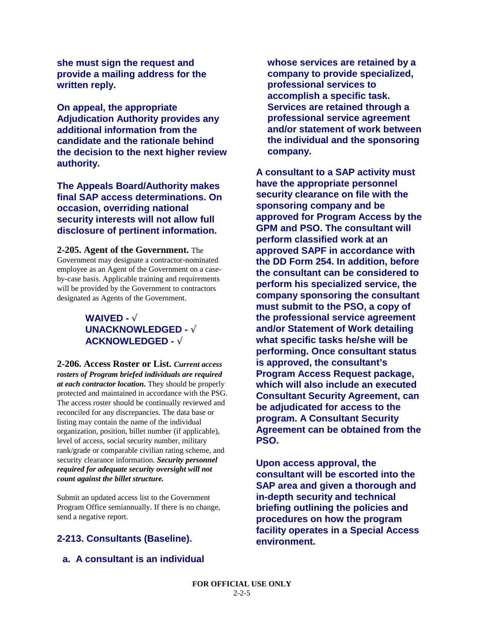**she must sign the request and provide a mailing address for the written reply.**

**On appeal, the appropriate Adjudication Authority provides any additional information from the candidate and the rationale behind the decision to the next higher review authority.**

**The Appeals Board/Authority makes final SAP access determinations. On occasion, overriding national security interests will not allow full disclosure of pertinent information.**

**2-205. Agent of the Government.** The Government may designate a contractor-nominated employee as an Agent of the Government on a caseby-case basis. Applicable training and requirements will be provided by the Government to contractors designated as Agents of the Government.

## **WAIVED -** √ **UNACKNOWLEDGED -** √ **ACKNOWLEDGED -** √

**2-206. Access Roster or List.** *Current access rosters of Program briefed individuals are required at each contractor location.* They should be properly protected and maintained in accordance with the PSG. The access roster should be continually reviewed and reconciled for any discrepancies. The data base or listing may contain the name of the individual organization, position, billet number (if applicable), level of access, social security number, military rank/grade or comparable civilian rating scheme, and security clearance information. *Security personnel required for adequate security oversight will not count against the billet structure.*

Submit an updated access list to the Government Program Office semiannually. If there is no change, send a negative report.

## **2-213. Consultants (Baseline).**

**a. A consultant is an individual**

**whose services are retained by a company to provide specialized, professional services to accomplish a specific task. Services are retained through a professional service agreement and/or statement of work between the individual and the sponsoring company.**

**A consultant to a SAP activity must have the appropriate personnel security clearance on file with the sponsoring company and be approved for Program Access by the GPM and PSO. The consultant will perform classified work at an approved SAPF in accordance with the DD Form 254. In addition, before the consultant can be considered to perform his specialized service, the company sponsoring the consultant must submit to the PSO, a copy of the professional service agreement and/or Statement of Work detailing what specific tasks he/she will be performing. Once consultant status is approved, the consultant's Program Access Request package, which will also include an executed Consultant Security Agreement, can be adjudicated for access to the program. A Consultant Security Agreement can be obtained from the PSO.**

**Upon access approval, the consultant will be escorted into the SAP area and given a thorough and in-depth security and technical briefing outlining the policies and procedures on how the program facility operates in a Special Access environment.**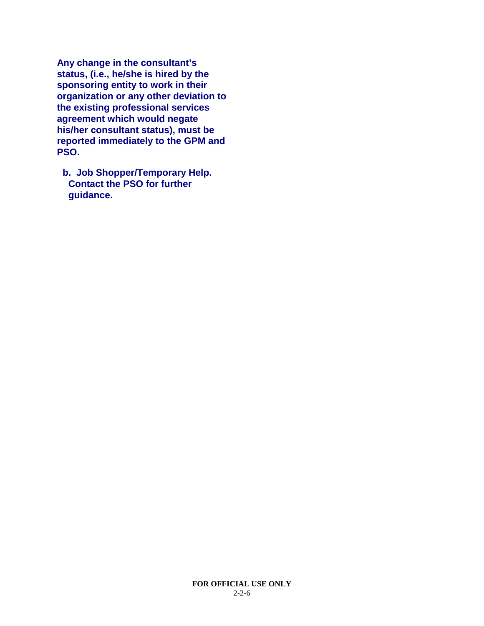**Any change in the consultant's status, (i.e., he/she is hired by the sponsoring entity to work in their organization or any other deviation to the existing professional services agreement which would negate his/her consultant status), must be reported immediately to the GPM and PSO.**

**b. Job Shopper/Temporary Help. Contact the PSO for further guidance.**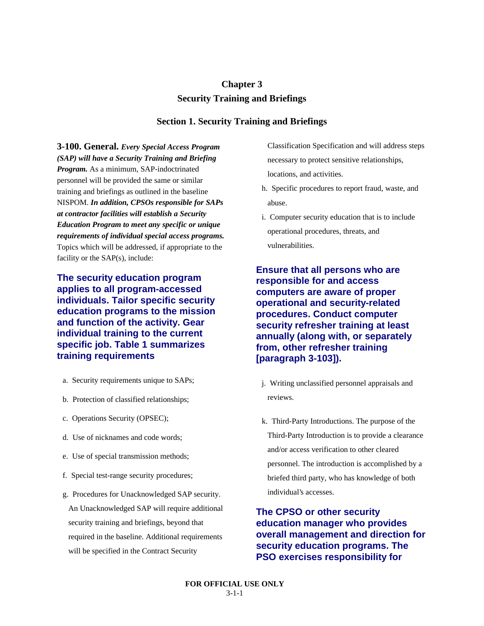## **Chapter 3 Security Training and Briefings**

#### **Section 1. Security Training and Briefings**

#### **3-100. General.** *Every Special Access Program (SAP) will have a Security Training and Briefing*

*Program.* As a minimum, SAP-indoctrinated personnel will be provided the same or similar training and briefings as outlined in the baseline NISPOM. *In addition, CPSOs responsible for SAPs at contractor facilities will establish a Security Education Program to meet any specific or unique requirements of individual special access programs.* Topics which will be addressed, if appropriate to the facility or the SAP(s), include:

**The security education program applies to all program-accessed individuals. Tailor specific security education programs to the mission and function of the activity. Gear individual training to the current specific job. Table 1 summarizes training requirements**

- a. Security requirements unique to SAPs;
- b. Protection of classified relationships;
- c. Operations Security (OPSEC);
- d. Use of nicknames and code words;
- e. Use of special transmission methods;
- f. Special test-range security procedures;
- g. Procedures for Unacknowledged SAP security. An Unacknowledged SAP will require additional security training and briefings, beyond that required in the baseline. Additional requirements will be specified in the Contract Security

Classification Specification and will address steps necessary to protect sensitive relationships, locations, and activities.

- h. Specific procedures to report fraud, waste, and abuse.
- i. Computer security education that is to include operational procedures, threats, and vulnerabilities.

**Ensure that all persons who are responsible for and access computers are aware of proper operational and security-related procedures. Conduct computer security refresher training at least annually (along with, or separately from, other refresher training [paragraph 3-103]).**

- j. Writing unclassified personnel appraisals and reviews.
- k. Third-Party Introductions. The purpose of the Third-Party Introduction is to provide a clearance and/or access verification to other cleared personnel. The introduction is accomplished by a briefed third party, who has knowledge of both individual's accesses.

**The CPSO or other security education manager who provides overall management and direction for security education programs. The PSO exercises responsibility for**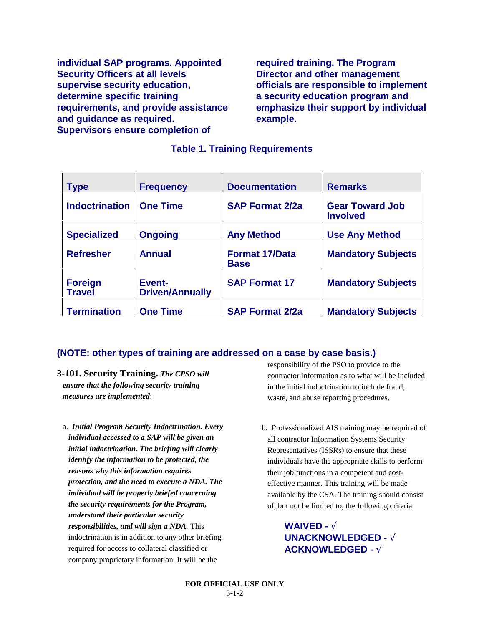**individual SAP programs. Appointed Security Officers at all levels supervise security education, determine specific training requirements, and provide assistance and guidance as required. Supervisors ensure completion of**

**required training. The Program Director and other management officials are responsible to implement a security education program and emphasize their support by individual example.**

| <b>Type</b>                     | <b>Frequency</b>                 | <b>Documentation</b>                 | <b>Remarks</b>                            |
|---------------------------------|----------------------------------|--------------------------------------|-------------------------------------------|
| <b>Indoctrination</b>           | <b>One Time</b>                  | <b>SAP Format 2/2a</b>               | <b>Gear Toward Job</b><br><b>Involved</b> |
| <b>Specialized</b>              | <b>Ongoing</b>                   | <b>Any Method</b>                    | <b>Use Any Method</b>                     |
| <b>Refresher</b>                | <b>Annual</b>                    | <b>Format 17/Data</b><br><b>Base</b> | <b>Mandatory Subjects</b>                 |
| <b>Foreign</b><br><b>Travel</b> | Event-<br><b>Driven/Annually</b> | <b>SAP Format 17</b>                 | <b>Mandatory Subjects</b>                 |
| <b>Termination</b>              | <b>One Time</b>                  | <b>SAP Format 2/2a</b>               | <b>Mandatory Subjects</b>                 |

#### **Table 1. Training Requirements**

#### **(NOTE: other types of training are addressed on a case by case basis.)**

**3-101. Security Training.** *The CPSO will ensure that the following security training measures are implemented*:

a. *Initial Program Security Indoctrination. Every individual accessed to a SAP will be given an initial indoctrination. The briefing will clearly identify the information to be protected, the reasons why this information requires protection, and the need to execute a NDA. The individual will be properly briefed concerning the security requirements for the Program, understand their particular security responsibilities, and will sign a NDA.* This indoctrination is in addition to any other briefing required for access to collateral classified or company proprietary information. It will be the

responsibility of the PSO to provide to the contractor information as to what will be included in the initial indoctrination to include fraud, waste, and abuse reporting procedures.

b. Professionalized AIS training may be required of all contractor Information Systems Security Representatives (ISSRs) to ensure that these individuals have the appropriate skills to perform their job functions in a competent and costeffective manner. This training will be made available by the CSA. The training should consist of, but not be limited to, the following criteria:

## **WAIVED -** √ **UNACKNOWLEDGED -** √ **ACKNOWLEDGED -** √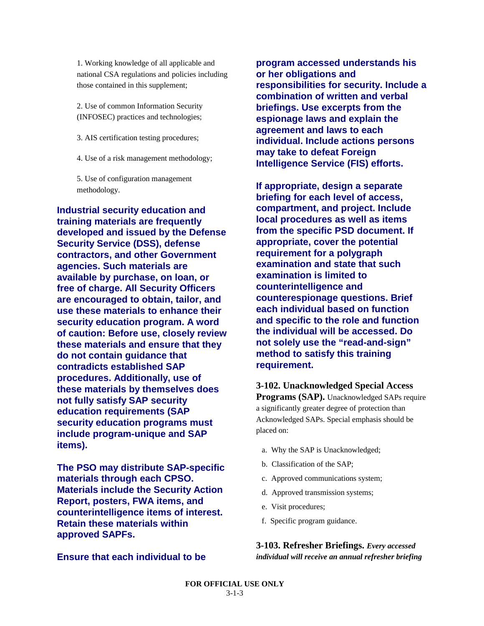1. Working knowledge of all applicable and national CSA regulations and policies including those contained in this supplement;

2. Use of common Information Security (INFOSEC) practices and technologies;

- 3. AIS certification testing procedures;
- 4. Use of a risk management methodology;

5. Use of configuration management methodology.

**Industrial security education and training materials are frequently developed and issued by the Defense Security Service (DSS), defense contractors, and other Government agencies. Such materials are available by purchase, on loan, or free of charge. All Security Officers are encouraged to obtain, tailor, and use these materials to enhance their security education program. A word of caution: Before use, closely review these materials and ensure that they do not contain guidance that contradicts established SAP procedures. Additionally, use of these materials by themselves does not fully satisfy SAP security education requirements (SAP security education programs must include program-unique and SAP items).**

**The PSO may distribute SAP-specific materials through each CPSO. Materials include the Security Action Report, posters, FWA items, and counterintelligence items of interest. Retain these materials within approved SAPFs.**

**program accessed understands his or her obligations and responsibilities for security. Include a combination of written and verbal briefings. Use excerpts from the espionage laws and explain the agreement and laws to each individual. Include actions persons may take to defeat Foreign Intelligence Service (FIS) efforts.**

**If appropriate, design a separate briefing for each level of access, compartment, and project. Include local procedures as well as items from the specific PSD document. If appropriate, cover the potential requirement for a polygraph examination and state that such examination is limited to counterintelligence and counterespionage questions. Brief each individual based on function and specific to the role and function the individual will be accessed. Do not solely use the "read-and-sign" method to satisfy this training requirement.**

**3-102. Unacknowledged Special Access Programs (SAP).** Unacknowledged SAPs require a significantly greater degree of protection than Acknowledged SAPs. Special emphasis should be placed on:

- a. Why the SAP is Unacknowledged;
- b. Classification of the SAP;
- c. Approved communications system;
- d. Approved transmission systems;
- e. Visit procedures;
- f. Specific program guidance.

**3-103. Refresher Briefings.** *Every accessed individual will receive an annual refresher briefing*

**Ensure that each individual to be**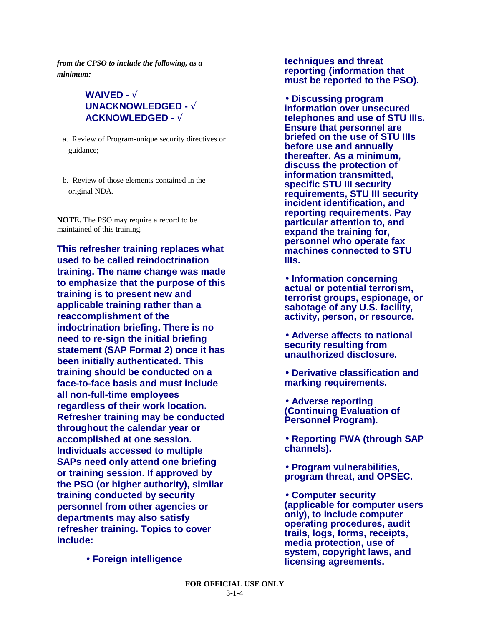*from the CPSO to include the following, as a minimum:*

## **WAIVED -** √ **UNACKNOWLEDGED -** √ **ACKNOWLEDGED -** √

- a. Review of Program-unique security directives or guidance;
- b. Review of those elements contained in the original NDA.

**NOTE.** The PSO may require a record to be maintained of this training.

**This refresher training replaces what used to be called reindoctrination training. The name change was made to emphasize that the purpose of this training is to present new and applicable training rather than a reaccomplishment of the indoctrination briefing. There is no need to re-sign the initial briefing statement (SAP Format 2) once it has been initially authenticated. This training should be conducted on a face-to-face basis and must include all non-full-time employees regardless of their work location. Refresher training may be conducted throughout the calendar year or accomplished at one session. Individuals accessed to multiple SAPs need only attend one briefing or training session. If approved by the PSO (or higher authority), similar training conducted by security personnel from other agencies or departments may also satisfy refresher training. Topics to cover include:**

**techniques and threat reporting (information that must be reported to the PSO).**

• **Discussing program information over unsecured telephones and use of STU IIIs. Ensure that personnel are briefed on the use of STU IIIs before use and annually thereafter. As a minimum, discuss the protection of information transmitted, specific STU III security requirements, STU III security incident identification, and reporting requirements. Pay particular attention to, and expand the training for, personnel who operate fax machines connected to STU IIIs.**

• **Information concerning actual or potential terrorism, terrorist groups, espionage, or sabotage of any U.S. facility, activity, person, or resource.**

- • **Adverse affects to national security resulting from unauthorized disclosure.**
- • **Derivative classification and marking requirements.**
- • **Adverse reporting (Continuing Evaluation of Personnel Program).**
- • **Reporting FWA (through SAP channels).**
- • **Program vulnerabilities, program threat, and OPSEC.**

• **Computer security (applicable for computer users only), to include computer operating procedures, audit trails, logs, forms, receipts, media protection, use of system, copyright laws, and licensing agreements.**

• **Foreign intelligence**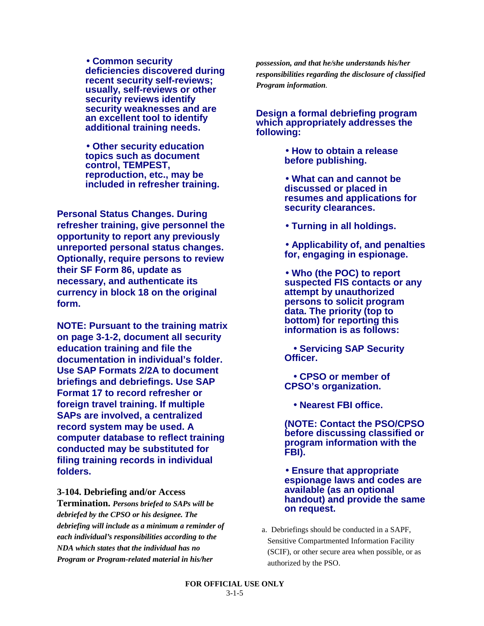• **Common security deficiencies discovered during recent security self-reviews; usually, self-reviews or other security reviews identify security weaknesses and are an excellent tool to identify additional training needs.**

• **Other security education topics such as document control, TEMPEST, reproduction, etc., may be included in refresher training.**

**Personal Status Changes. During refresher training, give personnel the opportunity to report any previously unreported personal status changes. Optionally, require persons to review their SF Form 86, update as necessary, and authenticate its currency in block 18 on the original form.**

**NOTE: Pursuant to the training matrix on page 3-1-2, document all security education training and file the documentation in individual's folder. Use SAP Formats 2/2A to document briefings and debriefings. Use SAP Format 17 to record refresher or foreign travel training. If multiple SAPs are involved, a centralized record system may be used. A computer database to reflect training conducted may be substituted for filing training records in individual folders.**

**3-104. Debriefing and/or Access**

**Termination.** *Persons briefed to SAPs will be debriefed by the CPSO or his designee. The debriefing will include as a minimum a reminder of each individual's responsibilities according to the NDA which states that the individual has no Program or Program-related material in his/her*

*possession, and that he/she understands his/her responsibilities regarding the disclosure of classified Program information.*

**Design a formal debriefing program which appropriately addresses the following:**

- • **How to obtain a release before publishing.**
- • **What can and cannot be discussed or placed in resumes and applications for security clearances.**
- • **Turning in all holdings.**
- • **Applicability of, and penalties for, engaging in espionage.**

• **Who (the POC) to report suspected FIS contacts or any attempt by unauthorized persons to solicit program data. The priority (top to bottom) for reporting this information is as follows:**

- • **Servicing SAP Security Officer.**
- • **CPSO or member of CPSO's organization.**
	- • **Nearest FBI office.**

**(NOTE: Contact the PSO/CPSO before discussing classified or program information with the FBI).**

• **Ensure that appropriate espionage laws and codes are available (as an optional handout) and provide the same on request.**

a. Debriefings should be conducted in a SAPF, Sensitive Compartmented Information Facility (SCIF), or other secure area when possible, or as authorized by the PSO.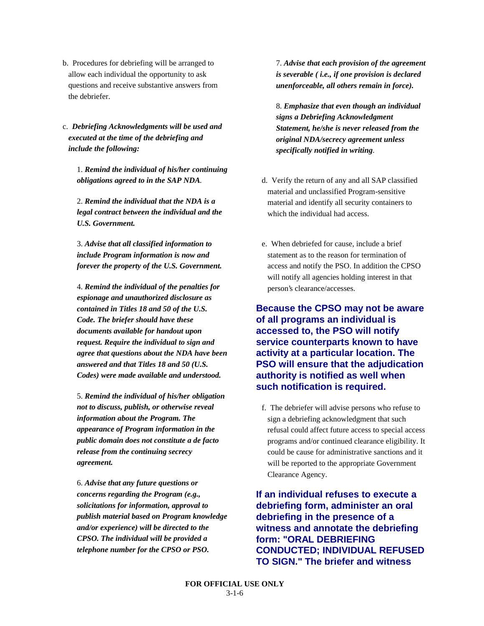- b. Procedures for debriefing will be arranged to allow each individual the opportunity to ask questions and receive substantive answers from the debriefer.
- c. *Debriefing Acknowledgments will be used and executed at the time of the debriefing and include the following:*

1. *Remind the individual of his/her continuing obligations agreed to in the SAP NDA*.

2. *Remind the individual that the NDA is a legal contract between the individual and the U.S. Government.*

3. *Advise that all classified information to include Program information is now and forever the property of the U.S. Government.*

4. *Remind the individual of the penalties for espionage and unauthorized disclosure as contained in Titles 18 and 50 of the U.S. Code. The briefer should have these documents available for handout upon request. Require the individual to sign and agree that questions about the NDA have been answered and that Titles 18 and 50 (U.S. Codes) were made available and understood.*

5. *Remind the individual of his/her obligation not to discuss, publish, or otherwise reveal information about the Program. The appearance of Program information in the public domain does not constitute a de facto release from the continuing secrecy agreement.*

6. *Advise that any future questions or concerns regarding the Program (e.g., solicitations for information, approval to publish material based on Program knowledge and/or experience) will be directed to the CPSO. The individual will be provided a telephone number for the CPSO or PSO.*

7. *Advise that each provision of the agreement is severable ( i.e., if one provision is declared unenforceable, all others remain in force).*

8. *Emphasize that even though an individual signs a Debriefing Acknowledgment Statement, he/she is never released from the original NDA/secrecy agreement unless specifically notified in writing*.

- d. Verify the return of any and all SAP classified material and unclassified Program-sensitive material and identify all security containers to which the individual had access.
- e. When debriefed for cause, include a brief statement as to the reason for termination of access and notify the PSO. In addition the CPSO will notify all agencies holding interest in that person's clearance/accesses.

**Because the CPSO may not be aware of all programs an individual is accessed to, the PSO will notify service counterparts known to have activity at a particular location. The PSO will ensure that the adjudication authority is notified as well when such notification is required.**

f. The debriefer will advise persons who refuse to sign a debriefing acknowledgment that such refusal could affect future access to special access programs and/or continued clearance eligibility. It could be cause for administrative sanctions and it will be reported to the appropriate Government Clearance Agency.

**If an individual refuses to execute a debriefing form, administer an oral debriefing in the presence of a witness and annotate the debriefing form: "ORAL DEBRIEFING CONDUCTED; INDIVIDUAL REFUSED TO SIGN." The briefer and witness**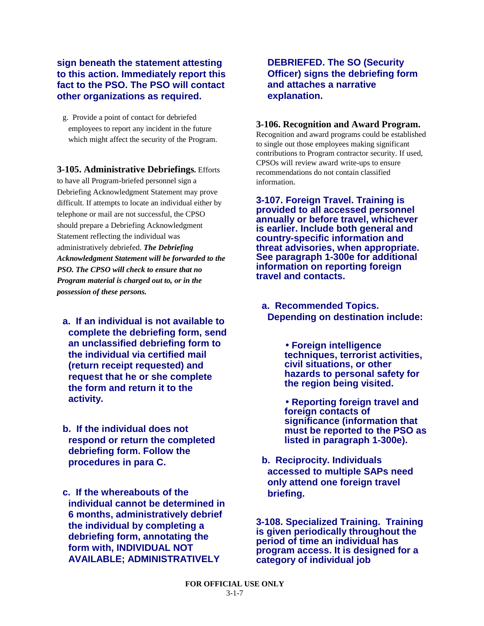## **sign beneath the statement attesting to this action. Immediately report this fact to the PSO. The PSO will contact other organizations as required.**

g. Provide a point of contact for debriefed employees to report any incident in the future which might affect the security of the Program.

**3-105. Administrative Debriefings.** Efforts to have all Program-briefed personnel sign a Debriefing Acknowledgment Statement may prove difficult. If attempts to locate an individual either by telephone or mail are not successful, the CPSO should prepare a Debriefing Acknowledgment Statement reflecting the individual was administratively debriefed. *The Debriefing Acknowledgment Statement will be forwarded to the PSO. The CPSO will check to ensure that no Program material is charged out to, or in the possession of these persons.*

- **a. If an individual is not available to complete the debriefing form, send an unclassified debriefing form to the individual via certified mail (return receipt requested) and request that he or she complete the form and return it to the activity.**
- **b. If the individual does not respond or return the completed debriefing form. Follow the procedures in para C.**
- **c. If the whereabouts of the individual cannot be determined in 6 months, administratively debrief the individual by completing a debriefing form, annotating the form with, INDIVIDUAL NOT AVAILABLE; ADMINISTRATIVELY**

## **DEBRIEFED. The SO (Security Officer) signs the debriefing form and attaches a narrative explanation.**

### **3-106. Recognition and Award Program.**

Recognition and award programs could be established to single out those employees making significant contributions to Program contractor security. If used, CPSOs will review award write-ups to ensure recommendations do not contain classified information.

**3-107. Foreign Travel. Training is provided to all accessed personnel annually or before travel, whichever is earlier. Include both general and country-specific information and threat advisories, when appropriate. See paragraph 1-300e for additional information on reporting foreign travel and contacts.**

- **a. Recommended Topics. Depending on destination include:**
	- • **Foreign intelligence techniques, terrorist activities, civil situations, or other hazards to personal safety for the region being visited.**
	- • **Reporting foreign travel and foreign contacts of significance (information that must be reported to the PSO as listed in paragraph 1-300e).**
- **b. Reciprocity. Individuals accessed to multiple SAPs need only attend one foreign travel briefing.**

**3-108. Specialized Training. Training is given periodically throughout the period of time an individual has program access. It is designed for a category of individual job**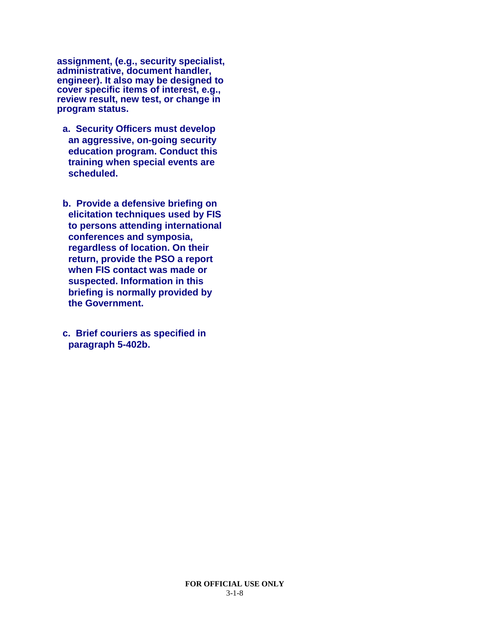**assignment, (e.g., security specialist, administrative, document handler, engineer). It also may be designed to cover specific items of interest, e.g., review result, new test, or change in program status.**

- **a. Security Officers must develop an aggressive, on-going security education program. Conduct this training when special events are scheduled.**
- **b. Provide a defensive briefing on elicitation techniques used by FIS to persons attending international conferences and symposia, regardless of location. On their return, provide the PSO a report when FIS contact was made or suspected. Information in this briefing is normally provided by the Government.**
- **c. Brief couriers as specified in paragraph 5-402b.**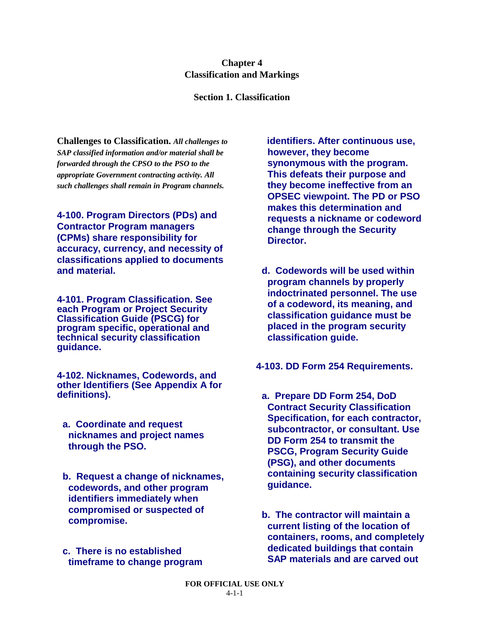### **Chapter 4 Classification and Markings**

**Section 1. Classification**

**Challenges to Classification.** *All challenges to SAP classified information and/or material shall be forwarded through the CPSO to the PSO to the appropriate Government contracting activity. All such challenges shall remain in Program channels.*

**4-100. Program Directors (PDs) and Contractor Program managers (CPMs) share responsibility for accuracy, currency, and necessity of classifications applied to documents and material.**

**4-101. Program Classification. See each Program or Project Security Classification Guide (PSCG) for program specific, operational and technical security classification guidance.**

**4-102. Nicknames, Codewords, and other Identifiers (See Appendix A for definitions).**

- **a. Coordinate and request nicknames and project names through the PSO.**
- **b. Request a change of nicknames, codewords, and other program identifiers immediately when compromised or suspected of compromise.**
- **c. There is no established timeframe to change program**

 **identifiers. After continuous use, however, they become synonymous with the program. This defeats their purpose and they become ineffective from an OPSEC viewpoint. The PD or PSO makes this determination and requests a nickname or codeword change through the Security Director.**

- **d. Codewords will be used within program channels by properly indoctrinated personnel. The use of a codeword, its meaning, and classification guidance must be placed in the program security classification guide.**
- **4-103. DD Form 254 Requirements.**
	- **a. Prepare DD Form 254, DoD Contract Security Classification Specification, for each contractor, subcontractor, or consultant. Use DD Form 254 to transmit the PSCG, Program Security Guide (PSG), and other documents containing security classification guidance.**
	- **b. The contractor will maintain a current listing of the location of containers, rooms, and completely dedicated buildings that contain SAP materials and are carved out**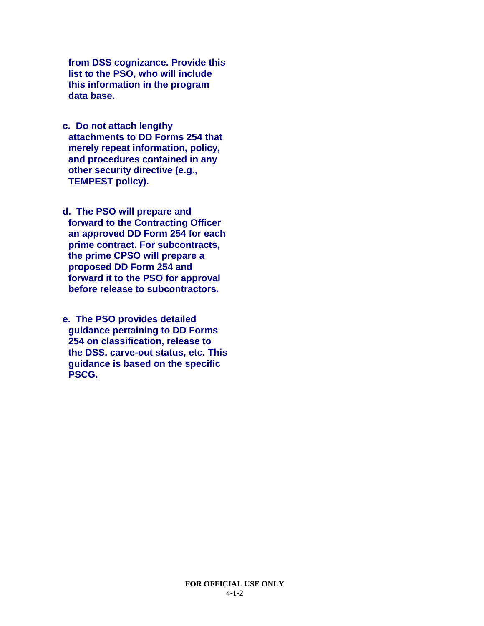**from DSS cognizance. Provide this list to the PSO, who will include this information in the program data base.**

**c. Do not attach lengthy attachments to DD Forms 254 that merely repeat information, policy, and procedures contained in any other security directive (e.g., TEMPEST policy).**

**d. The PSO will prepare and forward to the Contracting Officer an approved DD Form 254 for each prime contract. For subcontracts, the prime CPSO will prepare a proposed DD Form 254 and forward it to the PSO for approval before release to subcontractors.**

**e. The PSO provides detailed guidance pertaining to DD Forms 254 on classification, release to the DSS, carve-out status, etc. This guidance is based on the specific PSCG.**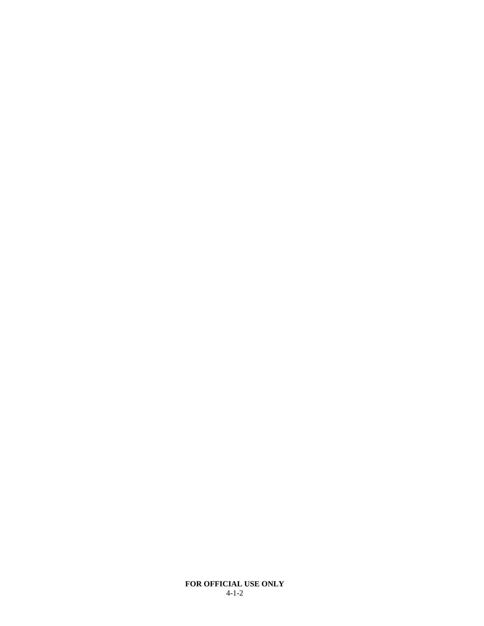#### **FOR OFFICIAL USE ONLY** 4-1-2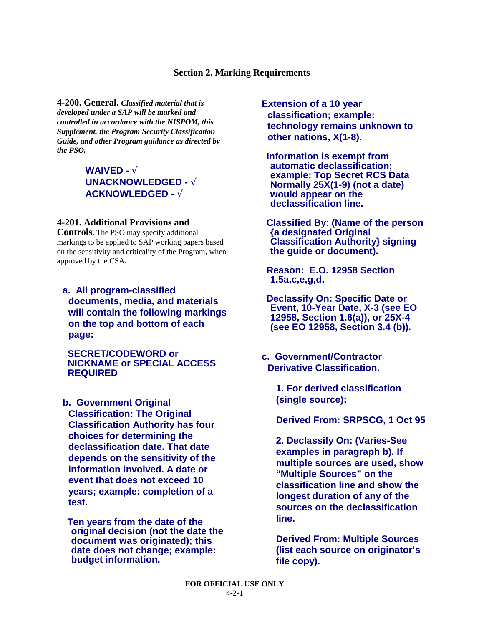### **Section 2. Marking Requirements**

**4-200. General.** *Classified material that is developed under a SAP will be marked and controlled in accordance with the NISPOM, this Supplement, the Program Security Classification Guide, and other Program guidance as directed by the PSO.*

## **WAIVED -** √ **UNACKNOWLEDGED -** √ **ACKNOWLEDGED -** √

### **4-201. Additional Provisions and**

**Controls.** The PSO may specify additional markings to be applied to SAP working papers based on the sensitivity and criticality of the Program, when approved by the CSA**.**

**a. All program-classified documents, media, and materials will contain the following markings on the top and bottom of each page:**

**SECRET/CODEWORD or NICKNAME or SPECIAL ACCESS REQUIRED**

**b. Government Original Classification: The Original Classification Authority has four choices for determining the declassification date. That date depends on the sensitivity of the information involved. A date or event that does not exceed 10 years; example: completion of a test.**

**Ten years from the date of the original decision (not the date the document was originated); this date does not change; example: budget information.**

**Extension of a 10 year classification; example: technology remains unknown to other nations, X(1-8).**

**Information is exempt from automatic declassification; example: Top Secret RCS Data Normally 25X(1-9) (not a date) would appear on the declassification line.**

**Classified By: (Name of the person {a designated Original Classification Authority} signing the guide or document).**

**Reason: E.O. 12958 Section 1.5a,c,e,g,d.**

**Declassify On: Specific Date or Event, 10-Year Date, X-3 (see EO 12958, Section 1.6(a)), or 25X-4 (see EO 12958, Section 3.4 (b)).**

**c. Government/Contractor Derivative Classification.**

> **1. For derived classification (single source):**

**Derived From: SRPSCG, 1 Oct 95**

**2. Declassify On: (Varies-See examples in paragraph b). If multiple sources are used, show "Multiple Sources" on the classification line and show the longest duration of any of the sources on the declassification line.**

**Derived From: Multiple Sources (list each source on originator's file copy).**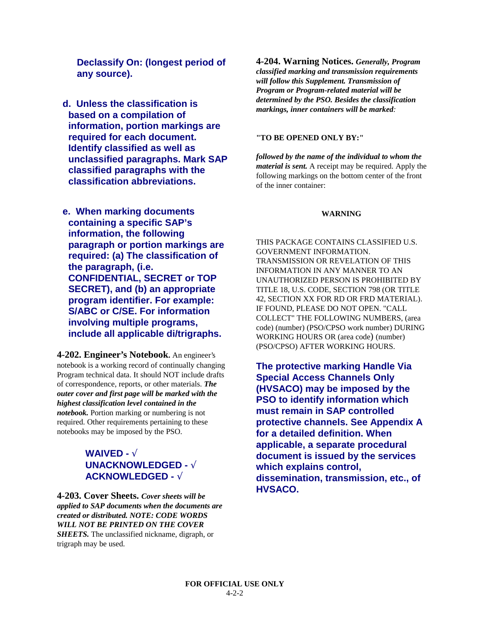**Declassify On: (longest period of any source).**

- **d. Unless the classification is based on a compilation of information, portion markings are required for each document. Identify classified as well as unclassified paragraphs. Mark SAP classified paragraphs with the classification abbreviations.**
- **e. When marking documents containing a specific SAP's information, the following paragraph or portion markings are required: (a) The classification of the paragraph, (i.e. CONFIDENTIAL, SECRET or TOP SECRET), and (b) an appropriate program identifier. For example: S/ABC or C/SE. For information involving multiple programs, include all applicable di/trigraphs.**

**4-202. Engineer's Notebook.** An engineer's notebook is a working record of continually changing Program technical data. It should NOT include drafts of correspondence, reports, or other materials. *The outer cover and first page will be marked with the highest classification level contained in the notebook.* Portion marking or numbering is not required. Other requirements pertaining to these notebooks may be imposed by the PSO.

## **WAIVED -** √ **UNACKNOWLEDGED -** √ **ACKNOWLEDGED -** √

**4-203. Cover Sheets.** *Cover sheets will be applied to SAP documents when the documents are created or distributed. NOTE: CODE WORDS WILL NOT BE PRINTED ON THE COVER SHEETS.* The unclassified nickname, digraph, or trigraph may be used.

**4-204. Warning Notices.** *Generally, Program classified marking and transmission requirements will follow this Supplement. Transmission of Program or Program-related material will be determined by the PSO. Besides the classification markings, inner containers will be marked:*

#### **"TO BE OPENED ONLY BY:"**

*followed by the name of the individual to whom the material is sent.* A receipt may be required. Apply the following markings on the bottom center of the front of the inner container:

#### **WARNING**

THIS PACKAGE CONTAINS CLASSIFIED U.S. GOVERNMENT INFORMATION. TRANSMISSION OR REVELATION OF THIS INFORMATION IN ANY MANNER TO AN UNAUTHORIZED PERSON IS PROHIBITED BY TITLE 18, U.S. CODE, SECTION 798 (OR TITLE 42, SECTION XX FOR RD OR FRD MATERIAL). IF FOUND, PLEASE DO NOT OPEN. "CALL COLLECT" THE FOLLOWING NUMBERS, (area code) (number) (PSO/CPSO work number) DURING WORKING HOURS OR (area code) (number) (PSO/CPSO) AFTER WORKING HOURS.

**The protective marking Handle Via Special Access Channels Only (HVSACO) may be imposed by the PSO to identify information which must remain in SAP controlled protective channels. See Appendix A for a detailed definition. When applicable, a separate procedural document is issued by the services which explains control, dissemination, transmission, etc., of HVSACO.**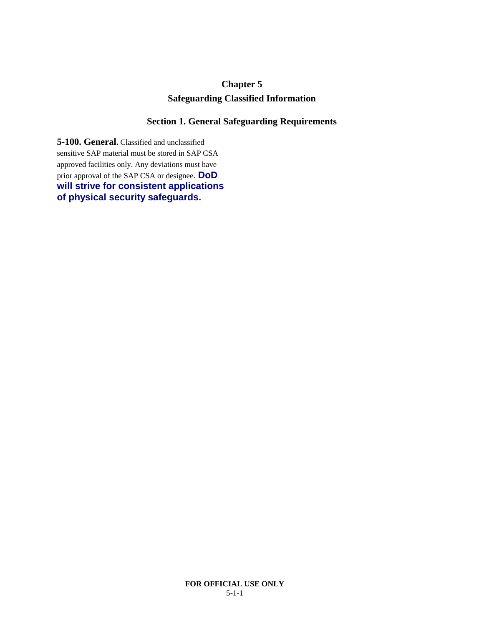# **Chapter 5 Safeguarding Classified Information**

## **Section 1. General Safeguarding Requirements**

**5-100. General.** Classified and unclassified sensitive SAP material must be stored in SAP CSA approved facilities only. Any deviations must have prior approval of the SAP CSA or designee. **DoD will strive for consistent applications of physical security safeguards.**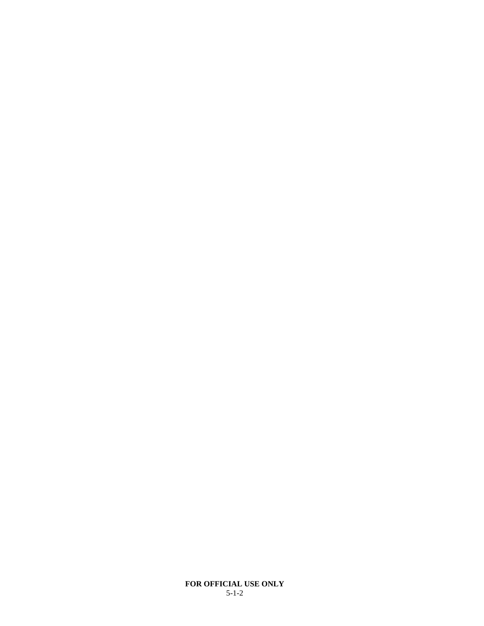#### **FOR OFFICIAL USE ONLY** 5-1-2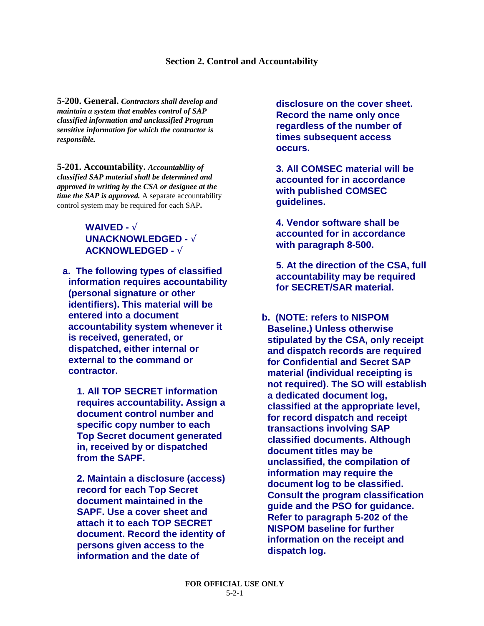### **Section 2. Control and Accountability**

**5-200. General.** *Contractors shall develop and maintain a system that enables control of SAP classified information and unclassified Program sensitive information for which the contractor is responsible.*

**5-201. Accountability.** *Accountability of classified SAP material shall be determined and approved in writing by the CSA or designee at the time the SAP is approved.* A separate accountability control system may be required for each SAP**.**

## **WAIVED -** √ **UNACKNOWLEDGED -** √ **ACKNOWLEDGED -** √

**a. The following types of classified information requires accountability (personal signature or other identifiers). This material will be entered into a document accountability system whenever it is received, generated, or dispatched, either internal or external to the command or contractor.**

**1. All TOP SECRET information requires accountability. Assign a document control number and specific copy number to each Top Secret document generated in, received by or dispatched from the SAPF.**

**2. Maintain a disclosure (access) record for each Top Secret document maintained in the SAPF. Use a cover sheet and attach it to each TOP SECRET document. Record the identity of persons given access to the information and the date of**

**disclosure on the cover sheet. Record the name only once regardless of the number of times subsequent access occurs.**

**3. All COMSEC material will be accounted for in accordance with published COMSEC guidelines.**

**4. Vendor software shall be accounted for in accordance with paragraph 8-500.**

**5. At the direction of the CSA, full accountability may be required for SECRET/SAR material.**

**b. (NOTE: refers to NISPOM Baseline.) Unless otherwise stipulated by the CSA, only receipt and dispatch records are required for Confidential and Secret SAP material (individual receipting is not required). The SO will establish a dedicated document log, classified at the appropriate level, for record dispatch and receipt transactions involving SAP classified documents. Although document titles may be unclassified, the compilation of information may require the document log to be classified. Consult the program classification guide and the PSO for guidance. Refer to paragraph 5-202 of the NISPOM baseline for further information on the receipt and dispatch log.**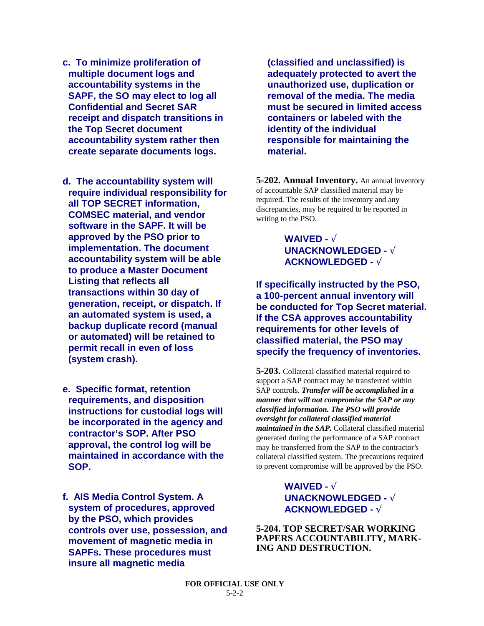**c. To minimize proliferation of multiple document logs and accountability systems in the SAPF, the SO may elect to log all Confidential and Secret SAR receipt and dispatch transitions in the Top Secret document accountability system rather then create separate documents logs.**

**d. The accountability system will require individual responsibility for all TOP SECRET information, COMSEC material, and vendor software in the SAPF. It will be approved by the PSO prior to implementation. The document accountability system will be able to produce a Master Document Listing that reflects all transactions within 30 day of generation, receipt, or dispatch. If an automated system is used, a backup duplicate record (manual or automated) will be retained to permit recall in even of loss (system crash).**

- **e. Specific format, retention requirements, and disposition instructions for custodial logs will be incorporated in the agency and contractor's SOP. After PSO approval, the control log will be maintained in accordance with the SOP.**
- **f. AIS Media Control System. A system of procedures, approved by the PSO, which provides controls over use, possession, and movement of magnetic media in SAPFs. These procedures must insure all magnetic media**

**(classified and unclassified) is adequately protected to avert the unauthorized use, duplication or removal of the media. The media must be secured in limited access containers or labeled with the identity of the individual responsible for maintaining the material.**

**5-202. Annual Inventory.** An annual inventory of accountable SAP classified material may be required. The results of the inventory and any discrepancies, may be required to be reported in writing to the PSO.

> **WAIVED -** √ **UNACKNOWLEDGED -** √ **ACKNOWLEDGED -** √

**If specifically instructed by the PSO, a 100-percent annual inventory will be conducted for Top Secret material. If the CSA approves accountability requirements for other levels of classified material, the PSO may specify the frequency of inventories.**

**5-203.** Collateral classified material required to support a SAP contract may be transferred within SAP controls. *Transfer will be accomplished in a manner that will not compromise the SAP or any classified information. The PSO will provide oversight for collateral classified material maintained in the SAP.* Collateral classified material generated during the performance of a SAP contract may be transferred from the SAP to the contractor's collateral classified system. The precautions required to prevent compromise will be approved by the PSO.

## **WAIVED -** √ **UNACKNOWLEDGED -** √ **ACKNOWLEDGED -** √

**5-204. TOP SECRET/SAR WORKING PAPERS ACCOUNTABILITY, MARK-ING AND DESTRUCTION.**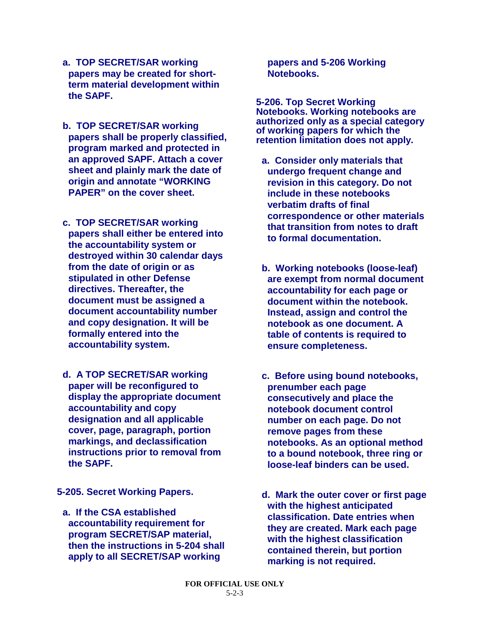- **a. TOP SECRET/SAR working papers may be created for shortterm material development within the SAPF.**
- **b. TOP SECRET/SAR working papers shall be properly classified, program marked and protected in an approved SAPF. Attach a cover sheet and plainly mark the date of origin and annotate "WORKING PAPER" on the cover sheet.**
- **c. TOP SECRET/SAR working papers shall either be entered into the accountability system or destroyed within 30 calendar days from the date of origin or as stipulated in other Defense directives. Thereafter, the document must be assigned a document accountability number and copy designation. It will be formally entered into the accountability system.**
- **d. A TOP SECRET/SAR working paper will be reconfigured to display the appropriate document accountability and copy designation and all applicable cover, page, paragraph, portion markings, and declassification instructions prior to removal from the SAPF.**

**5-205. Secret Working Papers.**

**a. If the CSA established accountability requirement for program SECRET/SAP material, then the instructions in 5-204 shall apply to all SECRET/SAP working**

**papers and 5-206 Working Notebooks.**

**5-206. Top Secret Working Notebooks. Working notebooks are authorized only as a special category of working papers for which the retention limitation does not apply.**

- **a. Consider only materials that undergo frequent change and revision in this category. Do not include in these notebooks verbatim drafts of final correspondence or other materials that transition from notes to draft to formal documentation.**
- **b. Working notebooks (loose-leaf) are exempt from normal document accountability for each page or document within the notebook. Instead, assign and control the notebook as one document. A table of contents is required to ensure completeness.**
- **c. Before using bound notebooks, prenumber each page consecutively and place the notebook document control number on each page. Do not remove pages from these notebooks. As an optional method to a bound notebook, three ring or loose-leaf binders can be used.**
- **d. Mark the outer cover or first page with the highest anticipated classification. Date entries when they are created. Mark each page with the highest classification contained therein, but portion marking is not required.**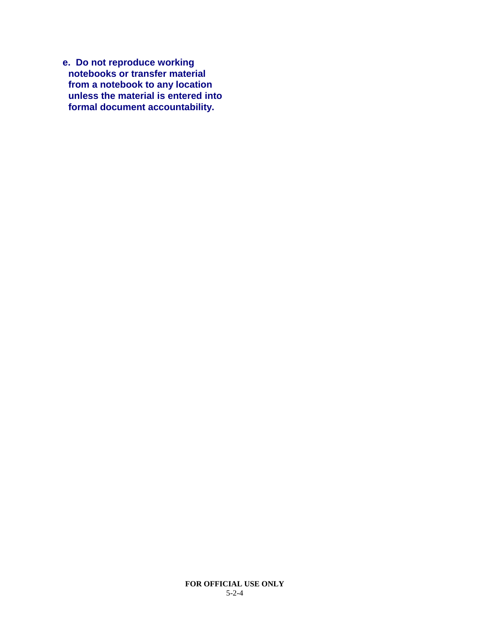**e. Do not reproduce working notebooks or transfer material from a notebook to any location unless the material is entered into formal document accountability.**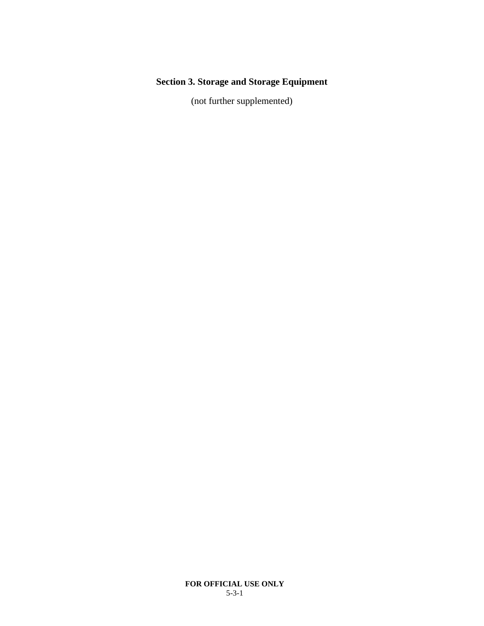# **Section 3. Storage and Storage Equipment**

(not further supplemented)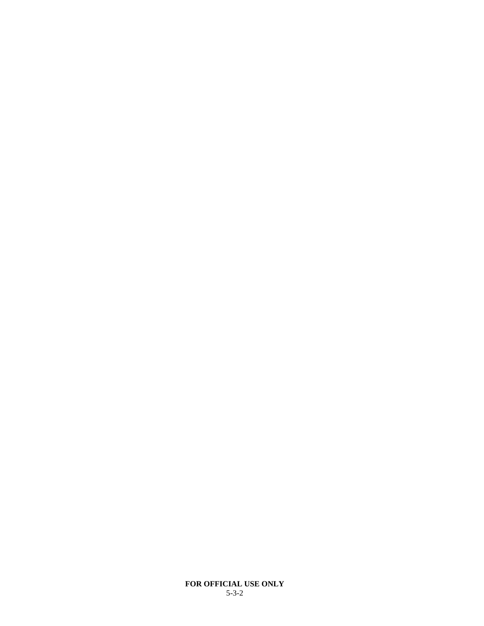#### **FOR OFFICIAL USE ONLY** 5-3-2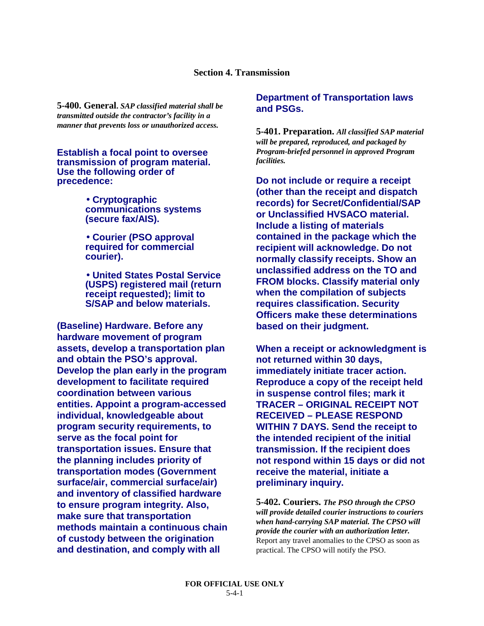**5-400. General.** *SAP classified material shall be transmitted outside the contractor's facility in a manner that prevents loss or unauthorized access.*

**Establish a focal point to oversee transmission of program material. Use the following order of precedence:**

- • **Cryptographic communications systems (secure fax/AIS).**
- • **Courier (PSO approval required for commercial courier).**
- • **United States Postal Service (USPS) registered mail (return receipt requested); limit to S/SAP and below materials.**

**(Baseline) Hardware. Before any hardware movement of program assets, develop a transportation plan and obtain the PSO's approval. Develop the plan early in the program development to facilitate required coordination between various entities. Appoint a program-accessed individual, knowledgeable about program security requirements, to serve as the focal point for transportation issues. Ensure that the planning includes priority of transportation modes (Government surface/air, commercial surface/air) and inventory of classified hardware to ensure program integrity. Also, make sure that transportation methods maintain a continuous chain of custody between the origination and destination, and comply with all**

### **Department of Transportation laws and PSGs.**

**5-401. Preparation.** *All classified SAP material will be prepared, reproduced, and packaged by Program-briefed personnel in approved Program facilities.*

**Do not include or require a receipt (other than the receipt and dispatch records) for Secret/Confidential/SAP or Unclassified HVSACO material. Include a listing of materials contained in the package which the recipient will acknowledge. Do not normally classify receipts. Show an unclassified address on the TO and FROM blocks. Classify material only when the compilation of subjects requires classification. Security Officers make these determinations based on their judgment.**

**When a receipt or acknowledgment is not returned within 30 days, immediately initiate tracer action. Reproduce a copy of the receipt held in suspense control files; mark it TRACER – ORIGINAL RECEIPT NOT RECEIVED – PLEASE RESPOND WITHIN 7 DAYS. Send the receipt to the intended recipient of the initial transmission. If the recipient does not respond within 15 days or did not receive the material, initiate a preliminary inquiry.**

**5-402. Couriers.** *The PSO through the CPSO will provide detailed courier instructions to couriers when hand-carrying SAP material. The CPSO will provide the courier with an authorization letter.* Report any travel anomalies to the CPSO as soon as practical. The CPSO will notify the PSO.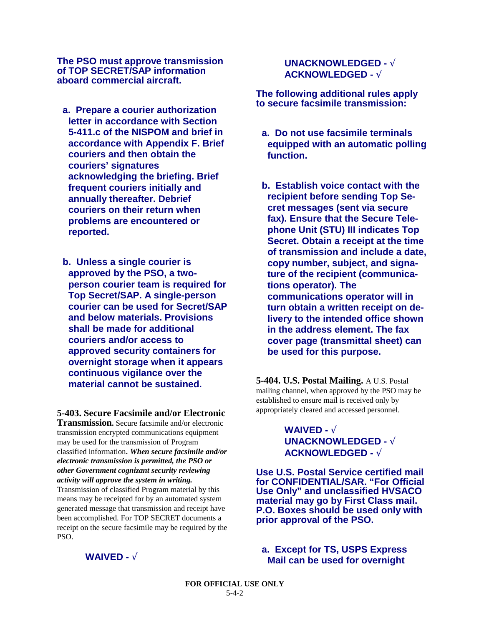**The PSO must approve transmission of TOP SECRET/SAP information aboard commercial aircraft.**

- **a. Prepare a courier authorization letter in accordance with Section 5-411.c of the NISPOM and brief in accordance with Appendix F. Brief couriers and then obtain the couriers' signatures acknowledging the briefing. Brief frequent couriers initially and annually thereafter. Debrief couriers on their return when problems are encountered or reported.**
- **b. Unless a single courier is approved by the PSO, a twoperson courier team is required for Top Secret/SAP. A single-person courier can be used for Secret/SAP and below materials. Provisions shall be made for additional couriers and/or access to approved security containers for overnight storage when it appears continuous vigilance over the material cannot be sustained.**

**5-403. Secure Facsimile and/or Electronic Transmission.** Secure facsimile and/or electronic transmission encrypted communications equipment may be used for the transmission of Program classified information**.** *When secure facsimile and/or electronic transmission is permitted, the PSO or other Government cognizant security reviewing activity will approve the system in writing.*

Transmission of classified Program material by this means may be receipted for by an automated system generated message that transmission and receipt have been accomplished. For TOP SECRET documents a receipt on the secure facsimile may be required by the PSO.

### **WAIVED -** √

### **UNACKNOWLEDGED -** √ **ACKNOWLEDGED -** √

**The following additional rules apply to secure facsimile transmission:**

- **a. Do not use facsimile terminals equipped with an automatic polling function.**
- **b. Establish voice contact with the recipient before sending Top Secret messages (sent via secure fax). Ensure that the Secure Telephone Unit (STU) III indicates Top Secret. Obtain a receipt at the time of transmission and include a date, copy number, subject, and signature of the recipient (communications operator). The communications operator will in turn obtain a written receipt on delivery to the intended office shown in the address element. The fax cover page (transmittal sheet) can be used for this purpose.**

**5-404. U.S. Postal Mailing.** A U.S. Postal mailing channel, when approved by the PSO may be established to ensure mail is received only by appropriately cleared and accessed personnel.

## **WAIVED -** √ **UNACKNOWLEDGED -** √ **ACKNOWLEDGED -** √

**Use U.S. Postal Service certified mail for CONFIDENTIAL/SAR. "For Official Use Only" and unclassified HVSACO material may go by First Class mail. P.O. Boxes should be used only with prior approval of the PSO.**

**a. Except for TS, USPS Express Mail can be used for overnight**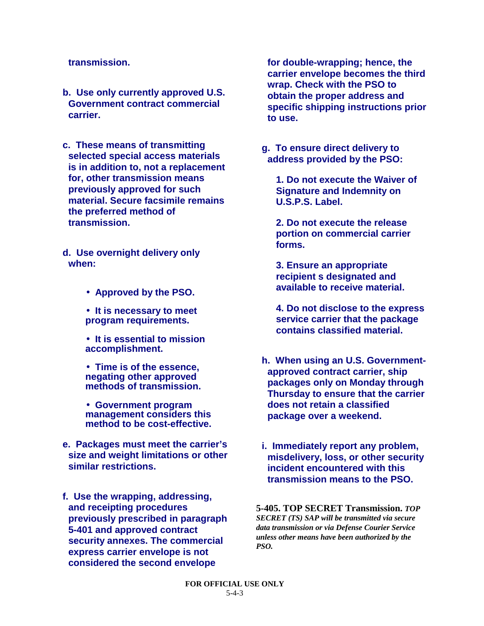### **transmission.**

- **b. Use only currently approved U.S. Government contract commercial carrier.**
- **c. These means of transmitting selected special access materials is in addition to, not a replacement for, other transmission means previously approved for such material. Secure facsimile remains the preferred method of transmission.**
- **d. Use overnight delivery only when:**
	- • **Approved by the PSO.**
	- • **It is necessary to meet program requirements.**
	- • **It is essential to mission accomplishment.**
	- • **Time is of the essence, negating other approved methods of transmission.**
	- • **Government program management considers this method to be cost-effective.**
- **e. Packages must meet the carrier's size and weight limitations or other similar restrictions.**
- **f. Use the wrapping, addressing, and receipting procedures previously prescribed in paragraph 5-401 and approved contract security annexes. The commercial express carrier envelope is not considered the second envelope**

**for double-wrapping; hence, the carrier envelope becomes the third wrap. Check with the PSO to obtain the proper address and specific shipping instructions prior to use.**

**g. To ensure direct delivery to address provided by the PSO:**

**1. Do not execute the Waiver of Signature and Indemnity on U.S.P.S. Label.**

**2. Do not execute the release portion on commercial carrier forms.**

**3. Ensure an appropriate recipient s designated and available to receive material.**

**4. Do not disclose to the express service carrier that the package contains classified material.**

- **h. When using an U.S. Governmentapproved contract carrier, ship packages only on Monday through Thursday to ensure that the carrier does not retain a classified package over a weekend.**
- **i. Immediately report any problem, misdelivery, loss, or other security incident encountered with this transmission means to the PSO.**

**5-405. TOP SECRET Transmission.** *TOP SECRET (TS) SAP will be transmitted via secure data transmission or via Defense Courier Service unless other means have been authorized by the PSO.*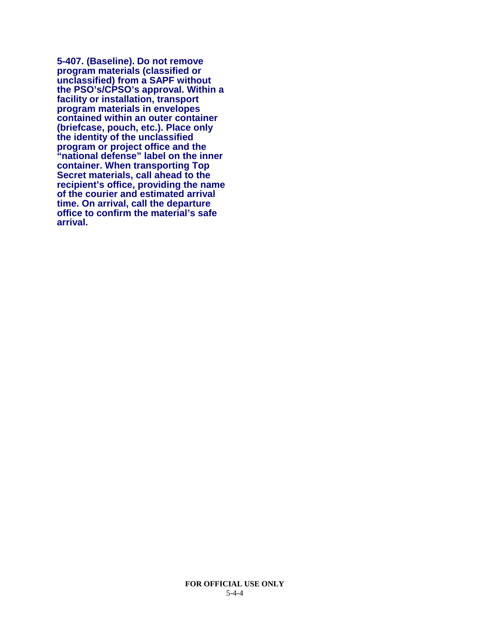**5-407. (Baseline). Do not remove program materials (classified or unclassified) from a SAPF without the PSO's/CPSO's approval. Within a facility or installation, transport program materials in envelopes contained within an outer container (briefcase, pouch, etc.). Place only the identity of the unclassified program or project office and the "national defense" label on the inner container. When transporting Top Secret materials, call ahead to the recipient's office, providing the name of the courier and estimated arrival time. On arrival, call the departure office to confirm the material's safe arrival.**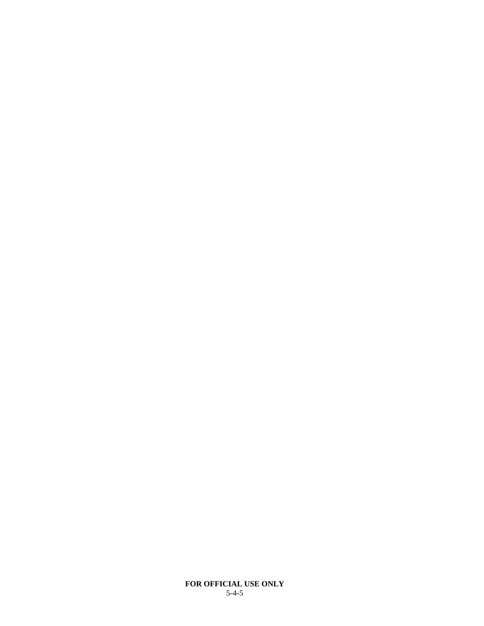#### **FOR OFFICIAL USE ONLY** 5-4-5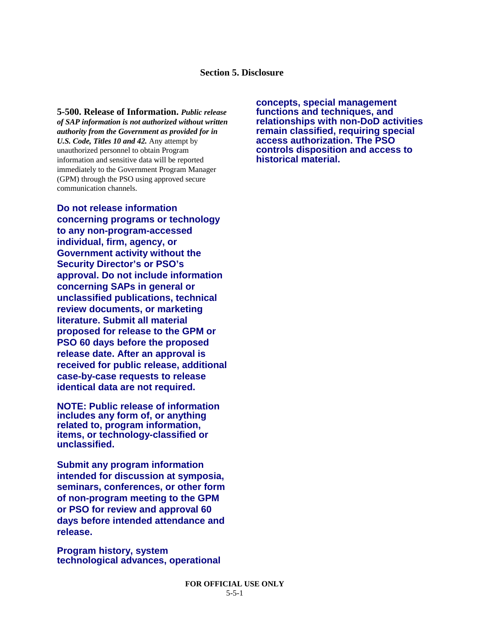#### **Section 5. Disclosure**

**5-500. Release of Information.** *Public release of SAP information is not authorized without written authority from the Government as provided for in U.S. Code, Titles 10 and 42.* Any attempt by unauthorized personnel to obtain Program information and sensitive data will be reported immediately to the Government Program Manager (GPM) through the PSO using approved secure communication channels.

**Do not release information concerning programs or technology to any non-program-accessed individual, firm, agency, or Government activity without the Security Director's or PSO's approval. Do not include information concerning SAPs in general or unclassified publications, technical review documents, or marketing literature. Submit all material proposed for release to the GPM or PSO 60 days before the proposed release date. After an approval is received for public release, additional case-by-case requests to release identical data are not required.**

**NOTE: Public release of information includes any form of, or anything related to, program information, items, or technology-classified or unclassified.**

**Submit any program information intended for discussion at symposia, seminars, conferences, or other form of non-program meeting to the GPM or PSO for review and approval 60 days before intended attendance and release.**

**Program history, system technological advances, operational** **concepts, special management functions and techniques, and relationships with non-DoD activities remain classified, requiring special access authorization. The PSO controls disposition and access to historical material.**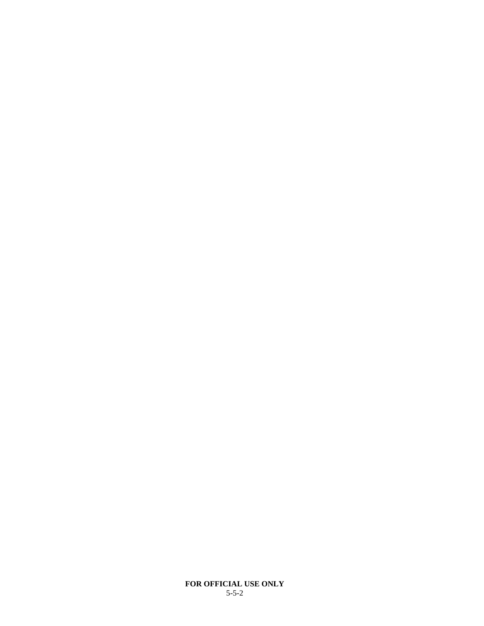#### **FOR OFFICIAL USE ONLY** 5-5-2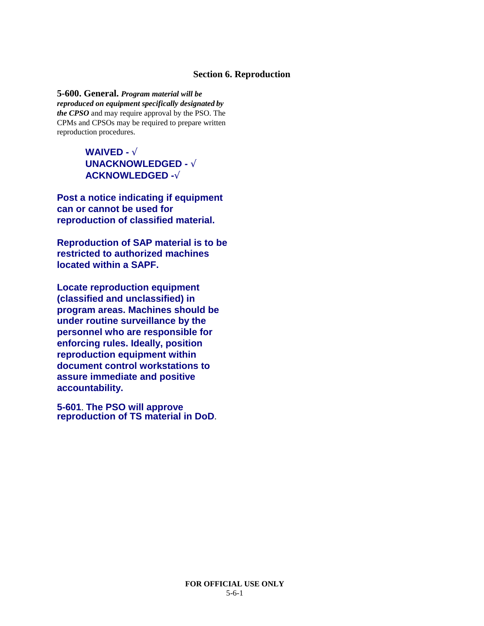### **Section 6. Reproduction**

**5-600. General.** *Program material will be reproduced on equipment specifically designated by the CPSO* and may require approval by the PSO. The CPMs and CPSOs may be required to prepare written reproduction procedures.

> **WAIVED -** √ **UNACKNOWLEDGED -** √ **ACKNOWLEDGED -**√

**Post a notice indicating if equipment can or cannot be used for reproduction of classified material.**

**Reproduction of SAP material is to be restricted to authorized machines located within a SAPF.**

**Locate reproduction equipment (classified and unclassified) in program areas. Machines should be under routine surveillance by the personnel who are responsible for enforcing rules. Ideally, position reproduction equipment within document control workstations to assure immediate and positive accountability.**

**5-601**. **The PSO will approve reproduction of TS material in DoD**.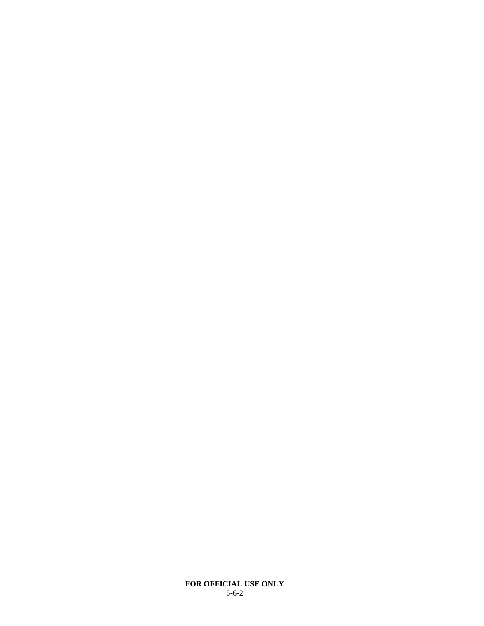#### **FOR OFFICIAL USE ONLY** 5-6-2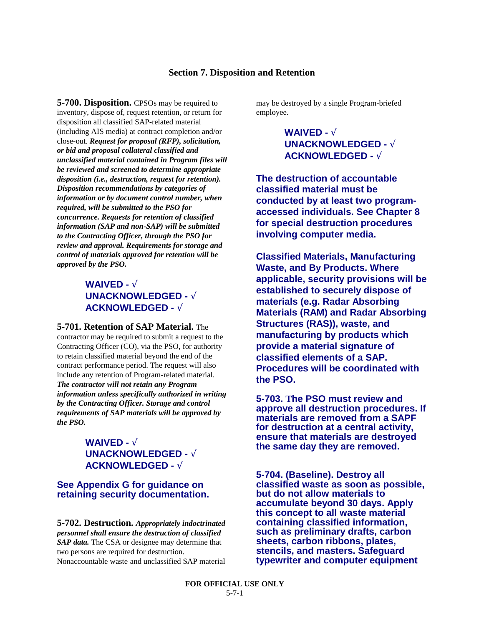### **Section 7. Disposition and Retention**

**5-700. Disposition.** CPSOs may be required to inventory, dispose of, request retention, or return for disposition all classified SAP-related material (including AIS media) at contract completion and/or close-out. *Request for proposal (RFP), solicitation, or bid and proposal collateral classified and unclassified material contained in Program files will be reviewed and screened to determine appropriate disposition (i.e., destruction, request for retention). Disposition recommendations by categories of information or by document control number, when required, will be submitted to the PSO for concurrence. Requests for retention of classified information (SAP and non-SAP) will be submitted to the Contracting Officer, through the PSO for review and approval. Requirements for storage and control of materials approved for retention will be approved by the PSO.*

## **WAIVED -** √ **UNACKNOWLEDGED -** √ **ACKNOWLEDGED -** √

**5-701. Retention of SAP Material.** The contractor may be required to submit a request to the Contracting Officer (CO), via the PSO, for authority to retain classified material beyond the end of the contract performance period. The request will also include any retention of Program-related material. *The contractor will not retain any Program information unless specifically authorized in writing by the Contracting Officer. Storage and control requirements of SAP materials will be approved by the PSO.*

## **WAIVED -** √ **UNACKNOWLEDGED -** √ **ACKNOWLEDGED -** √

### **See Appendix G for guidance on retaining security documentation.**

**5-702. Destruction.** *Appropriately indoctrinated personnel shall ensure the destruction of classified SAP data.* The CSA or designee may determine that two persons are required for destruction. Nonaccountable waste and unclassified SAP material

may be destroyed by a single Program-briefed employee.

## **WAIVED -** √ **UNACKNOWLEDGED -** √ **ACKNOWLEDGED -** √

**The destruction of accountable classified material must be conducted by at least two programaccessed individuals. See Chapter 8 for special destruction procedures involving computer media.**

**Classified Materials, Manufacturing Waste, and By Products. Where applicable, security provisions will be established to securely dispose of materials (e.g. Radar Absorbing Materials (RAM) and Radar Absorbing Structures (RAS)), waste, and manufacturing by products which provide a material signature of classified elements of a SAP. Procedures will be coordinated with the PSO.**

**5-703. The PSO must review and approve all destruction procedures. If materials are removed from a SAPF for destruction at a central activity, ensure that materials are destroyed the same day they are removed.**

**5-704. (Baseline). Destroy all classified waste as soon as possible, but do not allow materials to accumulate beyond 30 days. Apply this concept to all waste material containing classified information, such as preliminary drafts, carbon sheets, carbon ribbons, plates, stencils, and masters. Safeguard typewriter and computer equipment**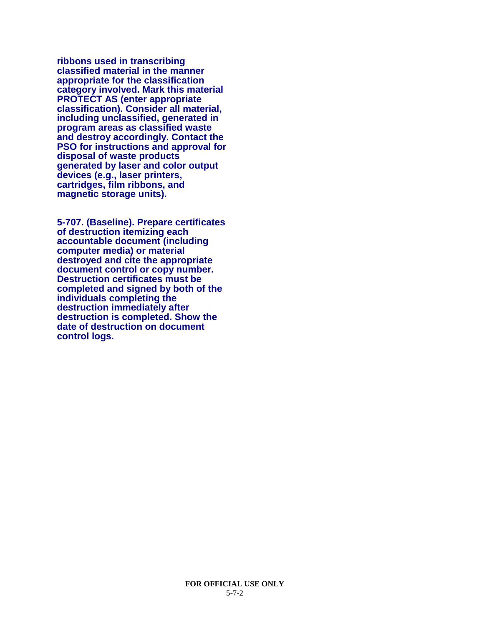**ribbons used in transcribing classified material in the manner appropriate for the classification category involved. Mark this material PROTECT AS (enter appropriate classification). Consider all material, including unclassified, generated in program areas as classified waste and destroy accordingly. Contact the PSO for instructions and approval for disposal of waste products generated by laser and color output devices (e.g., laser printers, cartridges, film ribbons, and magnetic storage units).**

**5-707. (Baseline). Prepare certificates of destruction itemizing each accountable document (including computer media) or material destroyed and cite the appropriate document control or copy number. Destruction certificates must be completed and signed by both of the individuals completing the destruction immediately after destruction is completed. Show the date of destruction on document control logs.**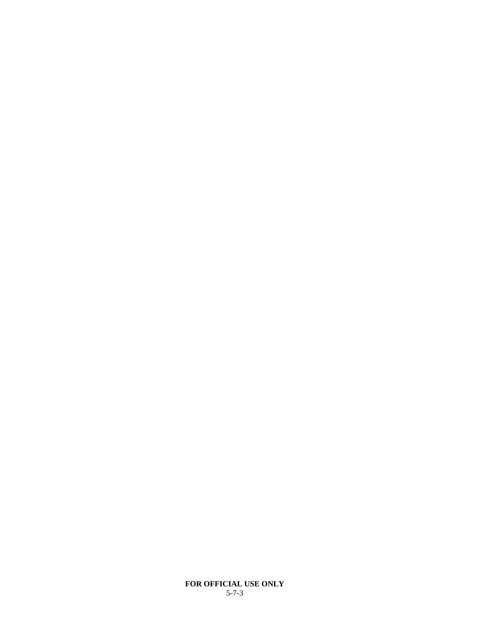#### **FOR OFFICIAL USE ONLY** 5-7-3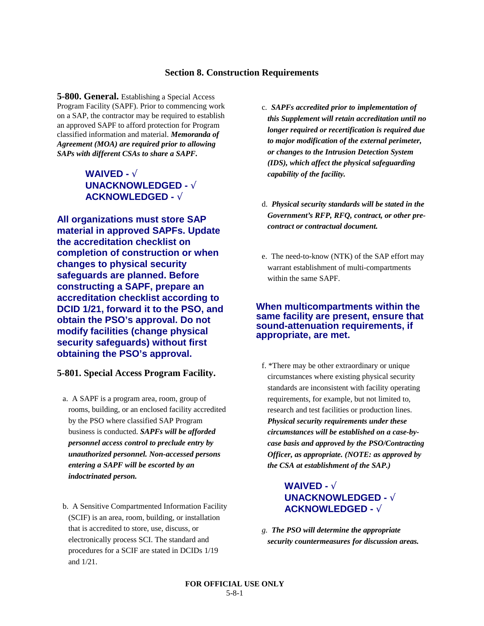### **Section 8. Construction Requirements**

**5-800. General.** Establishing a Special Access Program Facility (SAPF). Prior to commencing work on a SAP, the contractor may be required to establish an approved SAPF to afford protection for Program classified information and material. *Memoranda of Agreement (MOA) are required prior to allowing SAPs with different CSAs to share a SAPF.*

## **WAIVED -** √ **UNACKNOWLEDGED -** √ **ACKNOWLEDGED -** √

**All organizations must store SAP material in approved SAPFs. Update the accreditation checklist on completion of construction or when changes to physical security safeguards are planned. Before constructing a SAPF, prepare an accreditation checklist according to DCID 1/21, forward it to the PSO, and obtain the PSO's approval. Do not modify facilities (change physical security safeguards) without first obtaining the PSO's approval.**

- **5-801. Special Access Program Facility.**
	- a. A SAPF is a program area, room, group of rooms, building, or an enclosed facility accredited by the PSO where classified SAP Program business is conducted. *SAPFs will be afforded personnel access control to preclude entry by unauthorized personnel. Non-accessed persons entering a SAPF will be escorted by an indoctrinated person.*
	- b. A Sensitive Compartmented Information Facility (SCIF) is an area, room, building, or installation that is accredited to store, use, discuss, or electronically process SCI. The standard and procedures for a SCIF are stated in DCIDs 1/19 and 1/21.
- c*. SAPFs accredited prior to implementation of this Supplement will retain accreditation until no longer required or recertification is required due to major modification of the external perimeter, or changes to the Intrusion Detection System (IDS), which affect the physical safeguarding capability of the facility.*
- d. *Physical security standards will be stated in the Government's RFP, RFQ, contract, or other precontract or contractual document.*
- e. The need-to-know (NTK) of the SAP effort may warrant establishment of multi-compartments within the same SAPF.

#### **When multicompartments within the same facility are present, ensure that sound-attenuation requirements, if appropriate, are met.**

f. \*There may be other extraordinary or unique circumstances where existing physical security standards are inconsistent with facility operating requirements, for example, but not limited to, research and test facilities or production lines. *Physical security requirements under these circumstances will be established on a case-bycase basis and approved by the PSO/Contracting Officer, as appropriate. (NOTE: as approved by the CSA at establishment of the SAP.)*

### **WAIVED -** √ **UNACKNOWLEDGED -** √ **ACKNOWLEDGED -** √

*g. The PSO will determine the appropriate security countermeasures for discussion areas.*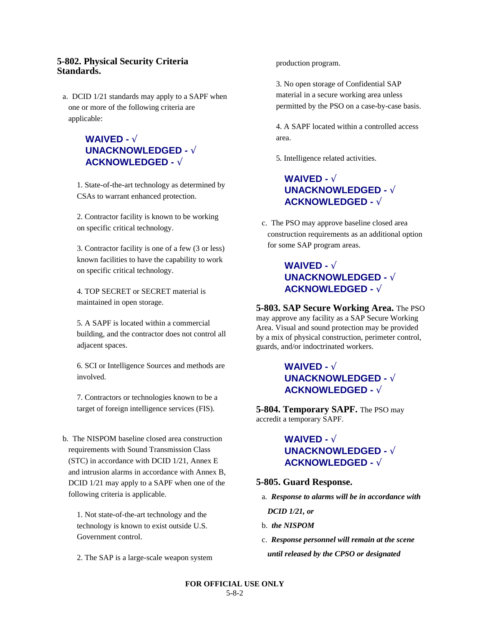#### **5-802. Physical Security Criteria Standards.**

a. DCID 1/21 standards may apply to a SAPF when one or more of the following criteria are applicable:

## **WAIVED -** √ **UNACKNOWLEDGED -** √ **ACKNOWLEDGED -** √

1. State-of-the-art technology as determined by CSAs to warrant enhanced protection.

2. Contractor facility is known to be working on specific critical technology.

3. Contractor facility is one of a few (3 or less) known facilities to have the capability to work on specific critical technology.

4. TOP SECRET or SECRET material is maintained in open storage.

5. A SAPF is located within a commercial building, and the contractor does not control all adjacent spaces.

6. SCI or Intelligence Sources and methods are involved.

7. Contractors or technologies known to be a target of foreign intelligence services (FIS).

b. The NISPOM baseline closed area construction requirements with Sound Transmission Class (STC) in accordance with DCID 1/21, Annex E and intrusion alarms in accordance with Annex B, DCID 1/21 may apply to a SAPF when one of the following criteria is applicable.

1. Not state-of-the-art technology and the technology is known to exist outside U.S. Government control.

2. The SAP is a large-scale weapon system

production program.

3. No open storage of Confidential SAP material in a secure working area unless permitted by the PSO on a case-by-case basis.

4. A SAPF located within a controlled access area.

5. Intelligence related activities.

## **WAIVED -** √ **UNACKNOWLEDGED -** √ **ACKNOWLEDGED -** √

c. The PSO may approve baseline closed area construction requirements as an additional option for some SAP program areas.

## **WAIVED -** √ **UNACKNOWLEDGED -** √ **ACKNOWLEDGED -** √

**5-803. SAP Secure Working Area.** The PSO may approve any facility as a SAP Secure Working Area. Visual and sound protection may be provided by a mix of physical construction, perimeter control, guards, and/or indoctrinated workers.

## **WAIVED -** √ **UNACKNOWLEDGED -** √ **ACKNOWLEDGED -** √

**5-804. Temporary SAPF.** The PSO may accredit a temporary SAPF.

## **WAIVED -** √ **UNACKNOWLEDGED -** √ **ACKNOWLEDGED -** √

#### **5-805. Guard Response.**

a*. Response to alarms will be in accordance with*

*DCID 1/21, or*

- b. *the NISPOM*
- c. *Response personnel will remain at the scene until released by the CPSO or designated*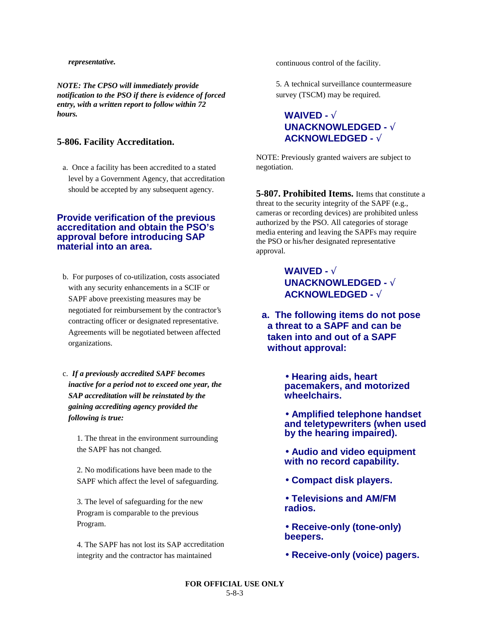#### *representative.*

*NOTE: The CPSO will immediately provide notification to the PSO if there is evidence of forced entry, with a written report to follow within 72 hours.*

#### **5-806. Facility Accreditation.**

a. Once a facility has been accredited to a stated level by a Government Agency, that accreditation should be accepted by any subsequent agency.

### **Provide verification of the previous accreditation and obtain the PSO's approval before introducing SAP material into an area.**

- b. For purposes of co-utilization, costs associated with any security enhancements in a SCIF or SAPF above preexisting measures may be negotiated for reimbursement by the contractor's contracting officer or designated representative. Agreements will be negotiated between affected organizations.
- c. *If a previously accredited SAPF becomes inactive for a period not to exceed one year, the SAP accreditation will be reinstated by the gaining accrediting agency provided the following is true:*

1. The threat in the environment surrounding the SAPF has not changed.

2. No modifications have been made to the SAPF which affect the level of safeguarding.

3. The level of safeguarding for the new Program is comparable to the previous Program.

4. The SAPF has not lost its SAP accreditation integrity and the contractor has maintained

continuous control of the facility.

5. A technical surveillance countermeasure survey (TSCM) may be required.

## **WAIVED -** √ **UNACKNOWLEDGED -** √ **ACKNOWLEDGED -** √

NOTE: Previously granted waivers are subject to negotiation.

**5-807. Prohibited Items.** Items that constitute a threat to the security integrity of the SAPF (e.g., cameras or recording devices) are prohibited unless authorized by the PSO. All categories of storage media entering and leaving the SAPFs may require the PSO or his/her designated representative approval.

> **WAIVED -** √ **UNACKNOWLEDGED -** √ **ACKNOWLEDGED -** √

- **a. The following items do not pose a threat to a SAPF and can be taken into and out of a SAPF without approval:**
	- • **Hearing aids, heart pacemakers, and motorized wheelchairs.**
	- • **Amplified telephone handset and teletypewriters (when used by the hearing impaired).**
	- • **Audio and video equipment with no record capability.**
	- • **Compact disk players.**
	- • **Televisions and AM/FM radios.**
	- • **Receive-only (tone-only) beepers.**
	- • **Receive-only (voice) pagers.**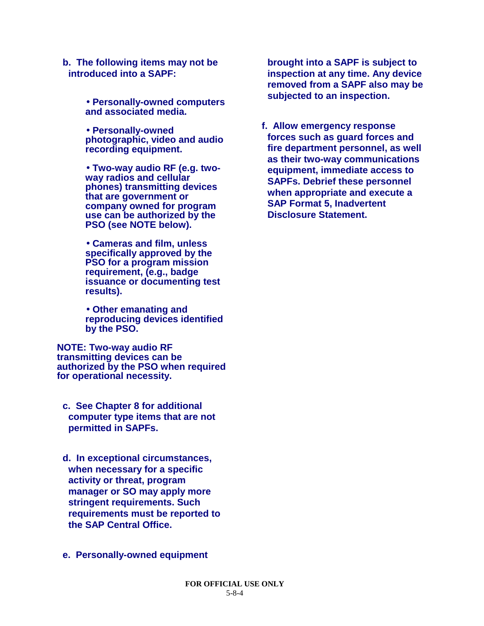**b. The following items may not be introduced into a SAPF:**

> • **Personally-owned computers and associated media.**

> • **Personally-owned photographic, video and audio recording equipment.**

• **Two-way audio RF (e.g. twoway radios and cellular phones) transmitting devices that are government or company owned for program use can be authorized by the PSO (see NOTE below).**

• **Cameras and film, unless specifically approved by the PSO for a program mission requirement, (e.g., badge issuance or documenting test results).**

• **Other emanating and reproducing devices identified by the PSO.**

**NOTE: Two-way audio RF transmitting devices can be authorized by the PSO when required for operational necessity.**

**c. See Chapter 8 for additional computer type items that are not permitted in SAPFs.**

**d. In exceptional circumstances, when necessary for a specific activity or threat, program manager or SO may apply more stringent requirements. Such requirements must be reported to the SAP Central Office.**

**brought into a SAPF is subject to inspection at any time. Any device removed from a SAPF also may be subjected to an inspection.**

**f. Allow emergency response forces such as guard forces and fire department personnel, as well as their two-way communications equipment, immediate access to SAPFs. Debrief these personnel when appropriate and execute a SAP Format 5, Inadvertent Disclosure Statement.**

**e. Personally-owned equipment**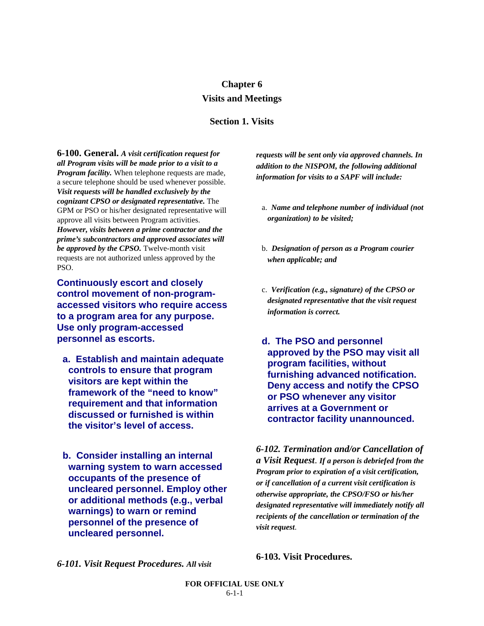# **Chapter 6 Visits and Meetings**

### **Section 1. Visits**

**6-100. General.** *A visit certification request for all Program visits will be made prior to a visit to a Program facility.* When telephone requests are made, a secure telephone should be used whenever possible. *Visit requests will be handled exclusively by the cognizant CPSO or designated representative.* The GPM or PSO or his/her designated representative will approve all visits between Program activities. *However, visits between a prime contractor and the prime's subcontractors and approved associates will be approved by the CPSO.* Twelve-month visit requests are not authorized unless approved by the PSO.

**Continuously escort and closely control movement of non-programaccessed visitors who require access to a program area for any purpose. Use only program-accessed personnel as escorts.**

- **a. Establish and maintain adequate controls to ensure that program visitors are kept within the framework of the "need to know" requirement and that information discussed or furnished is within the visitor's level of access.**
- **b. Consider installing an internal warning system to warn accessed occupants of the presence of uncleared personnel. Employ other or additional methods (e.g., verbal warnings) to warn or remind personnel of the presence of uncleared personnel.**

*requests will be sent only via approved channels. In addition to the NISPOM, the following additional information for visits to a SAPF will include:*

- a. *Name and telephone number of individual (not organization) to be visited;*
- b. *Designation of person as a Program courier when applicable; and*
- c. *Verification (e.g., signature) of the CPSO or designated representative that the visit request information is correct.*

**d. The PSO and personnel approved by the PSO may visit all program facilities, without furnishing advanced notification. Deny access and notify the CPSO or PSO whenever any visitor arrives at a Government or contractor facility unannounced.**

*6-102. Termination and/or Cancellation of a Visit Request*. *If a person is debriefed from the Program prior to expiration of a visit certification, or if cancellation of a current visit certification is otherwise appropriate, the CPSO/FSO or his/her designated representative will immediately notify all recipients of the cancellation or termination of the visit request*.

**6-103. Visit Procedures.**

*6-101. Visit Request Procedures. All visit*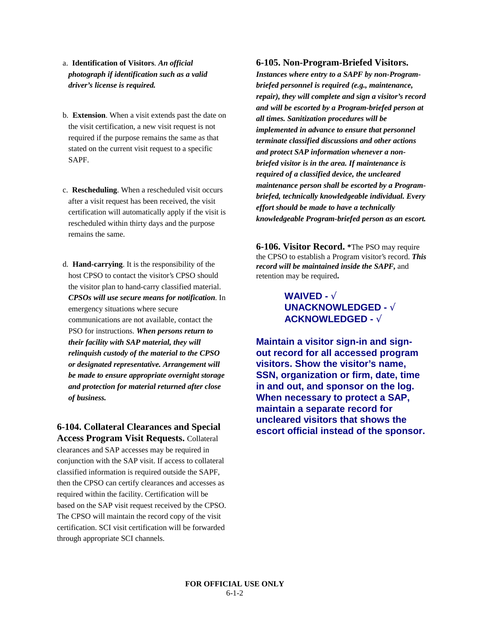- a. **Identification of Visitors**. *An official photograph if identification such as a valid driver's license is required.*
- b. **Extension**. When a visit extends past the date on the visit certification, a new visit request is not required if the purpose remains the same as that stated on the current visit request to a specific SAPF.
- c. **Rescheduling**. When a rescheduled visit occurs after a visit request has been received, the visit certification will automatically apply if the visit is rescheduled within thirty days and the purpose remains the same.
- d. **Hand-carrying**. It is the responsibility of the host CPSO to contact the visitor's CPSO should the visitor plan to hand-carry classified material. *CPSOs will use secure means for notification*. In emergency situations where secure communications are not available, contact the PSO for instructions. *When persons return to their facility with SAP material, they will relinquish custody of the material to the CPSO or designated representative. Arrangement will be made to ensure appropriate overnight storage and protection for material returned after close of business.*

**6-104. Collateral Clearances and Special Access Program Visit Requests.** Collateral clearances and SAP accesses may be required in conjunction with the SAP visit. If access to collateral classified information is required outside the SAPF, then the CPSO can certify clearances and accesses as required within the facility. Certification will be based on the SAP visit request received by the CPSO. The CPSO will maintain the record copy of the visit certification. SCI visit certification will be forwarded through appropriate SCI channels.

#### **6-105. Non-Program-Briefed Visitors.**

*Instances where entry to a SAPF by non-Programbriefed personnel is required (e.g., maintenance, repair), they will complete and sign a visitor's record and will be escorted by a Program-briefed person at all times. Sanitization procedures will be implemented in advance to ensure that personnel terminate classified discussions and other actions and protect SAP information whenever a nonbriefed visitor is in the area. If maintenance is required of a classified device, the uncleared maintenance person shall be escorted by a Programbriefed, technically knowledgeable individual. Every effort should be made to have a technically knowledgeable Program-briefed person as an escort.*

**6-106. Visitor Record. \***The PSO may require the CPSO to establish a Program visitor's record. *This record will be maintained inside the SAPF,* and retention may be required**.**

> **WAIVED -** √ **UNACKNOWLEDGED -** √ **ACKNOWLEDGED -** √

**Maintain a visitor sign-in and signout record for all accessed program visitors. Show the visitor's name, SSN, organization or firm, date, time in and out, and sponsor on the log. When necessary to protect a SAP, maintain a separate record for uncleared visitors that shows the escort official instead of the sponsor.**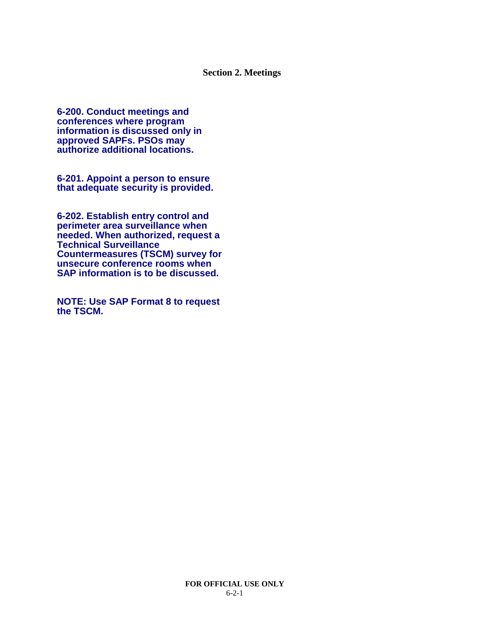## **Section 2. Meetings**

**6-200. Conduct meetings and conferences where program information is discussed only in approved SAPFs. PSOs may authorize additional locations.**

**6-201. Appoint a person to ensure that adequate security is provided.**

**6-202. Establish entry control and perimeter area surveillance when needed. When authorized, request a Technical Surveillance Countermeasures (TSCM) survey for unsecure conference rooms when SAP information is to be discussed.**

**NOTE: Use SAP Format 8 to request the TSCM.**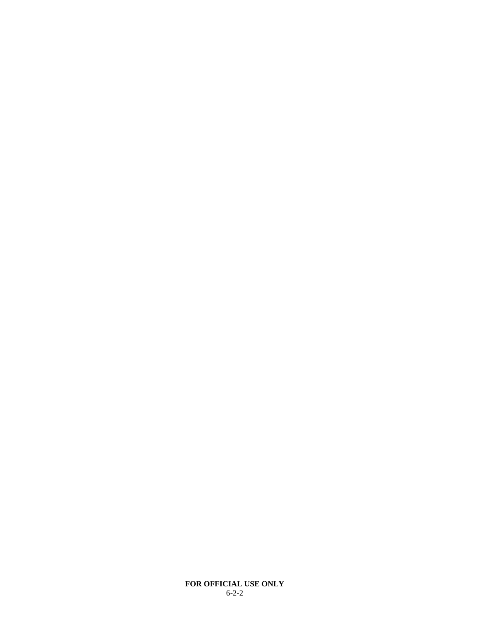#### **FOR OFFICIAL USE ONLY** 6-2-2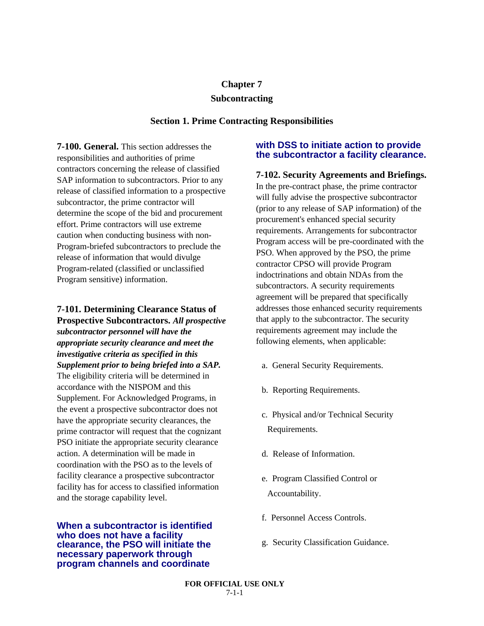# **Chapter 7 Subcontracting**

## **Section 1. Prime Contracting Responsibilities**

**7-100. General.** This section addresses the responsibilities and authorities of prime contractors concerning the release of classified SAP information to subcontractors. Prior to any release of classified information to a prospective subcontractor, the prime contractor will determine the scope of the bid and procurement effort. Prime contractors will use extreme caution when conducting business with non-Program-briefed subcontractors to preclude the release of information that would divulge Program-related (classified or unclassified Program sensitive) information.

**7-101. Determining Clearance Status of Prospective Subcontractors.** *All prospective subcontractor personnel will have the appropriate security clearance and meet the investigative criteria as specified in this Supplement prior to being briefed into a SAP.* The eligibility criteria will be determined in accordance with the NISPOM and this Supplement. For Acknowledged Programs, in the event a prospective subcontractor does not have the appropriate security clearances, the prime contractor will request that the cognizant PSO initiate the appropriate security clearance action. A determination will be made in

coordination with the PSO as to the levels of facility clearance a prospective subcontractor facility has for access to classified information and the storage capability level.

**When a subcontractor is identified who does not have a facility clearance, the PSO will initiate the necessary paperwork through program channels and coordinate**

# **with DSS to initiate action to provide the subcontractor a facility clearance.**

**7-102. Security Agreements and Briefings.**

In the pre-contract phase, the prime contractor will fully advise the prospective subcontractor (prior to any release of SAP information) of the procurement's enhanced special security requirements. Arrangements for subcontractor Program access will be pre-coordinated with the PSO. When approved by the PSO, the prime contractor CPSO will provide Program indoctrinations and obtain NDAs from the subcontractors. A security requirements agreement will be prepared that specifically addresses those enhanced security requirements that apply to the subcontractor. The security requirements agreement may include the following elements, when applicable:

- a. General Security Requirements.
- b. Reporting Requirements.
- c. Physical and/or Technical Security Requirements.
- d. Release of Information.
- e. Program Classified Control or Accountability.
- f. Personnel Access Controls.
- g. Security Classification Guidance.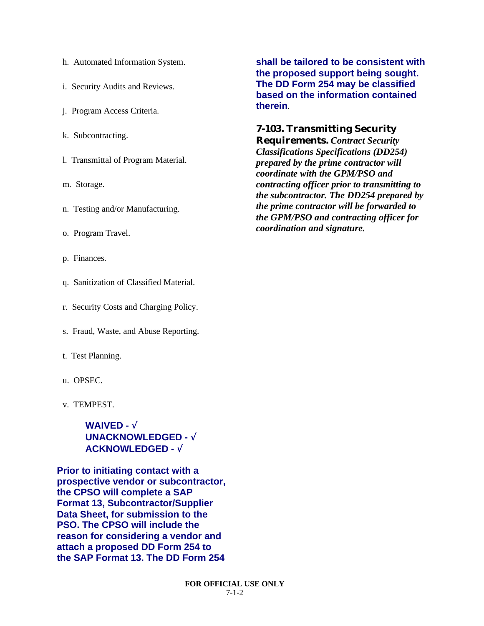- h. Automated Information System.
- i. Security Audits and Reviews.
- j. Program Access Criteria.
- k. Subcontracting.
- l. Transmittal of Program Material.
- m. Storage.
- n. Testing and/or Manufacturing.
- o. Program Travel.
- p. Finances.
- q. Sanitization of Classified Material.
- r. Security Costs and Charging Policy.
- s. Fraud, Waste, and Abuse Reporting.
- t. Test Planning.
- u. OPSEC.
- v. TEMPEST.

# **WAIVED -** √ **UNACKNOWLEDGED -** √ **ACKNOWLEDGED -** √

**Prior to initiating contact with a prospective vendor or subcontractor, the CPSO will complete a SAP Format 13, Subcontractor/Supplier Data Sheet, for submission to the PSO. The CPSO will include the reason for considering a vendor and attach a proposed DD Form 254 to the SAP Format 13. The DD Form 254**

**shall be tailored to be consistent with the proposed support being sought. The DD Form 254 may be classified based on the information contained therein**.

# **7-103. Transmitting Security**

**Requirements.** *Contract Security Classifications Specifications (DD254) prepared by the prime contractor will coordinate with the GPM/PSO and contracting officer prior to transmitting to the subcontractor. The DD254 prepared by the prime contractor will be forwarded to the GPM/PSO and contracting officer for coordination and signature.*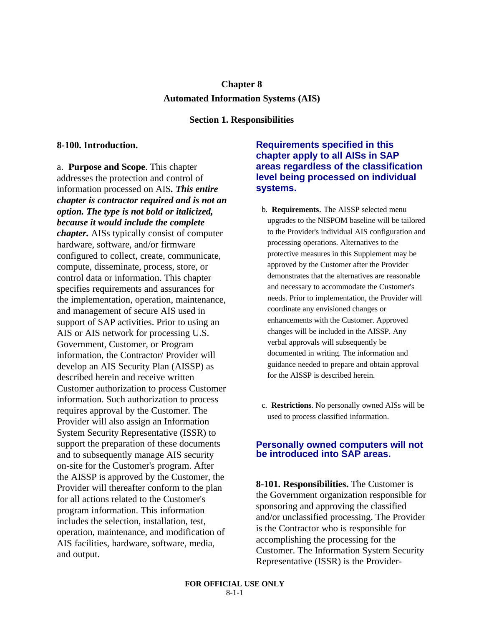# **Chapter 8 Automated Information Systems (AIS)**

**Section 1. Responsibilities**

## **8-100. Introduction.**

a. **Purpose and Scope**. This chapter addresses the protection and control of information processed on AIS*. This entire chapter is contractor required and is not an option. The type is not bold or italicized, because it would include the complete chapter.* AISs typically consist of computer hardware, software, and/or firmware configured to collect, create, communicate, compute, disseminate, process, store, or control data or information. This chapter specifies requirements and assurances for the implementation, operation, maintenance, and management of secure AIS used in support of SAP activities. Prior to using an AIS or AIS network for processing U.S. Government, Customer, or Program information, the Contractor/ Provider will develop an AIS Security Plan (AISSP) as described herein and receive written Customer authorization to process Customer information. Such authorization to process requires approval by the Customer. The Provider will also assign an Information System Security Representative (ISSR) to support the preparation of these documents and to subsequently manage AIS security on-site for the Customer's program. After the AISSP is approved by the Customer, the Provider will thereafter conform to the plan for all actions related to the Customer's program information. This information includes the selection, installation, test, operation, maintenance, and modification of AIS facilities, hardware, software, media, and output.

# **Requirements specified in this chapter apply to all AISs in SAP areas regardless of the classification level being processed on individual systems.**

- b. **Requirements**. The AISSP selected menu upgrades to the NISPOM baseline will be tailored to the Provider's individual AIS configuration and processing operations. Alternatives to the protective measures in this Supplement may be approved by the Customer after the Provider demonstrates that the alternatives are reasonable and necessary to accommodate the Customer's needs. Prior to implementation, the Provider will coordinate any envisioned changes or enhancements with the Customer. Approved changes will be included in the AISSP. Any verbal approvals will subsequently be documented in writing. The information and guidance needed to prepare and obtain approval for the AISSP is described herein.
- c. **Restrictions**. No personally owned AISs will be used to process classified information.

# **Personally owned computers will not be introduced into SAP areas.**

**8-101. Responsibilities.** The Customer is the Government organization responsible for sponsoring and approving the classified and/or unclassified processing. The Provider is the Contractor who is responsible for accomplishing the processing for the Customer. The Information System Security Representative (ISSR) is the Provider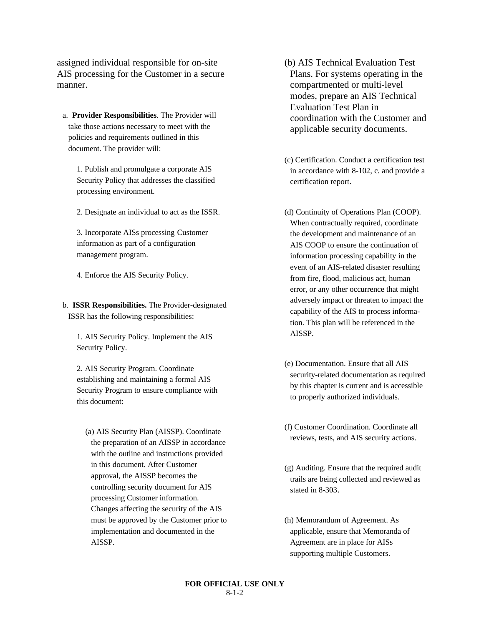assigned individual responsible for on-site AIS processing for the Customer in a secure manner.

a. **Provider Responsibilities**. The Provider will take those actions necessary to meet with the policies and requirements outlined in this document. The provider will:

1. Publish and promulgate a corporate AIS Security Policy that addresses the classified processing environment.

2. Designate an individual to act as the ISSR.

3. Incorporate AISs processing Customer information as part of a configuration management program.

4. Enforce the AIS Security Policy.

b. **ISSR Responsibilities.** The Provider-designated ISSR has the following responsibilities:

1. AIS Security Policy. Implement the AIS Security Policy.

2. AIS Security Program. Coordinate establishing and maintaining a formal AIS Security Program to ensure compliance with this document:

(a) AIS Security Plan (AISSP). Coordinate the preparation of an AISSP in accordance with the outline and instructions provided in this document. After Customer approval, the AISSP becomes the controlling security document for AIS processing Customer information. Changes affecting the security of the AIS must be approved by the Customer prior to implementation and documented in the AISSP.

(b) AIS Technical Evaluation Test Plans. For systems operating in the compartmented or multi-level modes, prepare an AIS Technical Evaluation Test Plan in coordination with the Customer and applicable security documents.

- (c) Certification. Conduct a certification test in accordance with 8-102, c. and provide a certification report.
- (d) Continuity of Operations Plan (COOP). When contractually required, coordinate the development and maintenance of an AIS COOP to ensure the continuation of information processing capability in the event of an AIS-related disaster resulting from fire, flood, malicious act, human error, or any other occurrence that might adversely impact or threaten to impact the capability of the AIS to process information. This plan will be referenced in the AISSP.
- (e) Documentation. Ensure that all AIS security-related documentation as required by this chapter is current and is accessible to properly authorized individuals.
- (f) Customer Coordination. Coordinate all reviews, tests, and AIS security actions.
- (g) Auditing. Ensure that the required audit trails are being collected and reviewed as stated in 8-303.
- (h) Memorandum of Agreement. As applicable, ensure that Memoranda of Agreement are in place for AISs supporting multiple Customers.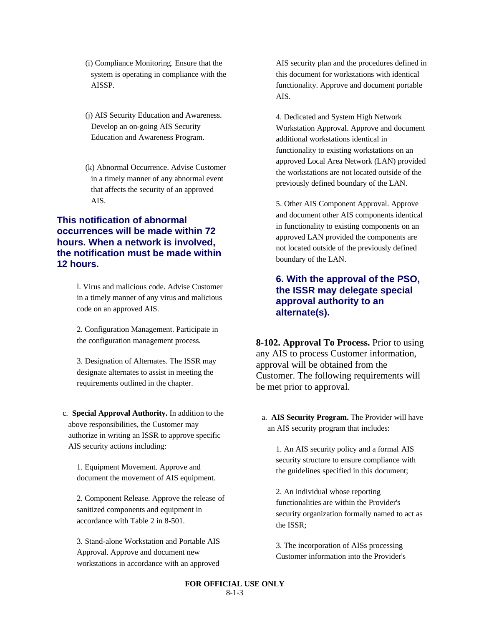- (i) Compliance Monitoring. Ensure that the system is operating in compliance with the AISSP.
- (j) AIS Security Education and Awareness. Develop an on-going AIS Security Education and Awareness Program.
- (k) Abnormal Occurrence. Advise Customer in a timely manner of any abnormal event that affects the security of an approved AIS.

# **This notification of abnormal occurrences will be made within 72 hours. When a network is involved, the notification must be made within 12 hours.**

l. Virus and malicious code. Advise Customer in a timely manner of any virus and malicious code on an approved AIS.

2. Configuration Management. Participate in the configuration management process.

3. Designation of Alternates. The ISSR may designate alternates to assist in meeting the requirements outlined in the chapter.

c. **Special Approval Authority.** In addition to the above responsibilities, the Customer may authorize in writing an ISSR to approve specific AIS security actions including:

1. Equipment Movement. Approve and document the movement of AIS equipment.

2. Component Release. Approve the release of sanitized components and equipment in accordance with Table 2 in 8-501.

3. Stand-alone Workstation and Portable AIS Approval. Approve and document new workstations in accordance with an approved AIS security plan and the procedures defined in this document for workstations with identical functionality. Approve and document portable AIS.

4. Dedicated and System High Network Workstation Approval. Approve and document additional workstations identical in functionality to existing workstations on an approved Local Area Network (LAN) provided the workstations are not located outside of the previously defined boundary of the LAN.

5. Other AIS Component Approval. Approve and document other AIS components identical in functionality to existing components on an approved LAN provided the components are not located outside of the previously defined boundary of the LAN.

# **6. With the approval of the PSO, the ISSR may delegate special approval authority to an alternate(s).**

**8-102. Approval To Process.** Prior to using any AIS to process Customer information, approval will be obtained from the Customer. The following requirements will be met prior to approval.

a. **AIS Security Program.** The Provider will have an AIS security program that includes:

1. An AIS security policy and a formal AIS security structure to ensure compliance with the guidelines specified in this document;

2. An individual whose reporting functionalities are within the Provider's security organization formally named to act as the ISSR;

3. The incorporation of AISs processing Customer information into the Provider's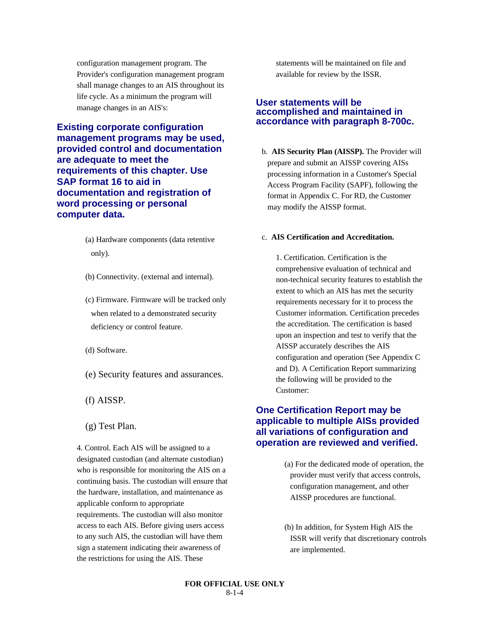configuration management program. The Provider's configuration management program shall manage changes to an AIS throughout its life cycle. As a minimum the program will manage changes in an AIS's:

**Existing corporate configuration management programs may be used, provided control and documentation are adequate to meet the requirements of this chapter. Use SAP format 16 to aid in documentation and registration of word processing or personal computer data.**

- (a) Hardware components (data retentive only).
- (b) Connectivity. (external and internal).
- (c) Firmware. Firmware will be tracked only when related to a demonstrated security deficiency or control feature.
- (d) Software.
- (e) Security features and assurances.
- (f) AISSP.
- (g) Test Plan.

4. Control. Each AIS will be assigned to a designated custodian (and alternate custodian) who is responsible for monitoring the AIS on a continuing basis. The custodian will ensure that the hardware, installation, and maintenance as applicable conform to appropriate requirements. The custodian will also monitor access to each AIS. Before giving users access to any such AIS, the custodian will have them sign a statement indicating their awareness of the restrictions for using the AIS. These

statements will be maintained on file and available for review by the ISSR.

#### **User statements will be accomplished and maintained in accordance with paragraph 8-700c.**

b. **AIS Security Plan (AISSP).** The Provider will prepare and submit an AISSP covering AISs processing information in a Customer's Special Access Program Facility (SAPF), following the format in Appendix C. For RD, the Customer may modify the AISSP format.

#### c. **AIS Certification and Accreditation.**

1. Certification. Certification is the comprehensive evaluation of technical and non-technical security features to establish the extent to which an AIS has met the security requirements necessary for it to process the Customer information. Certification precedes the accreditation. The certification is based upon an inspection and test to verify that the AISSP accurately describes the AIS configuration and operation (See Appendix C and D). A Certification Report summarizing the following will be provided to the Customer:

# **One Certification Report may be applicable to multiple AISs provided all variations of configuration and operation are reviewed and verified.**

- (a) For the dedicated mode of operation, the provider must verify that access controls, configuration management, and other AISSP procedures are functional.
- (b) In addition, for System High AIS the ISSR will verify that discretionary controls are implemented.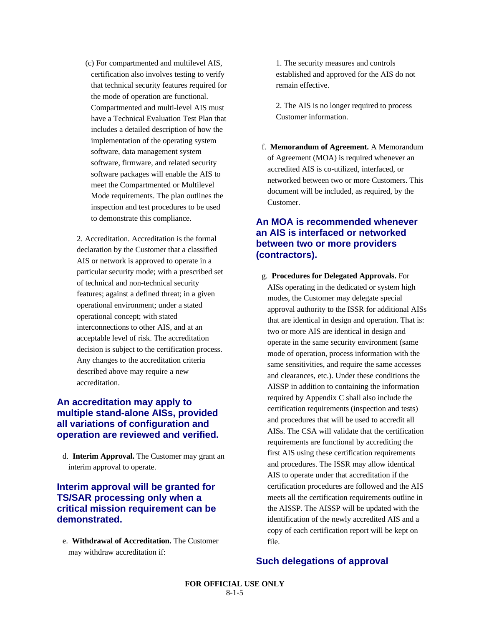(c) For compartmented and multilevel AIS, certification also involves testing to verify that technical security features required for the mode of operation are functional. Compartmented and multi-level AIS must have a Technical Evaluation Test Plan that includes a detailed description of how the implementation of the operating system software, data management system software, firmware, and related security software packages will enable the AIS to meet the Compartmented or Multilevel Mode requirements. The plan outlines the inspection and test procedures to be used to demonstrate this compliance.

2. Accreditation. Accreditation is the formal declaration by the Customer that a classified AIS or network is approved to operate in a particular security mode; with a prescribed set of technical and non-technical security features; against a defined threat; in a given operational environment; under a stated operational concept; with stated interconnections to other AIS, and at an acceptable level of risk. The accreditation decision is subject to the certification process. Any changes to the accreditation criteria described above may require a new accreditation.

# **An accreditation may apply to multiple stand-alone AISs, provided all variations of configuration and operation are reviewed and verified.**

d. **Interim Approval.** The Customer may grant an interim approval to operate.

# **Interim approval will be granted for TS/SAR processing only when a critical mission requirement can be demonstrated.**

e. **Withdrawal of Accreditation.** The Customer may withdraw accreditation if:

1. The security measures and controls established and approved for the AIS do not remain effective.

2. The AIS is no longer required to process Customer information.

f. **Memorandum of Agreement.** A Memorandum of Agreement (MOA) is required whenever an accredited AIS is co-utilized, interfaced, or networked between two or more Customers. This document will be included, as required, by the Customer.

# **An MOA is recommended whenever an AIS is interfaced or networked between two or more providers (contractors).**

g. **Procedures for Delegated Approvals.** For AISs operating in the dedicated or system high modes, the Customer may delegate special approval authority to the ISSR for additional AISs that are identical in design and operation. That is: two or more AIS are identical in design and operate in the same security environment (same mode of operation, process information with the same sensitivities, and require the same accesses and clearances, etc.). Under these conditions the AISSP in addition to containing the information required by Appendix C shall also include the certification requirements (inspection and tests) and procedures that will be used to accredit all AISs. The CSA will validate that the certification requirements are functional by accrediting the first AIS using these certification requirements and procedures. The ISSR may allow identical AIS to operate under that accreditation if the certification procedures are followed and the AIS meets all the certification requirements outline in the AISSP. The AISSP will be updated with the identification of the newly accredited AIS and a copy of each certification report will be kept on file.

# **Such delegations of approval**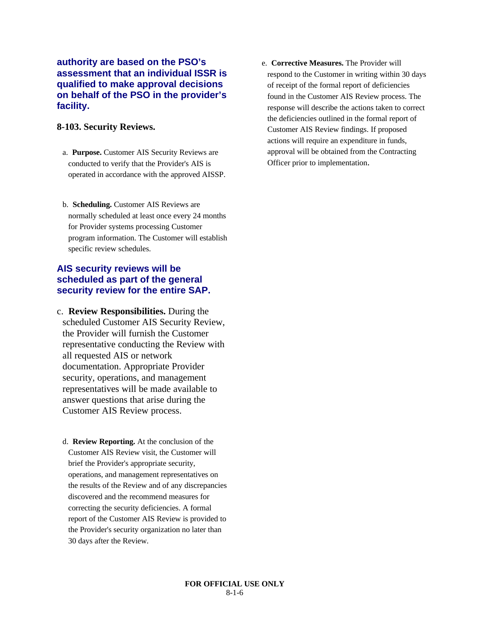# **authority are based on the PSO's assessment that an individual ISSR is qualified to make approval decisions on behalf of the PSO in the provider's facility.**

#### **8-103. Security Reviews.**

- a. **Purpose.** Customer AIS Security Reviews are conducted to verify that the Provider's AIS is operated in accordance with the approved AISSP.
- b. **Scheduling.** Customer AIS Reviews are normally scheduled at least once every 24 months for Provider systems processing Customer program information. The Customer will establish specific review schedules.

# **AIS security reviews will be scheduled as part of the general security review for the entire SAP.**

- c. **Review Responsibilities.** During the scheduled Customer AIS Security Review, the Provider will furnish the Customer representative conducting the Review with all requested AIS or network documentation. Appropriate Provider security, operations, and management representatives will be made available to answer questions that arise during the Customer AIS Review process.
	- d. **Review Reporting.** At the conclusion of the Customer AIS Review visit, the Customer will brief the Provider's appropriate security, operations, and management representatives on the results of the Review and of any discrepancies discovered and the recommend measures for correcting the security deficiencies. A formal report of the Customer AIS Review is provided to the Provider's security organization no later than 30 days after the Review.

e. **Corrective Measures.** The Provider will respond to the Customer in writing within 30 days of receipt of the formal report of deficiencies found in the Customer AIS Review process. The response will describe the actions taken to correct the deficiencies outlined in the formal report of Customer AIS Review findings. If proposed actions will require an expenditure in funds, approval will be obtained from the Contracting Officer prior to implementation.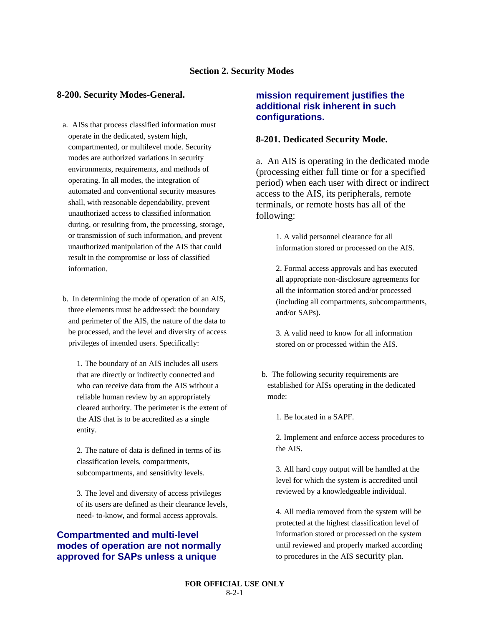## **Section 2. Security Modes**

#### **8-200. Security Modes-General.**

- a. AISs that process classified information must operate in the dedicated, system high, compartmented, or multilevel mode. Security modes are authorized variations in security environments, requirements, and methods of operating. In all modes, the integration of automated and conventional security measures shall, with reasonable dependability, prevent unauthorized access to classified information during, or resulting from, the processing, storage, or transmission of such information, and prevent unauthorized manipulation of the AIS that could result in the compromise or loss of classified information.
- b. In determining the mode of operation of an AIS, three elements must be addressed: the boundary and perimeter of the AIS, the nature of the data to be processed, and the level and diversity of access privileges of intended users. Specifically:

1. The boundary of an AIS includes all users that are directly or indirectly connected and who can receive data from the AIS without a reliable human review by an appropriately cleared authority. The perimeter is the extent of the AIS that is to be accredited as a single entity.

2. The nature of data is defined in terms of its classification levels, compartments, subcompartments, and sensitivity levels.

3. The level and diversity of access privileges of its users are defined as their clearance levels, need- to-know, and formal access approvals.

# **Compartmented and multi-level modes of operation are not normally approved for SAPs unless a unique**

# **mission requirement justifies the additional risk inherent in such configurations.**

## **8-201. Dedicated Security Mode.**

a. An AIS is operating in the dedicated mode (processing either full time or for a specified period) when each user with direct or indirect access to the AIS, its peripherals, remote terminals, or remote hosts has all of the following:

> 1. A valid personnel clearance for all information stored or processed on the AIS.

2. Formal access approvals and has executed all appropriate non-disclosure agreements for all the information stored and/or processed (including all compartments, subcompartments, and/or SAPs).

3. A valid need to know for all information stored on or processed within the AIS.

b. The following security requirements are established for AISs operating in the dedicated mode:

1. Be located in a SAPF.

2. Implement and enforce access procedures to the AIS.

3. All hard copy output will be handled at the level for which the system is accredited until reviewed by a knowledgeable individual.

4. All media removed from the system will be protected at the highest classification level of information stored or processed on the system until reviewed and properly marked according to procedures in the AIS security plan.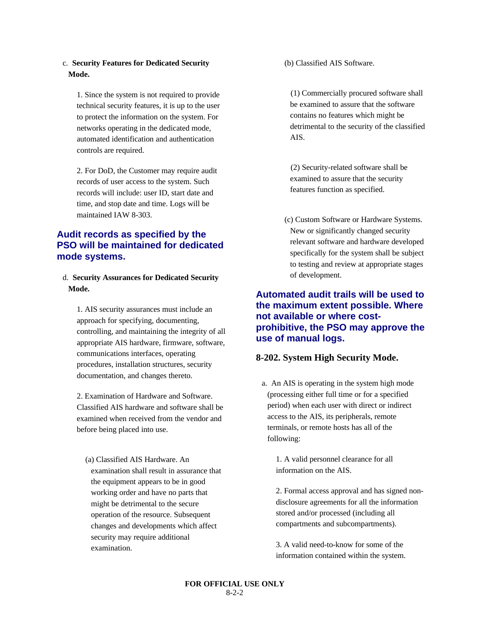c. **Security Features for Dedicated Security Mode.**

1. Since the system is not required to provide technical security features, it is up to the user to protect the information on the system. For networks operating in the dedicated mode, automated identification and authentication controls are required.

2. For DoD, the Customer may require audit records of user access to the system. Such records will include: user ID, start date and time, and stop date and time. Logs will be maintained IAW 8-303.

# **Audit records as specified by the PSO will be maintained for dedicated mode systems.**

## d. **Security Assurances for Dedicated Security Mode.**

1. AIS security assurances must include an approach for specifying, documenting, controlling, and maintaining the integrity of all appropriate AIS hardware, firmware, software, communications interfaces, operating procedures, installation structures, security documentation, and changes thereto.

2. Examination of Hardware and Software. Classified AIS hardware and software shall be examined when received from the vendor and before being placed into use.

(a) Classified AIS Hardware. An examination shall result in assurance that the equipment appears to be in good working order and have no parts that might be detrimental to the secure operation of the resource. Subsequent changes and developments which affect security may require additional examination.

(b) Classified AIS Software.

 (1) Commercially procured software shall be examined to assure that the software contains no features which might be detrimental to the security of the classified AIS.

 (2) Security-related software shall be examined to assure that the security features function as specified.

(c) Custom Software or Hardware Systems. New or significantly changed security relevant software and hardware developed specifically for the system shall be subject to testing and review at appropriate stages of development.

# **Automated audit trails will be used to the maximum extent possible. Where not available or where costprohibitive, the PSO may approve the use of manual logs.**

## **8-202. System High Security Mode.**

a. An AIS is operating in the system high mode (processing either full time or for a specified period) when each user with direct or indirect access to the AIS, its peripherals, remote terminals, or remote hosts has all of the following:

1. A valid personnel clearance for all information on the AIS.

2. Formal access approval and has signed nondisclosure agreements for all the information stored and/or processed (including all compartments and subcompartments).

3. A valid need-to-know for some of the information contained within the system.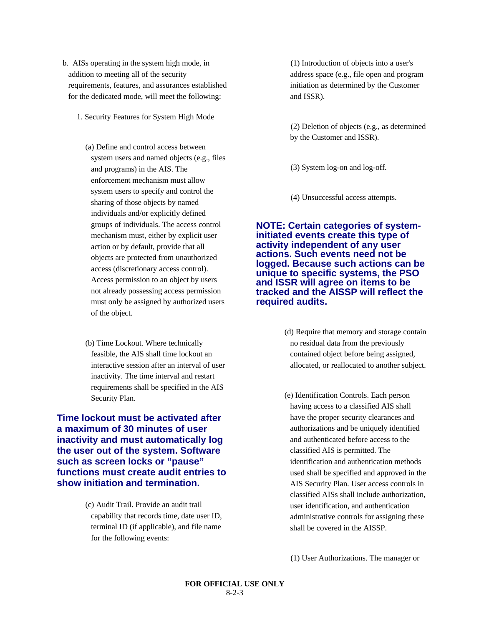- b. AISs operating in the system high mode, in addition to meeting all of the security requirements, features, and assurances established for the dedicated mode, will meet the following:
	- 1. Security Features for System High Mode
		- (a) Define and control access between system users and named objects (e.g., files and programs) in the AIS. The enforcement mechanism must allow system users to specify and control the sharing of those objects by named individuals and/or explicitly defined groups of individuals. The access control mechanism must, either by explicit user action or by default, provide that all objects are protected from unauthorized access (discretionary access control). Access permission to an object by users not already possessing access permission must only be assigned by authorized users of the object.
		- (b) Time Lockout. Where technically feasible, the AIS shall time lockout an interactive session after an interval of user inactivity. The time interval and restart requirements shall be specified in the AIS Security Plan.

**Time lockout must be activated after a maximum of 30 minutes of user inactivity and must automatically log the user out of the system. Software such as screen locks or "pause" functions must create audit entries to show initiation and termination.**

> (c) Audit Trail. Provide an audit trail capability that records time, date user ID, terminal ID (if applicable), and file name for the following events:

 (1) Introduction of objects into a user's address space (e.g., file open and program initiation as determined by the Customer and ISSR).

 (2) Deletion of objects (e.g., as determined by the Customer and ISSR).

- (3) System log-on and log-off.
- (4) Unsuccessful access attempts.

**NOTE: Certain categories of systeminitiated events create this type of activity independent of any user actions. Such events need not be logged. Because such actions can be unique to specific systems, the PSO and ISSR will agree on items to be tracked and the AISSP will reflect the required audits.**

- (d) Require that memory and storage contain no residual data from the previously contained object before being assigned, allocated, or reallocated to another subject.
- (e) Identification Controls. Each person having access to a classified AIS shall have the proper security clearances and authorizations and be uniquely identified and authenticated before access to the classified AIS is permitted. The identification and authentication methods used shall be specified and approved in the AIS Security Plan. User access controls in classified AISs shall include authorization, user identification, and authentication administrative controls for assigning these shall be covered in the AISSP.

(1) User Authorizations. The manager or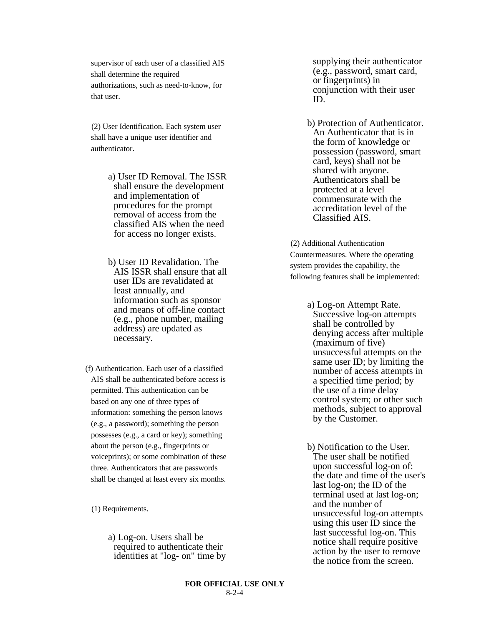supervisor of each user of a classified AIS shall determine the required authorizations, such as need-to-know, for that user.

 (2) User Identification. Each system user shall have a unique user identifier and authenticator.

- a) User ID Removal. The ISSR shall ensure the development and implementation of procedures for the prompt removal of access from the classified AIS when the need for access no longer exists.
- b) User ID Revalidation. The AIS ISSR shall ensure that all user IDs are revalidated at least annually, and information such as sponsor and means of off-line contact (e.g., phone number, mailing address) are updated as necessary.
- (f) Authentication. Each user of a classified AIS shall be authenticated before access is permitted. This authentication can be based on any one of three types of information: something the person knows (e.g., a password); something the person possesses (e.g., a card or key); something about the person (e.g., fingerprints or voiceprints); or some combination of these three. Authenticators that are passwords shall be changed at least every six months.

(1) Requirements.

a) Log-on. Users shall be required to authenticate their identities at "log- on" time by supplying their authenticator (e.g., password, smart card, or fingerprints) in conjunction with their user ID.

b) Protection of Authenticator. An Authenticator that is in the form of knowledge or possession (password, smart card, keys) shall not be shared with anyone. Authenticators shall be protected at a level commensurate with the accreditation level of the Classified AIS.

 (2) Additional Authentication Countermeasures. Where the operating system provides the capability, the following features shall be implemented:

> a) Log-on Attempt Rate. Successive log-on attempts shall be controlled by denying access after multiple (maximum of five) unsuccessful attempts on the same user ID; by limiting the number of access attempts in a specified time period; by the use of a time delay control system; or other such methods, subject to approval by the Customer.

b) Notification to the User. The user shall be notified upon successful log-on of: the date and time of the user's last log-on; the ID of the terminal used at last log-on; and the number of unsuccessful log-on attempts using this user ID since the last successful log-on. This notice shall require positive action by the user to remove the notice from the screen.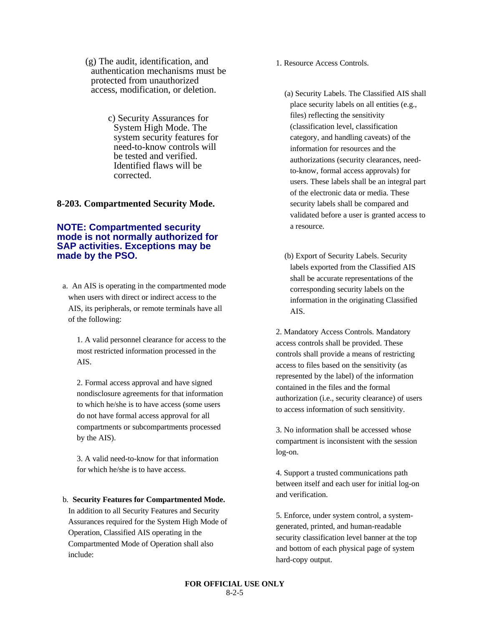(g) The audit, identification, and authentication mechanisms must be protected from unauthorized access, modification, or deletion.

> c) Security Assurances for System High Mode. The system security features for need-to-know controls will be tested and verified. Identified flaws will be corrected.

## **8-203. Compartmented Security Mode.**

## **NOTE: Compartmented security mode is not normally authorized for SAP activities. Exceptions may be made by the PSO.**

a. An AIS is operating in the compartmented mode when users with direct or indirect access to the AIS, its peripherals, or remote terminals have all of the following:

1. A valid personnel clearance for access to the most restricted information processed in the AIS.

2. Formal access approval and have signed nondisclosure agreements for that information to which he/she is to have access (some users do not have formal access approval for all compartments or subcompartments processed by the AIS).

3. A valid need-to-know for that information for which he/she is to have access.

b. **Security Features for Compartmented Mode.**

In addition to all Security Features and Security Assurances required for the System High Mode of Operation, Classified AIS operating in the Compartmented Mode of Operation shall also include:

- 1. Resource Access Controls.
	- (a) Security Labels. The Classified AIS shall place security labels on all entities (e.g., files) reflecting the sensitivity (classification level, classification category, and handling caveats) of the information for resources and the authorizations (security clearances, needto-know, formal access approvals) for users. These labels shall be an integral part of the electronic data or media. These security labels shall be compared and validated before a user is granted access to a resource.
	- (b) Export of Security Labels. Security labels exported from the Classified AIS shall be accurate representations of the corresponding security labels on the information in the originating Classified AIS.

2. Mandatory Access Controls. Mandatory access controls shall be provided. These controls shall provide a means of restricting access to files based on the sensitivity (as represented by the label) of the information contained in the files and the formal authorization (i.e., security clearance) of users to access information of such sensitivity.

3. No information shall be accessed whose compartment is inconsistent with the session log-on.

4. Support a trusted communications path between itself and each user for initial log-on and verification.

5. Enforce, under system control, a systemgenerated, printed, and human-readable security classification level banner at the top and bottom of each physical page of system hard-copy output.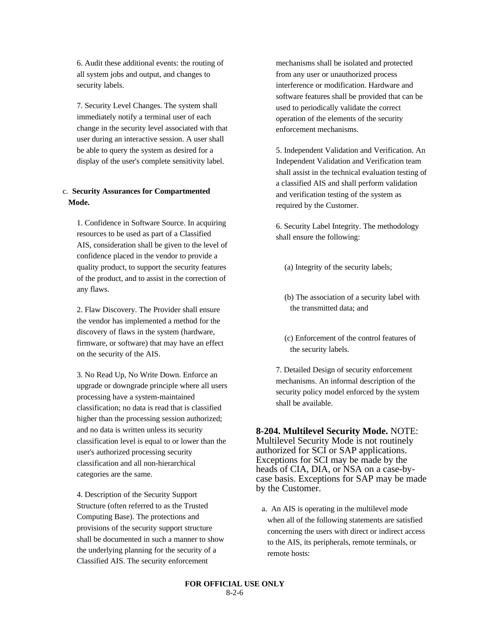6. Audit these additional events: the routing of all system jobs and output, and changes to security labels.

7. Security Level Changes. The system shall immediately notify a terminal user of each change in the security level associated with that user during an interactive session. A user shall be able to query the system as desired for a display of the user's complete sensitivity label.

## c. **Security Assurances for Compartmented Mode.**

1. Confidence in Software Source. In acquiring resources to be used as part of a Classified AIS, consideration shall be given to the level of confidence placed in the vendor to provide a quality product, to support the security features of the product, and to assist in the correction of any flaws.

2. Flaw Discovery. The Provider shall ensure the vendor has implemented a method for the discovery of flaws in the system (hardware, firmware, or software) that may have an effect on the security of the AIS.

3. No Read Up, No Write Down. Enforce an upgrade or downgrade principle where all users processing have a system-maintained classification; no data is read that is classified higher than the processing session authorized; and no data is written unless its security classification level is equal to or lower than the user's authorized processing security classification and all non-hierarchical categories are the same.

4. Description of the Security Support Structure (often referred to as the Trusted Computing Base). The protections and provisions of the security support structure shall be documented in such a manner to show the underlying planning for the security of a Classified AIS. The security enforcement

mechanisms shall be isolated and protected from any user or unauthorized process interference or modification. Hardware and software features shall be provided that can be used to periodically validate the correct operation of the elements of the security enforcement mechanisms.

5. Independent Validation and Verification. An Independent Validation and Verification team shall assist in the technical evaluation testing of a classified AIS and shall perform validation and verification testing of the system as required by the Customer.

6. Security Label Integrity. The methodology shall ensure the following:

(a) Integrity of the security labels;

- (b) The association of a security label with the transmitted data; and
- (c) Enforcement of the control features of the security labels.

7. Detailed Design of security enforcement mechanisms. An informal description of the security policy model enforced by the system shall be available.

**8-204. Multilevel Security Mode.** NOTE: Multilevel Security Mode is not routinely authorized for SCI or SAP applications. Exceptions for SCI may be made by the heads of CIA, DIA, or NSA on a case-bycase basis. Exceptions for SAP may be made by the Customer.

a. An AIS is operating in the multilevel mode when all of the following statements are satisfied concerning the users with direct or indirect access to the AIS, its peripherals, remote terminals, or remote hosts: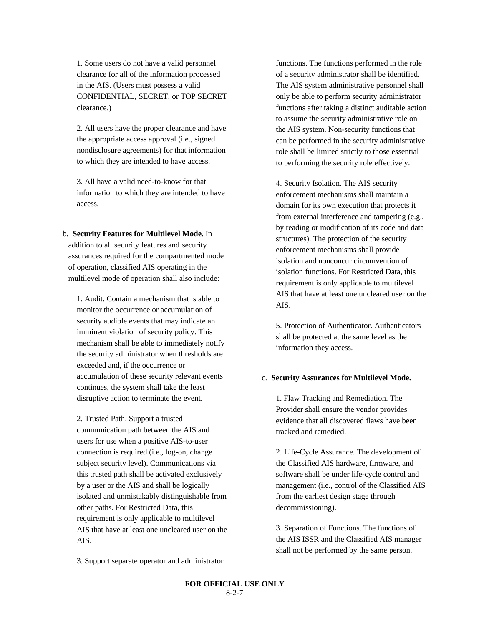1. Some users do not have a valid personnel clearance for all of the information processed in the AIS. (Users must possess a valid CONFIDENTIAL, SECRET, or TOP SECRET clearance.)

2. All users have the proper clearance and have the appropriate access approval (i.e., signed nondisclosure agreements) for that information to which they are intended to have access.

3. All have a valid need-to-know for that information to which they are intended to have access.

# b. **Security Features for Multilevel Mode.** In

addition to all security features and security assurances required for the compartmented mode of operation, classified AIS operating in the multilevel mode of operation shall also include:

1. Audit. Contain a mechanism that is able to monitor the occurrence or accumulation of security audible events that may indicate an imminent violation of security policy. This mechanism shall be able to immediately notify the security administrator when thresholds are exceeded and, if the occurrence or accumulation of these security relevant events continues, the system shall take the least disruptive action to terminate the event.

2. Trusted Path. Support a trusted communication path between the AIS and users for use when a positive AIS-to-user connection is required (i.e., log-on, change subject security level). Communications via this trusted path shall be activated exclusively by a user or the AIS and shall be logically isolated and unmistakably distinguishable from other paths. For Restricted Data, this requirement is only applicable to multilevel AIS that have at least one uncleared user on the AIS.

3. Support separate operator and administrator

functions. The functions performed in the role of a security administrator shall be identified. The AIS system administrative personnel shall only be able to perform security administrator functions after taking a distinct auditable action to assume the security administrative role on the AIS system. Non-security functions that can be performed in the security administrative role shall be limited strictly to those essential to performing the security role effectively.

4. Security Isolation. The AIS security enforcement mechanisms shall maintain a domain for its own execution that protects it from external interference and tampering (e.g., by reading or modification of its code and data structures). The protection of the security enforcement mechanisms shall provide isolation and nonconcur circumvention of isolation functions. For Restricted Data, this requirement is only applicable to multilevel AIS that have at least one uncleared user on the AIS.

5. Protection of Authenticator. Authenticators shall be protected at the same level as the information they access.

#### c. **Security Assurances for Multilevel Mode.**

1. Flaw Tracking and Remediation. The Provider shall ensure the vendor provides evidence that all discovered flaws have been tracked and remedied.

2. Life-Cycle Assurance. The development of the Classified AIS hardware, firmware, and software shall be under life-cycle control and management (i.e., control of the Classified AIS from the earliest design stage through decommissioning).

3. Separation of Functions. The functions of the AIS ISSR and the Classified AIS manager shall not be performed by the same person.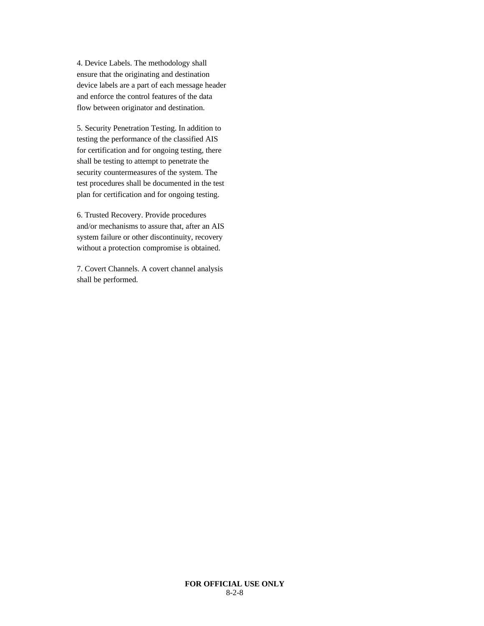4. Device Labels. The methodology shall ensure that the originating and destination device labels are a part of each message header and enforce the control features of the data flow between originator and destination.

5. Security Penetration Testing. In addition to testing the performance of the classified AIS for certification and for ongoing testing, there shall be testing to attempt to penetrate the security countermeasures of the system. The test procedures shall be documented in the test plan for certification and for ongoing testing.

6. Trusted Recovery. Provide procedures and/or mechanisms to assure that, after an AIS system failure or other discontinuity, recovery without a protection compromise is obtained.

7. Covert Channels. A covert channel analysis shall be performed.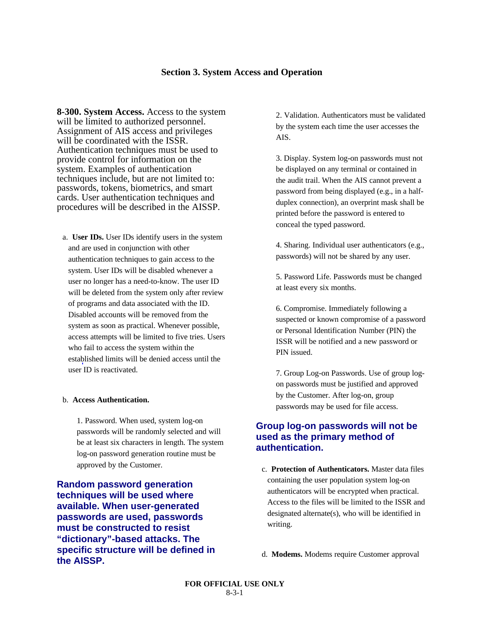## **Section 3. System Access and Operation**

**8-300. System Access.** Access to the system will be limited to authorized personnel. Assignment of AIS access and privileges will be coordinated with the ISSR. Authentication techniques must be used to provide control for information on the system. Examples of authentication techniques include, but are not limited to: passwords, tokens, biometrics, and smart cards. User authentication techniques and procedures will be described in the AISSP.

a. **User IDs.** User IDs identify users in the system and are used in conjunction with other authentication techniques to gain access to the system. User IDs will be disabled whenever a user no longer has a need-to-know. The user ID will be deleted from the system only after review of programs and data associated with the ID. Disabled accounts will be removed from the system as soon as practical. Whenever possible, access attempts will be limited to five tries. Users who fail to access the system within the established limits will be denied access until the user ID is reactivated.

#### b. **Access Authentication.**

1. Password. When used, system log-on passwords will be randomly selected and will be at least six characters in length. The system log-on password generation routine must be approved by the Customer.

**Random password generation techniques will be used where available. When user-generated passwords are used, passwords must be constructed to resist "dictionary"-based attacks. The specific structure will be defined in the AISSP.**

2. Validation. Authenticators must be validated by the system each time the user accesses the AIS.

3. Display. System log-on passwords must not be displayed on any terminal or contained in the audit trail. When the AIS cannot prevent a password from being displayed (e.g., in a halfduplex connection), an overprint mask shall be printed before the password is entered to conceal the typed password.

4. Sharing. Individual user authenticators (e.g., passwords) will not be shared by any user.

5. Password Life. Passwords must be changed at least every six months.

6. Compromise. Immediately following a suspected or known compromise of a password or Personal Identification Number (PIN) the ISSR will be notified and a new password or PIN issued.

7. Group Log-on Passwords. Use of group logon passwords must be justified and approved by the Customer. After log-on, group passwords may be used for file access.

# **Group log-on passwords will not be used as the primary method of authentication.**

c. **Protection of Authenticators.** Master data files containing the user population system log-on authenticators will be encrypted when practical. Access to the files will be limited to the ISSR and designated alternate(s), who will be identified in writing.

d. **Modems.** Modems require Customer approval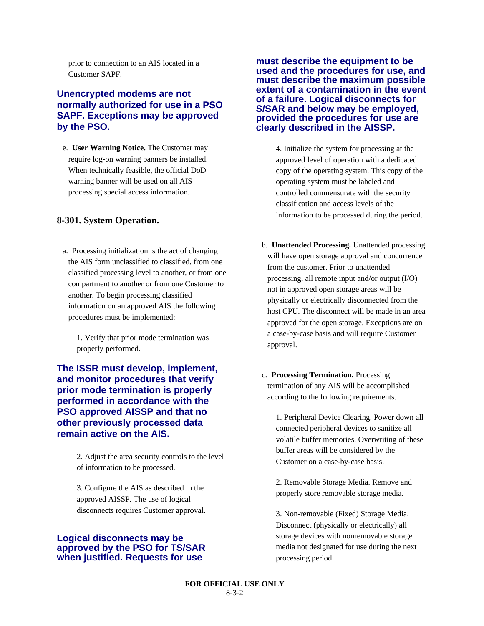prior to connection to an AIS located in a Customer SAPF.

# **Unencrypted modems are not normally authorized for use in a PSO SAPF. Exceptions may be approved by the PSO.**

e. **User Warning Notice.** The Customer may require log-on warning banners be installed. When technically feasible, the official DoD warning banner will be used on all AIS processing special access information.

## **8-301. System Operation.**

a. Processing initialization is the act of changing the AIS form unclassified to classified, from one classified processing level to another, or from one compartment to another or from one Customer to another. To begin processing classified information on an approved AIS the following procedures must be implemented:

1. Verify that prior mode termination was properly performed.

**The ISSR must develop, implement, and monitor procedures that verify prior mode termination is properly performed in accordance with the PSO approved AISSP and that no other previously processed data remain active on the AIS.**

> 2. Adjust the area security controls to the level of information to be processed.

3. Configure the AIS as described in the approved AISSP. The use of logical disconnects requires Customer approval.

#### **Logical disconnects may be approved by the PSO for TS/SAR when justified. Requests for use**

**must describe the equipment to be used and the procedures for use, and must describe the maximum possible extent of a contamination in the event of a failure. Logical disconnects for S/SAR and below may be employed, provided the procedures for use are clearly described in the AISSP.**

> 4. Initialize the system for processing at the approved level of operation with a dedicated copy of the operating system. This copy of the operating system must be labeled and controlled commensurate with the security classification and access levels of the information to be processed during the period.

- b. **Unattended Processing.** Unattended processing will have open storage approval and concurrence from the customer. Prior to unattended processing, all remote input and/or output (I/O) not in approved open storage areas will be physically or electrically disconnected from the host CPU. The disconnect will be made in an area approved for the open storage. Exceptions are on a case-by-case basis and will require Customer approval.
- c. **Processing Termination.** Processing termination of any AIS will be accomplished according to the following requirements.

1. Peripheral Device Clearing. Power down all connected peripheral devices to sanitize all volatile buffer memories. Overwriting of these buffer areas will be considered by the Customer on a case-by-case basis.

2. Removable Storage Media. Remove and properly store removable storage media.

3. Non-removable (Fixed) Storage Media. Disconnect (physically or electrically) all storage devices with nonremovable storage media not designated for use during the next processing period.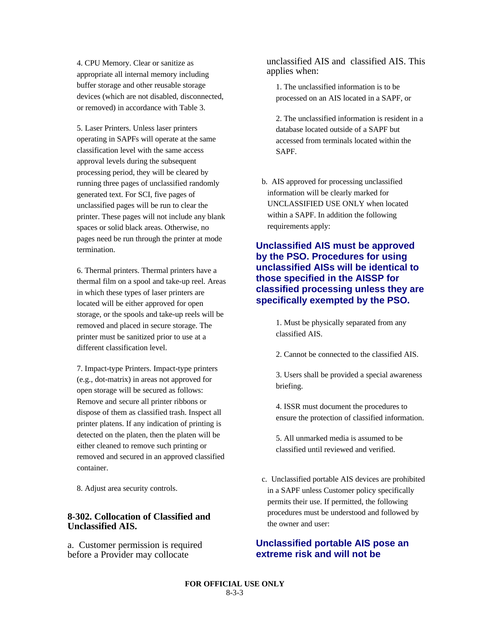4. CPU Memory. Clear or sanitize as appropriate all internal memory including buffer storage and other reusable storage devices (which are not disabled, disconnected, or removed) in accordance with Table 3.

5. Laser Printers. Unless laser printers operating in SAPFs will operate at the same classification level with the same access approval levels during the subsequent processing period, they will be cleared by running three pages of unclassified randomly generated text. For SCI, five pages of unclassified pages will be run to clear the printer. These pages will not include any blank spaces or solid black areas. Otherwise, no pages need be run through the printer at mode termination.

6. Thermal printers. Thermal printers have a thermal film on a spool and take-up reel. Areas in which these types of laser printers are located will be either approved for open storage, or the spools and take-up reels will be removed and placed in secure storage. The printer must be sanitized prior to use at a different classification level.

7. Impact-type Printers. Impact-type printers (e.g., dot-matrix) in areas not approved for open storage will be secured as follows: Remove and secure all printer ribbons or dispose of them as classified trash. Inspect all printer platens. If any indication of printing is detected on the platen, then the platen will be either cleaned to remove such printing or removed and secured in an approved classified container.

8. Adjust area security controls.

## **8-302. Collocation of Classified and Unclassified AIS.**

a. Customer permission is required before a Provider may collocate

unclassified AIS and classified AIS. This applies when:

1. The unclassified information is to be processed on an AIS located in a SAPF, or

2. The unclassified information is resident in a database located outside of a SAPF but accessed from terminals located within the SAPF.

b. AIS approved for processing unclassified information will be clearly marked for UNCLASSIFIED USE ONLY when located within a SAPF. In addition the following requirements apply:

# **Unclassified AIS must be approved by the PSO. Procedures for using unclassified AISs will be identical to those specified in the AISSP for classified processing unless they are specifically exempted by the PSO.**

- 1. Must be physically separated from any classified AIS.
- 2. Cannot be connected to the classified AIS.

3. Users shall be provided a special awareness briefing.

4. ISSR must document the procedures to ensure the protection of classified information.

5. All unmarked media is assumed to be classified until reviewed and verified.

c. Unclassified portable AIS devices are prohibited in a SAPF unless Customer policy specifically permits their use. If permitted, the following procedures must be understood and followed by the owner and user:

# **Unclassified portable AIS pose an extreme risk and will not be**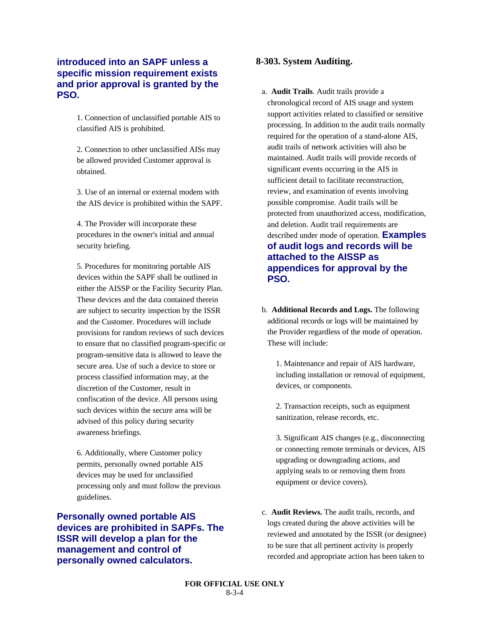# **introduced into an SAPF unless a specific mission requirement exists and prior approval is granted by the PSO.**

1. Connection of unclassified portable AIS to classified AIS is prohibited.

2. Connection to other unclassified AISs may be allowed provided Customer approval is obtained.

3. Use of an internal or external modem with the AIS device is prohibited within the SAPF.

4. The Provider will incorporate these procedures in the owner's initial and annual security briefing.

5. Procedures for monitoring portable AIS devices within the SAPF shall be outlined in either the AISSP or the Facility Security Plan. These devices and the data contained therein are subject to security inspection by the ISSR and the Customer. Procedures will include provisions for random reviews of such devices to ensure that no classified program-specific or program-sensitive data is allowed to leave the secure area. Use of such a device to store or process classified information may, at the discretion of the Customer, result in confiscation of the device. All persons using such devices within the secure area will be advised of this policy during security awareness briefings.

6. Additionally, where Customer policy permits, personally owned portable AIS devices may be used for unclassified processing only and must follow the previous guidelines.

**Personally owned portable AIS devices are prohibited in SAPFs. The ISSR will develop a plan for the management and control of personally owned calculators.**

## **8-303. System Auditing.**

- a. **Audit Trails**. Audit trails provide a chronological record of AIS usage and system support activities related to classified or sensitive processing. In addition to the audit trails normally required for the operation of a stand-alone AIS, audit trails of network activities will also be maintained. Audit trails will provide records of significant events occurring in the AIS in sufficient detail to facilitate reconstruction, review, and examination of events involving possible compromise. Audit trails will be protected from unauthorized access, modification, and deletion. Audit trail requirements are described under mode of operation. **Examples of audit logs and records will be attached to the AISSP as appendices for approval by the PSO.**
- b. **Additional Records and Logs.** The following additional records or logs will be maintained by the Provider regardless of the mode of operation. These will include:

1. Maintenance and repair of AIS hardware, including installation or removal of equipment, devices, or components.

2. Transaction receipts, such as equipment sanitization, release records, etc.

3. Significant AIS changes (e.g., disconnecting or connecting remote terminals or devices, AIS upgrading or downgrading actions, and applying seals to or removing them from equipment or device covers).

c. **Audit Reviews.** The audit trails, records, and logs created during the above activities will be reviewed and annotated by the ISSR (or designee) to be sure that all pertinent activity is properly recorded and appropriate action has been taken to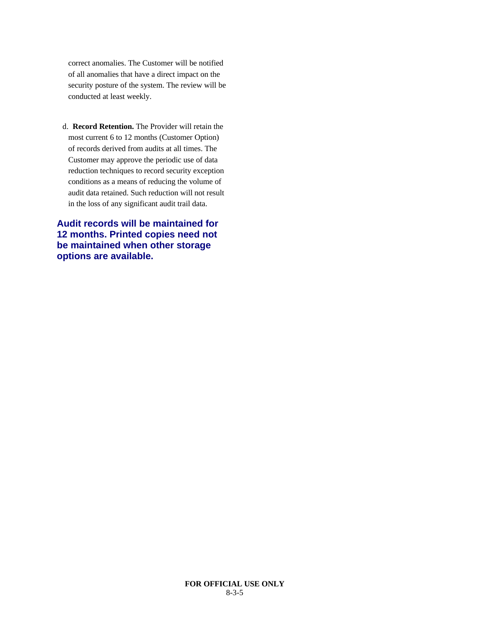correct anomalies. The Customer will be notified of all anomalies that have a direct impact on the security posture of the system. The review will be conducted at least weekly.

d. **Record Retention.** The Provider will retain the most current 6 to 12 months (Customer Option) of records derived from audits at all times. The Customer may approve the periodic use of data reduction techniques to record security exception conditions as a means of reducing the volume of audit data retained. Such reduction will not result in the loss of any significant audit trail data.

**Audit records will be maintained for 12 months. Printed copies need not be maintained when other storage options are available.**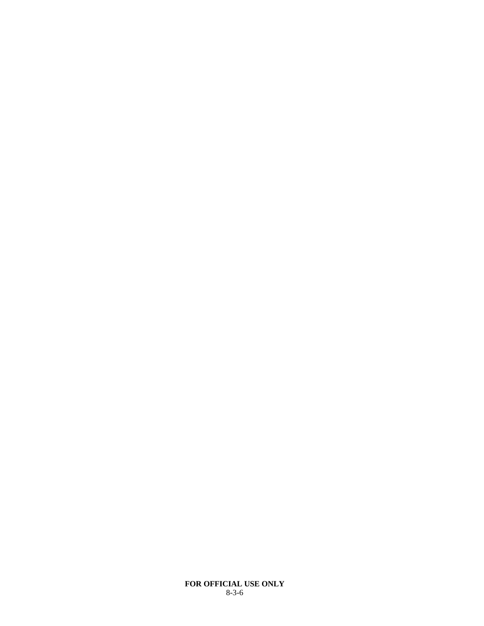#### **FOR OFFICIAL USE ONLY** 8-3-6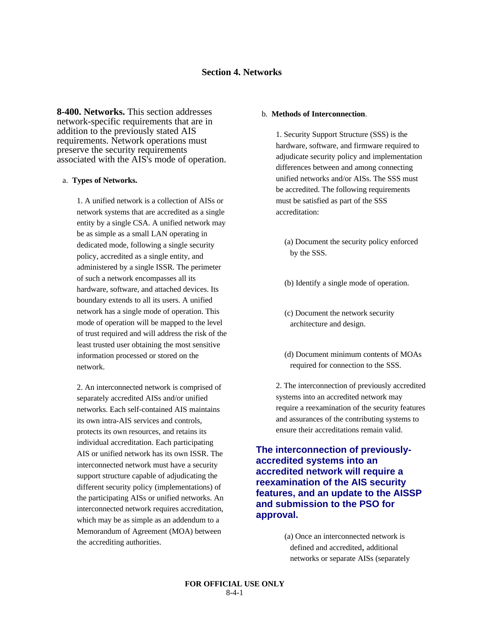#### **Section 4. Networks**

**8-400. Networks.** This section addresses network-specific requirements that are in addition to the previously stated AIS requirements. Network operations must preserve the security requirements associated with the AIS's mode of operation.

#### a. **Types of Networks.**

1. A unified network is a collection of AISs or network systems that are accredited as a single entity by a single CSA. A unified network may be as simple as a small LAN operating in dedicated mode, following a single security policy, accredited as a single entity, and administered by a single ISSR. The perimeter of such a network encompasses all its hardware, software, and attached devices. Its boundary extends to all its users. A unified network has a single mode of operation. This mode of operation will be mapped to the level of trust required and will address the risk of the least trusted user obtaining the most sensitive information processed or stored on the network.

2. An interconnected network is comprised of separately accredited AISs and/or unified networks. Each self-contained AIS maintains its own intra-AIS services and controls, protects its own resources, and retains its individual accreditation. Each participating AIS or unified network has its own ISSR. The interconnected network must have a security support structure capable of adjudicating the different security policy (implementations) of the participating AISs or unified networks. An interconnected network requires accreditation, which may be as simple as an addendum to a Memorandum of Agreement (MOA) between the accrediting authorities.

#### b. **Methods of Interconnection**.

1. Security Support Structure (SSS) is the hardware, software, and firmware required to adjudicate security policy and implementation differences between and among connecting unified networks and/or AISs. The SSS must be accredited. The following requirements must be satisfied as part of the SSS accreditation:

- (a) Document the security policy enforced by the SSS.
- (b) Identify a single mode of operation.
- (c) Document the network security architecture and design.
- (d) Document minimum contents of MOAs required for connection to the SSS.

2. The interconnection of previously accredited systems into an accredited network may require a reexamination of the security features and assurances of the contributing systems to ensure their accreditations remain valid.

**The interconnection of previouslyaccredited systems into an accredited network will require a reexamination of the AIS security features, and an update to the AISSP and submission to the PSO for approval.**

> (a) Once an interconnected network is defined and accredited, additional networks or separate AISs (separately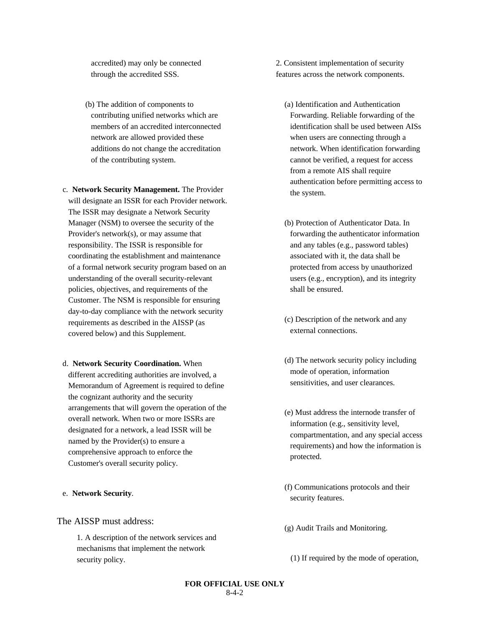accredited) may only be connected through the accredited SSS.

- (b) The addition of components to contributing unified networks which are members of an accredited interconnected network are allowed provided these additions do not change the accreditation of the contributing system.
- c. **Network Security Management.** The Provider will designate an ISSR for each Provider network. The ISSR may designate a Network Security Manager (NSM) to oversee the security of the Provider's network(s), or may assume that responsibility. The ISSR is responsible for coordinating the establishment and maintenance of a formal network security program based on an understanding of the overall security-relevant policies, objectives, and requirements of the Customer. The NSM is responsible for ensuring day-to-day compliance with the network security requirements as described in the AISSP (as covered below) and this Supplement.
- d. **Network Security Coordination.** When different accrediting authorities are involved, a Memorandum of Agreement is required to define the cognizant authority and the security arrangements that will govern the operation of the overall network. When two or more ISSRs are designated for a network, a lead ISSR will be named by the Provider(s) to ensure a comprehensive approach to enforce the Customer's overall security policy.

e. **Network Security**.

#### The AISSP must address:

1. A description of the network services and mechanisms that implement the network security policy.

2. Consistent implementation of security features across the network components.

- (a) Identification and Authentication Forwarding. Reliable forwarding of the identification shall be used between AISs when users are connecting through a network. When identification forwarding cannot be verified, a request for access from a remote AIS shall require authentication before permitting access to the system.
- (b) Protection of Authenticator Data. In forwarding the authenticator information and any tables (e.g., password tables) associated with it, the data shall be protected from access by unauthorized users (e.g., encryption), and its integrity shall be ensured.
- (c) Description of the network and any external connections.
- (d) The network security policy including mode of operation, information sensitivities, and user clearances.
- (e) Must address the internode transfer of information (e.g., sensitivity level, compartmentation, and any special access requirements) and how the information is protected.
- (f) Communications protocols and their security features.

(g) Audit Trails and Monitoring.

(1) If required by the mode of operation,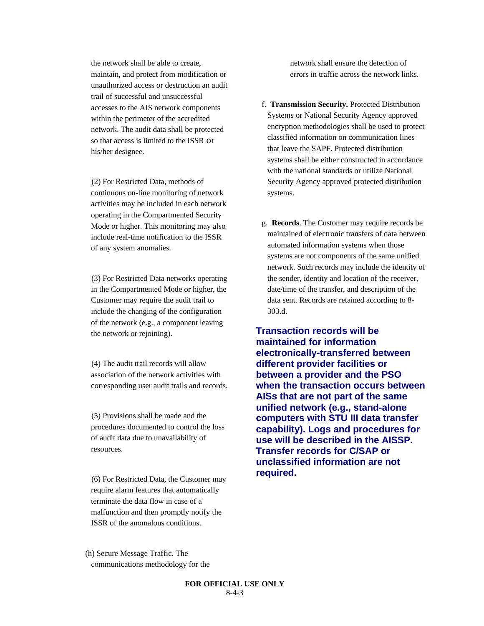the network shall be able to create, maintain, and protect from modification or unauthorized access or destruction an audit trail of successful and unsuccessful accesses to the AIS network components within the perimeter of the accredited network. The audit data shall be protected so that access is limited to the ISSR or his/her designee.

 (2) For Restricted Data, methods of continuous on-line monitoring of network activities may be included in each network operating in the Compartmented Security Mode or higher. This monitoring may also include real-time notification to the ISSR of any system anomalies.

 (3) For Restricted Data networks operating in the Compartmented Mode or higher, the Customer may require the audit trail to include the changing of the configuration of the network (e.g., a component leaving the network or rejoining).

 (4) The audit trail records will allow association of the network activities with corresponding user audit trails and records.

 (5) Provisions shall be made and the procedures documented to control the loss of audit data due to unavailability of resources.

 (6) For Restricted Data, the Customer may require alarm features that automatically terminate the data flow in case of a malfunction and then promptly notify the ISSR of the anomalous conditions.

network shall ensure the detection of errors in traffic across the network links.

- f. **Transmission Security.** Protected Distribution Systems or National Security Agency approved encryption methodologies shall be used to protect classified information on communication lines that leave the SAPF. Protected distribution systems shall be either constructed in accordance with the national standards or utilize National Security Agency approved protected distribution systems.
- g. **Records**. The Customer may require records be maintained of electronic transfers of data between automated information systems when those systems are not components of the same unified network. Such records may include the identity of the sender, identity and location of the receiver, date/time of the transfer, and description of the data sent. Records are retained according to 8- 303.d.

**Transaction records will be maintained for information electronically-transferred between different provider facilities or between a provider and the PSO when the transaction occurs between AISs that are not part of the same unified network (e.g., stand-alone computers with STU III data transfer capability). Logs and procedures for use will be described in the AISSP. Transfer records for C/SAP or unclassified information are not required.**

(h) Secure Message Traffic. The communications methodology for the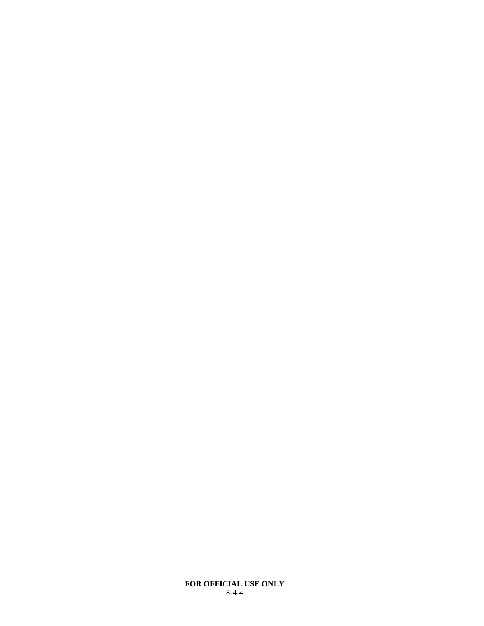#### **FOR OFFICIAL USE ONLY** 8-4-4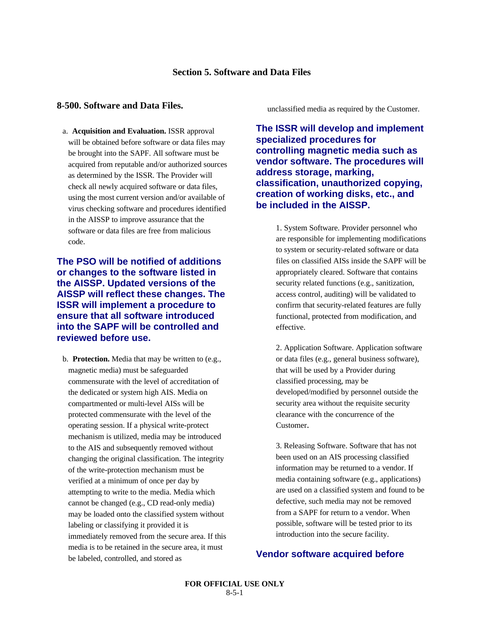### **8-500. Software and Data Files.**

a. **Acquisition and Evaluation.** ISSR approval will be obtained before software or data files may be brought into the SAPF. All software must be acquired from reputable and/or authorized sources as determined by the ISSR. The Provider will check all newly acquired software or data files, using the most current version and/or available of virus checking software and procedures identified in the AISSP to improve assurance that the software or data files are free from malicious code.

**The PSO will be notified of additions or changes to the software listed in the AISSP. Updated versions of the AISSP will reflect these changes. The ISSR will implement a procedure to ensure that all software introduced into the SAPF will be controlled and reviewed before use.**

b. **Protection.** Media that may be written to (e.g., magnetic media) must be safeguarded commensurate with the level of accreditation of the dedicated or system high AIS. Media on compartmented or multi-level AISs will be protected commensurate with the level of the operating session. If a physical write-protect mechanism is utilized, media may be introduced to the AIS and subsequently removed without changing the original classification. The integrity of the write-protection mechanism must be verified at a minimum of once per day by attempting to write to the media. Media which cannot be changed (e.g., CD read-only media) may be loaded onto the classified system without labeling or classifying it provided it is immediately removed from the secure area. If this media is to be retained in the secure area, it must be labeled, controlled, and stored as

unclassified media as required by the Customer.

**The ISSR will develop and implement specialized procedures for controlling magnetic media such as vendor software. The procedures will address storage, marking, classification, unauthorized copying, creation of working disks, etc., and be included in the AISSP.**

> 1. System Software. Provider personnel who are responsible for implementing modifications to system or security-related software or data files on classified AISs inside the SAPF will be appropriately cleared. Software that contains security related functions (e.g., sanitization, access control, auditing) will be validated to confirm that security-related features are fully functional, protected from modification, and effective.

2. Application Software. Application software or data files (e.g., general business software), that will be used by a Provider during classified processing, may be developed/modified by personnel outside the security area without the requisite security clearance with the concurrence of the Customer.

3. Releasing Software. Software that has not been used on an AIS processing classified information may be returned to a vendor. If media containing software (e.g., applications) are used on a classified system and found to be defective, such media may not be removed from a SAPF for return to a vendor. When possible, software will be tested prior to its introduction into the secure facility.

## **Vendor software acquired before**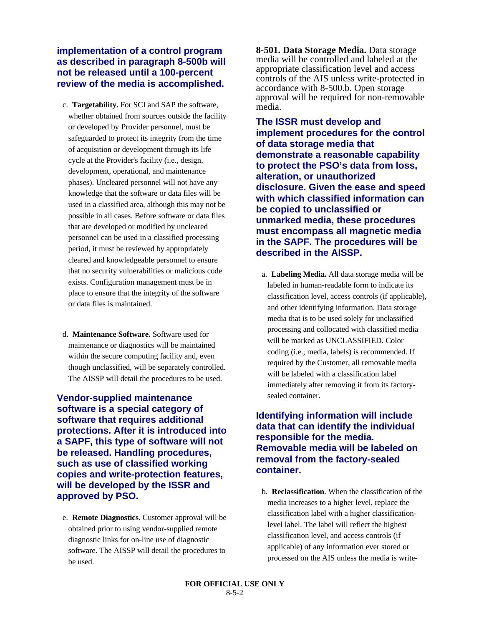# **implementation of a control program as described in paragraph 8-500b will not be released until a 100-percent review of the media is accomplished.**

- c. **Targetability.** For SCI and SAP the software, whether obtained from sources outside the facility or developed by Provider personnel, must be safeguarded to protect its integrity from the time of acquisition or development through its life cycle at the Provider's facility (i.e., design, development, operational, and maintenance phases). Uncleared personnel will not have any knowledge that the software or data files will be used in a classified area, although this may not be possible in all cases. Before software or data files that are developed or modified by uncleared personnel can be used in a classified processing period, it must be reviewed by appropriately cleared and knowledgeable personnel to ensure that no security vulnerabilities or malicious code exists. Configuration management must be in place to ensure that the integrity of the software or data files is maintained.
- d. **Maintenance Software.** Software used for maintenance or diagnostics will be maintained within the secure computing facility and, even though unclassified, will be separately controlled. The AISSP will detail the procedures to be used.

**Vendor-supplied maintenance software is a special category of software that requires additional protections. After it is introduced into a SAPF, this type of software will not be released. Handling procedures, such as use of classified working copies and write-protection features, will be developed by the ISSR and approved by PSO.**

e. **Remote Diagnostics.** Customer approval will be obtained prior to using vendor-supplied remote diagnostic links for on-line use of diagnostic software. The AISSP will detail the procedures to be used.

**8-501. Data Storage Media.** Data storage media will be controlled and labeled at the appropriate classification level and access controls of the AIS unless write-protected in accordance with 8-500.b. Open storage approval will be required for non-removable media.

**The ISSR must develop and implement procedures for the control of data storage media that demonstrate a reasonable capability to protect the PSO's data from loss, alteration, or unauthorized disclosure. Given the ease and speed with which classified information can be copied to unclassified or unmarked media, these procedures must encompass all magnetic media in the SAPF. The procedures will be described in the AISSP.**

a. **Labeling Media.** All data storage media will be labeled in human-readable form to indicate its classification level, access controls (if applicable), and other identifying information. Data storage media that is to be used solely for unclassified processing and collocated with classified media will be marked as UNCLASSIFIED. Color coding (i.e., media, labels) is recommended. If required by the Customer, all removable media will be labeled with a classification label immediately after removing it from its factorysealed container.

**Identifying information will include data that can identify the individual responsible for the media. Removable media will be labeled on removal from the factory-sealed container.**

b. **Reclassification**. When the classification of the media increases to a higher level, replace the classification label with a higher classificationlevel label. The label will reflect the highest classification level, and access controls (if applicable) of any information ever stored or processed on the AIS unless the media is write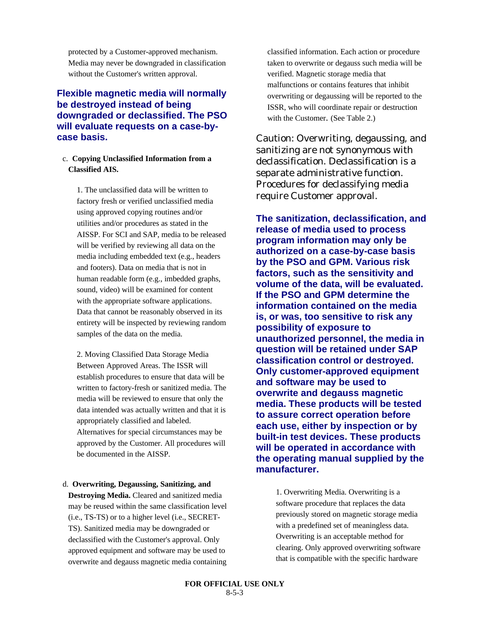protected by a Customer-approved mechanism. Media may never be downgraded in classification without the Customer's written approval.

# **Flexible magnetic media will normally be destroyed instead of being downgraded or declassified. The PSO will evaluate requests on a case-bycase basis.**

## c. **Copying Unclassified Information from a Classified AIS.**

1. The unclassified data will be written to factory fresh or verified unclassified media using approved copying routines and/or utilities and/or procedures as stated in the AISSP. For SCI and SAP, media to be released will be verified by reviewing all data on the media including embedded text (e.g., headers and footers). Data on media that is not in human readable form (e.g., imbedded graphs, sound, video) will be examined for content with the appropriate software applications. Data that cannot be reasonably observed in its entirety will be inspected by reviewing random samples of the data on the media.

2. Moving Classified Data Storage Media Between Approved Areas. The ISSR will establish procedures to ensure that data will be written to factory-fresh or sanitized media. The media will be reviewed to ensure that only the data intended was actually written and that it is appropriately classified and labeled. Alternatives for special circumstances may be approved by the Customer. All procedures will be documented in the AISSP.

d. **Overwriting, Degaussing, Sanitizing, and Destroying Media.** Cleared and sanitized media may be reused within the same classification level (i.e., TS-TS) or to a higher level (i.e., SECRET-TS). Sanitized media may be downgraded or declassified with the Customer's approval. Only approved equipment and software may be used to overwrite and degauss magnetic media containing

classified information. Each action or procedure taken to overwrite or degauss such media will be verified. Magnetic storage media that malfunctions or contains features that inhibit overwriting or degaussing will be reported to the ISSR, who will coordinate repair or destruction with the Customer. (See Table 2.)

Caution: Overwriting, degaussing, and sanitizing are not synonymous with declassification. Declassification is a separate administrative function. Procedures for declassifying media require Customer approval.

**The sanitization, declassification, and release of media used to process program information may only be authorized on a case-by-case basis by the PSO and GPM. Various risk factors, such as the sensitivity and volume of the data, will be evaluated. If the PSO and GPM determine the information contained on the media is, or was, too sensitive to risk any possibility of exposure to unauthorized personnel, the media in question will be retained under SAP classification control or destroyed. Only customer-approved equipment and software may be used to overwrite and degauss magnetic media. These products will be tested to assure correct operation before each use, either by inspection or by built-in test devices. These products will be operated in accordance with the operating manual supplied by the manufacturer.**

> 1. Overwriting Media. Overwriting is a software procedure that replaces the data previously stored on magnetic storage media with a predefined set of meaningless data. Overwriting is an acceptable method for clearing. Only approved overwriting software that is compatible with the specific hardware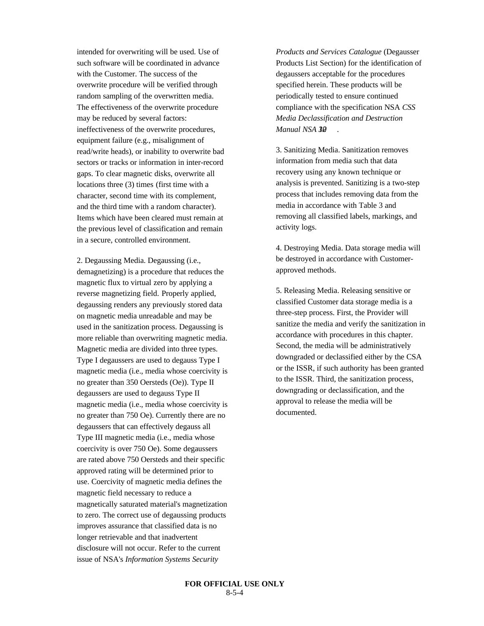intended for overwriting will be used. Use of such software will be coordinated in advance with the Customer. The success of the overwrite procedure will be verified through random sampling of the overwritten media. The effectiveness of the overwrite procedure may be reduced by several factors: ineffectiveness of the overwrite procedures, equipment failure (e.g., misalignment of read/write heads), or inability to overwrite bad sectors or tracks or information in inter-record gaps. To clear magnetic disks, overwrite all locations three (3) times (first time with a character, second time with its complement, and the third time with a random character). Items which have been cleared must remain at the previous level of classification and remain in a secure, controlled environment.

2. Degaussing Media. Degaussing (i.e., demagnetizing) is a procedure that reduces the magnetic flux to virtual zero by applying a reverse magnetizing field. Properly applied, degaussing renders any previously stored data on magnetic media unreadable and may be used in the sanitization process. Degaussing is more reliable than overwriting magnetic media. Magnetic media are divided into three types. Type I degaussers are used to degauss Type I magnetic media (i.e., media whose coercivity is no greater than 350 Oersteds (Oe)). Type II degaussers are used to degauss Type II magnetic media (i.e., media whose coercivity is no greater than 750 Oe). Currently there are no degaussers that can effectively degauss all Type III magnetic media (i.e., media whose coercivity is over 750 Oe). Some degaussers are rated above 750 Oersteds and their specific approved rating will be determined prior to use. Coercivity of magnetic media defines the magnetic field necessary to reduce a magnetically saturated material's magnetization to zero. The correct use of degaussing products improves assurance that classified data is no longer retrievable and that inadvertent disclosure will not occur. Refer to the current issue of NSA's *Information Systems Security*

*Products and Services Catalogue* (Degausser Products List Section) for the identification of degaussers acceptable for the procedures specified herein. These products will be periodically tested to ensure continued compliance with the specification NSA *CSS Media Declassification and Destruction Manual NSA 30* 

3. Sanitizing Media. Sanitization removes information from media such that data recovery using any known technique or analysis is prevented. Sanitizing is a two-step process that includes removing data from the media in accordance with Table 3 and removing all classified labels, markings, and activity logs.

4. Destroying Media. Data storage media will be destroyed in accordance with Customerapproved methods.

5. Releasing Media. Releasing sensitive or classified Customer data storage media is a three-step process. First, the Provider will sanitize the media and verify the sanitization in accordance with procedures in this chapter. Second, the media will be administratively downgraded or declassified either by the CSA or the ISSR, if such authority has been granted to the ISSR. Third, the sanitization process, downgrading or declassification, and the approval to release the media will be documented.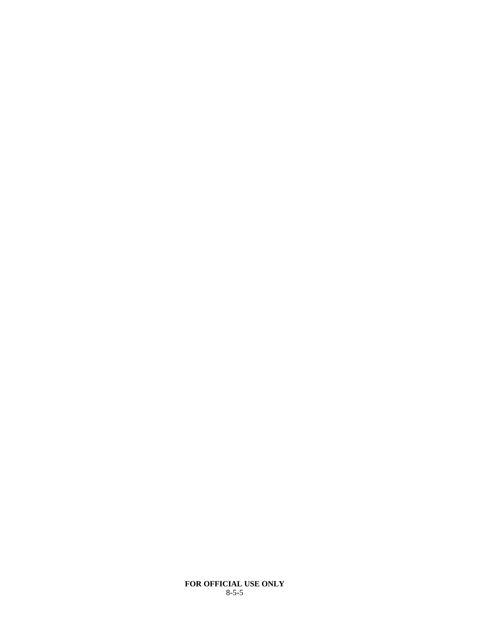#### **FOR OFFICIAL USE ONLY** 8-5-5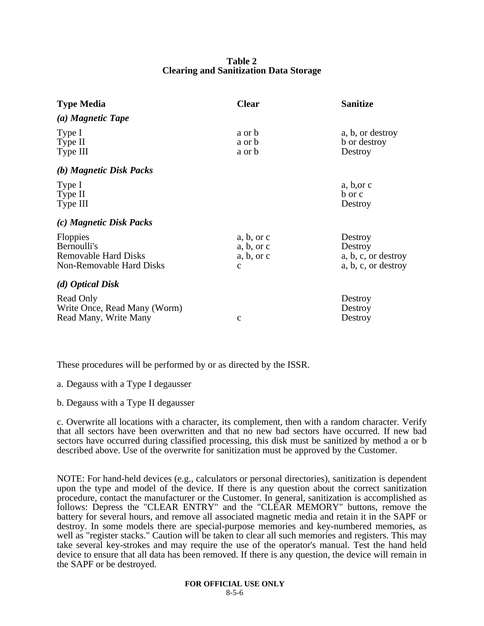## **Table 2 Clearing and Sanitization Data Storage**

| <b>Type Media</b>                                                                                | <b>Clear</b>                                          | <b>Sanitize</b>                                                  |
|--------------------------------------------------------------------------------------------------|-------------------------------------------------------|------------------------------------------------------------------|
| (a) Magnetic Tape                                                                                |                                                       |                                                                  |
| Type I<br>Type II<br>Type III                                                                    | a or b<br>a or b<br>a or b                            | a, b, or destroy<br>b or destroy<br>Destroy                      |
| (b) Magnetic Disk Packs                                                                          |                                                       |                                                                  |
| Type I<br>Type II<br>Type III                                                                    |                                                       | a, b, or c<br>b or c<br>Destroy                                  |
| (c) Magnetic Disk Packs                                                                          |                                                       |                                                                  |
| <b>Floppies</b><br>Bernoulli's<br><b>Removable Hard Disks</b><br><b>Non-Removable Hard Disks</b> | a, b, or c<br>a, b, or c<br>a, b, or c<br>$\mathbf c$ | Destroy<br>Destroy<br>a, b, c, or destroy<br>a, b, c, or destroy |
| (d) Optical Disk                                                                                 |                                                       |                                                                  |
| Read Only<br>Write Once, Read Many (Worm)<br>Read Many, Write Many                               | $\mathbf c$                                           | Destroy<br>Destroy<br>Destroy                                    |

These procedures will be performed by or as directed by the ISSR.

a. Degauss with a Type I degausser

b. Degauss with a Type II degausser

c. Overwrite all locations with a character, its complement, then with a random character. Verify that all sectors have been overwritten and that no new bad sectors have occurred. If new bad sectors have occurred during classified processing, this disk must be sanitized by method a or b described above. Use of the overwrite for sanitization must be approved by the Customer.

NOTE: For hand-held devices (e.g., calculators or personal directories), sanitization is dependent upon the type and model of the device. If there is any question about the correct sanitization procedure, contact the manufacturer or the Customer. In general, sanitization is accomplished as follows: Depress the "CLEAR ENTRY" and the "CLEAR MEMORY" buttons, remove the battery for several hours, and remove all associated magnetic media and retain it in the SAPF or destroy. In some models there are special-purpose memories and key-numbered memories, as well as "register stacks." Caution will be taken to clear all such memories and registers. This may take several key-strokes and may require the use of the operator's manual. Test the hand held device to ensure that all data has been removed. If there is any question, the device will remain in the SAPF or be destroyed.

#### **FOR OFFICIAL USE ONLY** 8-5-6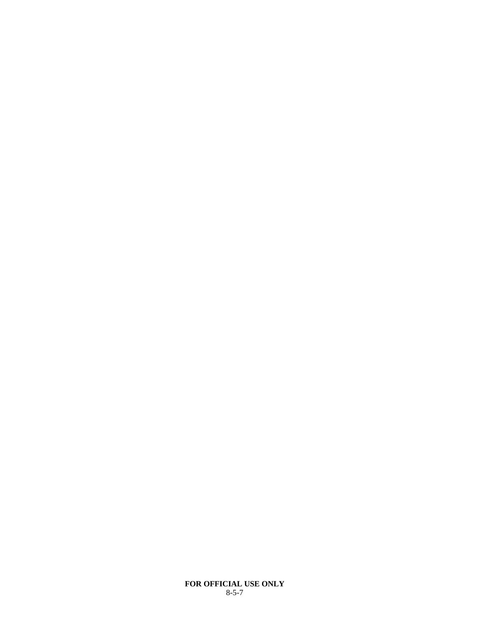#### **FOR OFFICIAL USE ONLY** 8-5-7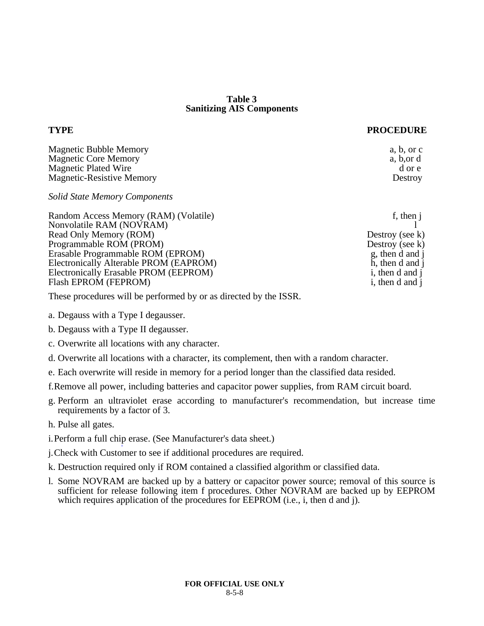## **Table 3 Sanitizing AIS Components**

Magnetic Bubble Memory and a structure of the structure of the structure of the structure of the structure of the structure of the structure of the structure of the structure of the structure of the structure of the struct Magnetic Core Memory a, b,or d<br>
Magnetic Plated Wire do re Magnetic Plated Wire d or e Magnetic-Resistive Memory

*Solid State Memory Components*

Random Access Memory (RAM) (Volatile) f, then j Nonvolatile RAM (NOVRAM) l Read Only Memory (ROM) Destroy (see k) Programmable ROM (PROM)<br>
Erasable Programmable ROM (EPROM) Bestroy (see k) g, then d and j Erasable Programmable ROM (EPROM) g, then d and j<br>Electronically Alterable PROM (EAPROM) h, then d and j Electronically Alterable PROM (EAPROM) Electronically Erasable PROM (EEPROM) i, then d and j<br>Flash EPROM (FEPROM) i, then d and j Flash EPROM (FEPROM)

These procedures will be performed by or as directed by the ISSR.

- a. Degauss with a Type I degausser.
- b. Degauss with a Type II degausser.
- c. Overwrite all locations with any character.
- d. Overwrite all locations with a character, its complement, then with a random character.
- e. Each overwrite will reside in memory for a period longer than the classified data resided.
- f.Remove all power, including batteries and capacitor power supplies, from RAM circuit board.
- g. Perform an ultraviolet erase according to manufacturer's recommendation, but increase time requirements by a factor of 3.
- h. Pulse all gates.
- i.Perform a full chip erase. (See Manufacturer's data sheet.)
- j.Check with Customer to see if additional procedures are required.
- k. Destruction required only if ROM contained a classified algorithm or classified data.
- l. Some NOVRAM are backed up by a battery or capacitor power source; removal of this source is sufficient for release following item f procedures. Other NOVRAM are backed up by EEPROM which requires application of the procedures for EEPROM (i.e., i, then d and j).

**TYPE PROCEDURE**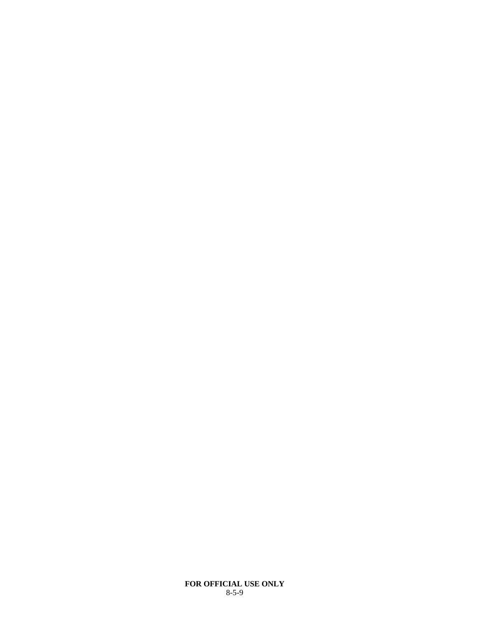### **FOR OFFICIAL USE ONLY** 8-5-9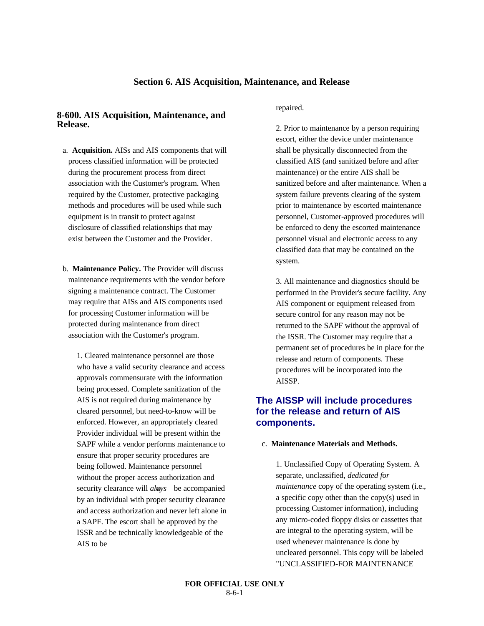## **Section 6. AIS Acquisition, Maintenance, and Release**

## **8-600. AIS Acquisition, Maintenance, and Release.**

- a. **Acquisition.** AISs and AIS components that will process classified information will be protected during the procurement process from direct association with the Customer's program. When required by the Customer, protective packaging methods and procedures will be used while such equipment is in transit to protect against disclosure of classified relationships that may exist between the Customer and the Provider.
- b. **Maintenance Policy.** The Provider will discuss maintenance requirements with the vendor before signing a maintenance contract. The Customer may require that AISs and AIS components used for processing Customer information will be protected during maintenance from direct association with the Customer's program.

1. Cleared maintenance personnel are those who have a valid security clearance and access approvals commensurate with the information being processed. Complete sanitization of the AIS is not required during maintenance by cleared personnel, but need-to-know will be enforced. However, an appropriately cleared Provider individual will be present within the SAPF while a vendor performs maintenance to ensure that proper security procedures are being followed. Maintenance personnel without the proper access authorization and security clearance will *alwys* be accompanied by an individual with proper security clearance and access authorization and never left alone in a SAPF. The escort shall be approved by the ISSR and be technically knowledgeable of the AIS to be

repaired.

2. Prior to maintenance by a person requiring escort, either the device under maintenance shall be physically disconnected from the classified AIS (and sanitized before and after maintenance) or the entire AIS shall be sanitized before and after maintenance. When a system failure prevents clearing of the system prior to maintenance by escorted maintenance personnel, Customer-approved procedures will be enforced to deny the escorted maintenance personnel visual and electronic access to any classified data that may be contained on the system.

3. All maintenance and diagnostics should be performed in the Provider's secure facility. Any AIS component or equipment released from secure control for any reason may not be returned to the SAPF without the approval of the ISSR. The Customer may require that a permanent set of procedures be in place for the release and return of components. These procedures will be incorporated into the AISSP.

## **The AISSP will include procedures for the release and return of AIS components.**

#### c. **Maintenance Materials and Methods.**

1. Unclassified Copy of Operating System. A separate, unclassified, *dedicated for maintenance* copy of the operating system (i.e., a specific copy other than the copy(s) used in processing Customer information), including any micro-coded floppy disks or cassettes that are integral to the operating system, will be used whenever maintenance is done by uncleared personnel. This copy will be labeled "UNCLASSIFIED-FOR MAINTENANCE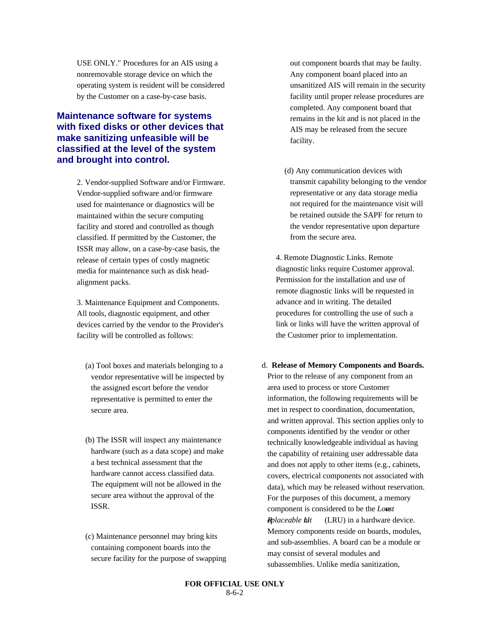USE ONLY." Procedures for an AIS using a nonremovable storage device on which the operating system is resident will be considered by the Customer on a case-by-case basis.

## **Maintenance software for systems with fixed disks or other devices that make sanitizing unfeasible will be classified at the level of the system and brought into control.**

2. Vendor-supplied Software and/or Firmware. Vendor-supplied software and/or firmware used for maintenance or diagnostics will be maintained within the secure computing facility and stored and controlled as though classified. If permitted by the Customer, the ISSR may allow, on a case-by-case basis, the release of certain types of costly magnetic media for maintenance such as disk headalignment packs.

3. Maintenance Equipment and Components. All tools, diagnostic equipment, and other devices carried by the vendor to the Provider's facility will be controlled as follows:

- (a) Tool boxes and materials belonging to a vendor representative will be inspected by the assigned escort before the vendor representative is permitted to enter the secure area.
- (b) The ISSR will inspect any maintenance hardware (such as a data scope) and make a best technical assessment that the hardware cannot access classified data. The equipment will not be allowed in the secure area without the approval of the ISSR.
- (c) Maintenance personnel may bring kits containing component boards into the secure facility for the purpose of swapping

out component boards that may be faulty. Any component board placed into an unsanitized AIS will remain in the security facility until proper release procedures are completed. Any component board that remains in the kit and is not placed in the AIS may be released from the secure facility.

(d) Any communication devices with transmit capability belonging to the vendor representative or any data storage media not required for the maintenance visit will be retained outside the SAPF for return to the vendor representative upon departure from the secure area.

4. Remote Diagnostic Links. Remote diagnostic links require Customer approval. Permission for the installation and use of remote diagnostic links will be requested in advance and in writing. The detailed procedures for controlling the use of such a link or links will have the written approval of the Customer prior to implementation.

d. **Release of Memory Components and Boards.** Prior to the release of any component from an area used to process or store Customer information, the following requirements will be met in respect to coordination, documentation, and written approval. This section applies only to components identified by the vendor or other technically knowledgeable individual as having the capability of retaining user addressable data and does not apply to other items (e.g., cabinets, covers, electrical components not associated with data), which may be released without reservation. For the purposes of this document, a memory component is considered to be the *Lowest Replaceable hit* (LRU) in a hardware device. Memory components reside on boards, modules, and sub-assemblies. A board can be a module or may consist of several modules and subassemblies. Unlike media sanitization,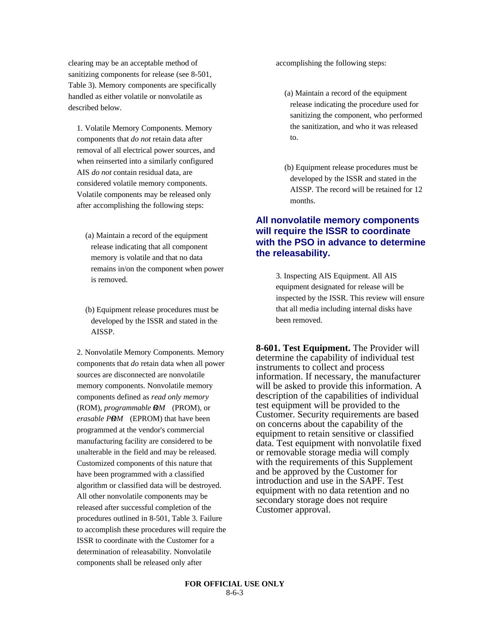clearing may be an acceptable method of sanitizing components for release (see 8-501, Table 3). Memory components are specifically handled as either volatile or nonvolatile as described below.

1. Volatile Memory Components. Memory components that *do not* retain data after removal of all electrical power sources, and when reinserted into a similarly configured AIS *do not* contain residual data, are considered volatile memory components. Volatile components may be released only after accomplishing the following steps:

- (a) Maintain a record of the equipment release indicating that all component memory is volatile and that no data remains in/on the component when power is removed.
- (b) Equipment release procedures must be developed by the ISSR and stated in the AISSP.

2. Nonvolatile Memory Components. Memory components that *do* retain data when all power sources are disconnected are nonvolatile memory components. Nonvolatile memory components defined as *read only memory* (ROM), *programmable BM* (PROM), or *erasable PROM* (EPROM) that have been programmed at the vendor's commercial manufacturing facility are considered to be unalterable in the field and may be released. Customized components of this nature that have been programmed with a classified algorithm or classified data will be destroyed. All other nonvolatile components may be released after successful completion of the procedures outlined in 8-501, Table 3. Failure to accomplish these procedures will require the ISSR to coordinate with the Customer for a determination of releasability. Nonvolatile components shall be released only after

accomplishing the following steps:

- (a) Maintain a record of the equipment release indicating the procedure used for sanitizing the component, who performed the sanitization, and who it was released to.
- (b) Equipment release procedures must be developed by the ISSR and stated in the AISSP. The record will be retained for 12 months.

## **All nonvolatile memory components will require the ISSR to coordinate with the PSO in advance to determine the releasability.**

3. Inspecting AIS Equipment. All AIS equipment designated for release will be inspected by the ISSR. This review will ensure that all media including internal disks have been removed.

**8-601. Test Equipment.** The Provider will determine the capability of individual test instruments to collect and process information. If necessary, the manufacturer will be asked to provide this information. A description of the capabilities of individual test equipment will be provided to the Customer. Security requirements are based on concerns about the capability of the equipment to retain sensitive or classified data. Test equipment with nonvolatile fixed or removable storage media will comply with the requirements of this Supplement and be approved by the Customer for introduction and use in the SAPF. Test equipment with no data retention and no secondary storage does not require Customer approval.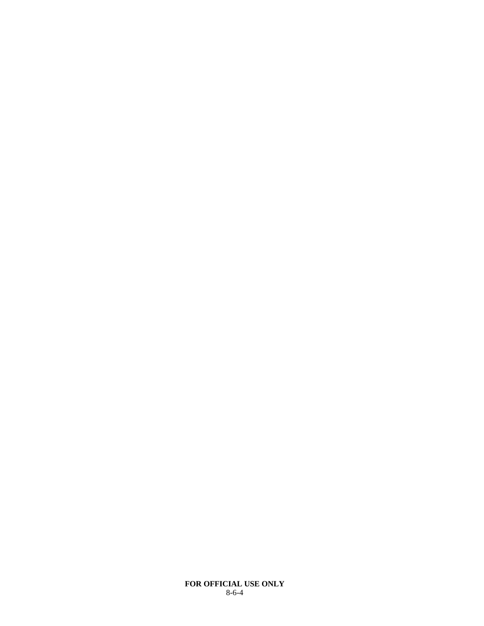### **FOR OFFICIAL USE ONLY** 8-6-4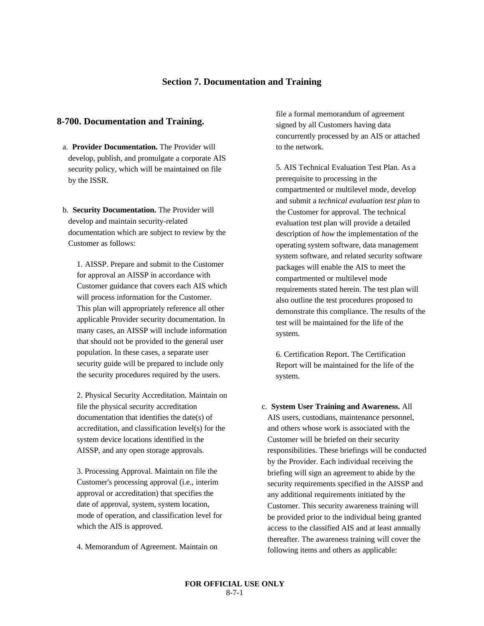## **Section 7. Documentation and Training**

## **8-700. Documentation and Training.**

- a. **Provider Documentation.** The Provider will develop, publish, and promulgate a corporate AIS security policy, which will be maintained on file by the ISSR.
- b. **Security Documentation.** The Provider will develop and maintain security-related documentation which are subject to review by the Customer as follows:

1. AISSP. Prepare and submit to the Customer for approval an AISSP in accordance with Customer guidance that covers each AIS which will process information for the Customer. This plan will appropriately reference all other applicable Provider security documentation. In many cases, an AISSP will include information that should not be provided to the general user population. In these cases, a separate user security guide will be prepared to include only the security procedures required by the users.

2. Physical Security Accreditation. Maintain on file the physical security accreditation documentation that identifies the date(s) of accreditation, and classification level(s) for the system device locations identified in the AISSP, and any open storage approvals.

3. Processing Approval. Maintain on file the Customer's processing approval (i.e., interim approval or accreditation) that specifies the date of approval, system, system location, mode of operation, and classification level for which the AIS is approved.

4. Memorandum of Agreement. Maintain on

file a formal memorandum of agreement signed by all Customers having data concurrently processed by an AIS or attached to the network.

5. AIS Technical Evaluation Test Plan. As a prerequisite to processing in the compartmented or multilevel mode, develop and submit a *technical evaluation test plan* to the Customer for approval. The technical evaluation test plan will provide a detailed description of *how* the implementation of the operating system software, data management system software, and related security software packages will enable the AIS to meet the compartmented or multilevel mode requirements stated herein. The test plan will also outline the test procedures proposed to demonstrate this compliance. The results of the test will be maintained for the life of the system.

6. Certification Report. The Certification Report will be maintained for the life of the system.

c. **System User Training and Awareness.** All AIS users, custodians, maintenance personnel, and others whose work is associated with the Customer will be briefed on their security responsibilities. These briefings will be conducted by the Provider. Each individual receiving the briefing will sign an agreement to abide by the security requirements specified in the AISSP and any additional requirements initiated by the Customer. This security awareness training will be provided prior to the individual being granted access to the classified AIS and at least annually thereafter. The awareness training will cover the following items and others as applicable: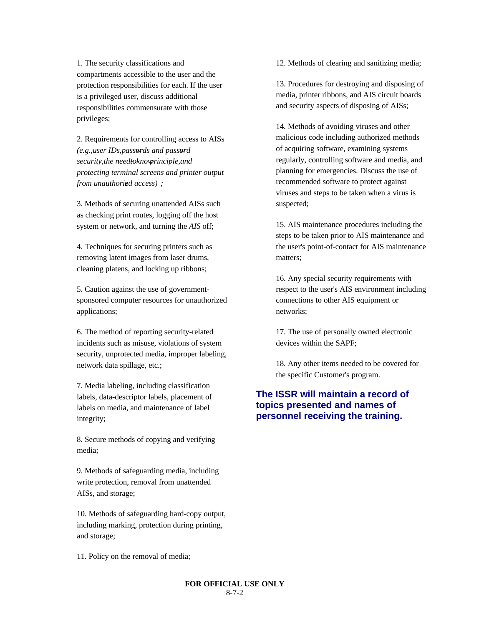1. The security classifications and compartments accessible to the user and the protection responsibilities for each. If the user is a privileged user, discuss additional responsibilities commensurate with those privileges;

2. Requirements for controlling access to AISs *(e.g., user IDs, passwords and password*  $security, the \n needed to know principle, and$ *protecting terminal screens and printer output from unauthorized access) ;*

3. Methods of securing unattended AISs such as checking print routes, logging off the host system or network, and turning the *AIS* off;

4. Techniques for securing printers such as removing latent images from laser drums, cleaning platens, and locking up ribbons;

5. Caution against the use of governmentsponsored computer resources for unauthorized applications;

6. The method of reporting security-related incidents such as misuse, violations of system security, unprotected media, improper labeling, network data spillage, etc.;

7. Media labeling, including classification labels, data-descriptor labels, placement of labels on media, and maintenance of label integrity;

8. Secure methods of copying and verifying media;

9. Methods of safeguarding media, including write protection, removal from unattended AISs, and storage;

10. Methods of safeguarding hard-copy output, including marking, protection during printing, and storage;

11. Policy on the removal of media;

12. Methods of clearing and sanitizing media;

13. Procedures for destroying and disposing of media, printer ribbons, and AIS circuit boards and security aspects of disposing of AISs;

14. Methods of avoiding viruses and other malicious code including authorized methods of acquiring software, examining systems regularly, controlling software and media, and planning for emergencies. Discuss the use of recommended software to protect against viruses and steps to be taken when a virus is suspected;

15. AIS maintenance procedures including the steps to be taken prior to AIS maintenance and the user's point-of-contact for AIS maintenance matters;

16. Any special security requirements with respect to the user's AIS environment including connections to other AIS equipment or networks;

17. The use of personally owned electronic devices within the SAPF;

18. Any other items needed to be covered for the specific Customer's program.

# **The ISSR will maintain a record of topics presented and names of personnel receiving the training.**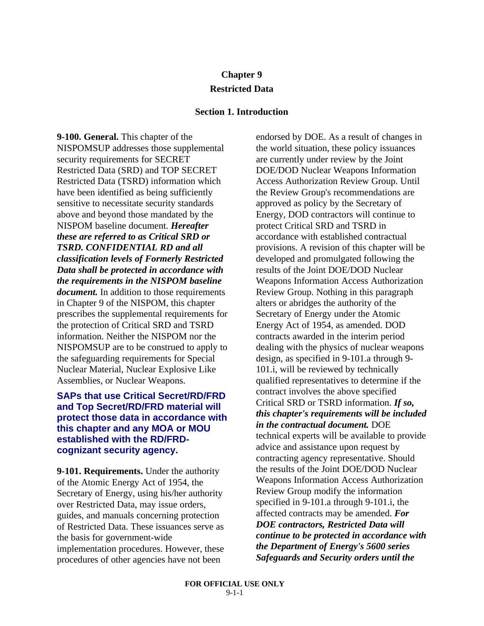# **Chapter 9 Restricted Data**

## **Section 1. Introduction**

**9-100. General.** This chapter of the NISPOMSUP addresses those supplemental security requirements for SECRET Restricted Data (SRD) and TOP SECRET Restricted Data (TSRD) information which have been identified as being sufficiently sensitive to necessitate security standards above and beyond those mandated by the NISPOM baseline document. *Hereafter these are referred to as Critical SRD or TSRD. CONFIDENTIAL RD and all classification levels of Formerly Restricted Data shall be protected in accordance with the requirements in the NISPOM baseline document*. In addition to those requirements in Chapter 9 of the NISPOM, this chapter prescribes the supplemental requirements for the protection of Critical SRD and TSRD information. Neither the NISPOM nor the NISPOMSUP are to be construed to apply to the safeguarding requirements for Special Nuclear Material, Nuclear Explosive Like Assemblies, or Nuclear Weapons.

# **SAPs that use Critical Secret/RD/FRD and Top Secret/RD/FRD material will protect those data in accordance with this chapter and any MOA or MOU established with the RD/FRDcognizant security agency.**

**9-101. Requirements.** Under the authority of the Atomic Energy Act of 1954, the Secretary of Energy, using his/her authority over Restricted Data, may issue orders, guides, and manuals concerning protection of Restricted Data. These issuances serve as the basis for government-wide implementation procedures. However, these procedures of other agencies have not been

endorsed by DOE. As a result of changes in the world situation, these policy issuances are currently under review by the Joint DOE/DOD Nuclear Weapons Information Access Authorization Review Group. Until the Review Group's recommendations are approved as policy by the Secretary of Energy, DOD contractors will continue to protect Critical SRD and TSRD in accordance with established contractual provisions. A revision of this chapter will be developed and promulgated following the results of the Joint DOE/DOD Nuclear Weapons Information Access Authorization Review Group. Nothing in this paragraph alters or abridges the authority of the Secretary of Energy under the Atomic Energy Act of 1954, as amended. DOD contracts awarded in the interim period dealing with the physics of nuclear weapons design, as specified in 9-101.a through 9- 101.i, will be reviewed by technically qualified representatives to determine if the contract involves the above specified Critical SRD or TSRD information. *If so, this chapter's requirements will be included in the contractual document.* DOE technical experts will be available to provide advice and assistance upon request by contracting agency representative. Should the results of the Joint DOE/DOD Nuclear Weapons Information Access Authorization Review Group modify the information specified in 9-101.a through 9-101.i, the affected contracts may be amended. *For DOE contractors, Restricted Data will continue to be protected in accordance with the Department of Energy's 5600 series Safeguards and Security orders until the*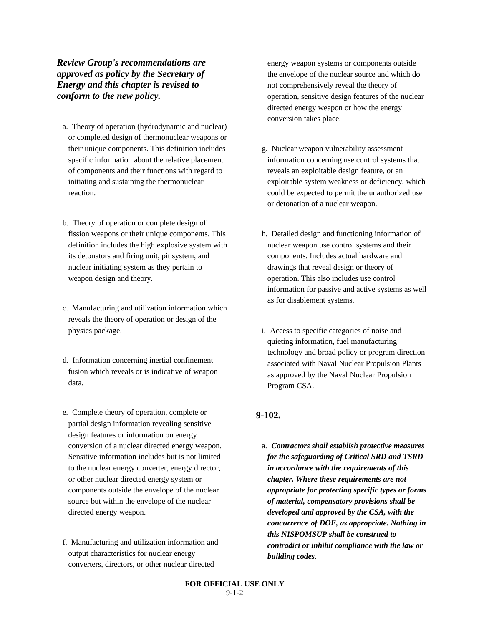*Review Group's recommendations are approved as policy by the Secretary of Energy and this chapter is revised to conform to the new policy.*

- a. Theory of operation (hydrodynamic and nuclear) or completed design of thermonuclear weapons or their unique components. This definition includes specific information about the relative placement of components and their functions with regard to initiating and sustaining the thermonuclear reaction.
- b. Theory of operation or complete design of fission weapons or their unique components. This definition includes the high explosive system with its detonators and firing unit, pit system, and nuclear initiating system as they pertain to weapon design and theory.
- c. Manufacturing and utilization information which reveals the theory of operation or design of the physics package.
- d. Information concerning inertial confinement fusion which reveals or is indicative of weapon data.
- e. Complete theory of operation, complete or partial design information revealing sensitive design features or information on energy conversion of a nuclear directed energy weapon. Sensitive information includes but is not limited to the nuclear energy converter, energy director, or other nuclear directed energy system or components outside the envelope of the nuclear source but within the envelope of the nuclear directed energy weapon.
- f. Manufacturing and utilization information and output characteristics for nuclear energy converters, directors, or other nuclear directed

energy weapon systems or components outside the envelope of the nuclear source and which do not comprehensively reveal the theory of operation, sensitive design features of the nuclear directed energy weapon or how the energy conversion takes place.

- g. Nuclear weapon vulnerability assessment information concerning use control systems that reveals an exploitable design feature, or an exploitable system weakness or deficiency, which could be expected to permit the unauthorized use or detonation of a nuclear weapon.
- h. Detailed design and functioning information of nuclear weapon use control systems and their components. Includes actual hardware and drawings that reveal design or theory of operation. This also includes use control information for passive and active systems as well as for disablement systems.
- i. Access to specific categories of noise and quieting information, fuel manufacturing technology and broad policy or program direction associated with Naval Nuclear Propulsion Plants as approved by the Naval Nuclear Propulsion Program CSA.

## **9-102.**

a. *Contractors shall establish protective measures for the safeguarding of Critical SRD and TSRD in accordance with the requirements of this chapter. Where these requirements are not appropriate for protecting specific types or forms of material, compensatory provisions shall be developed and approved by the CSA, with the concurrence of DOE, as appropriate. Nothing in this NISPOMSUP shall be construed to contradict or inhibit compliance with the law or building codes.*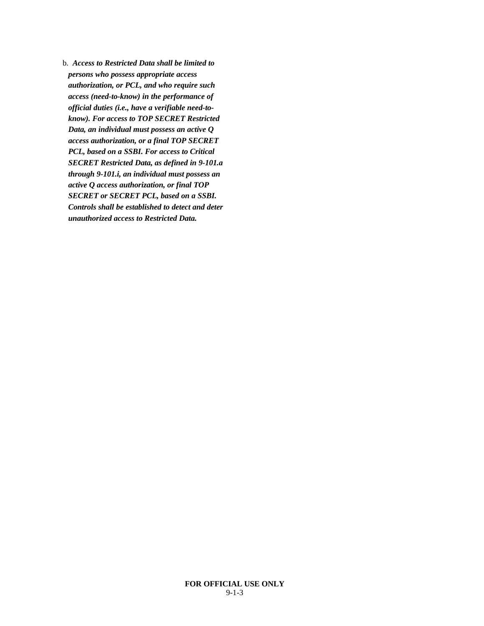b. *Access to Restricted Data shall be limited to persons who possess appropriate access authorization, or PCL, and who require such access (need-to-know) in the performance of official duties (i.e., have a verifiable need-toknow). For access to TOP SECRET Restricted Data, an individual must possess an active Q access authorization, or a final TOP SECRET PCL, based on a SSBI. For access to Critical SECRET Restricted Data, as defined in 9-101.a through 9-101.i, an individual must possess an active Q access authorization, or final TOP SECRET or SECRET PCL, based on a SSBI. Controls shall be established to detect and deter unauthorized access to Restricted Data.*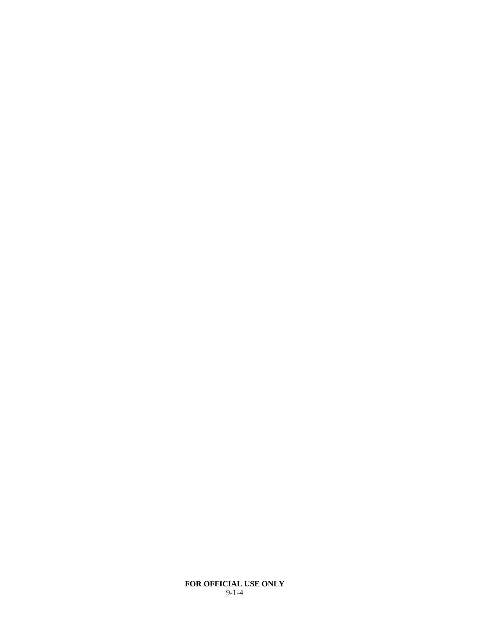### **FOR OFFICIAL USE ONLY** 9-1-4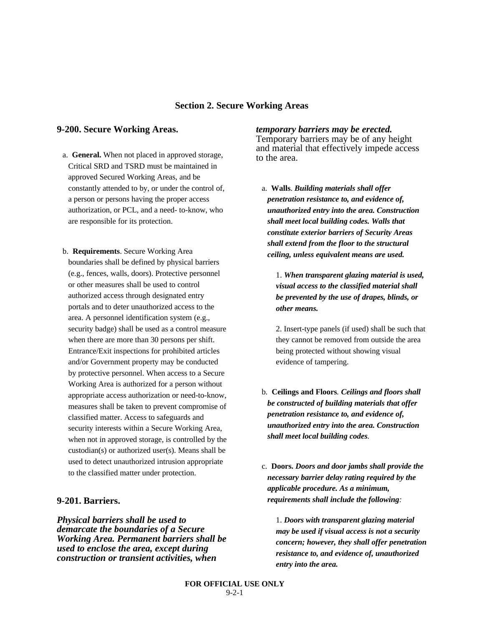## **Section 2. Secure Working Areas**

#### **9-200. Secure Working Areas.**

- a. **General.** When not placed in approved storage, Critical SRD and TSRD must be maintained in approved Secured Working Areas, and be constantly attended to by, or under the control of, a person or persons having the proper access authorization, or PCL, and a need- to-know, who are responsible for its protection.
- b. **Requirements**. Secure Working Area boundaries shall be defined by physical barriers (e.g., fences, walls, doors). Protective personnel or other measures shall be used to control authorized access through designated entry portals and to deter unauthorized access to the area. A personnel identification system (e.g., security badge) shall be used as a control measure when there are more than 30 persons per shift. Entrance/Exit inspections for prohibited articles and/or Government property may be conducted by protective personnel. When access to a Secure Working Area is authorized for a person without appropriate access authorization or need-to-know, measures shall be taken to prevent compromise of classified matter. Access to safeguards and security interests within a Secure Working Area, when not in approved storage, is controlled by the custodian(s) or authorized user(s). Means shall be used to detect unauthorized intrusion appropriate to the classified matter under protection.

## **9-201. Barriers.**

*Physical barriers shall be used to demarcate the boundaries of a Secure Working Area. Permanent barriers shall be used to enclose the area, except during construction or transient activities, when*

*temporary barriers may be erected.* Temporary barriers may be of any height and material that effectively impede access to the area.

a. **Walls**. *Building materials shall offer penetration resistance to, and evidence of, unauthorized entry into the area. Construction shall meet local building codes. Walls that constitute exterior barriers of Security Areas shall extend from the floor to the structural ceiling, unless equivalent means are used.*

1. *When transparent glazing material is used, visual access to the classified material shall be prevented by the use of drapes, blinds, or other means.*

2. Insert-type panels (if used) shall be such that they cannot be removed from outside the area being protected without showing visual evidence of tampering.

- b.**Ceilings and Floors***. Ceilings and floors shall be constructed of building materials that offer penetration resistance to, and evidence of, unauthorized entry into the area. Construction shall meet local building codes.*
- c. **Doors.** *Doors and door jambs shall provide the necessary barrier delay rating required by the applicable procedure. As a minimum, requirements shall include the following:*

1. *Doors with transparent glazing material may be used if visual access is not a security concern; however, they shall offer penetration resistance to, and evidence of, unauthorized entry into the area.*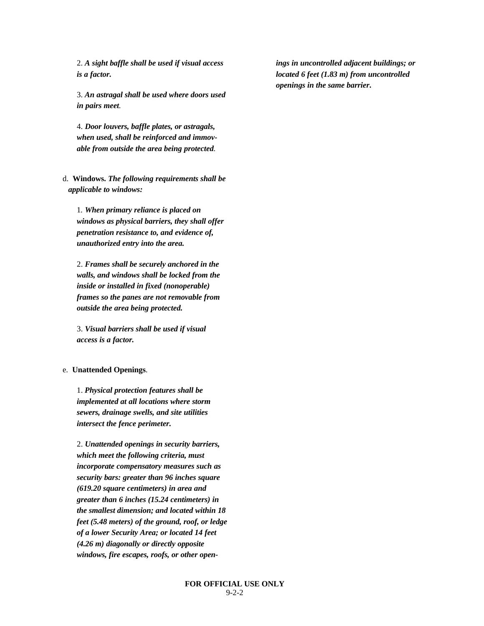2. *A sight baffle shall be used if visual access is a factor.*

3. *An astragal shall be used where doors used in pairs meet.*

4. *Door louvers, baffle plates, or astragals, when used, shall be reinforced and immovable from outside the area being protected.*

d. **Windows.** *The following requirements shall be applicable to windows:*

1*. When primary reliance is placed on windows as physical barriers, they shall offer penetration resistance to, and evidence of, unauthorized entry into the area.*

2. *Frames shall be securely anchored in the walls, and windows shall be locked from the inside or installed in fixed (nonoperable) frames so the panes are not removable from outside the area being protected.*

3. *Visual barriers shall be used if visual access is a factor.*

## e. **Unattended Openings**.

1. *Physical protection features shall be implemented at all locations where storm sewers, drainage swells, and site utilities intersect the fence perimeter.*

2. *Unattended openings in security barriers, which meet the following criteria, must incorporate compensatory measures such as security bars: greater than 96 inches square (619.20 square centimeters) in area and greater than 6 inches (15.24 centimeters) in the smallest dimension; and located within 18 feet (5.48 meters) of the ground, roof, or ledge of a lower Security Area; or located 14 feet (4.26 m) diagonally or directly opposite windows, fire escapes, roofs, or other open-* *ings in uncontrolled adjacent buildings; or located 6 feet (1.83 m) from uncontrolled openings in the same barrier***.**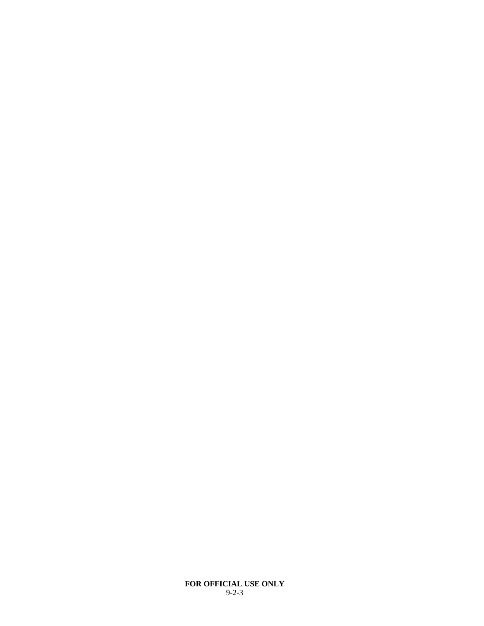### **FOR OFFICIAL USE ONLY** 9-2-3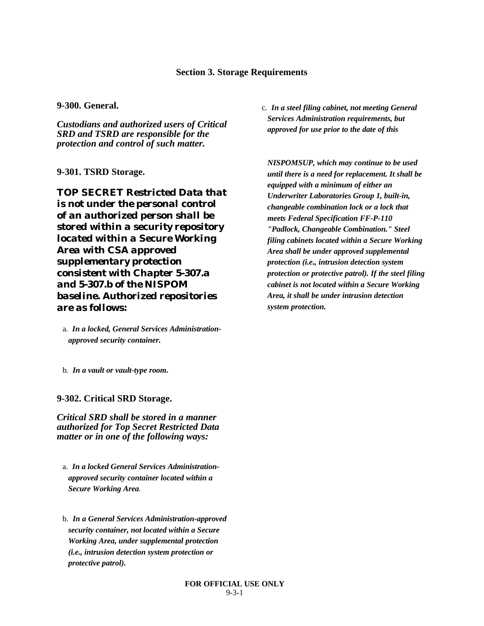## **Section 3. Storage Requirements**

## **9-300. General.**

*Custodians and authorized users of Critical SRD and TSRD are responsible for the protection and control of such matter.*

## **9-301. TSRD Storage.**

*TOP SECRET Restricted Data that is not under the personal control of an authorized person shall be stored within a security repository located within a Secure Working Area with CSA approved supplementary protection consistent with Chapter 5-307.a and 5-307.b of the NISPOM baseline. Authorized repositories are as follows:*

- a*. In a locked, General Services Administrationapproved security container.*
- b*. In a vault or vault-type room***.**

#### **9-302. Critical SRD Storage.**

*Critical SRD shall be stored in a manner authorized for Top Secret Restricted Data matter or in one of the following ways:*

- a. *In a locked General Services Administrationapproved security container located within a Secure Working Area.*
- b. *In a General Services Administration-approved security container, not located within a Secure Working Area, under supplemental protection (i.e., intrusion detection system protection or protective patrol).*

c*. In a steel filing cabinet, not meeting General Services Administration requirements, but approved for use prior to the date of this*

*NISPOMSUP, which may continue to be used until there is a need for replacement. It shall be equipped with a minimum of either an Underwriter Laboratories Group 1, built-in, changeable combination lock or a lock that meets Federal Specification FF-P-110 "Padlock, Changeable Combination." Steel filing cabinets located within a Secure Working Area shall be under approved supplemental protection (i.e., intrusion detection system protection or protective patrol). If the steel filing cabinet is not located within a Secure Working Area, it shall be under intrusion detection system protection.*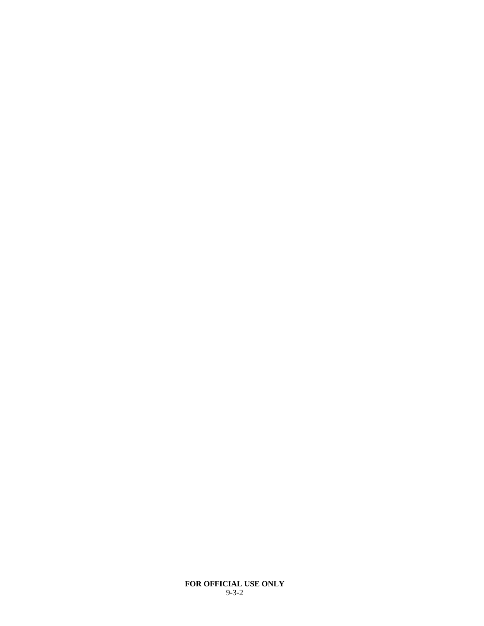### **FOR OFFICIAL USE ONLY** 9-3-2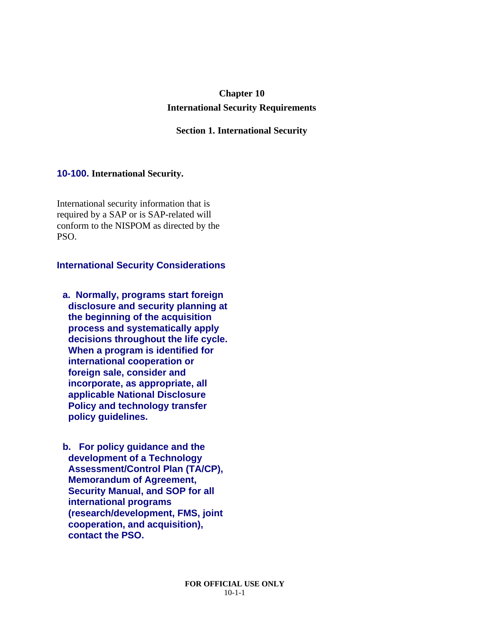# **Chapter 10 International Security Requirements**

## **Section 1. International Security**

## **10-100. International Security.**

International security information that is required by a SAP or is SAP-related will conform to the NISPOM as directed by the PSO.

## **International Security Considerations**

- **a. Normally, programs start foreign disclosure and security planning at the beginning of the acquisition process and systematically apply decisions throughout the life cycle. When a program is identified for international cooperation or foreign sale, consider and incorporate, as appropriate, all applicable National Disclosure Policy and technology transfer policy guidelines.**
- **b. For policy guidance and the development of a Technology Assessment/Control Plan (TA/CP), Memorandum of Agreement, Security Manual, and SOP for all international programs (research/development, FMS, joint cooperation, and acquisition), contact the PSO.**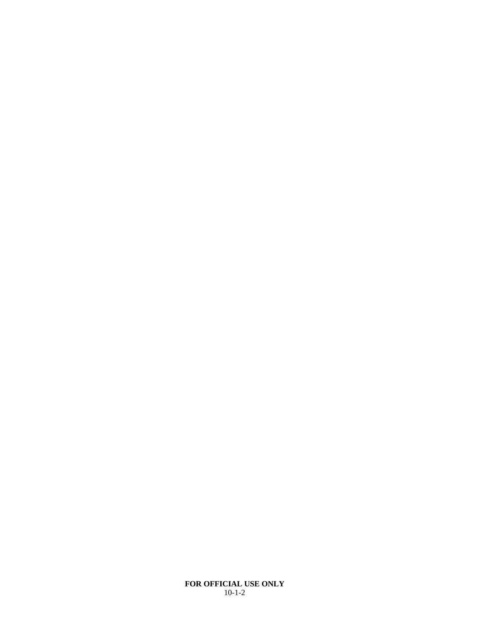### **FOR OFFICIAL USE ONLY** 10-1-2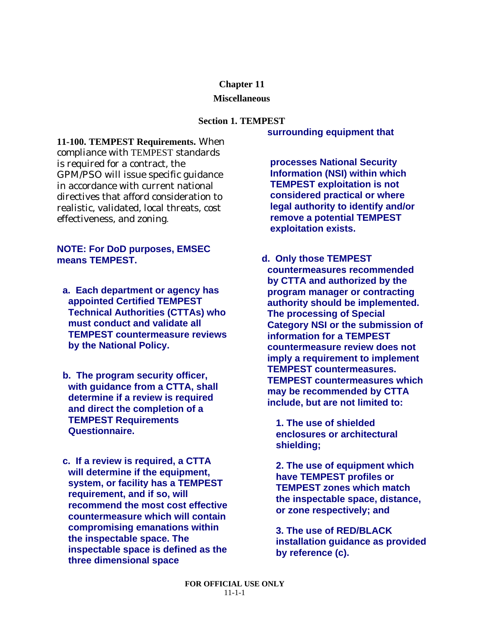# **Chapter 11**

## **Miscellaneous**

## **Section 1. TEMPEST**

**11-100. TEMPEST Requirements.** When compliance with TEMPEST standards is required for a contract, the GPM/PSO will issue specific guidance in accordance with current national directives that afford consideration to realistic, validated, local threats, cost effectiveness, and zoning.

## **NOTE: For DoD purposes, EMSEC means TEMPEST.**

- **a. Each department or agency has appointed Certified TEMPEST Technical Authorities (CTTAs) who must conduct and validate all TEMPEST countermeasure reviews by the National Policy.**
- **b. The program security officer, with guidance from a CTTA, shall determine if a review is required and direct the completion of a TEMPEST Requirements Questionnaire.**
- **c. If a review is required, a CTTA will determine if the equipment, system, or facility has a TEMPEST requirement, and if so, will recommend the most cost effective countermeasure which will contain compromising emanations within the inspectable space. The inspectable space is defined as the three dimensional space**

**surrounding equipment that**

**processes National Security Information (NSI) within which TEMPEST exploitation is not considered practical or where legal authority to identify and/or remove a potential TEMPEST exploitation exists.**

**d. Only those TEMPEST countermeasures recommended by CTTA and authorized by the program manager or contracting authority should be implemented. The processing of Special Category NSI or the submission of information for a TEMPEST countermeasure review does not imply a requirement to implement TEMPEST countermeasures. TEMPEST countermeasures which may be recommended by CTTA include, but are not limited to:**

**1. The use of shielded enclosures or architectural shielding;**

**2. The use of equipment which have TEMPEST profiles or TEMPEST zones which match the inspectable space, distance, or zone respectively; and**

**3. The use of RED/BLACK installation guidance as provided by reference (c).**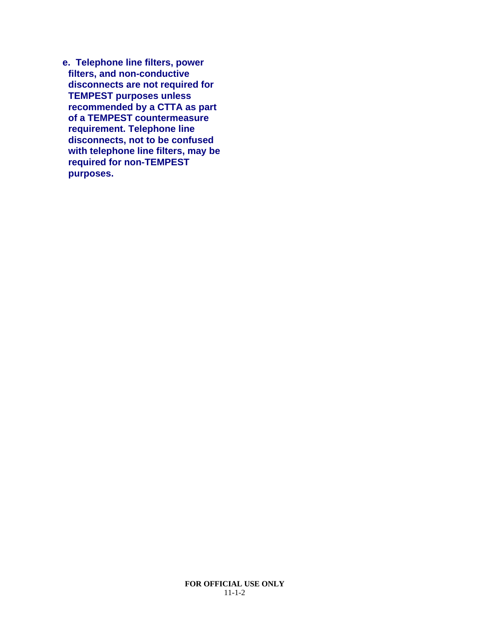**e. Telephone line filters, power filters, and non-conductive disconnects are not required for TEMPEST purposes unless recommended by a CTTA as part of a TEMPEST countermeasure requirement. Telephone line disconnects, not to be confused with telephone line filters, may be required for non-TEMPEST purposes.**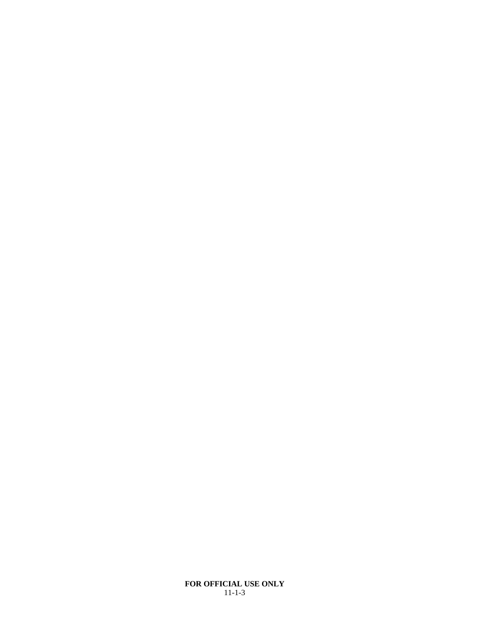### **FOR OFFICIAL USE ONLY** 11-1-3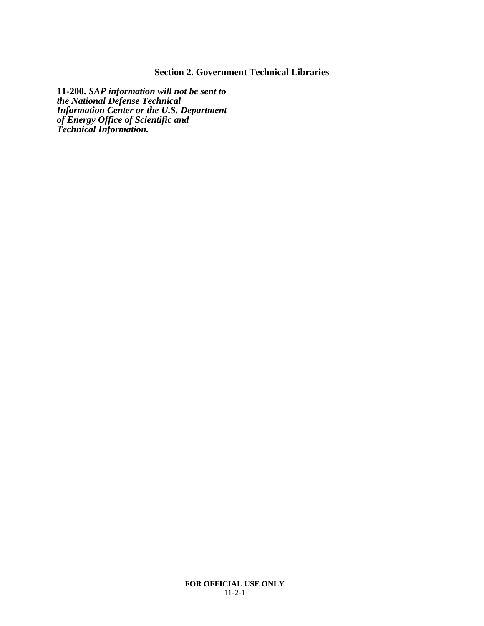## **Section 2. Government Technical Libraries**

**11-200.** *SAP information will not be sent to the National Defense Technical Information Center or the U.S. Department of Energy Office of Scientific and Technical Information.*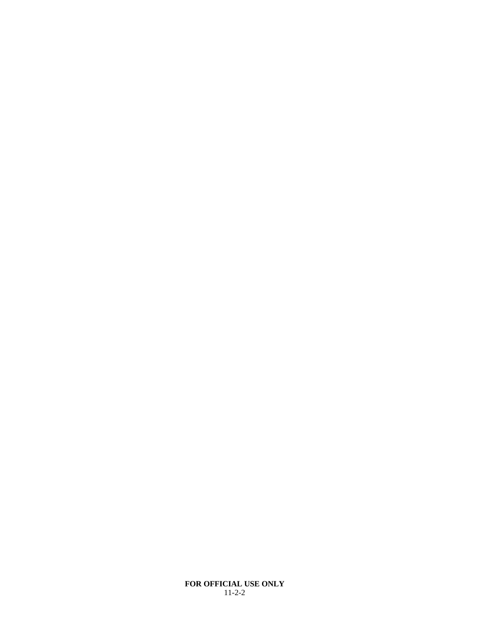### **FOR OFFICIAL USE ONLY** 11-2-2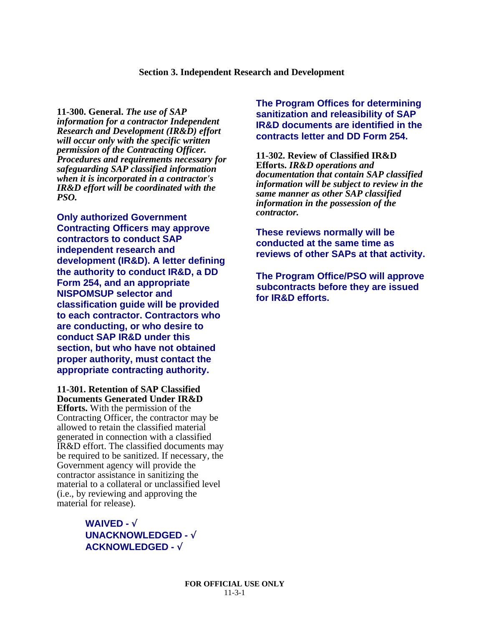**11-300. General.** *The use of SAP information for a contractor Independent Research and Development (IR&D) effort will occur only with the specific written permission of the Contracting Officer. Procedures and requirements necessary for safeguarding SAP classified information when it is incorporated in a contractor's IR&D effort will be coordinated with the PSO.*

**Only authorized Government Contracting Officers may approve contractors to conduct SAP independent research and development (IR&D). A letter defining the authority to conduct IR&D, a DD Form 254, and an appropriate NISPOMSUP selector and classification guide will be provided to each contractor. Contractors who are conducting, or who desire to conduct SAP IR&D under this section, but who have not obtained proper authority, must contact the appropriate contracting authority.**

**11-301. Retention of SAP Classified Documents Generated Under IR&D Efforts.** With the permission of the Contracting Officer, the contractor may be allowed to retain the classified material generated in connection with a classified

IR&D effort. The classified documents may be required to be sanitized. If necessary, the Government agency will provide the contractor assistance in sanitizing the material to a collateral or unclassified level (i.e., by reviewing and approving the material for release).

# **WAIVED -** √ **UNACKNOWLEDGED -** √ **ACKNOWLEDGED -** √

**The Program Offices for determining sanitization and releasibility of SAP IR&D documents are identified in the contracts letter and DD Form 254.**

**11-302. Review of Classified IR&D Efforts.** *IR&D operations and documentation that contain SAP classified information will be subject to review in the same manner as other SAP classified information in the possession of the contractor.*

**These reviews normally will be conducted at the same time as reviews of other SAPs at that activity.**

**The Program Office/PSO will approve subcontracts before they are issued for IR&D efforts.**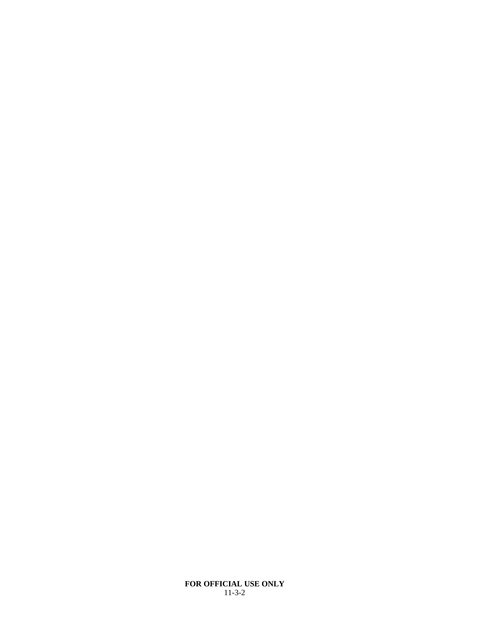### **FOR OFFICIAL USE ONLY** 11-3-2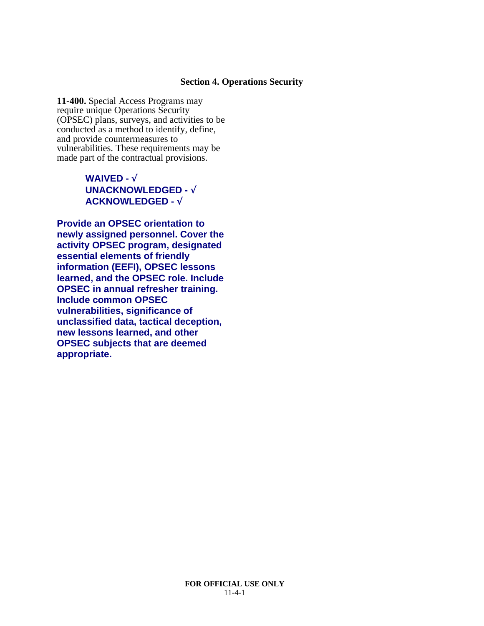## **Section 4. Operations Security**

**11-400.** Special Access Programs may require unique Operations Security (OPSEC) plans, surveys, and activities to be conducted as a method to identify, define, and provide countermeasures to vulnerabilities. These requirements may be made part of the contractual provisions.

> **WAIVED -** √ **UNACKNOWLEDGED -** √ **ACKNOWLEDGED -** √

**Provide an OPSEC orientation to newly assigned personnel. Cover the activity OPSEC program, designated essential elements of friendly information (EEFI), OPSEC lessons learned, and the OPSEC role. Include OPSEC in annual refresher training. Include common OPSEC vulnerabilities, significance of unclassified data, tactical deception, new lessons learned, and other OPSEC subjects that are deemed appropriate.**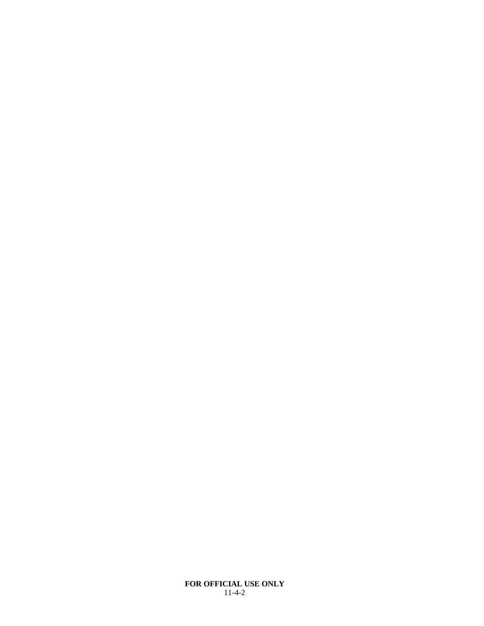### **FOR OFFICIAL USE ONLY** 11-4-2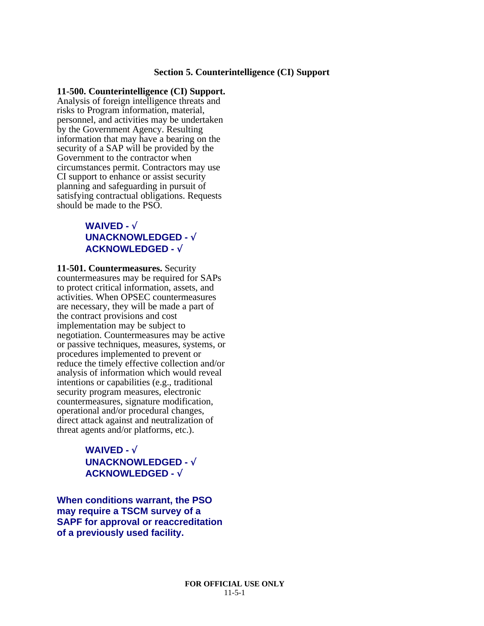## **Section 5. Counterintelligence (CI) Support**

**11-500. Counterintelligence (CI) Support.**

Analysis of foreign intelligence threats and risks to Program information, material, personnel, and activities may be undertaken by the Government Agency. Resulting information that may have a bearing on the security of a SAP will be provided by the Government to the contractor when circumstances permit. Contractors may use CI support to enhance or assist security planning and safeguarding in pursuit of satisfying contractual obligations. Requests should be made to the PSO.

# **WAIVED -** √ **UNACKNOWLEDGED -** √ **ACKNOWLEDGED -** √

**11-501. Countermeasures.** Security countermeasures may be required for SAPs to protect critical information, assets, and activities. When OPSEC countermeasures are necessary, they will be made a part of the contract provisions and cost implementation may be subject to negotiation. Countermeasures may be active or passive techniques, measures, systems, or procedures implemented to prevent or reduce the timely effective collection and/or analysis of information which would reveal intentions or capabilities (e.g., traditional security program measures, electronic countermeasures, signature modification, operational and/or procedural changes, direct attack against and neutralization of threat agents and/or platforms, etc.).

# **WAIVED -** √ **UNACKNOWLEDGED -** √ **ACKNOWLEDGED -** √

**When conditions warrant, the PSO may require a TSCM survey of a SAPF for approval or reaccreditation of a previously used facility.**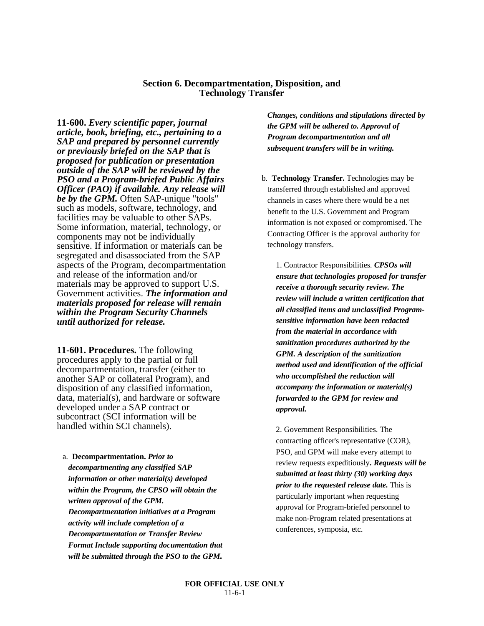## **Section 6. Decompartmentation, Disposition, and Technology Transfer**

**11-600.** *Every scientific paper, journal article, book, briefing, etc., pertaining to a SAP and prepared by personnel currently or previously briefed on the SAP that is proposed for publication or presentation outside of the SAP will be reviewed by the PSO and a Program-briefed Public Affairs Officer (PAO) if available. Any release will be by the GPM.* Often SAP-unique "tools" such as models, software, technology, and facilities may be valuable to other SAPs. Some information, material, technology, or components may not be individually sensitive. If information or materials can be segregated and disassociated from the SAP aspects of the Program, decompartmentation and release of the information and/or materials may be approved to support U.S. Government activities. *The information and materials proposed for release will remain within the Program Security Channels until authorized for release.*

**11-601. Procedures.** The following procedures apply to the partial or full decompartmentation, transfer (either to another SAP or collateral Program), and disposition of any classified information, data, material(s), and hardware or software developed under a SAP contract or subcontract (SCI information will be handled within SCI channels).

a. **Decompartmentation.** *Prior to decompartmenting any classified SAP information or other material(s) developed within the Program, the CPSO will obtain the written approval of the GPM. Decompartmentation initiatives at a Program activity will include completion of a Decompartmentation or Transfer Review Format Include supporting documentation that will be submitted through the PSO to the GPM.*

*Changes, conditions and stipulations directed by the GPM will be adhered to. Approval of Program decompartmentation and all subsequent transfers will be in writing.*

b. **Technology Transfer.** Technologies may be transferred through established and approved channels in cases where there would be a net benefit to the U.S. Government and Program information is not exposed or compromised. The Contracting Officer is the approval authority for technology transfers.

1. Contractor Responsibilities*. CPSOs will ensure that technologies proposed for transfer receive a thorough security review. The review will include a written certification that all classified items and unclassified Programsensitive information have been redacted from the material in accordance with sanitization procedures authorized by the GPM. A description of the sanitization method used and identification of the official who accomplished the redaction will accompany the information or material(s) forwarded to the GPM for review and approval.*

2. Government Responsibilities. The contracting officer's representative (COR), PSO, and GPM will make every attempt to review requests expeditiously**.** *Requests will be submitted at least thirty (30) working days prior to the requested release date.* This is particularly important when requesting approval for Program-briefed personnel to make non-Program related presentations at conferences, symposia, etc.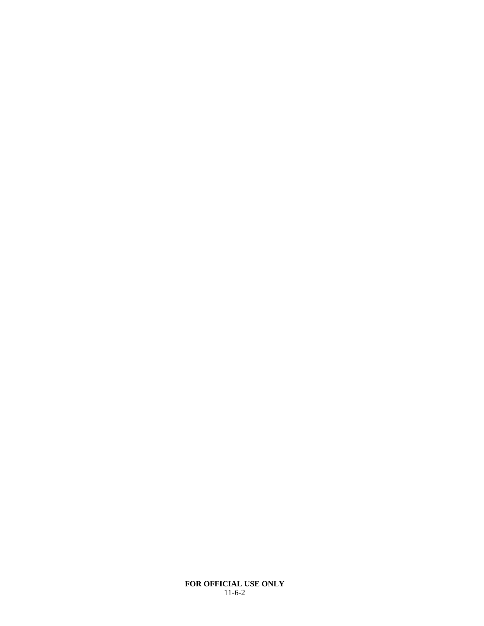### **FOR OFFICIAL USE ONLY** 11-6-2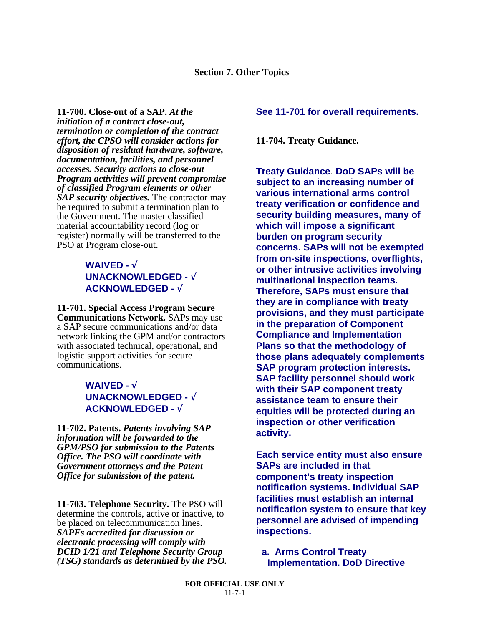**11-700. Close-out of a SAP.** *At the initiation of a contract close-out, termination or completion of the contract effort, the CPSO will consider actions for disposition of residual hardware, software, documentation, facilities, and personnel accesses. Security actions to close-out Program activities will prevent compromise of classified Program elements or other SAP security objectives.* The contractor may be required to submit a termination plan to the Government. The master classified material accountability record (log or register) normally will be transferred to the PSO at Program close-out.

# **WAIVED -** √ **UNACKNOWLEDGED -** √ **ACKNOWLEDGED -** √

## **11-701. Special Access Program Secure**

**Communications Network.** SAPs may use a SAP secure communications and/or data network linking the GPM and/or contractors with associated technical, operational, and logistic support activities for secure communications.

# **WAIVED -** √ **UNACKNOWLEDGED -** √ **ACKNOWLEDGED -** √

**11-702. Patents.** *Patents involving SAP information will be forwarded to the GPM/PSO for submission to the Patents Office. The PSO will coordinate with Government attorneys and the Patent Office for submission of the patent.*

**11-703. Telephone Security.** The PSO will determine the controls, active or inactive, to be placed on telecommunication lines. *SAPFs accredited for discussion or electronic processing will comply with DCID 1/21 and Telephone Security Group (TSG) standards as determined by the PSO.* **See 11-701 for overall requirements.**

**11-704. Treaty Guidance.**

**Treaty Guidance**. **DoD SAPs will be subject to an increasing number of various international arms control treaty verification or confidence and security building measures, many of which will impose a significant burden on program security concerns. SAPs will not be exempted from on-site inspections, overflights, or other intrusive activities involving multinational inspection teams. Therefore, SAPs must ensure that they are in compliance with treaty provisions, and they must participate in the preparation of Component Compliance and Implementation Plans so that the methodology of those plans adequately complements SAP program protection interests. SAP facility personnel should work with their SAP component treaty assistance team to ensure their equities will be protected during an inspection or other verification activity.**

**Each service entity must also ensure SAPs are included in that component's treaty inspection notification systems. Individual SAP facilities must establish an internal notification system to ensure that key personnel are advised of impending inspections.**

**a. Arms Control Treaty Implementation. DoD Directive**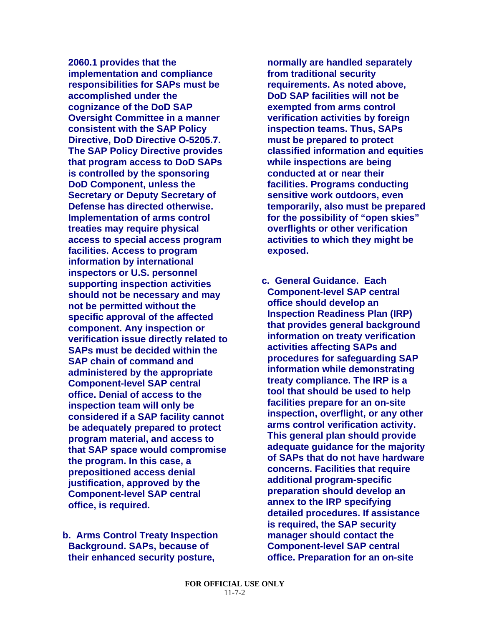**2060.1 provides that the implementation and compliance responsibilities for SAPs must be accomplished under the cognizance of the DoD SAP Oversight Committee in a manner consistent with the SAP Policy Directive, DoD Directive O-5205.7. The SAP Policy Directive provides that program access to DoD SAPs is controlled by the sponsoring DoD Component, unless the Secretary or Deputy Secretary of Defense has directed otherwise. Implementation of arms control treaties may require physical access to special access program facilities. Access to program information by international inspectors or U.S. personnel supporting inspection activities should not be necessary and may not be permitted without the specific approval of the affected component. Any inspection or verification issue directly related to SAPs must be decided within the SAP chain of command and administered by the appropriate Component-level SAP central office. Denial of access to the inspection team will only be considered if a SAP facility cannot be adequately prepared to protect program material, and access to that SAP space would compromise the program. In this case, a prepositioned access denial justification, approved by the Component-level SAP central office, is required.**

**b. Arms Control Treaty Inspection Background. SAPs, because of their enhanced security posture,**

**normally are handled separately from traditional security requirements. As noted above, DoD SAP facilities will not be exempted from arms control verification activities by foreign inspection teams. Thus, SAPs must be prepared to protect classified information and equities while inspections are being conducted at or near their facilities. Programs conducting sensitive work outdoors, even temporarily, also must be prepared for the possibility of "open skies" overflights or other verification activities to which they might be exposed.**

**c. General Guidance. Each Component-level SAP central office should develop an Inspection Readiness Plan (IRP) that provides general background information on treaty verification activities affecting SAPs and procedures for safeguarding SAP information while demonstrating treaty compliance. The IRP is a tool that should be used to help facilities prepare for an on-site inspection, overflight, or any other arms control verification activity. This general plan should provide adequate guidance for the majority of SAPs that do not have hardware concerns. Facilities that require additional program-specific preparation should develop an annex to the IRP specifying detailed procedures. If assistance is required, the SAP security manager should contact the Component-level SAP central office. Preparation for an on-site**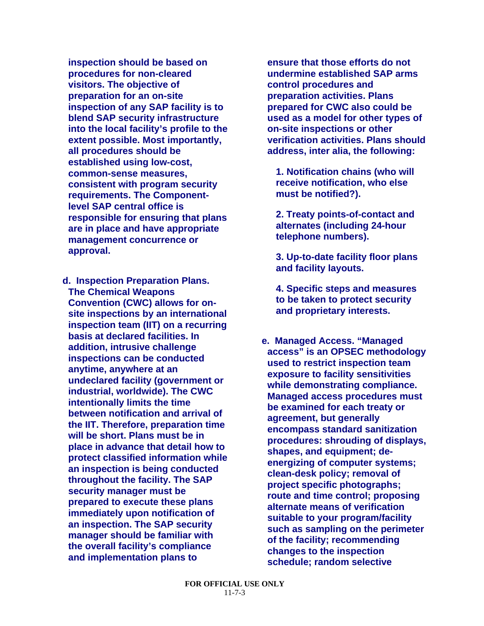**inspection should be based on procedures for non-cleared visitors. The objective of preparation for an on-site inspection of any SAP facility is to blend SAP security infrastructure into the local facility's profile to the extent possible. Most importantly, all procedures should be established using low-cost, common-sense measures, consistent with program security requirements. The Componentlevel SAP central office is responsible for ensuring that plans are in place and have appropriate management concurrence or approval.**

**d. Inspection Preparation Plans. The Chemical Weapons Convention (CWC) allows for onsite inspections by an international inspection team (IIT) on a recurring basis at declared facilities. In addition, intrusive challenge inspections can be conducted anytime, anywhere at an undeclared facility (government or industrial, worldwide). The CWC intentionally limits the time between notification and arrival of the IIT. Therefore, preparation time will be short. Plans must be in place in advance that detail how to protect classified information while an inspection is being conducted throughout the facility. The SAP security manager must be prepared to execute these plans immediately upon notification of an inspection. The SAP security manager should be familiar with the overall facility's compliance and implementation plans to**

**ensure that those efforts do not undermine established SAP arms control procedures and preparation activities. Plans prepared for CWC also could be used as a model for other types of on-site inspections or other verification activities. Plans should address, inter alia, the following:**

**1. Notification chains (who will receive notification, who else must be notified?).**

**2. Treaty points-of-contact and alternates (including 24-hour telephone numbers).**

**3. Up-to-date facility floor plans and facility layouts.**

**4. Specific steps and measures to be taken to protect security and proprietary interests.**

**e. Managed Access. "Managed access" is an OPSEC methodology used to restrict inspection team exposure to facility sensitivities while demonstrating compliance. Managed access procedures must be examined for each treaty or agreement, but generally encompass standard sanitization procedures: shrouding of displays, shapes, and equipment; deenergizing of computer systems; clean-desk policy; removal of project specific photographs; route and time control; proposing alternate means of verification suitable to your program/facility such as sampling on the perimeter of the facility; recommending changes to the inspection schedule; random selective**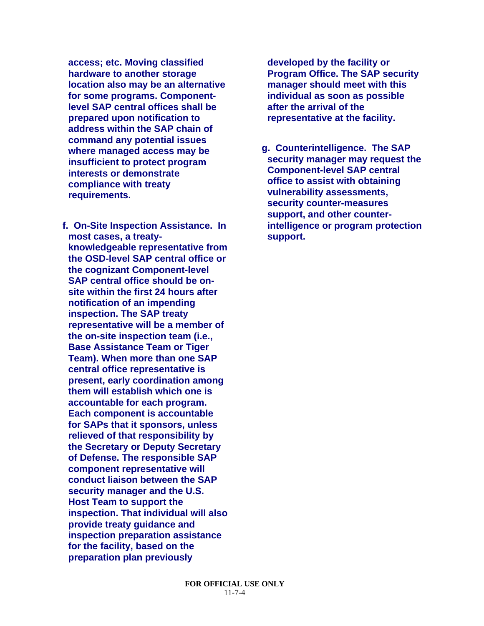**access; etc. Moving classified hardware to another storage location also may be an alternative for some programs. Componentlevel SAP central offices shall be prepared upon notification to address within the SAP chain of command any potential issues where managed access may be insufficient to protect program interests or demonstrate compliance with treaty requirements.**

**f. On-Site Inspection Assistance. In most cases, a treatyknowledgeable representative from the OSD-level SAP central office or the cognizant Component-level SAP central office should be onsite within the first 24 hours after notification of an impending inspection. The SAP treaty representative will be a member of the on-site inspection team (i.e., Base Assistance Team or Tiger Team). When more than one SAP central office representative is present, early coordination among them will establish which one is accountable for each program. Each component is accountable for SAPs that it sponsors, unless relieved of that responsibility by the Secretary or Deputy Secretary of Defense. The responsible SAP component representative will conduct liaison between the SAP security manager and the U.S. Host Team to support the inspection. That individual will also provide treaty guidance and inspection preparation assistance for the facility, based on the preparation plan previously**

**developed by the facility or Program Office. The SAP security manager should meet with this individual as soon as possible after the arrival of the representative at the facility.**

**g. Counterintelligence. The SAP security manager may request the Component-level SAP central office to assist with obtaining vulnerability assessments, security counter-measures support, and other counterintelligence or program protection support.**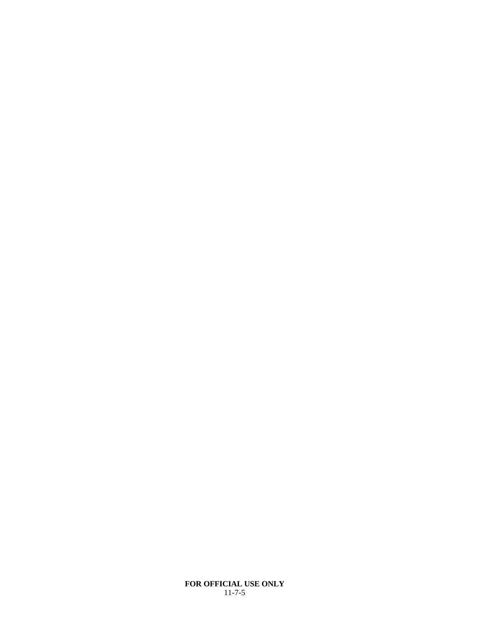### **FOR OFFICIAL USE ONLY** 11-7-5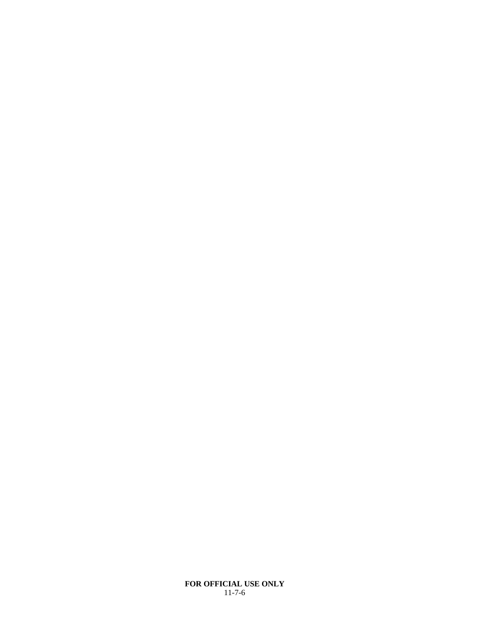### **FOR OFFICIAL USE ONLY** 11-7-6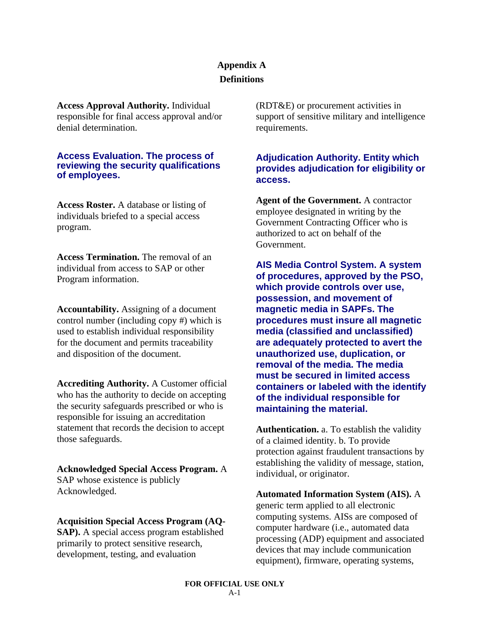# **Appendix A Definitions**

**Access Approval Authority.** Individual responsible for final access approval and/or denial determination.

#### **Access Evaluation. The process of reviewing the security qualifications of employees.**

**Access Roster.** A database or listing of individuals briefed to a special access program.

**Access Termination.** The removal of an individual from access to SAP or other Program information.

**Accountability.** Assigning of a document control number (including copy #) which is used to establish individual responsibility for the document and permits traceability and disposition of the document.

**Accrediting Authority.** A Customer official who has the authority to decide on accepting the security safeguards prescribed or who is responsible for issuing an accreditation statement that records the decision to accept those safeguards.

**Acknowledged Special Access Program.** A SAP whose existence is publicly Acknowledged.

**Acquisition Special Access Program (AQ-SAP).** A special access program established

primarily to protect sensitive research, development, testing, and evaluation

(RDT&E) or procurement activities in support of sensitive military and intelligence requirements.

# **Adjudication Authority. Entity which provides adjudication for eligibility or access.**

**Agent of the Government.** A contractor employee designated in writing by the Government Contracting Officer who is authorized to act on behalf of the Government.

**AIS Media Control System. A system of procedures, approved by the PSO, which provide controls over use, possession, and movement of magnetic media in SAPFs. The procedures must insure all magnetic media (classified and unclassified) are adequately protected to avert the unauthorized use, duplication, or removal of the media. The media must be secured in limited access containers or labeled with the identify of the individual responsible for maintaining the material.**

**Authentication.** a. To establish the validity of a claimed identity. b. To provide protection against fraudulent transactions by establishing the validity of message, station, individual, or originator.

**Automated Information System (AIS).** A generic term applied to all electronic computing systems. AISs are composed of computer hardware (i.e., automated data processing (ADP) equipment and associated devices that may include communication equipment), firmware, operating systems,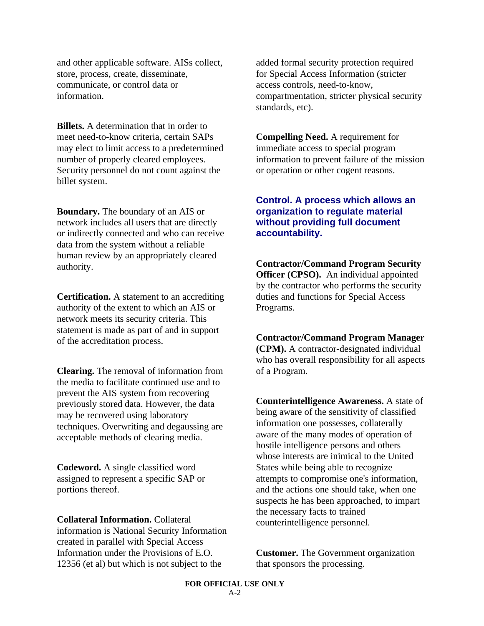and other applicable software. AISs collect, store, process, create, disseminate, communicate, or control data or information.

**Billets.** A determination that in order to meet need-to-know criteria, certain SAPs may elect to limit access to a predetermined number of properly cleared employees. Security personnel do not count against the billet system.

**Boundary.** The boundary of an AIS or network includes all users that are directly or indirectly connected and who can receive data from the system without a reliable human review by an appropriately cleared authority.

**Certification.** A statement to an accrediting authority of the extent to which an AIS or network meets its security criteria. This statement is made as part of and in support of the accreditation process.

**Clearing.** The removal of information from the media to facilitate continued use and to prevent the AIS system from recovering previously stored data. However, the data may be recovered using laboratory techniques. Overwriting and degaussing are acceptable methods of clearing media.

**Codeword.** A single classified word assigned to represent a specific SAP or portions thereof.

**Collateral Information.** Collateral information is National Security Information created in parallel with Special Access Information under the Provisions of E.O. 12356 (et al) but which is not subject to the

added formal security protection required for Special Access Information (stricter access controls, need-to-know, compartmentation, stricter physical security standards, etc).

**Compelling Need.** A requirement for immediate access to special program information to prevent failure of the mission or operation or other cogent reasons.

## **Control. A process which allows an organization to regulate material without providing full document accountability.**

**Contractor/Command Program Security Officer (CPSO).** An individual appointed by the contractor who performs the security duties and functions for Special Access Programs.

**Contractor/Command Program Manager**

**(CPM).** A contractor-designated individual who has overall responsibility for all aspects of a Program.

**Counterintelligence Awareness.** A state of being aware of the sensitivity of classified information one possesses, collaterally aware of the many modes of operation of hostile intelligence persons and others whose interests are inimical to the United States while being able to recognize attempts to compromise one's information, and the actions one should take, when one suspects he has been approached, to impart the necessary facts to trained counterintelligence personnel.

**Customer.** The Government organization that sponsors the processing.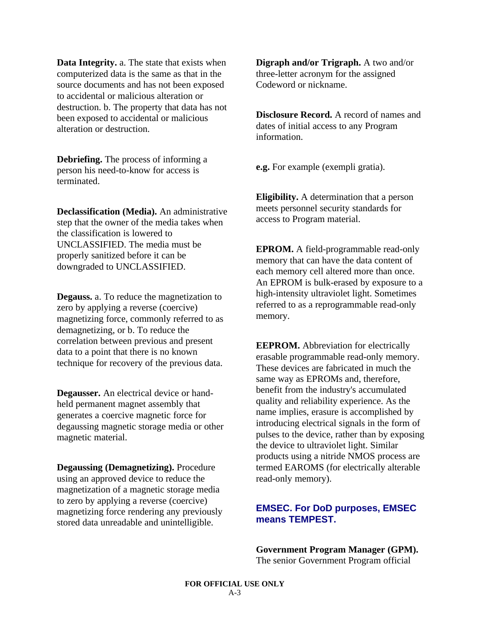**Data Integrity.** a. The state that exists when computerized data is the same as that in the source documents and has not been exposed to accidental or malicious alteration or destruction. b. The property that data has not been exposed to accidental or malicious alteration or destruction.

**Debriefing.** The process of informing a person his need-to-know for access is terminated.

**Declassification (Media).** An administrative step that the owner of the media takes when the classification is lowered to UNCLASSIFIED. The media must be properly sanitized before it can be downgraded to UNCLASSIFIED.

**Degauss.** a. To reduce the magnetization to zero by applying a reverse (coercive) magnetizing force, commonly referred to as demagnetizing, or b. To reduce the correlation between previous and present data to a point that there is no known technique for recovery of the previous data.

**Degausser.** An electrical device or handheld permanent magnet assembly that generates a coercive magnetic force for degaussing magnetic storage media or other magnetic material.

**Degaussing (Demagnetizing).** Procedure using an approved device to reduce the magnetization of a magnetic storage media to zero by applying a reverse (coercive) magnetizing force rendering any previously stored data unreadable and unintelligible.

**Digraph and/or Trigraph.** A two and/or three-letter acronym for the assigned Codeword or nickname.

**Disclosure Record.** A record of names and dates of initial access to any Program information.

**e.g.** For example (exempli gratia).

**Eligibility.** A determination that a person meets personnel security standards for access to Program material.

**EPROM.** A field-programmable read-only memory that can have the data content of each memory cell altered more than once. An EPROM is bulk-erased by exposure to a high-intensity ultraviolet light. Sometimes referred to as a reprogrammable read-only memory.

**EEPROM.** Abbreviation for electrically erasable programmable read-only memory. These devices are fabricated in much the same way as EPROMs and, therefore, benefit from the industry's accumulated quality and reliability experience. As the name implies, erasure is accomplished by introducing electrical signals in the form of pulses to the device, rather than by exposing the device to ultraviolet light. Similar products using a nitride NMOS process are termed EAROMS (for electrically alterable read-only memory).

## **EMSEC. For DoD purposes, EMSEC means TEMPEST.**

# **Government Program Manager (GPM).**

The senior Government Program official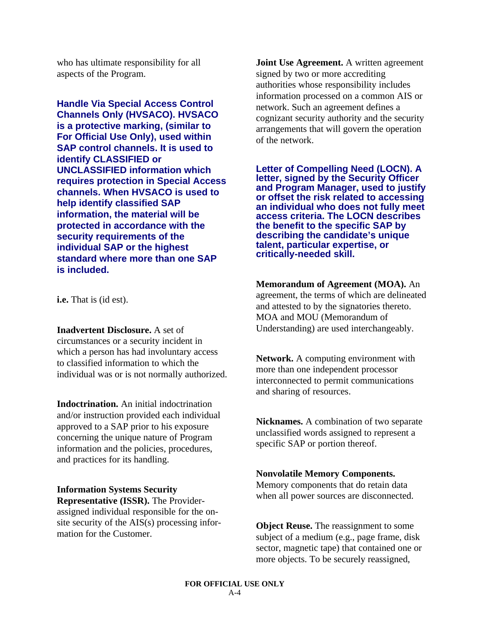who has ultimate responsibility for all aspects of the Program.

**Handle Via Special Access Control Channels Only (HVSACO). HVSACO is a protective marking, (similar to For Official Use Only), used within SAP control channels. It is used to identify CLASSIFIED or UNCLASSIFIED information which requires protection in Special Access channels. When HVSACO is used to help identify classified SAP information, the material will be protected in accordance with the security requirements of the individual SAP or the highest standard where more than one SAP is included.**

**i.e.** That is (id est).

**Inadvertent Disclosure.** A set of circumstances or a security incident in which a person has had involuntary access to classified information to which the individual was or is not normally authorized.

**Indoctrination.** An initial indoctrination and/or instruction provided each individual approved to a SAP prior to his exposure concerning the unique nature of Program information and the policies, procedures, and practices for its handling.

**Information Systems Security Representative (ISSR).** The Providerassigned individual responsible for the onsite security of the AIS(s) processing information for the Customer.

**Joint Use Agreement.** A written agreement signed by two or more accrediting authorities whose responsibility includes information processed on a common AIS or network. Such an agreement defines a cognizant security authority and the security arrangements that will govern the operation of the network.

**Letter of Compelling Need (LOCN). A letter, signed by the Security Officer and Program Manager, used to justify or offset the risk related to accessing an individual who does not fully meet access criteria. The LOCN describes the benefit to the specific SAP by describing the candidate's unique talent, particular expertise, or critically-needed skill.**

**Memorandum of Agreement (MOA).** An agreement, the terms of which are delineated and attested to by the signatories thereto. MOA and MOU (Memorandum of Understanding) are used interchangeably.

**Network.** A computing environment with more than one independent processor interconnected to permit communications and sharing of resources.

**Nicknames.** A combination of two separate unclassified words assigned to represent a specific SAP or portion thereof.

**Nonvolatile Memory Components.**

Memory components that do retain data when all power sources are disconnected.

**Object Reuse.** The reassignment to some subject of a medium (e.g., page frame, disk sector, magnetic tape) that contained one or more objects. To be securely reassigned,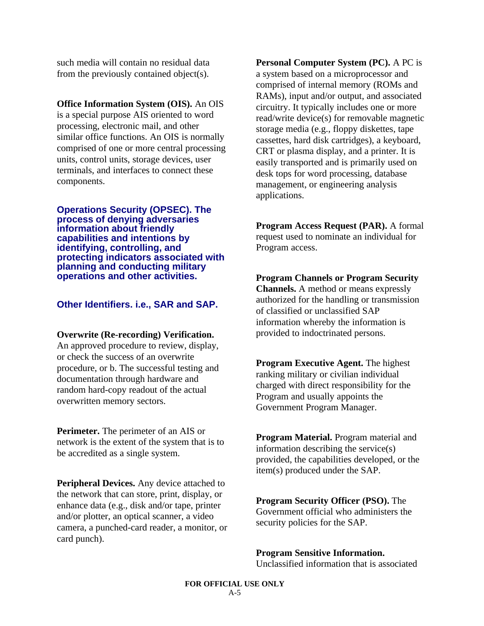such media will contain no residual data from the previously contained object(s).

#### **Office Information System (OIS).** An OIS

is a special purpose AIS oriented to word processing, electronic mail, and other similar office functions. An OIS is normally comprised of one or more central processing units, control units, storage devices, user terminals, and interfaces to connect these components.

**Operations Security (OPSEC). The process of denying adversaries information about friendly capabilities and intentions by identifying, controlling, and protecting indicators associated with planning and conducting military operations and other activities.**

#### **Other Identifiers. i.e., SAR and SAP.**

#### **Overwrite (Re-recording) Verification.**

An approved procedure to review, display, or check the success of an overwrite procedure, or b. The successful testing and documentation through hardware and random hard-copy readout of the actual overwritten memory sectors.

**Perimeter.** The perimeter of an AIS or network is the extent of the system that is to be accredited as a single system.

**Peripheral Devices.** Any device attached to the network that can store, print, display, or enhance data (e.g., disk and/or tape, printer and/or plotter, an optical scanner, a video camera, a punched-card reader, a monitor, or card punch).

**Personal Computer System (PC).** A PC is a system based on a microprocessor and comprised of internal memory (ROMs and RAMs), input and/or output, and associated circuitry. It typically includes one or more read/write device(s) for removable magnetic storage media (e.g., floppy diskettes, tape cassettes, hard disk cartridges), a keyboard, CRT or plasma display, and a printer. It is easily transported and is primarily used on desk tops for word processing, database management, or engineering analysis applications.

**Program Access Request (PAR).** A formal request used to nominate an individual for Program access.

**Program Channels or Program Security Channels.** A method or means expressly authorized for the handling or transmission of classified or unclassified SAP information whereby the information is provided to indoctrinated persons.

**Program Executive Agent.** The highest ranking military or civilian individual charged with direct responsibility for the Program and usually appoints the Government Program Manager.

**Program Material.** Program material and information describing the service(s) provided, the capabilities developed, or the item(s) produced under the SAP.

**Program Security Officer (PSO).** The Government official who administers the security policies for the SAP.

**Program Sensitive Information.** Unclassified information that is associated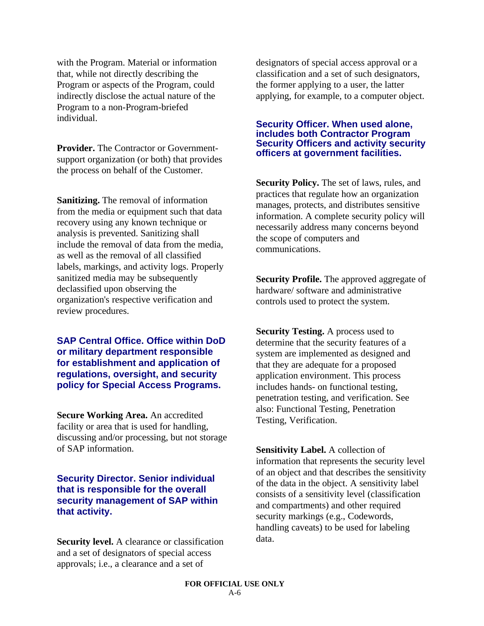with the Program. Material or information that, while not directly describing the Program or aspects of the Program, could indirectly disclose the actual nature of the Program to a non-Program-briefed individual.

**Provider.** The Contractor or Governmentsupport organization (or both) that provides the process on behalf of the Customer.

**Sanitizing.** The removal of information from the media or equipment such that data recovery using any known technique or analysis is prevented. Sanitizing shall include the removal of data from the media, as well as the removal of all classified labels, markings, and activity logs. Properly sanitized media may be subsequently declassified upon observing the organization's respective verification and review procedures.

**SAP Central Office. Office within DoD or military department responsible for establishment and application of regulations, oversight, and security policy for Special Access Programs.**

**Secure Working Area.** An accredited facility or area that is used for handling, discussing and/or processing, but not storage of SAP information.

# **Security Director. Senior individual that is responsible for the overall security management of SAP within that activity.**

**Security level.** A clearance or classification and a set of designators of special access approvals; i.e., a clearance and a set of

designators of special access approval or a classification and a set of such designators, the former applying to a user, the latter applying, for example, to a computer object.

#### **Security Officer. When used alone, includes both Contractor Program Security Officers and activity security officers at government facilities.**

**Security Policy.** The set of laws, rules, and practices that regulate how an organization manages, protects, and distributes sensitive information. A complete security policy will necessarily address many concerns beyond the scope of computers and communications.

**Security Profile.** The approved aggregate of hardware/ software and administrative controls used to protect the system.

**Security Testing.** A process used to determine that the security features of a system are implemented as designed and that they are adequate for a proposed application environment. This process includes hands- on functional testing, penetration testing, and verification. See also: Functional Testing, Penetration Testing, Verification.

**Sensitivity Label.** A collection of information that represents the security level of an object and that describes the sensitivity of the data in the object. A sensitivity label consists of a sensitivity level (classification and compartments) and other required security markings (e.g., Codewords, handling caveats) to be used for labeling data.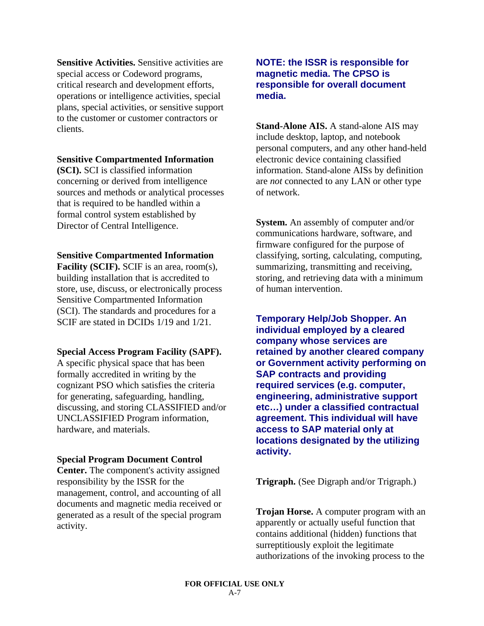**Sensitive Activities.** Sensitive activities are special access or Codeword programs, critical research and development efforts, operations or intelligence activities, special plans, special activities, or sensitive support to the customer or customer contractors or clients.

#### **Sensitive Compartmented Information**

**(SCI).** SCI is classified information concerning or derived from intelligence sources and methods or analytical processes that is required to be handled within a formal control system established by Director of Central Intelligence.

## **Sensitive Compartmented Information**

**Facility (SCIF).** SCIF is an area, room(s), building installation that is accredited to store, use, discuss, or electronically process Sensitive Compartmented Information (SCI). The standards and procedures for a SCIF are stated in DCIDs 1/19 and 1/21.

## **Special Access Program Facility (SAPF).**

A specific physical space that has been formally accredited in writing by the cognizant PSO which satisfies the criteria for generating, safeguarding, handling, discussing, and storing CLASSIFIED and/or UNCLASSIFIED Program information, hardware, and materials.

## **Special Program Document Control**

**Center.** The component's activity assigned responsibility by the ISSR for the management, control, and accounting of all documents and magnetic media received or generated as a result of the special program activity.

# **NOTE: the ISSR is responsible for magnetic media. The CPSO is responsible for overall document media.**

**Stand-Alone AIS.** A stand-alone AIS may include desktop, laptop, and notebook personal computers, and any other hand-held electronic device containing classified information. Stand-alone AISs by definition are *not* connected to any LAN or other type of network.

**System.** An assembly of computer and/or communications hardware, software, and firmware configured for the purpose of classifying, sorting, calculating, computing, summarizing, transmitting and receiving, storing, and retrieving data with a minimum of human intervention.

**Temporary Help/Job Shopper. An individual employed by a cleared company whose services are retained by another cleared company or Government activity performing on SAP contracts and providing required services (e.g. computer, engineering, administrative support etc…) under a classified contractual agreement. This individual will have access to SAP material only at locations designated by the utilizing activity.**

**Trigraph.** (See Digraph and/or Trigraph.)

**Trojan Horse.** A computer program with an apparently or actually useful function that contains additional (hidden) functions that surreptitiously exploit the legitimate authorizations of the invoking process to the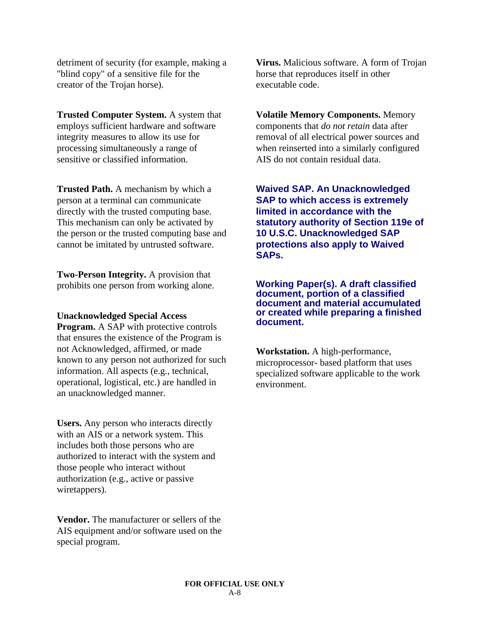detriment of security (for example, making a "blind copy" of a sensitive file for the creator of the Trojan horse).

**Trusted Computer System.** A system that employs sufficient hardware and software integrity measures to allow its use for processing simultaneously a range of sensitive or classified information.

**Trusted Path.** A mechanism by which a person at a terminal can communicate directly with the trusted computing base. This mechanism can only be activated by the person or the trusted computing base and cannot be imitated by untrusted software.

**Two-Person Integrity.** A provision that prohibits one person from working alone.

#### **Unacknowledged Special Access**

**Program.** A SAP with protective controls that ensures the existence of the Program is not Acknowledged, affirmed, or made known to any person not authorized for such information. All aspects (e.g., technical, operational, logistical, etc.) are handled in an unacknowledged manner.

**Users.** Any person who interacts directly with an AIS or a network system. This includes both those persons who are authorized to interact with the system and those people who interact without authorization (e.g., active or passive wiretappers).

**Vendor.** The manufacturer or sellers of the AIS equipment and/or software used on the special program.

**Virus.** Malicious software. A form of Trojan horse that reproduces itself in other executable code.

**Volatile Memory Components.** Memory components that *do not retain* data after removal of all electrical power sources and when reinserted into a similarly configured AIS do not contain residual data.

**Waived SAP. An Unacknowledged SAP to which access is extremely limited in accordance with the statutory authority of Section 119e of 10 U.S.C. Unacknowledged SAP protections also apply to Waived SAPs.**

**Working Paper(s). A draft classified document, portion of a classified document and material accumulated or created while preparing a finished document.**

**Workstation.** A high-performance, microprocessor- based platform that uses specialized software applicable to the work environment.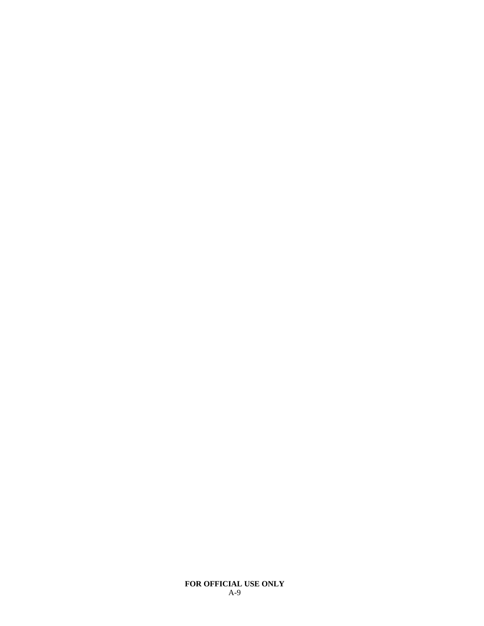#### **FOR OFFICIAL USE ONLY** A-9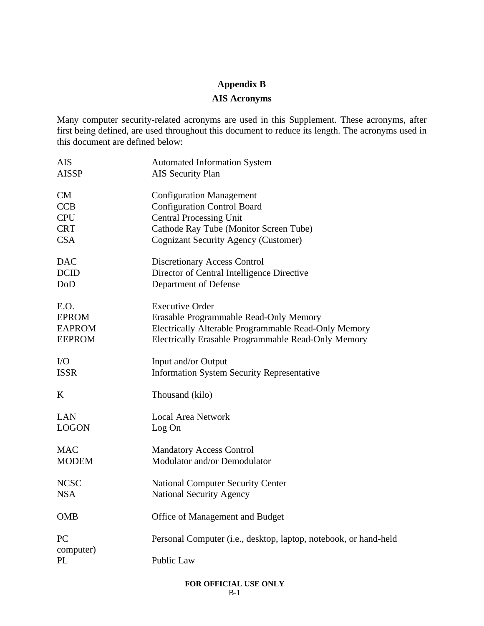# **Appendix B**

# **AIS Acronyms**

Many computer security-related acronyms are used in this Supplement. These acronyms, after first being defined, are used throughout this document to reduce its length. The acronyms used in this document are defined below:

| AIS             | <b>Automated Information System</b>                              |
|-----------------|------------------------------------------------------------------|
| <b>AISSP</b>    | AIS Security Plan                                                |
| <b>CM</b>       | <b>Configuration Management</b>                                  |
| <b>CCB</b>      | <b>Configuration Control Board</b>                               |
| <b>CPU</b>      | <b>Central Processing Unit</b>                                   |
| <b>CRT</b>      | Cathode Ray Tube (Monitor Screen Tube)                           |
| <b>CSA</b>      | <b>Cognizant Security Agency (Customer)</b>                      |
| <b>DAC</b>      | <b>Discretionary Access Control</b>                              |
| <b>DCID</b>     | Director of Central Intelligence Directive                       |
| DoD             | Department of Defense                                            |
| E.O.            | <b>Executive Order</b>                                           |
| <b>EPROM</b>    | Erasable Programmable Read-Only Memory                           |
| <b>EAPROM</b>   | Electrically Alterable Programmable Read-Only Memory             |
| <b>EEPROM</b>   | Electrically Erasable Programmable Read-Only Memory              |
| $\rm LO$        | Input and/or Output                                              |
| <b>ISSR</b>     | <b>Information System Security Representative</b>                |
| $\bf K$         | Thousand (kilo)                                                  |
| <b>LAN</b>      | <b>Local Area Network</b>                                        |
| <b>LOGON</b>    | Log On                                                           |
| <b>MAC</b>      | <b>Mandatory Access Control</b>                                  |
| <b>MODEM</b>    | Modulator and/or Demodulator                                     |
| <b>NCSC</b>     | <b>National Computer Security Center</b>                         |
| <b>NSA</b>      | <b>National Security Agency</b>                                  |
| <b>OMB</b>      | Office of Management and Budget                                  |
| PC              | Personal Computer (i.e., desktop, laptop, notebook, or hand-held |
| computer)<br>PL | Public Law                                                       |
|                 |                                                                  |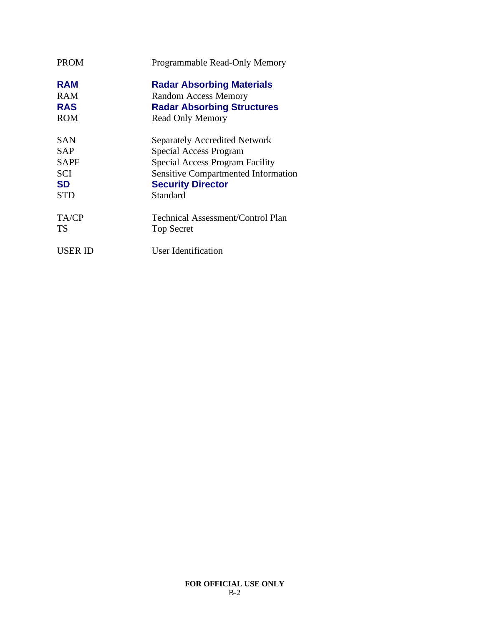| <b>PROM</b><br>Programmable Read-Only Memory |                                            |  |  |  |
|----------------------------------------------|--------------------------------------------|--|--|--|
| <b>RAM</b>                                   | <b>Radar Absorbing Materials</b>           |  |  |  |
| <b>RAM</b>                                   | <b>Random Access Memory</b>                |  |  |  |
| <b>RAS</b>                                   | <b>Radar Absorbing Structures</b>          |  |  |  |
| <b>ROM</b>                                   | <b>Read Only Memory</b>                    |  |  |  |
| SAN                                          | <b>Separately Accredited Network</b>       |  |  |  |
| <b>SAP</b>                                   | Special Access Program                     |  |  |  |
| <b>SAPF</b>                                  | <b>Special Access Program Facility</b>     |  |  |  |
| SCI                                          | <b>Sensitive Compartmented Information</b> |  |  |  |
| <b>SD</b>                                    | <b>Security Director</b>                   |  |  |  |
| <b>STD</b>                                   | Standard                                   |  |  |  |
| TA/CP                                        | <b>Technical Assessment/Control Plan</b>   |  |  |  |
| TS                                           | <b>Top Secret</b>                          |  |  |  |
| USER ID                                      | User Identification                        |  |  |  |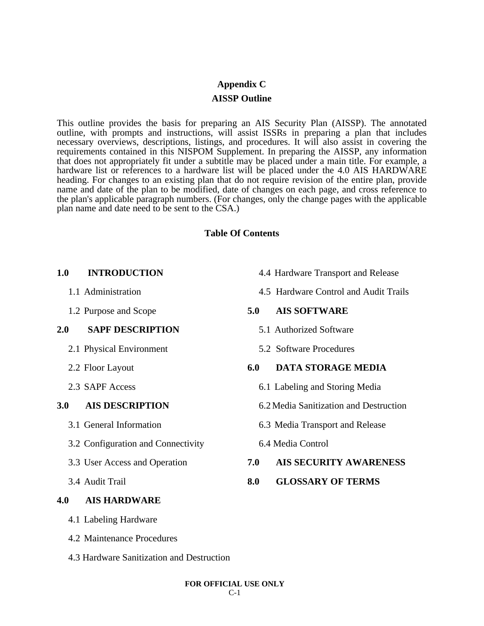# **Appendix C AISSP Outline**

This outline provides the basis for preparing an AIS Security Plan (AISSP). The annotated outline, with prompts and instructions, will assist ISSRs in preparing a plan that includes necessary overviews, descriptions, listings, and procedures. It will also assist in covering the requirements contained in this NISPOM Supplement. In preparing the AISSP, any information that does not appropriately fit under a subtitle may be placed under a main title. For example, a hardware list or references to a hardware list will be placed under the 4.0 AIS HARDWARE heading. For changes to an existing plan that do not require revision of the entire plan, provide name and date of the plan to be modified, date of changes on each page, and cross reference to the plan's applicable paragraph numbers. (For changes, only the change pages with the applicable plan name and date need to be sent to the CSA.)

## **Table Of Contents**

#### **1.0 INTRODUCTION**

- 1.1 Administration
- 1.2 Purpose and Scope

## **2.0 SAPF DESCRIPTION**

- 2.1 Physical Environment
- 2.2 Floor Layout
- 2.3 SAPF Access

## **3.0 AIS DESCRIPTION**

- 3.1 General Information
- 3.2 Configuration and Connectivity
- 3.3 User Access and Operation
- 3.4 Audit Trail

## **4.0 AIS HARDWARE**

- 4.1 Labeling Hardware
- 4.2 Maintenance Procedures
- 4.3 Hardware Sanitization and Destruction
- 4.4 Hardware Transport and Release
- 4.5 Hardware Control and Audit Trails

#### **5.0 AIS SOFTWARE**

- 5.1 Authorized Software
- 5.2 Software Procedures

#### **6.0 DATA STORAGE MEDIA**

- 6.1 Labeling and Storing Media
- 6.2Media Sanitization and Destruction
- 6.3 Media Transport and Release

## 6.4 Media Control

## **7.0 AIS SECURITY AWARENESS**

#### **8.0 GLOSSARY OF TERMS**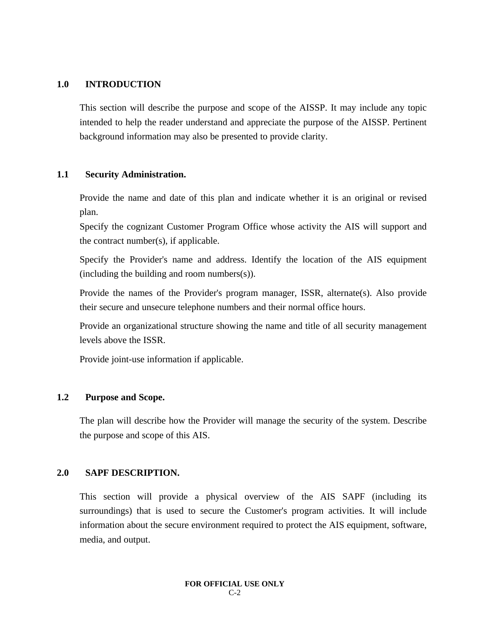## **1.0 INTRODUCTION**

This section will describe the purpose and scope of the AISSP. It may include any topic intended to help the reader understand and appreciate the purpose of the AISSP. Pertinent background information may also be presented to provide clarity.

## **1.1 Security Administration.**

Provide the name and date of this plan and indicate whether it is an original or revised plan.

Specify the cognizant Customer Program Office whose activity the AIS will support and the contract number(s), if applicable.

Specify the Provider's name and address. Identify the location of the AIS equipment (including the building and room numbers(s)).

Provide the names of the Provider's program manager, ISSR, alternate(s). Also provide their secure and unsecure telephone numbers and their normal office hours.

Provide an organizational structure showing the name and title of all security management levels above the ISSR.

Provide joint-use information if applicable.

## **1.2 Purpose and Scope.**

The plan will describe how the Provider will manage the security of the system. Describe the purpose and scope of this AIS.

#### **2.0 SAPF DESCRIPTION.**

This section will provide a physical overview of the AIS SAPF (including its surroundings) that is used to secure the Customer's program activities. It will include information about the secure environment required to protect the AIS equipment, software, media, and output.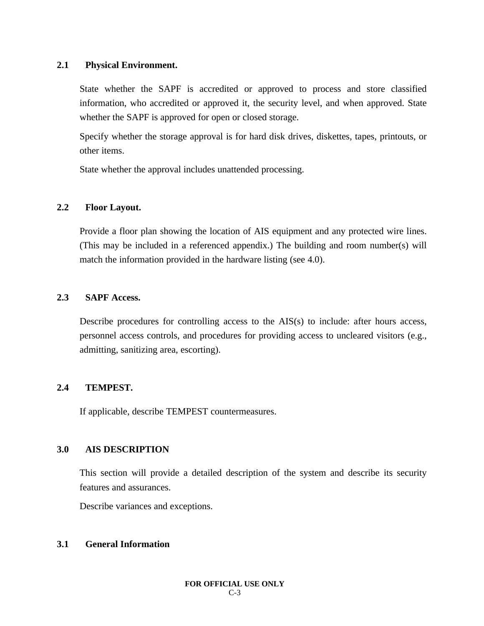#### **2.1 Physical Environment.**

State whether the SAPF is accredited or approved to process and store classified information, who accredited or approved it, the security level, and when approved. State whether the SAPF is approved for open or closed storage.

Specify whether the storage approval is for hard disk drives, diskettes, tapes, printouts, or other items.

State whether the approval includes unattended processing.

#### **2.2 Floor Layout.**

Provide a floor plan showing the location of AIS equipment and any protected wire lines. (This may be included in a referenced appendix.) The building and room number(s) will match the information provided in the hardware listing (see 4.0).

## **2.3 SAPF Access.**

Describe procedures for controlling access to the AIS(s) to include: after hours access, personnel access controls, and procedures for providing access to uncleared visitors (e.g., admitting, sanitizing area, escorting).

#### **2.4 TEMPEST.**

If applicable, describe TEMPEST countermeasures.

#### **3.0 AIS DESCRIPTION**

This section will provide a detailed description of the system and describe its security features and assurances.

Describe variances and exceptions.

#### **3.1 General Information**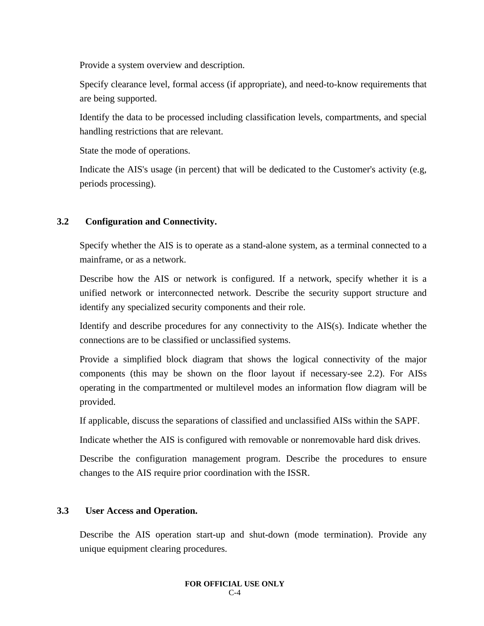Provide a system overview and description.

Specify clearance level, formal access (if appropriate), and need-to-know requirements that are being supported.

Identify the data to be processed including classification levels, compartments, and special handling restrictions that are relevant.

State the mode of operations.

Indicate the AIS's usage (in percent) that will be dedicated to the Customer's activity (e.g, periods processing).

# **3.2 Configuration and Connectivity.**

Specify whether the AIS is to operate as a stand-alone system, as a terminal connected to a mainframe, or as a network.

Describe how the AIS or network is configured. If a network, specify whether it is a unified network or interconnected network. Describe the security support structure and identify any specialized security components and their role.

Identify and describe procedures for any connectivity to the AIS(s). Indicate whether the connections are to be classified or unclassified systems.

Provide a simplified block diagram that shows the logical connectivity of the major components (this may be shown on the floor layout if necessary-see 2.2). For AISs operating in the compartmented or multilevel modes an information flow diagram will be provided.

If applicable, discuss the separations of classified and unclassified AISs within the SAPF.

Indicate whether the AIS is configured with removable or nonremovable hard disk drives.

Describe the configuration management program. Describe the procedures to ensure changes to the AIS require prior coordination with the ISSR.

# **3.3 User Access and Operation.**

Describe the AIS operation start-up and shut-down (mode termination). Provide any unique equipment clearing procedures.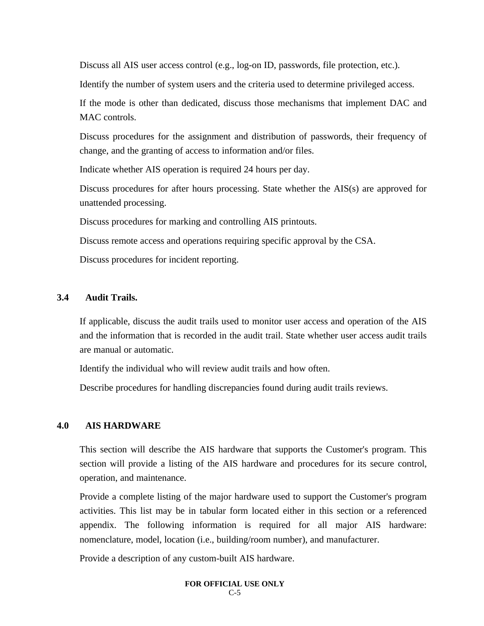Discuss all AIS user access control (e.g., log-on ID, passwords, file protection, etc.).

Identify the number of system users and the criteria used to determine privileged access.

If the mode is other than dedicated, discuss those mechanisms that implement DAC and MAC controls.

Discuss procedures for the assignment and distribution of passwords, their frequency of change, and the granting of access to information and/or files.

Indicate whether AIS operation is required 24 hours per day.

Discuss procedures for after hours processing. State whether the AIS(s) are approved for unattended processing.

Discuss procedures for marking and controlling AIS printouts.

Discuss remote access and operations requiring specific approval by the CSA.

Discuss procedures for incident reporting.

## **3.4 Audit Trails.**

If applicable, discuss the audit trails used to monitor user access and operation of the AIS and the information that is recorded in the audit trail. State whether user access audit trails are manual or automatic.

Identify the individual who will review audit trails and how often.

Describe procedures for handling discrepancies found during audit trails reviews.

#### **4.0 AIS HARDWARE**

This section will describe the AIS hardware that supports the Customer's program. This section will provide a listing of the AIS hardware and procedures for its secure control, operation, and maintenance.

Provide a complete listing of the major hardware used to support the Customer's program activities. This list may be in tabular form located either in this section or a referenced appendix. The following information is required for all major AIS hardware: nomenclature, model, location (i.e., building/room number), and manufacturer.

Provide a description of any custom-built AIS hardware.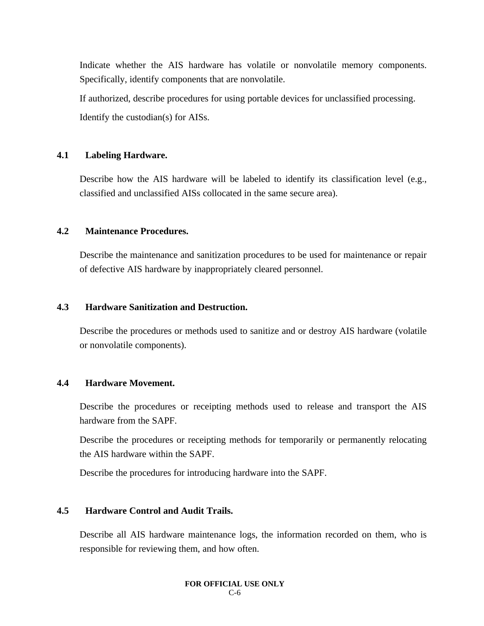Indicate whether the AIS hardware has volatile or nonvolatile memory components. Specifically, identify components that are nonvolatile.

If authorized, describe procedures for using portable devices for unclassified processing. Identify the custodian(s) for AISs.

#### **4.1 Labeling Hardware.**

Describe how the AIS hardware will be labeled to identify its classification level (e.g., classified and unclassified AISs collocated in the same secure area).

#### **4.2 Maintenance Procedures.**

Describe the maintenance and sanitization procedures to be used for maintenance or repair of defective AIS hardware by inappropriately cleared personnel.

## **4.3 Hardware Sanitization and Destruction.**

Describe the procedures or methods used to sanitize and or destroy AIS hardware (volatile or nonvolatile components).

## **4.4 Hardware Movement.**

Describe the procedures or receipting methods used to release and transport the AIS hardware from the SAPF.

Describe the procedures or receipting methods for temporarily or permanently relocating the AIS hardware within the SAPF.

Describe the procedures for introducing hardware into the SAPF.

## **4.5 Hardware Control and Audit Trails.**

Describe all AIS hardware maintenance logs, the information recorded on them, who is responsible for reviewing them, and how often.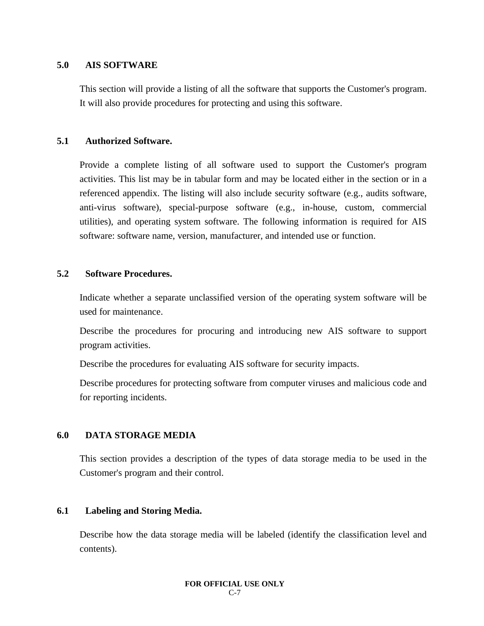#### **5.0 AIS SOFTWARE**

This section will provide a listing of all the software that supports the Customer's program. It will also provide procedures for protecting and using this software.

#### **5.1 Authorized Software.**

Provide a complete listing of all software used to support the Customer's program activities. This list may be in tabular form and may be located either in the section or in a referenced appendix. The listing will also include security software (e.g., audits software, anti-virus software), special-purpose software (e.g., in-house, custom, commercial utilities), and operating system software. The following information is required for AIS software: software name, version, manufacturer, and intended use or function.

#### **5.2 Software Procedures.**

Indicate whether a separate unclassified version of the operating system software will be used for maintenance.

Describe the procedures for procuring and introducing new AIS software to support program activities.

Describe the procedures for evaluating AIS software for security impacts.

Describe procedures for protecting software from computer viruses and malicious code and for reporting incidents.

## **6.0 DATA STORAGE MEDIA**

This section provides a description of the types of data storage media to be used in the Customer's program and their control.

#### **6.1 Labeling and Storing Media.**

Describe how the data storage media will be labeled (identify the classification level and contents).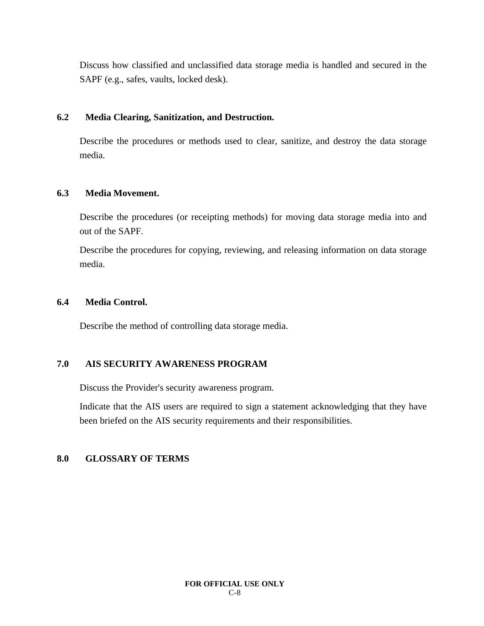Discuss how classified and unclassified data storage media is handled and secured in the SAPF (e.g., safes, vaults, locked desk).

# **6.2 Media Clearing, Sanitization, and Destruction.**

Describe the procedures or methods used to clear, sanitize, and destroy the data storage media.

# **6.3 Media Movement.**

Describe the procedures (or receipting methods) for moving data storage media into and out of the SAPF.

Describe the procedures for copying, reviewing, and releasing information on data storage media.

# **6.4 Media Control.**

Describe the method of controlling data storage media.

# **7.0 AIS SECURITY AWARENESS PROGRAM**

Discuss the Provider's security awareness program.

Indicate that the AIS users are required to sign a statement acknowledging that they have been briefed on the AIS security requirements and their responsibilities.

# **8.0 GLOSSARY OF TERMS**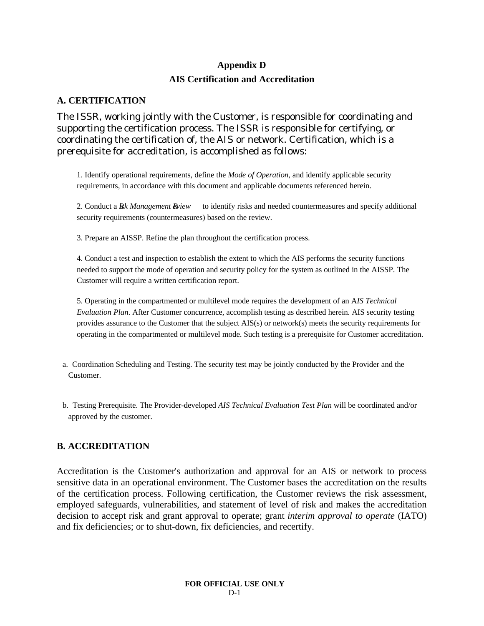# **Appendix D AIS Certification and Accreditation**

## **A. CERTIFICATION**

The ISSR, working jointly with the Customer, is responsible for coordinating and supporting the certification process. The ISSR is responsible for certifying, or coordinating the certification of, the AIS or network. Certification, which is a prerequisite for accreditation, is accomplished as follows:

1. Identify operational requirements, define the *Mode of Operation*, and identify applicable security requirements, in accordance with this document and applicable documents referenced herein.

2. Conduct a *Risk Management Review* to identify risks and needed countermeasures and specify additional security requirements (countermeasures) based on the review.

3. Prepare an AISSP. Refine the plan throughout the certification process.

4. Conduct a test and inspection to establish the extent to which the AIS performs the security functions needed to support the mode of operation and security policy for the system as outlined in the AISSP. The Customer will require a written certification report.

5. Operating in the compartmented or multilevel mode requires the development of an A*IS Technical Evaluation Plan*. After Customer concurrence, accomplish testing as described herein. AIS security testing provides assurance to the Customer that the subject AIS(s) or network(s) meets the security requirements for operating in the compartmented or multilevel mode. Such testing is a prerequisite for Customer accreditation.

- a. Coordination Scheduling and Testing. The security test may be jointly conducted by the Provider and the Customer.
- b. Testing Prerequisite. The Provider-developed *AIS Technical Evaluation Test Plan* will be coordinated and/or approved by the customer.

# **B. ACCREDITATION**

Accreditation is the Customer's authorization and approval for an AIS or network to process sensitive data in an operational environment. The Customer bases the accreditation on the results of the certification process. Following certification, the Customer reviews the risk assessment, employed safeguards, vulnerabilities, and statement of level of risk and makes the accreditation decision to accept risk and grant approval to operate; grant *interim approval to operate* (IATO) and fix deficiencies; or to shut-down, fix deficiencies, and recertify.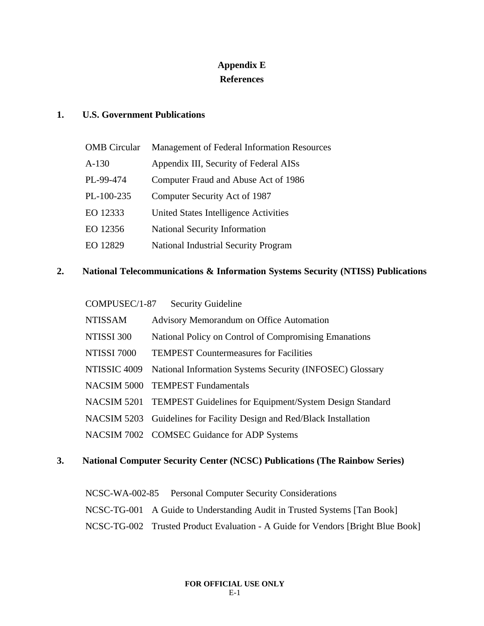# **Appendix E References**

## **1. U.S. Government Publications**

| <b>OMB</b> Circular | Management of Federal Information Resources |
|---------------------|---------------------------------------------|
| $A-130$             | Appendix III, Security of Federal AISs      |
| PL-99-474           | Computer Fraud and Abuse Act of 1986        |
| $PL-100-235$        | Computer Security Act of 1987               |
| EO 12333            | United States Intelligence Activities       |
| EO 12356            | <b>National Security Information</b>        |
| EO 12829            | <b>National Industrial Security Program</b> |
|                     |                                             |

# **2. National Telecommunications & Information Systems Security (NTISS) Publications**

COMPUSEC/1-87 Security Guideline

| <b>NTISSAM</b>     | Advisory Memorandum on Office Automation                              |
|--------------------|-----------------------------------------------------------------------|
| NTISSI 300         | National Policy on Control of Compromising Emanations                 |
| <b>NTISSI 7000</b> | <b>TEMPEST Countermeasures for Facilities</b>                         |
| NTISSIC 4009       | National Information Systems Security (INFOSEC) Glossary              |
|                    | <b>NACSIM 5000 TEMPEST Fundamentals</b>                               |
|                    | NACSIM 5201 TEMPEST Guidelines for Equipment/System Design Standard   |
|                    | NACSIM 5203 Guidelines for Facility Design and Red/Black Installation |
|                    | NACSIM 7002 COMSEC Guidance for ADP Systems                           |

# **3. National Computer Security Center (NCSC) Publications (The Rainbow Series)**

NCSC-WA-002-85 Personal Computer Security Considerations NCSC-TG-001 A Guide to Understanding Audit in Trusted Systems [Tan Book] NCSC-TG-002 Trusted Product Evaluation - A Guide for Vendors [Bright Blue Book]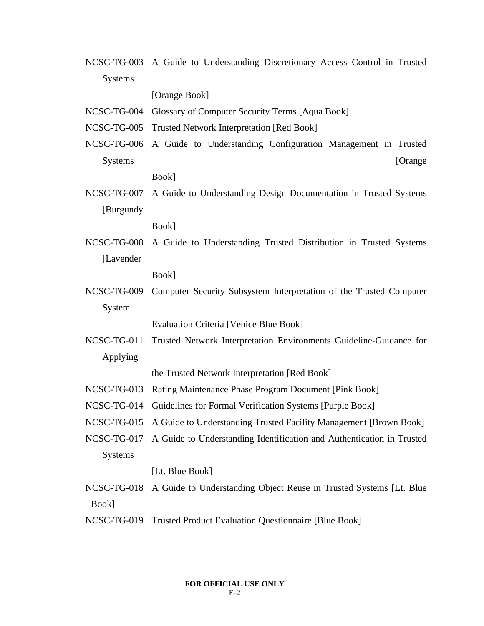NCSC-TG-003 A Guide to Understanding Discretionary Access Control in Trusted Systems

[Orange Book]

- NCSC-TG-004 Glossary of Computer Security Terms [Aqua Book]
- NCSC-TG-005 Trusted Network Interpretation [Red Book]
- NCSC-TG-006 A Guide to Understanding Configuration Management in Trusted Systems [Orange 3]

Book]

NCSC-TG-007 A Guide to Understanding Design Documentation in Trusted Systems [Burgundy

Book]

NCSC-TG-008 A Guide to Understanding Trusted Distribution in Trusted Systems [Lavender

Book]

NCSC-TG-009 Computer Security Subsystem Interpretation of the Trusted Computer System

Evaluation Criteria [Venice Blue Book]

NCSC-TG-011 Trusted Network Interpretation Environments Guideline-Guidance for Applying

the Trusted Network Interpretation [Red Book]

- NCSC-TG-013 Rating Maintenance Phase Program Document [Pink Book]
- NCSC-TG-014 Guidelines for Formal Verification Systems [Purple Book]
- NCSC-TG-015 A Guide to Understanding Trusted Facility Management [Brown Book]
- NCSC-TG-017 A Guide to Understanding Identification and Authentication in Trusted Systems

#### [Lt. Blue Book]

- NCSC-TG-018 A Guide to Understanding Object Reuse in Trusted Systems [Lt. Blue Book]
- NCSC-TG-019 Trusted Product Evaluation Questionnaire [Blue Book]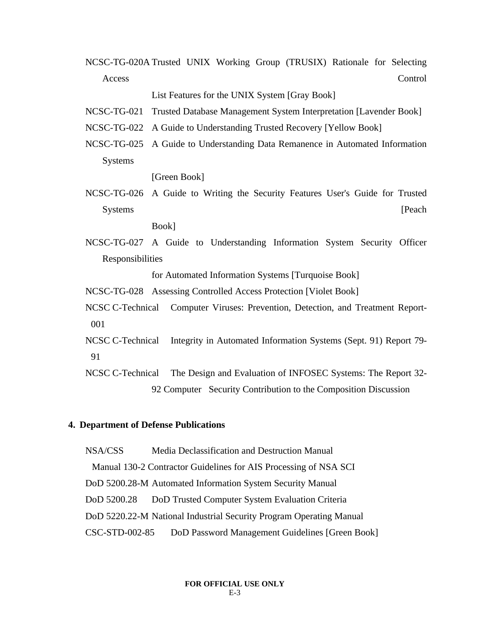NCSC-TG-020A Trusted UNIX Working Group (TRUSIX) Rationale for Selecting Access Control

List Features for the UNIX System [Gray Book]

- NCSC-TG-021 Trusted Database Management System Interpretation [Lavender Book]
- NCSC-TG-022 A Guide to Understanding Trusted Recovery [Yellow Book]
- NCSC-TG-025 A Guide to Understanding Data Remanence in Automated Information Systems

[Green Book]

NCSC-TG-026 A Guide to Writing the Security Features User's Guide for Trusted Systems [Peach and state of the systems] [Peach and state of the systems] [Peach and state of the systems] [Peach and state of the systems of the systems of the systems of the systems of the systems of the systems of the s

Book]

NCSC-TG-027 A Guide to Understanding Information System Security Officer Responsibilities

for Automated Information Systems [Turquoise Book]

NCSC-TG-028 Assessing Controlled Access Protection [Violet Book]

- NCSC C-Technical Computer Viruses: Prevention, Detection, and Treatment Report-001
- NCSC C-Technical Integrity in Automated Information Systems (Sept. 91) Report 79- 91
- NCSC C-Technical The Design and Evaluation of INFOSEC Systems: The Report 32- 92 Computer Security Contribution to the Composition Discussion

#### **4. Department of Defense Publications**

NSA/CSS Media Declassification and Destruction Manual

Manual 130-2 Contractor Guidelines for AIS Processing of NSA SCI

DoD 5200.28-M Automated Information System Security Manual

DoD 5200.28 DoD Trusted Computer System Evaluation Criteria

DoD 5220.22-M National Industrial Security Program Operating Manual

CSC-STD-002-85 DoD Password Management Guidelines [Green Book]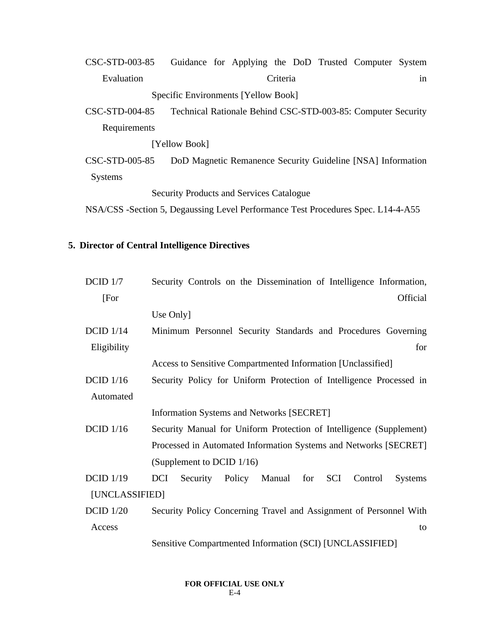CSC-STD-003-85 Guidance for Applying the DoD Trusted Computer System Evaluation Criteria in Specific Environments [Yellow Book]

CSC-STD-004-85 Technical Rationale Behind CSC-STD-003-85: Computer Security Requirements

[Yellow Book]

CSC-STD-005-85 DoD Magnetic Remanence Security Guideline [NSA] Information Systems

Security Products and Services Catalogue

NSA/CSS -Section 5, Degaussing Level Performance Test Procedures Spec. L14-4-A55

## **5. Director of Central Intelligence Directives**

| DCID $1/7$       | Security Controls on the Dissemination of Intelligence Information, |
|------------------|---------------------------------------------------------------------|
| [For             | Official                                                            |
|                  | Use Only]                                                           |
| <b>DCID</b> 1/14 | Minimum Personnel Security Standards and Procedures Governing       |
| Eligibility      | for                                                                 |
|                  | Access to Sensitive Compartmented Information [Unclassified]        |
| <b>DCID</b> 1/16 | Security Policy for Uniform Protection of Intelligence Processed in |
| Automated        |                                                                     |
|                  | <b>Information Systems and Networks [SECRET]</b>                    |
| <b>DCID</b> 1/16 | Security Manual for Uniform Protection of Intelligence (Supplement) |
|                  | Processed in Automated Information Systems and Networks [SECRET]    |
|                  | (Supplement to DCID 1/16)                                           |
| <b>DCID</b> 1/19 | DCI<br>Security Policy Manual for SCI<br>Control<br><b>Systems</b>  |
| [UNCLASSIFIED]   |                                                                     |
| <b>DCID</b> 1/20 | Security Policy Concerning Travel and Assignment of Personnel With  |
| Access           | to                                                                  |
|                  | Sensitive Compartmented Information (SCI) [UNCLASSIFIED]            |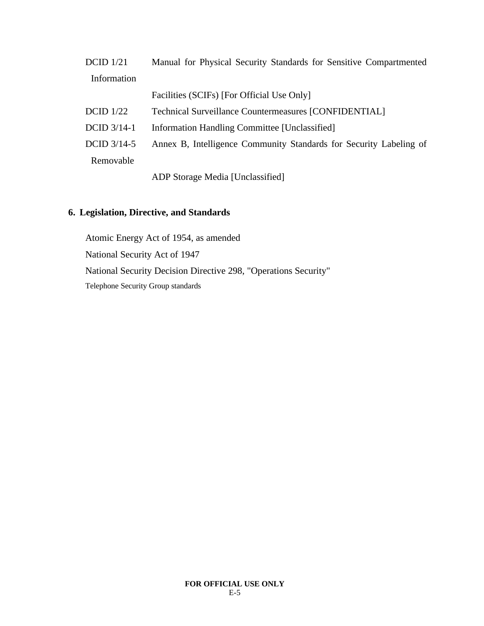| DCID $1/21$   | Manual for Physical Security Standards for Sensitive Compartmented |
|---------------|--------------------------------------------------------------------|
| Information   |                                                                    |
|               | Facilities (SCIFs) [For Official Use Only]                         |
| DCID $1/22$   | <b>Technical Surveillance Countermeasures [CONFIDENTIAL]</b>       |
| DCID $3/14-1$ | <b>Information Handling Committee [Unclassified]</b>               |
| DCID $3/14-5$ | Annex B, Intelligence Community Standards for Security Labeling of |
| Removable     |                                                                    |
|               |                                                                    |

ADP Storage Media [Unclassified]

# **6. Legislation, Directive, and Standards**

Atomic Energy Act of 1954, as amended National Security Act of 1947 National Security Decision Directive 298, "Operations Security" Telephone Security Group standards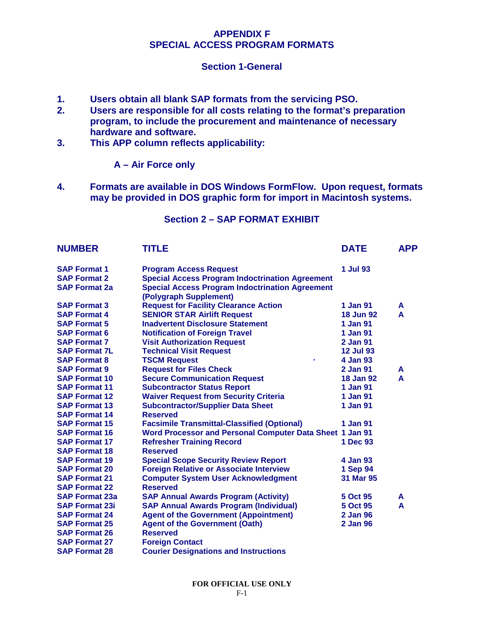## **APPENDIX F SPECIAL ACCESS PROGRAM FORMATS**

## **Section 1-General**

- **1. Users obtain all blank SAP formats from the servicing PSO.**
- **2. Users are responsible for all costs relating to the format's preparation program, to include the procurement and maintenance of necessary hardware and software.**
- **3. This APP column reflects applicability:**
	- **A Air Force only**
- **4. Formats are available in DOS Windows FormFlow. Upon request, formats may be provided in DOS graphic form for import in Macintosh systems.**

| <b>NUMBER</b>                                                      | <b>TITLE</b>                                                                                                                                                                | <b>DATE</b>      | <b>APP</b> |
|--------------------------------------------------------------------|-----------------------------------------------------------------------------------------------------------------------------------------------------------------------------|------------------|------------|
| <b>SAP Format 1</b><br><b>SAP Format 2</b><br><b>SAP Format 2a</b> | <b>Program Access Request</b><br><b>Special Access Program Indoctrination Agreement</b><br><b>Special Access Program Indoctrination Agreement</b><br>(Polygraph Supplement) | <b>1 Jul 93</b>  |            |
| <b>SAP Format 3</b>                                                | <b>Request for Facility Clearance Action</b>                                                                                                                                | 1 Jan 91         | A          |
| <b>SAP Format 4</b>                                                | <b>SENIOR STAR Airlift Request</b>                                                                                                                                          | <b>18 Jun 92</b> | A          |
| <b>SAP Format 5</b>                                                | <b>Inadvertent Disclosure Statement</b>                                                                                                                                     | 1 Jan 91         |            |
| <b>SAP Format 6</b>                                                | <b>Notification of Foreign Travel</b>                                                                                                                                       | 1 Jan 91         |            |
| <b>SAP Format 7</b>                                                | <b>Visit Authorization Request</b>                                                                                                                                          | 2 Jan 91         |            |
| <b>SAP Format 7L</b>                                               | <b>Technical Visit Request</b>                                                                                                                                              | <b>12 Jul 93</b> |            |
| <b>SAP Format 8</b>                                                | <b>TSCM Request</b><br>$\mathbf{r}$                                                                                                                                         | 4 Jan 93         |            |
| <b>SAP Format 9</b>                                                | <b>Request for Files Check</b>                                                                                                                                              | 2 Jan 91         | A          |
| <b>SAP Format 10</b>                                               | <b>Secure Communication Request</b>                                                                                                                                         | <b>18 Jan 92</b> | A          |
| <b>SAP Format 11</b>                                               | <b>Subcontractor Status Report</b>                                                                                                                                          | 1 Jan 91         |            |
| <b>SAP Format 12</b>                                               | <b>Waiver Request from Security Criteria</b>                                                                                                                                | 1 Jan 91         |            |
| <b>SAP Format 13</b>                                               | <b>Subcontractor/Supplier Data Sheet</b>                                                                                                                                    | 1 Jan 91         |            |
| <b>SAP Format 14</b>                                               | <b>Reserved</b>                                                                                                                                                             |                  |            |
| <b>SAP Format 15</b>                                               | <b>Facsimile Transmittal-Classified (Optional)</b>                                                                                                                          | 1 Jan 91         |            |
| <b>SAP Format 16</b>                                               | Word Processor and Personal Computer Data Sheet 1 Jan 91                                                                                                                    |                  |            |
| <b>SAP Format 17</b>                                               | <b>Refresher Training Record</b>                                                                                                                                            | 1 Dec 93         |            |
| <b>SAP Format 18</b>                                               | <b>Reserved</b>                                                                                                                                                             |                  |            |
| <b>SAP Format 19</b>                                               | <b>Special Scope Security Review Report</b>                                                                                                                                 | 4 Jan 93         |            |
| <b>SAP Format 20</b>                                               | <b>Foreign Relative or Associate Interview</b>                                                                                                                              | 1 Sep 94         |            |
| <b>SAP Format 21</b>                                               | <b>Computer System User Acknowledgment</b>                                                                                                                                  | 31 Mar 95        |            |
| <b>SAP Format 22</b>                                               | <b>Reserved</b>                                                                                                                                                             |                  |            |
| <b>SAP Format 23a</b>                                              | <b>SAP Annual Awards Program (Activity)</b>                                                                                                                                 | 5 Oct 95         | A          |
| <b>SAP Format 23i</b>                                              | <b>SAP Annual Awards Program (Individual)</b>                                                                                                                               | 5 Oct 95         | A          |
| <b>SAP Format 24</b>                                               | <b>Agent of the Government (Appointment)</b>                                                                                                                                | 2 Jan 96         |            |
| <b>SAP Format 25</b>                                               | <b>Agent of the Government (Oath)</b>                                                                                                                                       | 2 Jan 96         |            |
| <b>SAP Format 26</b>                                               | <b>Reserved</b>                                                                                                                                                             |                  |            |
| <b>SAP Format 27</b>                                               | <b>Foreign Contact</b>                                                                                                                                                      |                  |            |
| <b>SAP Format 28</b>                                               | <b>Courier Designations and Instructions</b>                                                                                                                                |                  |            |

# **Section 2 – SAP FORMAT EXHIBIT**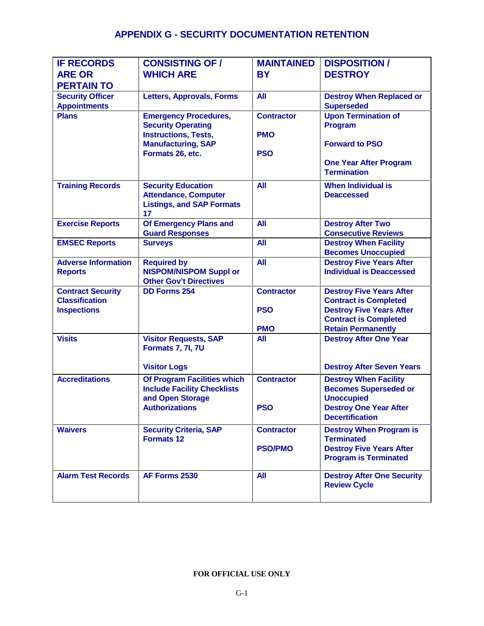# **APPENDIX G - SECURITY DOCUMENTATION RETENTION**

| <b>IF RECORDS</b><br><b>ARE OR</b><br><b>PERTAIN TO</b>                 | <b>CONSISTING OF /</b><br><b>WHICH ARE</b>                                                                                                | <b>MAINTAINED</b><br><b>BY</b>                | <b>DISPOSITION /</b><br><b>DESTROY</b>                                                                                                                          |
|-------------------------------------------------------------------------|-------------------------------------------------------------------------------------------------------------------------------------------|-----------------------------------------------|-----------------------------------------------------------------------------------------------------------------------------------------------------------------|
| <b>Security Officer</b><br><b>Appointments</b>                          | <b>Letters, Approvals, Forms</b>                                                                                                          | <b>All</b>                                    | <b>Destroy When Replaced or</b><br><b>Superseded</b>                                                                                                            |
| <b>Plans</b>                                                            | <b>Emergency Procedures,</b><br><b>Security Operating</b><br><b>Instructions, Tests,</b><br><b>Manufacturing, SAP</b><br>Formats 26, etc. | <b>Contractor</b><br><b>PMO</b><br><b>PSO</b> | <b>Upon Termination of</b><br><b>Program</b><br><b>Forward to PSO</b><br><b>One Year After Program</b><br><b>Termination</b>                                    |
| <b>Training Records</b>                                                 | <b>Security Education</b><br><b>Attendance, Computer</b><br><b>Listings, and SAP Formats</b><br>17                                        | <b>All</b>                                    | <b>When Individual is</b><br><b>Deaccessed</b>                                                                                                                  |
| <b>Exercise Reports</b>                                                 | <b>Of Emergency Plans and</b><br><b>Guard Responses</b>                                                                                   | <b>All</b>                                    | <b>Destroy After Two</b><br><b>Consecutive Reviews</b>                                                                                                          |
| <b>EMSEC Reports</b>                                                    | <b>Surveys</b>                                                                                                                            | <b>All</b>                                    | <b>Destroy When Facility</b><br><b>Becomes Unoccupied</b>                                                                                                       |
| <b>Adverse Information</b><br><b>Reports</b>                            | <b>Required by</b><br><b>NISPOM/NISPOM Suppl or</b><br><b>Other Gov't Directives</b>                                                      | <b>All</b>                                    | <b>Destroy Five Years After</b><br><b>Individual is Deaccessed</b>                                                                                              |
| <b>Contract Security</b><br><b>Classification</b><br><b>Inspections</b> | <b>DD Forms 254</b>                                                                                                                       | <b>Contractor</b><br><b>PSO</b><br><b>PMO</b> | <b>Destroy Five Years After</b><br><b>Contract is Completed</b><br><b>Destroy Five Years After</b><br><b>Contract is Completed</b><br><b>Retain Permanently</b> |
| <b>Visits</b>                                                           | <b>Visitor Requests, SAP</b><br>Formats 7, 7I, 7U<br><b>Visitor Logs</b>                                                                  | All                                           | <b>Destroy After One Year</b><br><b>Destroy After Seven Years</b>                                                                                               |
| <b>Accreditations</b>                                                   | <b>Of Program Facilities which</b><br><b>Include Facility Checklists</b><br>and Open Storage<br><b>Authorizations</b>                     | <b>Contractor</b><br><b>PSO</b>               | <b>Destroy When Facility</b><br><b>Becomes Superseded or</b><br><b>Unoccupied</b><br><b>Destroy One Year After</b><br><b>Decertification</b>                    |
| <b>Waivers</b>                                                          | <b>Security Criteria, SAP</b><br><b>Formats 12</b>                                                                                        | <b>Contractor</b><br><b>PSO/PMO</b>           | <b>Destroy When Program is</b><br><b>Terminated</b><br><b>Destroy Five Years After</b><br><b>Program is Terminated</b>                                          |
| <b>Alarm Test Records</b>                                               | AF Forms 2530                                                                                                                             | <b>All</b>                                    | <b>Destroy After One Security</b><br><b>Review Cycle</b>                                                                                                        |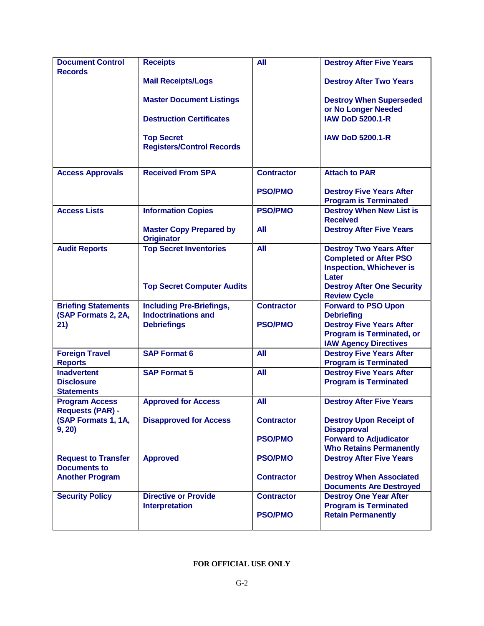| <b>Document Control</b><br><b>Records</b>                    | <b>Receipts</b>                                               | <b>All</b>        | <b>Destroy After Five Years</b>                                                                             |
|--------------------------------------------------------------|---------------------------------------------------------------|-------------------|-------------------------------------------------------------------------------------------------------------|
|                                                              | <b>Mail Receipts/Logs</b>                                     |                   | <b>Destroy After Two Years</b>                                                                              |
|                                                              | <b>Master Document Listings</b>                               |                   | <b>Destroy When Superseded</b><br>or No Longer Needed                                                       |
|                                                              | <b>Destruction Certificates</b>                               |                   | <b>IAW DoD 5200.1-R</b>                                                                                     |
|                                                              | <b>Top Secret</b><br><b>Registers/Control Records</b>         |                   | <b>IAW DoD 5200.1-R</b>                                                                                     |
| <b>Access Approvals</b>                                      | <b>Received From SPA</b>                                      | <b>Contractor</b> | <b>Attach to PAR</b>                                                                                        |
|                                                              |                                                               | <b>PSO/PMO</b>    | <b>Destroy Five Years After</b><br><b>Program is Terminated</b>                                             |
| <b>Access Lists</b>                                          | <b>Information Copies</b>                                     | <b>PSO/PMO</b>    | <b>Destroy When New List is</b><br><b>Received</b>                                                          |
|                                                              | <b>Master Copy Prepared by</b><br><b>Originator</b>           | All               | <b>Destroy After Five Years</b>                                                                             |
| <b>Audit Reports</b>                                         | <b>Top Secret Inventories</b>                                 | <b>All</b>        | <b>Destroy Two Years After</b><br><b>Completed or After PSO</b><br><b>Inspection, Whichever is</b><br>Later |
|                                                              | <b>Top Secret Computer Audits</b>                             |                   | <b>Destroy After One Security</b><br><b>Review Cycle</b>                                                    |
| <b>Briefing Statements</b><br>(SAP Formats 2, 2A,            | <b>Including Pre-Briefings,</b><br><b>Indoctrinations and</b> | <b>Contractor</b> | <b>Forward to PSO Upon</b><br><b>Debriefing</b>                                                             |
| 21)                                                          | <b>Debriefings</b>                                            | <b>PSO/PMO</b>    | <b>Destroy Five Years After</b><br><b>Program is Terminated, or</b><br><b>IAW Agency Directives</b>         |
| <b>Foreign Travel</b><br><b>Reports</b>                      | <b>SAP Format 6</b>                                           | <b>All</b>        | <b>Destroy Five Years After</b><br><b>Program is Terminated</b>                                             |
| <b>Inadvertent</b><br><b>Disclosure</b><br><b>Statements</b> | <b>SAP Format 5</b>                                           | <b>All</b>        | <b>Destroy Five Years After</b><br><b>Program is Terminated</b>                                             |
| <b>Program Access</b><br><b>Requests (PAR)</b>               | <b>Approved for Access</b>                                    | <b>All</b>        | <b>Destroy After Five Years</b>                                                                             |
| (SAP Formats 1, 1A,<br>9, 20)                                | <b>Disapproved for Access</b>                                 | <b>Contractor</b> | <b>Destroy Upon Receipt of</b><br><b>Disapproval</b>                                                        |
|                                                              |                                                               | <b>PSO/PMO</b>    | <b>Forward to Adjudicator</b><br><b>Who Retains Permanently</b>                                             |
| <b>Request to Transfer</b><br><b>Documents to</b>            | <b>Approved</b>                                               | <b>PSO/PMO</b>    | <b>Destroy After Five Years</b>                                                                             |
| <b>Another Program</b>                                       |                                                               | <b>Contractor</b> | <b>Destroy When Associated</b><br><b>Documents Are Destroyed</b>                                            |
| <b>Security Policy</b>                                       | <b>Directive or Provide</b><br><b>Interpretation</b>          | <b>Contractor</b> | <b>Destroy One Year After</b><br><b>Program is Terminated</b>                                               |
|                                                              |                                                               | <b>PSO/PMO</b>    | <b>Retain Permanently</b>                                                                                   |

#### **FOR OFFICIAL USE ONLY**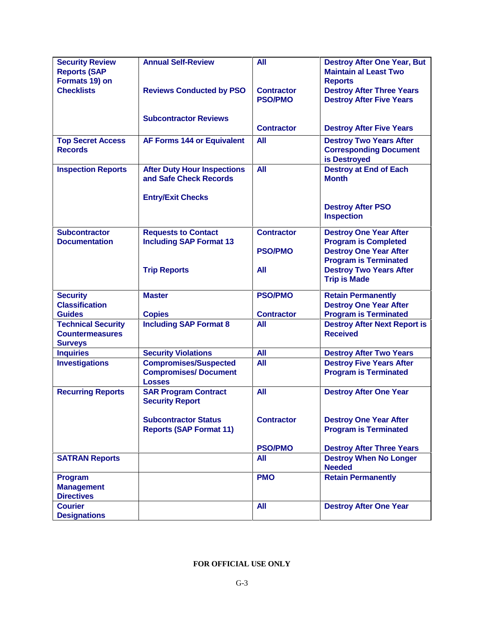| <b>Security Review</b><br><b>Reports (SAP</b><br>Formats 19) on       | <b>Annual Self-Review</b>                                                     | <b>All</b>                          | <b>Destroy After One Year, But</b><br><b>Maintain al Least Two</b><br><b>Reports</b>          |  |  |  |  |
|-----------------------------------------------------------------------|-------------------------------------------------------------------------------|-------------------------------------|-----------------------------------------------------------------------------------------------|--|--|--|--|
| <b>Checklists</b>                                                     | <b>Reviews Conducted by PSO</b>                                               | <b>Contractor</b><br><b>PSO/PMO</b> | <b>Destroy After Three Years</b><br><b>Destroy After Five Years</b>                           |  |  |  |  |
|                                                                       | <b>Subcontractor Reviews</b>                                                  | <b>Contractor</b>                   | <b>Destroy After Five Years</b>                                                               |  |  |  |  |
| <b>Top Secret Access</b><br><b>Records</b>                            | AF Forms 144 or Equivalent                                                    | <b>All</b>                          | <b>Destroy Two Years After</b><br><b>Corresponding Document</b><br>is Destroyed               |  |  |  |  |
| <b>Inspection Reports</b>                                             | <b>After Duty Hour Inspections</b><br>and Safe Check Records                  | <b>All</b>                          | <b>Destroy at End of Each</b><br><b>Month</b>                                                 |  |  |  |  |
|                                                                       | <b>Entry/Exit Checks</b>                                                      |                                     | <b>Destroy After PSO</b><br><b>Inspection</b>                                                 |  |  |  |  |
| <b>Subcontractor</b><br><b>Documentation</b>                          | <b>Requests to Contact</b><br><b>Including SAP Format 13</b>                  | <b>Contractor</b><br><b>PSO/PMO</b> | <b>Destroy One Year After</b><br><b>Program is Completed</b><br><b>Destroy One Year After</b> |  |  |  |  |
|                                                                       | <b>Trip Reports</b>                                                           | All                                 | <b>Program is Terminated</b><br><b>Destroy Two Years After</b><br><b>Trip is Made</b>         |  |  |  |  |
| <b>Security</b><br><b>Classification</b>                              | <b>Master</b>                                                                 | <b>PSO/PMO</b>                      | <b>Retain Permanently</b><br><b>Destroy One Year After</b>                                    |  |  |  |  |
| <b>Guides</b>                                                         | <b>Copies</b>                                                                 | <b>Contractor</b>                   | <b>Program is Terminated</b>                                                                  |  |  |  |  |
| <b>Technical Security</b><br><b>Countermeasures</b><br><b>Surveys</b> | <b>Including SAP Format 8</b>                                                 | <b>All</b>                          | <b>Destroy After Next Report is</b><br><b>Received</b>                                        |  |  |  |  |
| <b>Inquiries</b>                                                      | <b>Security Violations</b>                                                    | <b>All</b>                          | <b>Destroy After Two Years</b>                                                                |  |  |  |  |
| <b>Investigations</b>                                                 | <b>Compromises/Suspected</b><br><b>Compromises/ Document</b><br><b>Losses</b> | <b>All</b>                          | <b>Destroy Five Years After</b><br><b>Program is Terminated</b>                               |  |  |  |  |
| <b>Recurring Reports</b>                                              | <b>SAR Program Contract</b><br><b>Security Report</b>                         | <b>All</b>                          | <b>Destroy After One Year</b>                                                                 |  |  |  |  |
|                                                                       | <b>Subcontractor Status</b><br><b>Reports (SAP Format 11)</b>                 | <b>Contractor</b>                   | <b>Destroy One Year After</b><br><b>Program is Terminated</b>                                 |  |  |  |  |
|                                                                       |                                                                               | <b>PSO/PMO</b>                      | <b>Destroy After Three Years</b>                                                              |  |  |  |  |
| <b>SATRAN Reports</b>                                                 |                                                                               | All                                 | <b>Destroy When No Longer</b><br><b>Needed</b>                                                |  |  |  |  |
| Program<br><b>Management</b><br><b>Directives</b>                     |                                                                               | <b>PMO</b>                          | <b>Retain Permanently</b>                                                                     |  |  |  |  |
|                                                                       |                                                                               |                                     |                                                                                               |  |  |  |  |

#### **FOR OFFICIAL USE ONLY**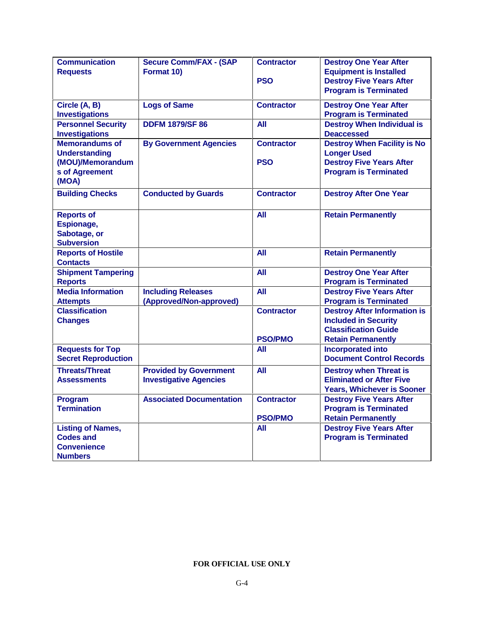| <b>Communication</b><br><b>Requests</b>                                              | <b>Secure Comm/FAX - (SAP</b><br>Format 10)                    | <b>Contractor</b><br><b>PSO</b>     | <b>Destroy One Year After</b><br><b>Equipment is Installed</b><br><b>Destroy Five Years After</b><br><b>Program is Terminated</b> |
|--------------------------------------------------------------------------------------|----------------------------------------------------------------|-------------------------------------|-----------------------------------------------------------------------------------------------------------------------------------|
| Circle (A, B)<br><b>Investigations</b>                                               | <b>Logs of Same</b>                                            | <b>Contractor</b>                   | <b>Destroy One Year After</b><br><b>Program is Terminated</b>                                                                     |
| <b>Personnel Security</b><br><b>Investigations</b>                                   | <b>DDFM 1879/SF 86</b>                                         | All                                 | <b>Destroy When Individual is</b><br><b>Deaccessed</b>                                                                            |
| <b>Memorandums of</b><br><b>Understanding</b>                                        | <b>By Government Agencies</b>                                  | <b>Contractor</b>                   | <b>Destroy When Facility is No</b><br><b>Longer Used</b>                                                                          |
| (MOU)/Memorandum<br>s of Agreement<br>(MOA)                                          |                                                                | <b>PSO</b>                          | <b>Destroy Five Years After</b><br><b>Program is Terminated</b>                                                                   |
| <b>Building Checks</b>                                                               | <b>Conducted by Guards</b>                                     | <b>Contractor</b>                   | <b>Destroy After One Year</b>                                                                                                     |
| <b>Reports of</b><br>Espionage,<br>Sabotage, or<br><b>Subversion</b>                 |                                                                | <b>All</b>                          | <b>Retain Permanently</b>                                                                                                         |
| <b>Reports of Hostile</b><br><b>Contacts</b>                                         |                                                                | <b>All</b>                          | <b>Retain Permanently</b>                                                                                                         |
| <b>Shipment Tampering</b><br><b>Reports</b>                                          |                                                                | All                                 | <b>Destroy One Year After</b><br><b>Program is Terminated</b>                                                                     |
| <b>Media Information</b><br><b>Attempts</b>                                          | <b>Including Releases</b><br>(Approved/Non-approved)           | <b>All</b>                          | <b>Destroy Five Years After</b><br><b>Program is Terminated</b>                                                                   |
| <b>Classification</b><br><b>Changes</b>                                              |                                                                | <b>Contractor</b>                   | <b>Destroy After Information is</b><br><b>Included in Security</b><br><b>Classification Guide</b>                                 |
|                                                                                      |                                                                | <b>PSO/PMO</b>                      | <b>Retain Permanently</b>                                                                                                         |
| <b>Requests for Top</b><br><b>Secret Reproduction</b>                                |                                                                | All                                 | <b>Incorporated into</b><br><b>Document Control Records</b>                                                                       |
| <b>Threats/Threat</b><br><b>Assessments</b>                                          | <b>Provided by Government</b><br><b>Investigative Agencies</b> | <b>All</b>                          | <b>Destroy when Threat is</b><br><b>Eliminated or After Five</b><br><b>Years, Whichever is Sooner</b>                             |
| Program<br><b>Termination</b>                                                        | <b>Associated Documentation</b>                                | <b>Contractor</b><br><b>PSO/PMO</b> | <b>Destroy Five Years After</b><br><b>Program is Terminated</b><br><b>Retain Permanently</b>                                      |
| <b>Listing of Names,</b><br><b>Codes and</b><br><b>Convenience</b><br><b>Numbers</b> |                                                                | All                                 | <b>Destroy Five Years After</b><br><b>Program is Terminated</b>                                                                   |

#### **FOR OFFICIAL USE ONLY**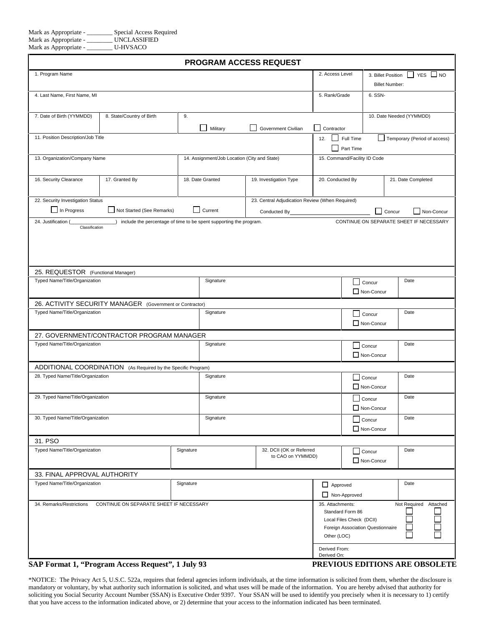| <b>PROGRAM ACCESS REQUEST</b>                                 |                                                                    |           |                                              |  |                                                                                     |                                                     |                                                               |                                             |                              |            |
|---------------------------------------------------------------|--------------------------------------------------------------------|-----------|----------------------------------------------|--|-------------------------------------------------------------------------------------|-----------------------------------------------------|---------------------------------------------------------------|---------------------------------------------|------------------------------|------------|
| 1. Program Name                                               |                                                                    |           |                                              |  |                                                                                     | 2. Access Level                                     |                                                               | 3. Billet Position<br><b>Billet Number:</b> |                              | YES LINO   |
| 4. Last Name, First Name, MI                                  |                                                                    |           |                                              |  |                                                                                     | 5. Rank/Grade                                       |                                                               | 6. SSN-                                     |                              |            |
| 7. Date of Birth (YYMMDD)                                     | 8. State/Country of Birth                                          | 9.        | Military                                     |  | Government Civilian                                                                 | Contractor                                          |                                                               |                                             | 10. Date Needed (YYMMDD)     |            |
| 11. Position Description/Job Title                            |                                                                    |           |                                              |  |                                                                                     | 12.                                                 | Full Time<br>Part Time                                        |                                             | Temporary (Period of access) |            |
| 13. Organization/Company Name                                 |                                                                    |           | 14. Assignment/Job Location (City and State) |  |                                                                                     |                                                     | 15. Command/Facility ID Code                                  |                                             |                              |            |
| 16. Security Clearance<br>17. Granted By                      |                                                                    |           | 18. Date Granted                             |  | 19. Investigation Type                                                              | 20. Conducted By                                    |                                                               |                                             | 21. Date Completed           |            |
| 22. Security Investigation Status<br>In Progress              | Not Started (See Remarks)                                          |           | Current                                      |  | 23. Central Adjudication Review (When Required)<br>Conducted By<br><u>Conducted</u> |                                                     |                                                               | Concur                                      |                              | Non-Concur |
| 24. Justification<br>Classification                           | include the percentage of time to be spent supporting the program. |           |                                              |  |                                                                                     |                                                     | CONTINUE ON SEPARATE SHEET IF NECESSARY                       |                                             |                              |            |
| 25. REQUESTOR (Functional Manager)                            |                                                                    |           |                                              |  |                                                                                     |                                                     |                                                               |                                             |                              |            |
| Typed Name/Title/Organization                                 |                                                                    |           | Signature                                    |  |                                                                                     |                                                     | $\blacksquare$<br>Concur<br>Non-Concur                        |                                             | Date                         |            |
| 26. ACTIVITY SECURITY MANAGER                                 | (Government or Contractor)                                         |           |                                              |  |                                                                                     |                                                     |                                                               |                                             |                              |            |
| Typed Name/Title/Organization                                 |                                                                    |           | Signature                                    |  |                                                                                     |                                                     | $\Box$ Concur<br>Non-Concur                                   |                                             | Date                         |            |
| 27. GOVERNMENT/CONTRACTOR PROGRAM MANAGER                     |                                                                    |           |                                              |  |                                                                                     |                                                     |                                                               |                                             |                              |            |
| Typed Name/Title/Organization                                 |                                                                    |           | Signature                                    |  |                                                                                     |                                                     | $\Box$ Concur<br>Non-Concur                                   |                                             | Date                         |            |
| ADDITIONAL COORDINATION (As Required by the Specific Program) |                                                                    |           |                                              |  |                                                                                     |                                                     |                                                               |                                             |                              |            |
| 28. Typed Name/Title/Organization                             |                                                                    |           | Signature                                    |  |                                                                                     |                                                     | $\Box$ Concur<br>Non-Concur                                   |                                             | Date                         |            |
| 29. Typed Name/Title/Organization                             |                                                                    |           | Signature                                    |  |                                                                                     |                                                     | $\Box$ Concur<br>Non-Concur                                   |                                             | Date                         |            |
| 30. Typed Name/Title/Organization                             |                                                                    |           | Signature                                    |  |                                                                                     |                                                     | Concur<br>Non-Concur                                          |                                             | Date                         |            |
| 31. PSO                                                       |                                                                    |           |                                              |  |                                                                                     |                                                     |                                                               |                                             |                              |            |
| Typed Name/Title/Organization                                 |                                                                    | Signature |                                              |  | 32. DCII (OK or Referred<br>to CAO on YYMMDD)                                       |                                                     | $\Box$ Concur<br>Non-Concur                                   |                                             | Date                         |            |
| 33. FINAL APPROVAL AUTHORITY                                  |                                                                    |           |                                              |  |                                                                                     |                                                     |                                                               |                                             |                              |            |
| Typed Name/Title/Organization                                 |                                                                    | Signature |                                              |  |                                                                                     | $\Box$ Approved<br>Non-Approved                     |                                                               |                                             | Date                         |            |
| 34. Remarks/Restrictions                                      | CONTINUE ON SEPARATE SHEET IF NECESSARY                            |           |                                              |  |                                                                                     | 35. Attachments:<br>Standard Form 86<br>Other (LOC) | Local Files Check (DCII)<br>Foreign Association Questionnaire |                                             | Not Required                 | Attached   |
|                                                               |                                                                    |           |                                              |  |                                                                                     | Derived From:<br>Derived On:                        |                                                               |                                             |                              |            |

#### **SAP Format 1, "Program Access Request", 1 July 93 PREVIOUS EDITIONS ARE OBSOLETE**

\*NOTICE: The Privacy Act 5, U.S.C. 522a, requires that federal agencies inform individuals, at the time information is solicited from them, whether the disclosure is mandatory or voluntary, by what authority such information is solicited, and what uses will be made of the information. You are hereby advised that authority for soliciting you Social Security Account Number (SSAN) is Executive Order 9397. Your SSAN will be used to identify you precisely when it is necessary to 1) certify that you have access to the information indicated above, or 2) determine that your access to the information indicated has been terminated.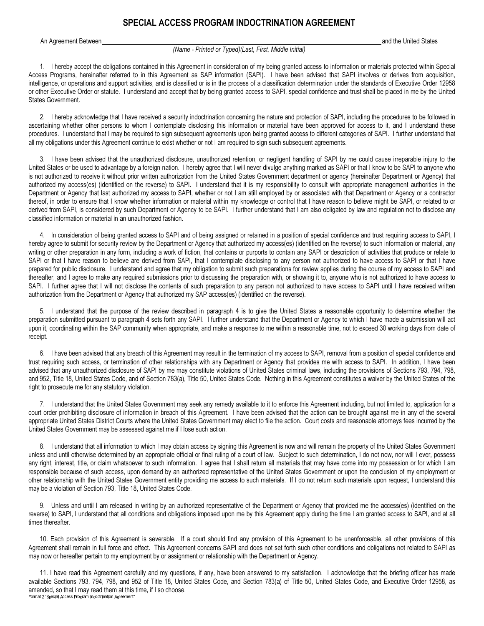## **SPECIAL ACCESS PROGRAM INDOCTRINATION AGREEMENT**

An Agreement Between **between** the controller that the United States and the United States and the United States

*(Name - Printed or Typed)*(Last, First, Middle Initial)

1. I hereby accept the obligations contained in this Agreement in consideration of my being granted access to information or materials protected within Special Access Programs, hereinafter referred to in this Agreement as SAP information (SAPI). I have been advised that SAPI involves or derives from acquisition, intelligence, or operations and support activities, and is classified or is in the process of a classification determination under the standards of Executive Order 12958 or other Executive Order or statute. I understand and accept that by being granted access to SAPI, special confidence and trust shall be placed in me by the United States Government.

2. I hereby acknowledge that I have received a security indoctrination concerning the nature and protection of SAPI, including the procedures to be followed in ascertaining whether other persons to whom I contemplate disclosing this information or material have been approved for access to it, and I understand these procedures. I understand that I may be required to sign subsequent agreements upon being granted access to different categories of SAPI. I further understand that all my obligations under this Agreement continue to exist whether or not I am required to sign such subsequent agreements.

3. I have been advised that the unauthorized disclosure, unauthorized retention, or negligent handling of SAPI by me could cause irreparable injury to the United States or be used to advantage by a foreign nation. I hereby agree that I will never divulge anything marked as SAPI or that I know to be SAPI to anyone who is not authorized to receive it without prior written authorization from the United States Government department or agency (hereinafter Department or Agency) that authorized my access(es) (identified on the reverse) to SAPI. I understand that it is my responsibility to consult with appropriate management authorities in the Department or Agency that last authorized my access to SAPI, whether or not I am still employed by or associated with that Department or Agency or a contractor thereof, in order to ensure that I know whether information or material within my knowledge or control that I have reason to believe might be SAPI, or related to or derived from SAPI, is considered by such Department or Agency to be SAPI. I further understand that I am also obligated by law and regulation not to disclose any classified information or material in an unauthorized fashion.

4. In consideration of being granted access to SAPI and of being assigned or retained in a position of special confidence and trust requiring access to SAPI, I hereby agree to submit for security review by the Department or Agency that authorized my access(es) (identified on the reverse) to such information or material, any writing or other preparation in any form, including a work of fiction, that contains or purports to contain any SAPI or description of activities that produce or relate to SAPI or that I have reason to believe are derived from SAPI, that I contemplate disclosing to any person not authorized to have access to SAPI or that I have prepared for public disclosure. I understand and agree that my obligation to submit such preparations for review applies during the course of my access to SAPI and thereafter, and I agree to make any required submissions prior to discussing the preparation with, or showing it to, anyone who is not authorized to have access to SAPI. I further agree that I will not disclose the contents of such preparation to any person not authorized to have access to SAPI until I have received written authorization from the Department or Agency that authorized my SAP access(es) (identified on the reverse).

5. I understand that the purpose of the review described in paragraph 4 is to give the United States a reasonable opportunity to determine whether the preparation submitted pursuant to paragraph 4 sets forth any SAPI. I further understand that the Department or Agency to which I have made a submission will act upon it, coordinating within the SAP community when appropriate, and make a response to me within a reasonable time, not to exceed 30 working days from date of receipt.

6. I have been advised that any breach of this Agreement may result in the termination of my access to SAPI, removal from a position of special confidence and trust requiring such access, or termination of other relationships with any Department or Agency that provides me with access to SAPI. In addition, I have been advised that any unauthorized disclosure of SAPI by me may constitute violations of United States criminal laws, including the provisions of Sections 793, 794, 798, and 952, Title 18, United States Code, and of Section 783(a), Title 50, United States Code. Nothing in this Agreement constitutes a waiver by the United States of the right to prosecute me for any statutory violation.

7. I understand that the United States Government may seek any remedy available to it to enforce this Agreement including, but not limited to, application for a court order prohibiting disclosure of information in breach of this Agreement. I have been advised that the action can be brought against me in any of the several appropriate United States District Courts where the United States Government may elect to file the action. Court costs and reasonable attorneys fees incurred by the United States Government may be assessed against me if I lose such action.

8. I understand that all information to which I may obtain access by signing this Agreement is now and will remain the property of the United States Government unless and until otherwise determined by an appropriate official or final ruling of a court of law. Subject to such determination, I do not now, nor will I ever, possess any right, interest, title, or claim whatsoever to such information. I agree that I shall return all materials that may have come into my possession or for which I am responsible because of such access, upon demand by an authorized representative of the United States Government or upon the conclusion of my employment or other relationship with the United States Government entity providing me access to such materials. If I do not return such materials upon request, I understand this may be a violation of Section 793, Title 18, United States Code.

9. Unless and until I am released in writing by an authorized representative of the Department or Agency that provided me the access(es) (identified on the reverse) to SAPI, I understand that all conditions and obligations imposed upon me by this Agreement apply during the time I am granted access to SAPI, and at all times thereafter.

10. Each provision of this Agreement is severable. If a court should find any provision of this Agreement to be unenforceable, all other provisions of this Agreement shall remain in full force and effect. This Agreement concerns SAPI and does not set forth such other conditions and obligations not related to SAPI as may now or hereafter pertain to my employment by or assignment or relationship with the Department or Agency.

11. I have read this Agreement carefully and my questions, if any, have been answered to my satisfaction. I acknowledge that the briefing officer has made available Sections 793, 794, 798, and 952 of Title 18, United States Code, and Section 783(a) of Title 50, United States Code, and Executive Order 12958, as amended, so that I may read them at this time, if I so choose. Format 2 "Special Access Program Indoctrination Agreement"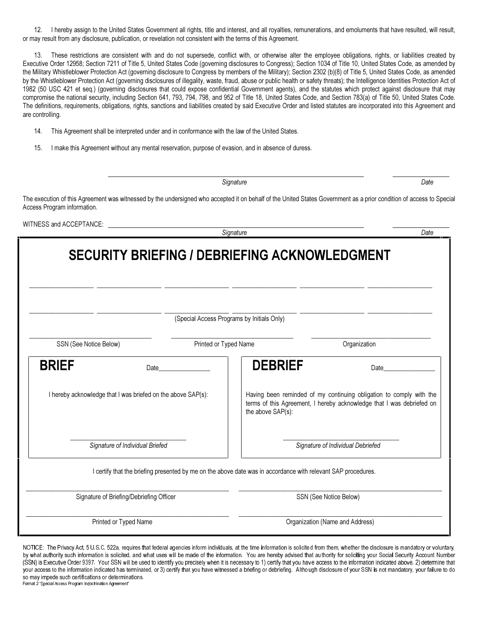12. I hereby assign to the United States Government all rights, title and interest, and all royalties, remunerations, and emoluments that have resulted, will result, or may result from any disclosure, publication, or revelation not consistent with the terms of this Agreement.

13. These restrictions are consistent with and do not supersede, conflict with, or otherwise alter the employee obligations, rights, or liabilities created by Executive Order 12958; Section 7211 of Title 5, United States Code (governing disclosures to Congress); Section 1034 of Title 10, United States Code, as amended by the Military Whistleblower Protection Act (governing disclosure to Congress by members of the Military); Section 2302 (b)(8) of Title 5, United States Code, as amended by the Whistleblower Protection Act (governing disclosures of illegality, waste, fraud, abuse or public health or safety threats); the Intelligence Identities Protection Act of 1982 (50 USC 421 et seg.) (governing disclosures that could expose confidential Government agents), and the statutes which protect against disclosure that may compromise the national security, including Section 641, 793, 794, 798, and 952 of Title 18, United States Code, and Section 783(a) of Title 50, United States Code. The definitions, requirements, obligations, rights, sanctions and liabilities created by said Executive Order and listed statutes are incorporated into this Agreement and are controlling.

- 14. This Agreement shall be interpreted under and in conformance with the law of the United States.
- 15. I make this Agreement without any mental reservation, purpose of evasion, and in absence of duress.

*Signature* Date

The execution of this Agreement was witnessed by the undersigned who accepted it on behalf of the United States Government as a prior condition of access to Special Access Program information.

<u> 1990 - Jan James James James James James James James James James James James James James James James James J</u>

WITNESS and ACCEPTANCE:

*Signature* Date

| <b>SECURITY BRIEFING / DEBRIEFING ACKNOWLEDGMENT</b>         |                       |                                                                                                                                                                   |                                                                                                               |
|--------------------------------------------------------------|-----------------------|-------------------------------------------------------------------------------------------------------------------------------------------------------------------|---------------------------------------------------------------------------------------------------------------|
|                                                              |                       | (Special Access Programs by Initials Only)                                                                                                                        |                                                                                                               |
| SSN (See Notice Below)                                       | Printed or Typed Name |                                                                                                                                                                   | Organization                                                                                                  |
| <b>BRIEF</b>                                                 | Date                  | <b>DEBRIEF</b>                                                                                                                                                    | Date                                                                                                          |
| I hereby acknowledge that I was briefed on the above SAP(s): |                       | Having been reminded of my continuing obligation to comply with the<br>terms of this Agreement, I hereby acknowledge that I was debriefed on<br>the above SAP(s): |                                                                                                               |
| Signature of Individual Briefed                              |                       |                                                                                                                                                                   | Signature of Individual Debriefed                                                                             |
|                                                              |                       |                                                                                                                                                                   | I certify that the briefing presented by me on the above date was in accordance with relevant SAP procedures. |
| Signature of Briefing/Debriefing Officer                     |                       |                                                                                                                                                                   | SSN (See Notice Below)                                                                                        |
| Printed or Typed Name                                        |                       |                                                                                                                                                                   | Organization (Name and Address)                                                                               |

NOTICE: The Privacy Act, 5 U.S.C. 522a, requires that federal agencies inform individuals, at the time information is solicited from them, whether the disclosure is mandatory or voluntary,<br>by what authority such informatio (SSN) is Executive Order 9397. Your SSN will be used to identify you precisely when it is necessary to 1) certify that you have access to the information indicated above, 2) determine that your access to the information indicated has terminated, or 3) certify that you have witnessed a briefing or debriefing. Although disclosure of your SSN is not mandatory, your failure to do so may impede such certifications or determinations. Format 2 "Special Access Program Indoctrination Agreement"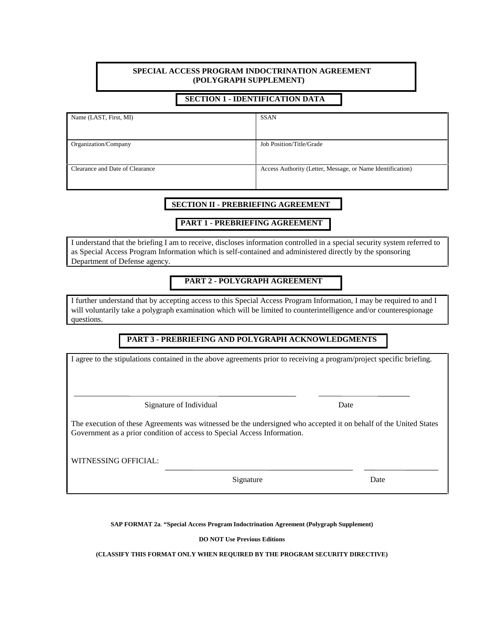#### **SPECIAL ACCESS PROGRAM INDOCTRINATION AGREEMENT (POLYGRAPH SUPPLEMENT)**

#### **SECTION 1 - IDENTIFICATION DATA**

| Name (LAST, First, MI)          | <b>SSAN</b>                                                |
|---------------------------------|------------------------------------------------------------|
|                                 |                                                            |
| Organization/Company            | Job Position/Title/Grade                                   |
|                                 |                                                            |
|                                 |                                                            |
| Clearance and Date of Clearance | Access Authority (Letter, Message, or Name Identification) |
|                                 |                                                            |

#### **SECTION II - PREBRIEFING AGREEMENT**

 **PART 1 - PREBRIEFING AGREEMENT**

I understand that the briefing I am to receive, discloses information controlled in a special security system referred to as Special Access Program Information which is self-contained and administered directly by the sponsoring Department of Defense agency.

 **PART 2 - POLYGRAPH AGREEMENT**

I further understand that by accepting access to this Special Access Program Information, I may be required to and I will voluntarily take a polygraph examination which will be limited to counterintelligence and/or counterespionage questions.

## **PART 3 - PREBRIEFING AND POLYGRAPH ACKNOWLEDGMENTS**

I agree to the stipulations contained in the above agreements prior to receiving a program/project specific briefing.

Signature of Individual Date

The execution of these Agreements was witnessed be the undersigned who accepted it on behalf of the United States Government as a prior condition of access to Special Access Information.

WITNESSING OFFICIAL:

 $\overline{a}$ 

Signature **Date** Date

**SAP FORMAT 2a**. **"Special Access Program Indoctrination Agreement (Polygraph Supplement)**

**DO NOT Use Previous Editions**

**(CLASSIFY THIS FORMAT ONLY WHEN REQUIRED BY THE PROGRAM SECURITY DIRECTIVE)**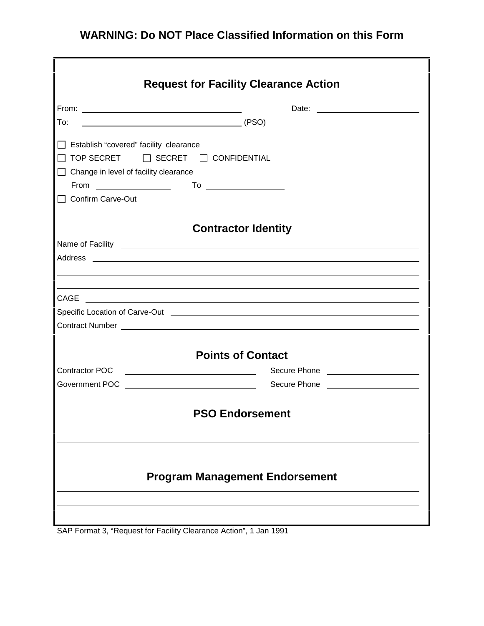# **WARNING: Do NOT Place Classified Information on this Form**

| <b>Request for Facility Clearance Action</b>                                                                                                                                                                                                                                                                                                                          |                                     |
|-----------------------------------------------------------------------------------------------------------------------------------------------------------------------------------------------------------------------------------------------------------------------------------------------------------------------------------------------------------------------|-------------------------------------|
|                                                                                                                                                                                                                                                                                                                                                                       |                                     |
| $\begin{picture}(150,10) \put(0,0){\line(1,0){10}} \put(15,0){\line(1,0){10}} \put(15,0){\line(1,0){10}} \put(15,0){\line(1,0){10}} \put(15,0){\line(1,0){10}} \put(15,0){\line(1,0){10}} \put(15,0){\line(1,0){10}} \put(15,0){\line(1,0){10}} \put(15,0){\line(1,0){10}} \put(15,0){\line(1,0){10}} \put(15,0){\line(1,0){10}} \put(15,0){\line($<br>To:            |                                     |
| Establish "covered" facility clearance<br>$\Box$ TOP SECRET $\Box$ SECRET $\Box$ CONFIDENTIAL<br>$\Box$ Change in level of facility clearance<br>$From \_$<br>□ Confirm Carve-Out                                                                                                                                                                                     |                                     |
| <b>Contractor Identity</b>                                                                                                                                                                                                                                                                                                                                            |                                     |
| Name of Facility <u>entitled</u> and the set of the set of the set of the set of the set of the set of the set of the set of the set of the set of the set of the set of the set of the set of the set of the set of the set of the<br>Address<br><u> 1980 - Andrea Aonaichte ann an Comhair ann an Comhair ann an Comhair ann an Comhair ann an Comhair ann an C</u> |                                     |
|                                                                                                                                                                                                                                                                                                                                                                       |                                     |
|                                                                                                                                                                                                                                                                                                                                                                       |                                     |
|                                                                                                                                                                                                                                                                                                                                                                       |                                     |
| <b>Points of Contact</b>                                                                                                                                                                                                                                                                                                                                              |                                     |
| <b>Contractor POC</b>                                                                                                                                                                                                                                                                                                                                                 | Secure Phone ______________________ |
|                                                                                                                                                                                                                                                                                                                                                                       |                                     |
| <b>PSO Endorsement</b>                                                                                                                                                                                                                                                                                                                                                |                                     |
| <b>Program Management Endorsement</b>                                                                                                                                                                                                                                                                                                                                 |                                     |

SAP Format 3, "Request for Facility Clearance Action", 1 Jan 1991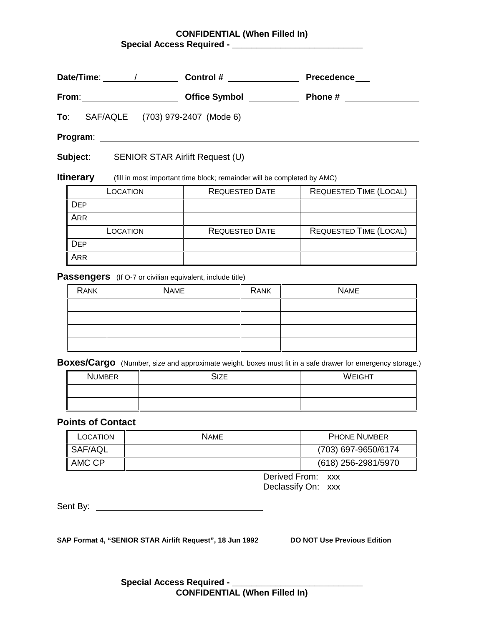#### **CONFIDENTIAL (When Filled In) Special Access Required - \_\_\_\_\_\_\_\_\_\_\_\_\_\_\_\_\_\_\_\_\_\_\_\_\_\_\_**

| Date/Time:<br>$\overline{1}$            | Control #            | <b>Precedence</b> |
|-----------------------------------------|----------------------|-------------------|
| <u>From:____________________</u>        | <b>Office Symbol</b> | Phone #           |
| To:<br>SAF/AQLE (703) 979-2407 (Mode 6) |                      |                   |
|                                         |                      |                   |

**Subject**: SENIOR STAR Airlift Request (U)

**Itinerary** (fill in most important time block; remainder will be completed by AMC)

| LOCATION   | <b>REQUESTED DATE</b> | <b>REQUESTED TIME (LOCAL)</b> |
|------------|-----------------------|-------------------------------|
| <b>DEP</b> |                       |                               |
| <b>ARR</b> |                       |                               |
| LOCATION   | <b>REQUESTED DATE</b> | <b>REQUESTED TIME (LOCAL)</b> |
| <b>DEP</b> |                       |                               |
| <b>ARR</b> |                       |                               |

**Passengers** (If O-7 or civilian equivalent, include title)

| <b>RANK</b> | <b>NAME</b> | <b>RANK</b> | <b>NAME</b> |
|-------------|-------------|-------------|-------------|
|             |             |             |             |
|             |             |             |             |
|             |             |             |             |
|             |             |             |             |

**Boxes/Cargo** (Number, size and approximate weight. boxes must fit in a safe drawer for emergency storage.)

| <b>NUMBER</b> | Size | <b>WEIGHT</b> |
|---------------|------|---------------|
|               |      |               |
|               |      |               |

**Points of Contact**

| LOCATION  | <b>NAME</b> | <b>PHONE NUMBER</b> |
|-----------|-------------|---------------------|
| ' SAF/AQL |             | (703) 697-9650/6174 |
| AMC CP    |             | (618) 256-2981/5970 |

Derived From: xxx Declassify On: xxx

Sent By:

SAP Format 4, "SENIOR STAR Airlift Request", 18 Jun 1992 DO NOT Use Previous Edition

**Special Access Required - \_\_\_\_\_\_\_\_\_\_\_\_\_\_\_\_\_\_\_\_\_\_\_\_\_\_\_ CONFIDENTIAL (When Filled In)**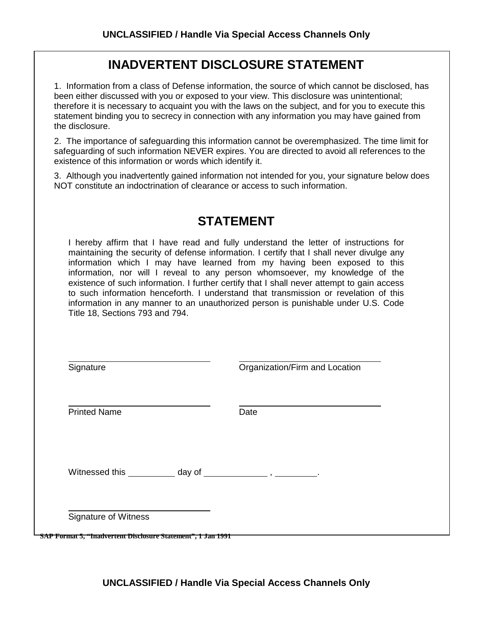# **INADVERTENT DISCLOSURE STATEMENT**

1. Information from a class of Defense information, the source of which cannot be disclosed, has been either discussed with you or exposed to your view. This disclosure was unintentional; therefore it is necessary to acquaint you with the laws on the subject, and for you to execute this statement binding you to secrecy in connection with any information you may have gained from the disclosure.

2. The importance of safeguarding this information cannot be overemphasized. The time limit for safeguarding of such information NEVER expires. You are directed to avoid all references to the existence of this information or words which identify it.

3. Although you inadvertently gained information not intended for you, your signature below does NOT constitute an indoctrination of clearance or access to such information.

# **STATEMENT**

I hereby affirm that I have read and fully understand the letter of instructions for maintaining the security of defense information. I certify that I shall never divulge any information which I may have learned from my having been exposed to this information, nor will I reveal to any person whomsoever, my knowledge of the existence of such information. I further certify that I shall never attempt to gain access to such information henceforth. I understand that transmission or revelation of this information in any manner to an unauthorized person is punishable under U.S. Code Title 18, Sections 793 and 794.

| Signature                                                       | Organization/Firm and Location |
|-----------------------------------------------------------------|--------------------------------|
| <b>Printed Name</b>                                             | Date                           |
| Witnessed this ___________ day of ____________________________. |                                |
| <b>Signature of Witness</b>                                     |                                |

**UNCLASSIFIED / Handle Via Special Access Channels Only**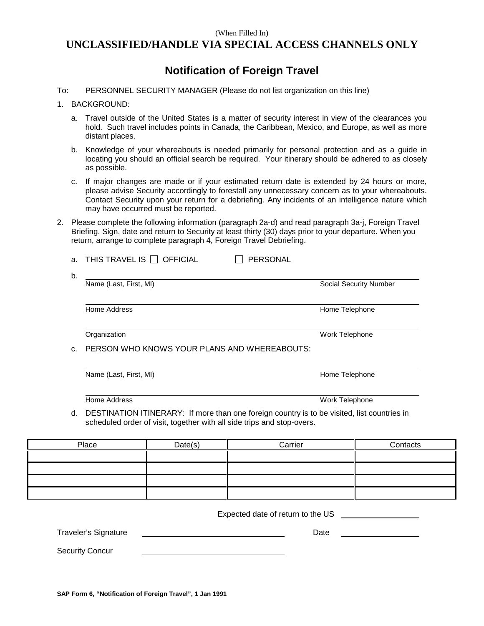#### (When Filled In)

## **UNCLASSIFIED/HANDLE VIA SPECIAL ACCESS CHANNELS ONLY**

## **Notification of Foreign Travel**

- To: PERSONNEL SECURITY MANAGER (Please do not list organization on this line)
- 1. BACKGROUND:
	- a. Travel outside of the United States is a matter of security interest in view of the clearances you hold. Such travel includes points in Canada, the Caribbean, Mexico, and Europe, as well as more distant places.
	- b. Knowledge of your whereabouts is needed primarily for personal protection and as a guide in locating you should an official search be required. Your itinerary should be adhered to as closely as possible.
	- c. If major changes are made or if your estimated return date is extended by 24 hours or more, please advise Security accordingly to forestall any unnecessary concern as to your whereabouts. Contact Security upon your return for a debriefing. Any incidents of an intelligence nature which may have occurred must be reported.
- 2. Please complete the following information (paragraph 2a-d) and read paragraph 3a-j, Foreign Travel Briefing. Sign, date and return to Security at least thirty (30) days prior to your departure. When you return, arrange to complete paragraph 4, Foreign Travel Debriefing.
	- a. THIS TRAVEL IS  $\Box$  OFFICIAL  $\Box$  PERSONAL
	- b.  $\overline{\phantom{a}}$  Name (Last, First, MI) Social Security Number Home Address Home Telephone Organization Work Telephone
	- c. PERSON WHO KNOWS YOUR PLANS AND WHEREABOUTS:

| Name (Last, First, MI) | Home Telephone |
|------------------------|----------------|

المستقلة المستقلة المستقلة المستقلة المستقلة المستقلة المستقلة المستقلة المستقلة المستقلة المستقلة المستقلة ال<br>وسائل المستقلة المستقلة المستقلة المستقلة المستقلة المستقلة المستقلة المستقلة المستقلة المستقلة المستقلة المست

d. DESTINATION ITINERARY: If more than one foreign country is to be visited, list countries in scheduled order of visit, together with all side trips and stop-overs.

| Place | Date(s) | Carrier | Contacts |
|-------|---------|---------|----------|
|       |         |         |          |
|       |         |         |          |
|       |         |         |          |
|       |         |         |          |

|                             | Expected date of return to the US |  |
|-----------------------------|-----------------------------------|--|
| <b>Traveler's Signature</b> | Date                              |  |
| <b>Security Concur</b>      |                                   |  |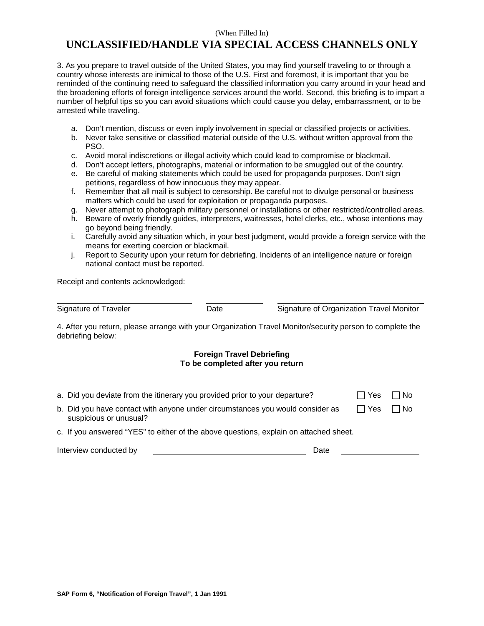#### (When Filled In)

## **UNCLASSIFIED/HANDLE VIA SPECIAL ACCESS CHANNELS ONLY**

3. As you prepare to travel outside of the United States, you may find yourself traveling to or through a country whose interests are inimical to those of the U.S. First and foremost, it is important that you be reminded of the continuing need to safeguard the classified information you carry around in your head and the broadening efforts of foreign intelligence services around the world. Second, this briefing is to impart a number of helpful tips so you can avoid situations which could cause you delay, embarrassment, or to be arrested while traveling.

- a. Don't mention, discuss or even imply involvement in special or classified projects or activities.
- b. Never take sensitive or classified material outside of the U.S. without written approval from the PSO.
- c. Avoid moral indiscretions or illegal activity which could lead to compromise or blackmail.
- d. Don't accept letters, photographs, material or information to be smuggled out of the country. e. Be careful of making statements which could be used for propaganda purposes. Don't sign
- petitions, regardless of how innocuous they may appear.
- f. Remember that all mail is subject to censorship. Be careful not to divulge personal or business matters which could be used for exploitation or propaganda purposes.
- g. Never attempt to photograph military personnel or installations or other restricted/controlled areas.
- h. Beware of overly friendly guides, interpreters, waitresses, hotel clerks, etc., whose intentions may go beyond being friendly.
- i. Carefully avoid any situation which, in your best judgment, would provide a foreign service with the means for exerting coercion or blackmail.
- j. Report to Security upon your return for debriefing. Incidents of an intelligence nature or foreign national contact must be reported.

Receipt and contents acknowledged:

| Signature of Traveler | Date | Signature of Organization Travel Monitor                                                                  |
|-----------------------|------|-----------------------------------------------------------------------------------------------------------|
| debriefing below:     |      | 4. After you return, please arrange with your Organization Travel Monitor/security person to complete the |

#### **Foreign Travel Debriefing To be completed after you return**

a. Did you deviate from the itinerary you provided prior to your departure?  $\Box$  Yes  $\Box$  No

| b. Did you have contact with anyone under circumstances you would consider as | $\Box$ Yes $\Box$ No |  |
|-------------------------------------------------------------------------------|----------------------|--|
| suspicious or unusual?                                                        |                      |  |

c. If you answered "YES" to either of the above questions, explain on attached sheet.

| Interview conducted by | Date |  |
|------------------------|------|--|
|------------------------|------|--|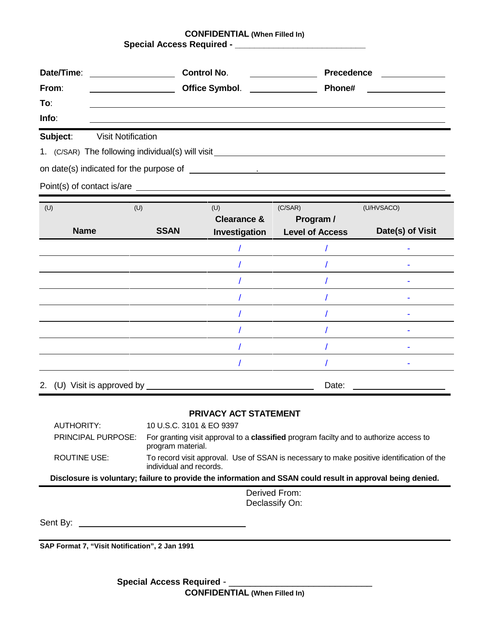### **CONFIDENTIAL (When Filled In) Special Access Required - \_\_\_\_\_\_\_\_\_\_\_\_\_\_\_\_\_\_\_\_\_\_\_\_\_\_\_**

| Date/Time:<br>From:<br>To:<br>Info:                                                        | <u> 1970 - Jan Barat, prima politik (</u> | <b>Control No.</b><br>Office Symbol. | $\overline{\phantom{a}}$ and $\overline{\phantom{a}}$ and $\overline{\phantom{a}}$ | <b>Precedence</b><br><b>Phone#</b> | <u> 1990 - Jan Barbara Barat, p</u> |  |
|--------------------------------------------------------------------------------------------|-------------------------------------------|--------------------------------------|------------------------------------------------------------------------------------|------------------------------------|-------------------------------------|--|
| Subject:<br><b>Visit Notification</b><br>1. (C/SAR) The following individual(s) will visit |                                           |                                      |                                                                                    |                                    |                                     |  |
|                                                                                            |                                           |                                      |                                                                                    |                                    |                                     |  |
|                                                                                            |                                           | Point(s) of contact is/are           |                                                                                    |                                    |                                     |  |
| (U)                                                                                        | (U)                                       | (U)                                  | (C/SAR)                                                                            | (U/HVSACO)                         |                                     |  |

| (U)                         | (U)<br>(U)  |                                         | (U/3AK)<br>$(U/HV$ SACU)            |                  |
|-----------------------------|-------------|-----------------------------------------|-------------------------------------|------------------|
| <b>Name</b>                 | <b>SSAN</b> | <b>Clearance &amp;</b><br>Investigation | Program /<br><b>Level of Access</b> | Date(s) of Visit |
|                             |             |                                         |                                     | ۰                |
|                             |             |                                         |                                     | ۰                |
|                             |             |                                         |                                     | $\blacksquare$   |
|                             |             |                                         |                                     | ۰                |
|                             |             |                                         |                                     | ۰                |
|                             |             |                                         |                                     |                  |
|                             |             |                                         |                                     | ۰                |
|                             |             |                                         |                                     | ۰                |
| 2. (U) Visit is approved by |             |                                         | Date:                               |                  |

### **PRIVACY ACT STATEMENT**

| AUTHORITY:          | 10 U.S.C. 3101 & EO 9397                                                                                             |  |  |  |
|---------------------|----------------------------------------------------------------------------------------------------------------------|--|--|--|
| PRINCIPAL PURPOSE:  | For granting visit approval to a <b>classified</b> program facilty and to authorize access to<br>program material.   |  |  |  |
| <b>ROUTINE USE:</b> | To record visit approval. Use of SSAN is necessary to make positive identification of the<br>individual and records. |  |  |  |
|                     | Disclosure is voluntary; failure to provide the information and SSAN could result in approval being denied.          |  |  |  |
|                     | Derived From:                                                                                                        |  |  |  |
|                     | Declassify On:                                                                                                       |  |  |  |

Sent By:

**SAP Format 7, "Visit Notification", 2 Jan 1991**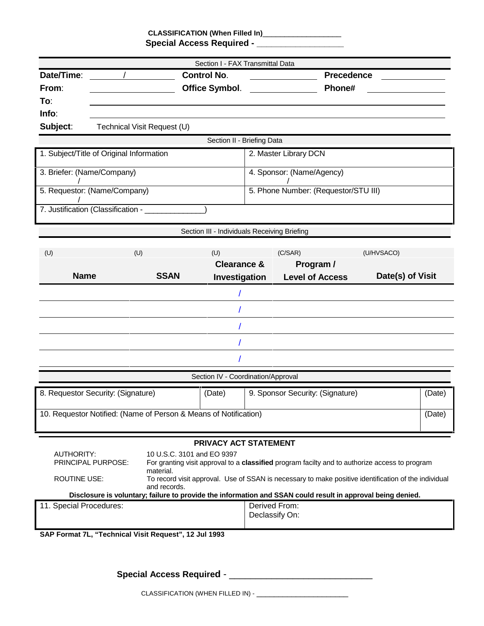**CLASSIFICATION (When Filled In)**\_\_\_\_\_\_\_\_\_\_\_\_\_\_\_\_\_\_ **Special Access Required - \_\_\_\_\_\_\_\_\_\_\_\_\_\_\_\_\_\_**

|                            |                                                                                                                                          |                            | Section I - FAX Transmittal Data             |  |                                      |        |                                                                                                |        |
|----------------------------|------------------------------------------------------------------------------------------------------------------------------------------|----------------------------|----------------------------------------------|--|--------------------------------------|--------|------------------------------------------------------------------------------------------------|--------|
| Date/Time:                 | <b>Control No.</b>                                                                                                                       |                            | <b>Precedence</b>                            |  |                                      |        |                                                                                                |        |
| From:                      |                                                                                                                                          | <b>Office Symbol.</b>      |                                              |  |                                      | Phone# |                                                                                                |        |
| To:                        |                                                                                                                                          |                            |                                              |  |                                      |        |                                                                                                |        |
| Info:                      |                                                                                                                                          |                            |                                              |  |                                      |        |                                                                                                |        |
| Subject:                   | Technical Visit Request (U)                                                                                                              |                            |                                              |  |                                      |        |                                                                                                |        |
|                            |                                                                                                                                          |                            | Section II - Briefing Data                   |  |                                      |        |                                                                                                |        |
|                            | 1. Subject/Title of Original Information                                                                                                 |                            |                                              |  | 2. Master Library DCN                |        |                                                                                                |        |
| 3. Briefer: (Name/Company) |                                                                                                                                          |                            |                                              |  | 4. Sponsor: (Name/Agency)            |        |                                                                                                |        |
|                            | 5. Requestor: (Name/Company)                                                                                                             |                            |                                              |  | 5. Phone Number: (Requestor/STU III) |        |                                                                                                |        |
|                            | 7. Justification (Classification -                                                                                                       |                            |                                              |  |                                      |        |                                                                                                |        |
|                            |                                                                                                                                          |                            | Section III - Individuals Receiving Briefing |  |                                      |        |                                                                                                |        |
|                            |                                                                                                                                          |                            |                                              |  |                                      |        |                                                                                                |        |
| (U)                        | (U)                                                                                                                                      |                            | (U)<br><b>Clearance &amp;</b>                |  | (C/SAR)<br>Program /                 |        | (U/HVSACO)                                                                                     |        |
| <b>Name</b>                |                                                                                                                                          | <b>SSAN</b>                | Investigation                                |  | <b>Level of Access</b>               |        | Date(s) of Visit                                                                               |        |
|                            |                                                                                                                                          |                            |                                              |  |                                      |        |                                                                                                |        |
|                            |                                                                                                                                          |                            |                                              |  |                                      |        |                                                                                                |        |
|                            |                                                                                                                                          |                            |                                              |  |                                      |        |                                                                                                |        |
|                            |                                                                                                                                          |                            |                                              |  |                                      |        |                                                                                                |        |
|                            |                                                                                                                                          |                            |                                              |  |                                      |        |                                                                                                |        |
|                            |                                                                                                                                          |                            |                                              |  |                                      |        |                                                                                                |        |
|                            |                                                                                                                                          |                            | Section IV - Coordination/Approval           |  |                                      |        |                                                                                                |        |
|                            | 8. Requestor Security: (Signature)                                                                                                       |                            | (Date)                                       |  | 9. Sponsor Security: (Signature)     |        |                                                                                                | (Date) |
|                            | 10. Requestor Notified: (Name of Person & Means of Notification)                                                                         |                            |                                              |  |                                      |        |                                                                                                | (Date) |
|                            |                                                                                                                                          |                            |                                              |  |                                      |        |                                                                                                |        |
| <b>AUTHORITY:</b>          |                                                                                                                                          | 10 U.S.C. 3101 and EO 9397 | PRIVACY ACT STATEMENT                        |  |                                      |        |                                                                                                |        |
|                            | PRINCIPAL PURPOSE:                                                                                                                       |                            |                                              |  |                                      |        | For granting visit approval to a classified program facilty and to authorize access to program |        |
|                            | material.<br><b>ROUTINE USE:</b><br>To record visit approval. Use of SSAN is necessary to make positive identification of the individual |                            |                                              |  |                                      |        |                                                                                                |        |
|                            |                                                                                                                                          | and records.               |                                              |  |                                      |        |                                                                                                |        |
|                            | Disclosure is voluntary; failure to provide the information and SSAN could result in approval being denied.                              |                            |                                              |  | Derived From:                        |        |                                                                                                |        |
| 11. Special Procedures:    |                                                                                                                                          |                            |                                              |  | Declassify On:                       |        |                                                                                                |        |
|                            | SAP Format 7L, "Technical Visit Request", 12 Jul 1993                                                                                    |                            |                                              |  |                                      |        |                                                                                                |        |
|                            |                                                                                                                                          |                            |                                              |  |                                      |        |                                                                                                |        |

Special Access Required - **\_\_\_\_\_\_\_\_\_\_\_\_\_\_\_\_\_\_\_\_\_\_\_\_\_\_\_\_\_\_\_\_\_** 

CLASSIFICATION (WHEN FILLED IN) - \_\_\_\_\_\_\_\_\_\_\_\_\_\_\_\_\_\_\_\_\_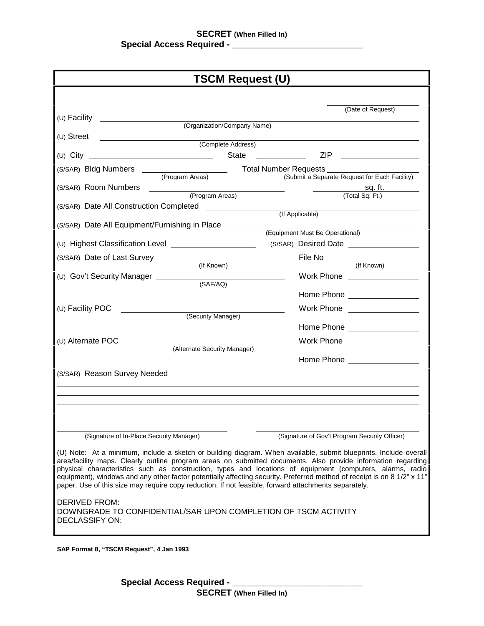### **SECRET (When Filled In) Special Access Required - \_\_\_\_\_\_\_\_\_\_\_\_\_\_\_\_\_\_\_\_\_\_\_\_\_\_\_**

| <b>TSCM Request (U)</b>                                                                                                                                                                                                                                                                                                                                                                                                                                                                                                                                                          |                                                                                                                                                                |
|----------------------------------------------------------------------------------------------------------------------------------------------------------------------------------------------------------------------------------------------------------------------------------------------------------------------------------------------------------------------------------------------------------------------------------------------------------------------------------------------------------------------------------------------------------------------------------|----------------------------------------------------------------------------------------------------------------------------------------------------------------|
|                                                                                                                                                                                                                                                                                                                                                                                                                                                                                                                                                                                  |                                                                                                                                                                |
|                                                                                                                                                                                                                                                                                                                                                                                                                                                                                                                                                                                  |                                                                                                                                                                |
|                                                                                                                                                                                                                                                                                                                                                                                                                                                                                                                                                                                  | (Date of Request)                                                                                                                                              |
| (Organization/Company Name)                                                                                                                                                                                                                                                                                                                                                                                                                                                                                                                                                      |                                                                                                                                                                |
| (U) Street<br><u> 1980 - Johann Stoff, fransk politik (d. 1980)</u><br>(Complete Address)                                                                                                                                                                                                                                                                                                                                                                                                                                                                                        |                                                                                                                                                                |
| <b>State</b>                                                                                                                                                                                                                                                                                                                                                                                                                                                                                                                                                                     | ZIP ________________                                                                                                                                           |
| (S/SAR) Bldg Numbers _____                                                                                                                                                                                                                                                                                                                                                                                                                                                                                                                                                       |                                                                                                                                                                |
| (Program Areas)<br>(S/SAR) Room Numbers                                                                                                                                                                                                                                                                                                                                                                                                                                                                                                                                          | (Submit a Separate Request for Each Facility)<br>sq. ft. In the set of the set of the set of the set of the set of the set of the set of the set of the set of |
| (Program Areas)                                                                                                                                                                                                                                                                                                                                                                                                                                                                                                                                                                  | (Total Sq. Ft.)                                                                                                                                                |
|                                                                                                                                                                                                                                                                                                                                                                                                                                                                                                                                                                                  | (If Applicable)                                                                                                                                                |
| (S/SAR) Date All Equipment/Furnishing in Place _______                                                                                                                                                                                                                                                                                                                                                                                                                                                                                                                           |                                                                                                                                                                |
|                                                                                                                                                                                                                                                                                                                                                                                                                                                                                                                                                                                  | (Equipment Must Be Operational)                                                                                                                                |
|                                                                                                                                                                                                                                                                                                                                                                                                                                                                                                                                                                                  |                                                                                                                                                                |
| (S/SAR) Date of Last Survey __________<br>(If Known)                                                                                                                                                                                                                                                                                                                                                                                                                                                                                                                             |                                                                                                                                                                |
| (U) Gov't Security Manager (SAF/AQ)                                                                                                                                                                                                                                                                                                                                                                                                                                                                                                                                              | Work Phone <u>New York Phone</u>                                                                                                                               |
|                                                                                                                                                                                                                                                                                                                                                                                                                                                                                                                                                                                  |                                                                                                                                                                |
|                                                                                                                                                                                                                                                                                                                                                                                                                                                                                                                                                                                  | Home Phone _________________                                                                                                                                   |
| (U) Facility POC<br>(Security Manager)                                                                                                                                                                                                                                                                                                                                                                                                                                                                                                                                           | Work Phone __________________                                                                                                                                  |
|                                                                                                                                                                                                                                                                                                                                                                                                                                                                                                                                                                                  | Home Phone _________________                                                                                                                                   |
| (U) Alternate POC _____________                                                                                                                                                                                                                                                                                                                                                                                                                                                                                                                                                  | Work Phone _________________                                                                                                                                   |
| (Alternate Security Manager)                                                                                                                                                                                                                                                                                                                                                                                                                                                                                                                                                     |                                                                                                                                                                |
|                                                                                                                                                                                                                                                                                                                                                                                                                                                                                                                                                                                  | Home Phone __________________                                                                                                                                  |
|                                                                                                                                                                                                                                                                                                                                                                                                                                                                                                                                                                                  |                                                                                                                                                                |
|                                                                                                                                                                                                                                                                                                                                                                                                                                                                                                                                                                                  |                                                                                                                                                                |
|                                                                                                                                                                                                                                                                                                                                                                                                                                                                                                                                                                                  |                                                                                                                                                                |
|                                                                                                                                                                                                                                                                                                                                                                                                                                                                                                                                                                                  |                                                                                                                                                                |
| (Signature of In-Place Security Manager)                                                                                                                                                                                                                                                                                                                                                                                                                                                                                                                                         | (Signature of Gov't Program Security Officer)                                                                                                                  |
|                                                                                                                                                                                                                                                                                                                                                                                                                                                                                                                                                                                  |                                                                                                                                                                |
| (U) Note: At a minimum, include a sketch or building diagram. When available, submit blueprints. Include overall<br>area/facility maps. Clearly outline program areas on submitted documents. Also provide information regarding<br>physical characteristics such as construction, types and locations of equipment (computers, alarms, radio<br>equipment), windows and any other factor potentially affecting security. Preferred method of receipt is on 8 1/2" x 11"<br>paper. Use of this size may require copy reduction. If not feasible, forward attachments separately. |                                                                                                                                                                |
| <b>DERIVED FROM:</b><br>DOWNGRADE TO CONFIDENTIAL/SAR UPON COMPLETION OF TSCM ACTIVITY<br><b>DECLASSIFY ON:</b>                                                                                                                                                                                                                                                                                                                                                                                                                                                                  |                                                                                                                                                                |

**SAP Format 8, "TSCM Request", 4 Jan 1993**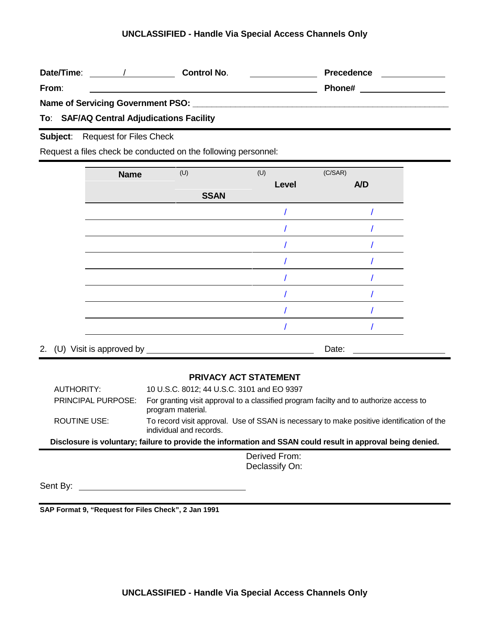### **UNCLASSIFIED - Handle Via Special Access Channels Only**

| Date/Time:                        | <b>Control No.</b> | <b>Precedence</b> |  |  |  |  |  |  |
|-----------------------------------|--------------------|-------------------|--|--|--|--|--|--|
| From:                             |                    | Phone#            |  |  |  |  |  |  |
| Name of Servicing Government PSO: |                    |                   |  |  |  |  |  |  |

### **To**: **SAF/AQ Central Adjudications Facility**

**Subject**: Request for Files Check

Request a files check be conducted on the following personnel:

| <b>Name</b>                     | (U)         | (U)   | (C/SAR) |
|---------------------------------|-------------|-------|---------|
|                                 |             | Level | A/D     |
|                                 | <b>SSAN</b> |       |         |
|                                 |             |       |         |
|                                 |             |       |         |
|                                 |             |       |         |
|                                 |             |       |         |
|                                 |             |       |         |
|                                 |             |       |         |
|                                 |             |       |         |
|                                 |             |       |         |
| 2. (U) Visit is approved by ___ |             |       | Date:   |

### **PRIVACY ACT STATEMENT**

| Disclosure is voluntary; failure to provide the information and SSAN could result in approval being denied. |                                                                                                                      |  |  |  |  |  |
|-------------------------------------------------------------------------------------------------------------|----------------------------------------------------------------------------------------------------------------------|--|--|--|--|--|
| ROUTINE USE:                                                                                                | To record visit approval. Use of SSAN is necessary to make positive identification of the<br>individual and records. |  |  |  |  |  |
| <b>PRINCIPAL PURPOSE:</b>                                                                                   | For granting visit approval to a classified program facilty and to authorize access to<br>program material.          |  |  |  |  |  |
| AUTHORITY:                                                                                                  | 10 U.S.C. 8012; 44 U.S.C. 3101 and EO 9397                                                                           |  |  |  |  |  |

Derived From: Declassify On:

Sent By:

**SAP Format 9, "Request for Files Check", 2 Jan 1991**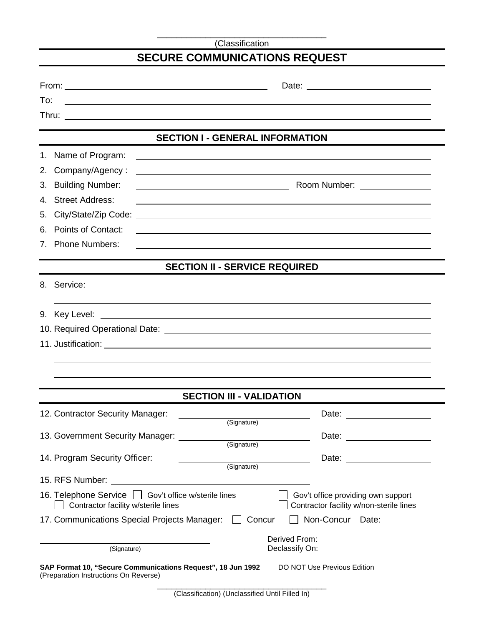### \_\_\_\_\_\_\_\_\_\_\_\_\_\_\_\_\_\_\_\_\_\_\_\_\_\_\_\_\_\_\_\_\_\_\_ (Classification

# **SECURE COMMUNICATIONS REQUEST**

| To: |                                                                                                      |                                                                                                                       |  |  |  |  |  |  |  |
|-----|------------------------------------------------------------------------------------------------------|-----------------------------------------------------------------------------------------------------------------------|--|--|--|--|--|--|--|
|     |                                                                                                      |                                                                                                                       |  |  |  |  |  |  |  |
|     |                                                                                                      | <b>SECTION I - GENERAL INFORMATION</b>                                                                                |  |  |  |  |  |  |  |
| 1.  | Name of Program:                                                                                     | <u> 1989 - Johann Barn, mars ann an t-Amhainn an t-Amhainn an t-Amhainn an t-Amhainn an t-Amhainn an t-Amhainn an</u> |  |  |  |  |  |  |  |
| 2.  | Company/Agency:                                                                                      | <u> 1989 - Johann Stein, mars and de Britain and de Britain and de Britain and de Britain and de Britain and de B</u> |  |  |  |  |  |  |  |
| 3.  | <b>Building Number:</b>                                                                              | <b>Example 2018 The Community Community Property Property Property Property Property</b>                              |  |  |  |  |  |  |  |
| 4   | <b>Street Address:</b>                                                                               | and the control of the control of the control of the control of the control of the control of the control of the      |  |  |  |  |  |  |  |
| 5.  |                                                                                                      |                                                                                                                       |  |  |  |  |  |  |  |
| 6.  | <b>Points of Contact:</b>                                                                            | <u> 1989 - Johann Stoff, amerikansk politiker (d. 1989)</u>                                                           |  |  |  |  |  |  |  |
|     | 7. Phone Numbers:                                                                                    |                                                                                                                       |  |  |  |  |  |  |  |
|     |                                                                                                      | <b>SECTION II - SERVICE REQUIRED</b>                                                                                  |  |  |  |  |  |  |  |
|     |                                                                                                      |                                                                                                                       |  |  |  |  |  |  |  |
|     |                                                                                                      |                                                                                                                       |  |  |  |  |  |  |  |
|     |                                                                                                      |                                                                                                                       |  |  |  |  |  |  |  |
|     |                                                                                                      |                                                                                                                       |  |  |  |  |  |  |  |
|     |                                                                                                      |                                                                                                                       |  |  |  |  |  |  |  |
|     |                                                                                                      |                                                                                                                       |  |  |  |  |  |  |  |
|     |                                                                                                      | <b>SECTION III - VALIDATION</b>                                                                                       |  |  |  |  |  |  |  |
|     | 12. Contractor Security Manager:                                                                     | Date: ________________<br>(Signature)                                                                                 |  |  |  |  |  |  |  |
|     | 13. Government Security Manager:                                                                     | (Signature)                                                                                                           |  |  |  |  |  |  |  |
|     | 14. Program Security Officer:                                                                        | (Signature)                                                                                                           |  |  |  |  |  |  |  |
|     | 15. RFS Number:                                                                                      | <u> 1980 - Johann Stein, marwolaethau a bh</u>                                                                        |  |  |  |  |  |  |  |
|     | 16. Telephone Service   Gov't office w/sterile lines<br>Contractor facility w/sterile lines          | Gov't office providing own support<br>Contractor facility w/non-sterile lines                                         |  |  |  |  |  |  |  |
|     | 17. Communications Special Projects Manager:                                                         | Concur<br>Non-Concur Date: _________                                                                                  |  |  |  |  |  |  |  |
|     | (Signature)                                                                                          | Derived From:<br>Declassify On:                                                                                       |  |  |  |  |  |  |  |
|     | SAP Format 10, "Secure Communications Request", 18 Jun 1992<br>(Preparation Instructions On Reverse) | DO NOT Use Previous Edition                                                                                           |  |  |  |  |  |  |  |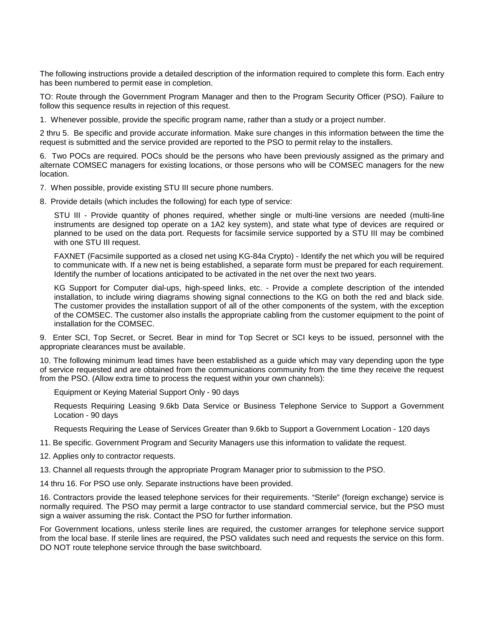The following instructions provide a detailed description of the information required to complete this form. Each entry has been numbered to permit ease in completion.

TO: Route through the Government Program Manager and then to the Program Security Officer (PSO). Failure to follow this sequence results in rejection of this request.

1. Whenever possible, provide the specific program name, rather than a study or a project number.

2 thru 5. Be specific and provide accurate information. Make sure changes in this information between the time the request is submitted and the service provided are reported to the PSO to permit relay to the installers.

6. Two POCs are required. POCs should be the persons who have been previously assigned as the primary and alternate COMSEC managers for existing locations, or those persons who will be COMSEC managers for the new location.

- 7. When possible, provide existing STU III secure phone numbers.
- 8. Provide details (which includes the following) for each type of service:

STU III - Provide quantity of phones required, whether single or multi-line versions are needed (multi-line instruments are designed top operate on a 1A2 key system), and state what type of devices are required or planned to be used on the data port. Requests for facsimile service supported by a STU III may be combined with one STU III request.

FAXNET (Facsimile supported as a closed net using KG-84a Crypto) - Identify the net which you will be required to communicate with. If a new net is being established, a separate form must be prepared for each requirement. Identify the number of locations anticipated to be activated in the net over the next two years.

KG Support for Computer dial-ups, high-speed links, etc. - Provide a complete description of the intended installation, to include wiring diagrams showing signal connections to the KG on both the red and black side. The customer provides the installation support of all of the other components of the system, with the exception of the COMSEC. The customer also installs the appropriate cabling from the customer equipment to the point of installation for the COMSEC.

9. Enter SCI, Top Secret, or Secret. Bear in mind for Top Secret or SCI keys to be issued, personnel with the appropriate clearances must be available.

10. The following minimum lead times have been established as a guide which may vary depending upon the type of service requested and are obtained from the communications community from the time they receive the request from the PSO. (Allow extra time to process the request within your own channels):

Equipment or Keying Material Support Only - 90 days

Requests Requiring Leasing 9.6kb Data Service or Business Telephone Service to Support a Government Location - 90 days

Requests Requiring the Lease of Services Greater than 9.6kb to Support a Government Location - 120 days

11. Be specific. Government Program and Security Managers use this information to validate the request.

12. Applies only to contractor requests.

13. Channel all requests through the appropriate Program Manager prior to submission to the PSO.

14 thru 16. For PSO use only. Separate instructions have been provided.

16. Contractors provide the leased telephone services for their requirements. "Sterile" (foreign exchange) service is normally required. The PSO may permit a large contractor to use standard commercial service, but the PSO must sign a waiver assuming the risk. Contact the PSO for further information.

For Government locations, unless sterile lines are required, the customer arranges for telephone service support from the local base. If sterile lines are required, the PSO validates such need and requests the service on this form. DO NOT route telephone service through the base switchboard.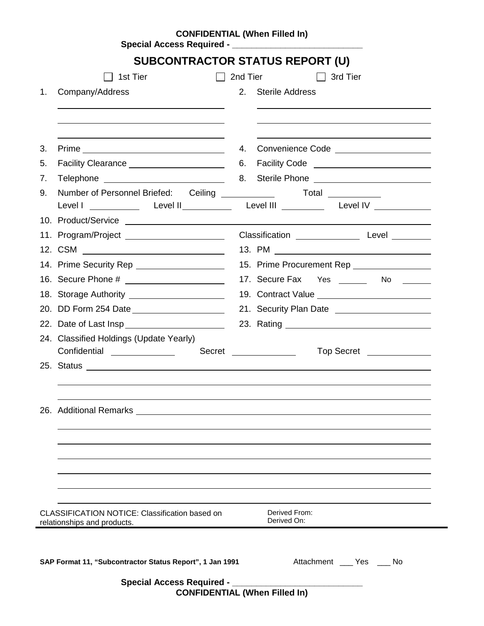| <b>CONFIDENTIAL (When Filled In)</b><br><b>Special Access Required -</b> |                                                                                                                                                                                                                               |                                                    |  |  |  |  |  |  |  |
|--------------------------------------------------------------------------|-------------------------------------------------------------------------------------------------------------------------------------------------------------------------------------------------------------------------------|----------------------------------------------------|--|--|--|--|--|--|--|
| <b>SUBCONTRACTOR STATUS REPORT (U)</b>                                   |                                                                                                                                                                                                                               |                                                    |  |  |  |  |  |  |  |
|                                                                          | 1st Tier                                                                                                                                                                                                                      | 2nd Tier<br>3rd Tier                               |  |  |  |  |  |  |  |
| 1.                                                                       | Company/Address                                                                                                                                                                                                               | 2.<br><b>Sterile Address</b>                       |  |  |  |  |  |  |  |
|                                                                          |                                                                                                                                                                                                                               |                                                    |  |  |  |  |  |  |  |
| 3.                                                                       |                                                                                                                                                                                                                               | 4.<br>Convenience Code _____________________       |  |  |  |  |  |  |  |
| 5.                                                                       | Facility Clearance _________________________                                                                                                                                                                                  | 6.                                                 |  |  |  |  |  |  |  |
| 7.                                                                       |                                                                                                                                                                                                                               | 8.                                                 |  |  |  |  |  |  |  |
| 9.                                                                       | Number of Personnel Briefed: Ceiling __________                                                                                                                                                                               | Total ___________                                  |  |  |  |  |  |  |  |
|                                                                          |                                                                                                                                                                                                                               |                                                    |  |  |  |  |  |  |  |
|                                                                          |                                                                                                                                                                                                                               |                                                    |  |  |  |  |  |  |  |
|                                                                          | 11. Program/Project ________________________                                                                                                                                                                                  |                                                    |  |  |  |  |  |  |  |
|                                                                          |                                                                                                                                                                                                                               |                                                    |  |  |  |  |  |  |  |
|                                                                          | 14. Prime Security Rep _____________________                                                                                                                                                                                  | 15. Prime Procurement Rep _________________        |  |  |  |  |  |  |  |
|                                                                          |                                                                                                                                                                                                                               | 17. Secure Fax Yes _______ No ______               |  |  |  |  |  |  |  |
|                                                                          | 18. Storage Authority _______________________                                                                                                                                                                                 |                                                    |  |  |  |  |  |  |  |
|                                                                          | 20. DD Form 254 Date _______________________                                                                                                                                                                                  |                                                    |  |  |  |  |  |  |  |
|                                                                          |                                                                                                                                                                                                                               |                                                    |  |  |  |  |  |  |  |
|                                                                          | 24. Classified Holdings (Update Yearly)<br>Confidential ______________                                                                                                                                                        | Top Secret ______________<br>Secret ______________ |  |  |  |  |  |  |  |
|                                                                          |                                                                                                                                                                                                                               |                                                    |  |  |  |  |  |  |  |
|                                                                          |                                                                                                                                                                                                                               |                                                    |  |  |  |  |  |  |  |
|                                                                          | 26. Additional Remarks and the control of the control of the control of the control of the control of the control of the control of the control of the control of the control of the control of the control of the control of |                                                    |  |  |  |  |  |  |  |
|                                                                          |                                                                                                                                                                                                                               |                                                    |  |  |  |  |  |  |  |
|                                                                          |                                                                                                                                                                                                                               |                                                    |  |  |  |  |  |  |  |
|                                                                          |                                                                                                                                                                                                                               |                                                    |  |  |  |  |  |  |  |
|                                                                          |                                                                                                                                                                                                                               |                                                    |  |  |  |  |  |  |  |
|                                                                          |                                                                                                                                                                                                                               |                                                    |  |  |  |  |  |  |  |
|                                                                          |                                                                                                                                                                                                                               |                                                    |  |  |  |  |  |  |  |
|                                                                          | CLASSIFICATION NOTICE: Classification based on<br>relationships and products.                                                                                                                                                 | Derived From:<br>Derived On:                       |  |  |  |  |  |  |  |
|                                                                          |                                                                                                                                                                                                                               |                                                    |  |  |  |  |  |  |  |
|                                                                          | SAP Format 11, "Subcontractor Status Report", 1 Jan 1991                                                                                                                                                                      | Attachment ____ Yes ____ No                        |  |  |  |  |  |  |  |
|                                                                          | <b>Special Access Required -</b>                                                                                                                                                                                              |                                                    |  |  |  |  |  |  |  |
|                                                                          | <b>CONFIDENTIAL (When Filled In)</b>                                                                                                                                                                                          |                                                    |  |  |  |  |  |  |  |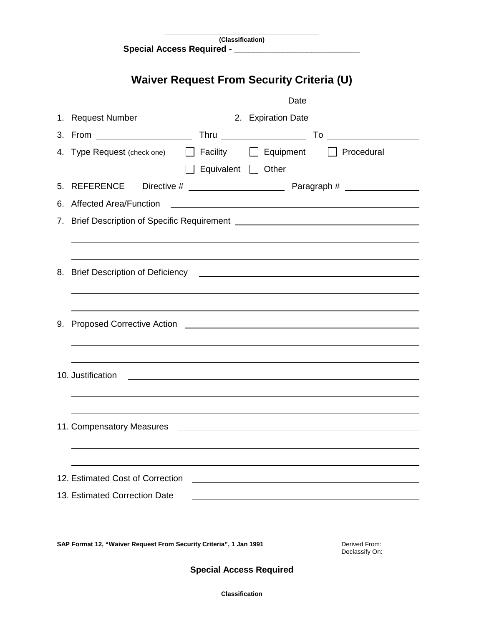**\_\_\_\_\_\_\_\_\_\_\_\_\_\_\_\_\_\_\_\_\_\_\_\_\_\_\_\_\_\_\_\_\_\_\_\_\_\_\_\_\_\_\_\_ (Classification) Special Access Required - \_\_\_\_\_\_\_\_\_\_\_\_\_\_\_\_\_\_\_\_\_\_\_\_\_\_ SAP Format 12, "Waiver Request From Security Criteria", 1 Jan 1991 Decay of Security Criteria** Derived From: Declassify On: **Waiver Request From Security Criteria (U)** Date and the contract of the contract of the contract of the contract of the contract of the contract of the contract of the contract of the contract of the contract of the contract of the contract of the contract of the c 1. Request Number 2. Expiration Date 3. From Thru To 4. Type Request (check one)  $\Box$  Facility  $\Box$  Equipment  $\Box$  Procedural  $\Box$  Equivalent  $\Box$  Other 5. REFERENCE Directive # Paragraph # 6. Affected Area/Function 7. Brief Description of Specific Requirement  $\overline{a}$  $\overline{\phantom{a}}$ 8. Brief Description of Deficiency l l 9. Proposed Corrective Action **Communist Contract Contract Contract Contract Contract Contract Contract Contract Contract Contract Contract Contract Contract Contract Contract Contract Contract Contract Contract Contract C** l  $\overline{\phantom{a}}$ 10. Justification  $\overline{\phantom{a}}$  $\overline{\phantom{a}}$ 11. Compensatory Measures  $\overline{\phantom{a}}$  $\overline{\phantom{a}}$ 12. Estimated Cost of Correction 13. Estimated Correction Date

**Special Access Required**

**\_\_\_\_\_\_\_\_\_\_\_\_\_\_\_\_\_\_\_\_\_\_\_\_\_\_\_\_\_\_\_\_\_\_\_\_\_\_\_\_\_\_\_\_\_\_\_\_\_ Classification**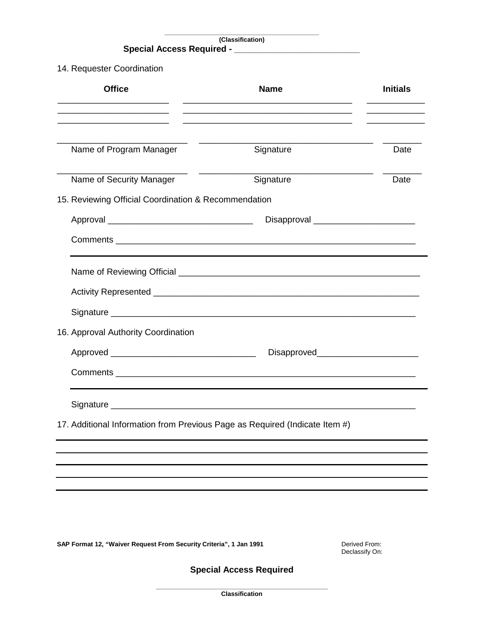| 14. Requester Coordination                                                  |                                                                                                                                      |                 |
|-----------------------------------------------------------------------------|--------------------------------------------------------------------------------------------------------------------------------------|-----------------|
| <b>Office</b>                                                               | <b>Name</b><br><u> 1999 - Johann Harry Harry Harry Harry Harry Harry Harry Harry Harry Harry Harry Harry Harry Harry Harry Harry</u> | <b>Initials</b> |
| Name of Program Manager                                                     | Signature                                                                                                                            | Date            |
| Name of Security Manager                                                    | Signature                                                                                                                            | Date            |
| 15. Reviewing Official Coordination & Recommendation                        |                                                                                                                                      |                 |
|                                                                             | Disapproval _________________________                                                                                                |                 |
|                                                                             |                                                                                                                                      |                 |
|                                                                             |                                                                                                                                      |                 |
|                                                                             |                                                                                                                                      |                 |
|                                                                             |                                                                                                                                      |                 |
| 16. Approval Authority Coordination                                         |                                                                                                                                      |                 |
|                                                                             |                                                                                                                                      |                 |
|                                                                             |                                                                                                                                      |                 |
|                                                                             |                                                                                                                                      |                 |
| 17. Additional Information from Previous Page as Required (Indicate Item #) |                                                                                                                                      |                 |
|                                                                             |                                                                                                                                      |                 |
|                                                                             |                                                                                                                                      |                 |
|                                                                             |                                                                                                                                      |                 |

**SAP Format 12, "Waiver Request From Security Criteria", 1 Jan 1991** 

Derived From:<br>Declassify On:

**Special Access Required**

**\_\_\_\_\_\_\_\_\_\_\_\_\_\_\_\_\_\_\_\_\_\_\_\_\_\_\_\_\_\_\_\_\_\_\_\_\_\_\_\_\_\_\_\_\_\_\_\_\_ Classification**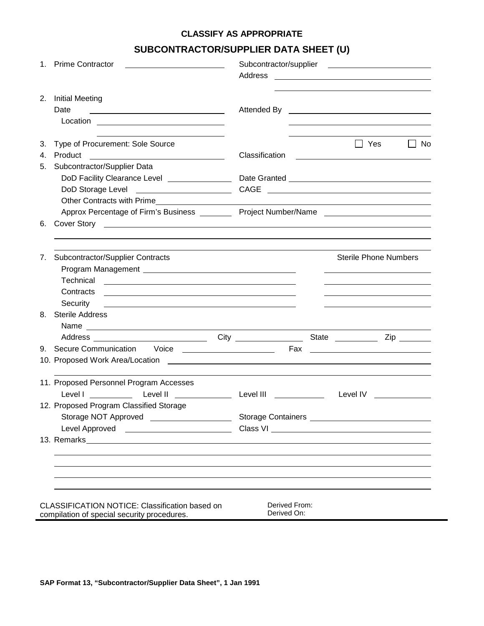### **CLASSIFY AS APPROPRIATE**

## **SUBCONTRACTOR/SUPPLIER DATA SHEET (U)**

|                | 1. Prime Contractor                                                                                                                                                                                                                                                                                                                          | Address                                                                                                                        |                              |    |  |  |  |  |  |
|----------------|----------------------------------------------------------------------------------------------------------------------------------------------------------------------------------------------------------------------------------------------------------------------------------------------------------------------------------------------|--------------------------------------------------------------------------------------------------------------------------------|------------------------------|----|--|--|--|--|--|
| 2.             | <b>Initial Meeting</b><br>Date<br><u> 1980 - Johann Barn, mars eta bainar eta baina eta baina eta baina eta baina eta baina eta baina eta baina e</u>                                                                                                                                                                                        | Attended By <u>New York Communication</u>                                                                                      |                              |    |  |  |  |  |  |
| 3.<br>4.<br>5. | Type of Procurement: Sole Source<br>Product<br><u> 1980 - Andrea Station Barbara, politik eta politik eta politik eta politik eta politik eta politik eta politi</u><br>Subcontractor/Supplier Data                                                                                                                                          | Classification                                                                                                                 | Yes<br>$\perp$               | No |  |  |  |  |  |
|                | DoD Storage Level<br>Other Contracts with Prime                                                                                                                                                                                                                                                                                              | CAGE<br><u> 1989 - Jan Barbara Barat, manazar a shekara 1980 - An tsa a shekara 1981 - An tsa a shekara 1981 - An tsa a sh</u> |                              |    |  |  |  |  |  |
| 6.             | Approx Percentage of Firm's Business __________ Project Number/Name ________________________________<br>Cover Story <u>example and the set of the set of the set of the set of the set of the set of the set of the set of the set of the set of the set of the set of the set of the set of the set of the set of the set of the set of</u> |                                                                                                                                |                              |    |  |  |  |  |  |
| 7.             | Subcontractor/Supplier Contracts<br>Technical<br><u> 1989 - Jan Sterlinger, fransk politiker (d. 1989)</u><br>Contracts<br><u> Alexander de la construcción de la construcción de la construcción de la construcción de la construcción de l</u><br>Security<br><u> 1999 - Johann Stoff, amerikansk politiker (d. 1989)</u>                  |                                                                                                                                | <b>Sterile Phone Numbers</b> |    |  |  |  |  |  |
| 8.             | <b>Sterile Address</b>                                                                                                                                                                                                                                                                                                                       |                                                                                                                                |                              |    |  |  |  |  |  |
| 9              | 10. Proposed Work Area/Location 2012 2022 2022 2023 2024 2022 2023 2024 2022 2023 2024 2022 2023 2024 2022 20                                                                                                                                                                                                                                |                                                                                                                                |                              |    |  |  |  |  |  |
|                | 11. Proposed Personnel Program Accesses<br>Level I<br>Level II<br>Level III<br>12. Proposed Program Classified Storage                                                                                                                                                                                                                       |                                                                                                                                | Level IV                     |    |  |  |  |  |  |
|                | Storage NOT Approved ____________________<br>Level Approved <u>New York: Class VI New York: New York: New York: New York: New York: New York: New York: New York: New York: New York: New York: New York: New York: New York: New York: New York: New York: New York: New Yor</u>                                                            |                                                                                                                                |                              |    |  |  |  |  |  |
|                |                                                                                                                                                                                                                                                                                                                                              |                                                                                                                                |                              |    |  |  |  |  |  |
|                | <b>CLASSIFICATION NOTICE: Classification based on</b><br>compilation of special security procedures.                                                                                                                                                                                                                                         | Derived From:<br>Derived On:                                                                                                   |                              |    |  |  |  |  |  |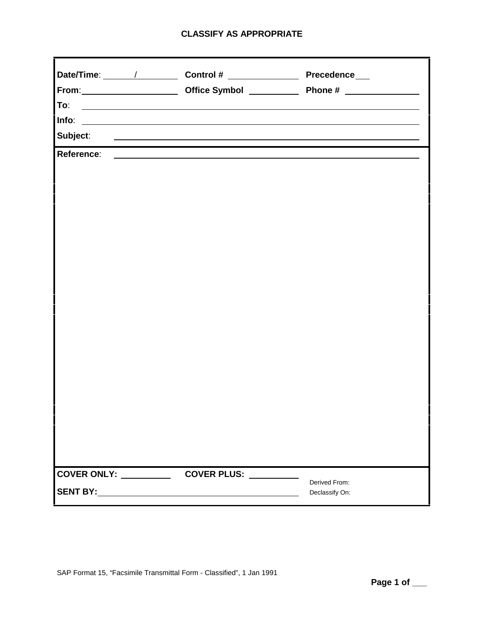## **CLASSIFY AS APPROPRIATE**

|                    | Info:              |                |
|--------------------|--------------------|----------------|
|                    |                    |                |
| Reference:         |                    |                |
|                    |                    |                |
|                    |                    |                |
|                    |                    |                |
|                    |                    |                |
|                    |                    |                |
|                    |                    |                |
|                    |                    |                |
|                    |                    |                |
|                    |                    |                |
|                    |                    |                |
|                    |                    |                |
|                    |                    |                |
|                    |                    |                |
|                    |                    |                |
|                    |                    |                |
|                    |                    |                |
|                    |                    |                |
|                    |                    |                |
|                    |                    |                |
|                    |                    |                |
| <b>COVER ONLY:</b> | <b>COVER PLUS:</b> |                |
|                    |                    | Derived From:  |
|                    |                    | Declassify On: |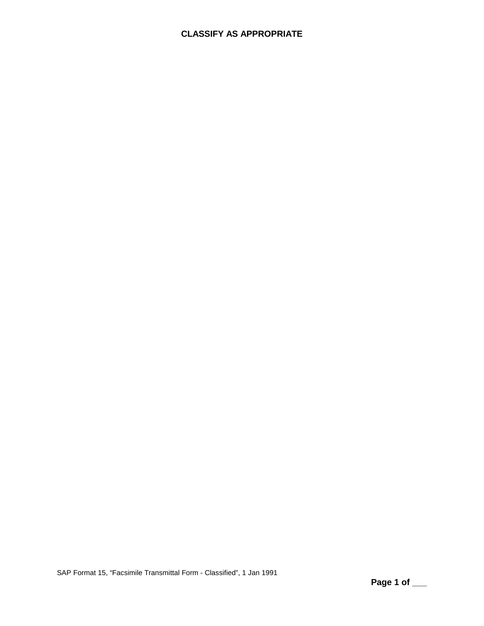## **CLASSIFY AS APPROPRIATE**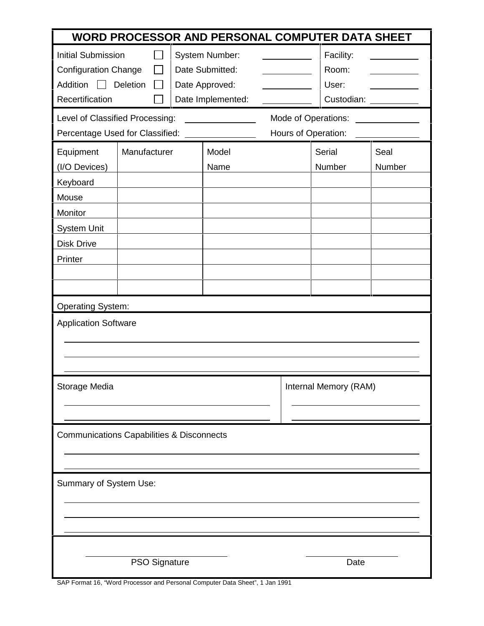| WORD PROCESSOR AND PERSONAL COMPUTER DATA SHEET      |                                                |                |                   |  |                     |                       |                                                                                                                      |
|------------------------------------------------------|------------------------------------------------|----------------|-------------------|--|---------------------|-----------------------|----------------------------------------------------------------------------------------------------------------------|
| <b>Initial Submission</b>                            |                                                |                | System Number:    |  |                     | Facility:             |                                                                                                                      |
|                                                      | <b>Configuration Change</b><br>Date Submitted: |                |                   |  |                     | Room:                 |                                                                                                                      |
| Addition                                             | Deletion                                       | Date Approved: |                   |  |                     | User:                 |                                                                                                                      |
| Recertification                                      |                                                |                | Date Implemented: |  |                     | Custodian:            |                                                                                                                      |
| Level of Classified Processing:                      |                                                |                |                   |  | Mode of Operations: |                       | <u> 1999 - Jan Stein Stein Stein Stein Stein Stein Stein Stein Stein Stein Stein Stein Stein Stein Stein Stein S</u> |
| Percentage Used for Classified:                      |                                                |                |                   |  | Hours of Operation: |                       |                                                                                                                      |
| Equipment                                            | Manufacturer                                   |                | Model             |  |                     | Serial                | Seal                                                                                                                 |
| (I/O Devices)                                        |                                                |                | Name              |  |                     | Number                | Number                                                                                                               |
| Keyboard                                             |                                                |                |                   |  |                     |                       |                                                                                                                      |
| Mouse                                                |                                                |                |                   |  |                     |                       |                                                                                                                      |
| Monitor                                              |                                                |                |                   |  |                     |                       |                                                                                                                      |
| <b>System Unit</b>                                   |                                                |                |                   |  |                     |                       |                                                                                                                      |
| <b>Disk Drive</b>                                    |                                                |                |                   |  |                     |                       |                                                                                                                      |
| Printer                                              |                                                |                |                   |  |                     |                       |                                                                                                                      |
|                                                      |                                                |                |                   |  |                     |                       |                                                                                                                      |
|                                                      |                                                |                |                   |  |                     |                       |                                                                                                                      |
| <b>Operating System:</b>                             |                                                |                |                   |  |                     |                       |                                                                                                                      |
| <b>Application Software</b>                          |                                                |                |                   |  |                     |                       |                                                                                                                      |
|                                                      |                                                |                |                   |  |                     |                       |                                                                                                                      |
|                                                      |                                                |                |                   |  |                     |                       |                                                                                                                      |
|                                                      |                                                |                |                   |  |                     |                       |                                                                                                                      |
| Storage Media                                        |                                                |                |                   |  |                     | Internal Memory (RAM) |                                                                                                                      |
|                                                      |                                                |                |                   |  |                     |                       |                                                                                                                      |
|                                                      |                                                |                |                   |  |                     |                       |                                                                                                                      |
| <b>Communications Capabilities &amp; Disconnects</b> |                                                |                |                   |  |                     |                       |                                                                                                                      |
|                                                      |                                                |                |                   |  |                     |                       |                                                                                                                      |
|                                                      |                                                |                |                   |  |                     |                       |                                                                                                                      |
|                                                      |                                                |                |                   |  |                     |                       |                                                                                                                      |
| Summary of System Use:                               |                                                |                |                   |  |                     |                       |                                                                                                                      |
|                                                      |                                                |                |                   |  |                     |                       |                                                                                                                      |
|                                                      |                                                |                |                   |  |                     |                       |                                                                                                                      |
|                                                      |                                                |                |                   |  |                     |                       |                                                                                                                      |
|                                                      | PSO Signature                                  |                |                   |  |                     | Date                  |                                                                                                                      |
|                                                      |                                                |                |                   |  |                     |                       |                                                                                                                      |

SAP Format 16, "Word Processor and Personal Computer Data Sheet", 1 Jan 1991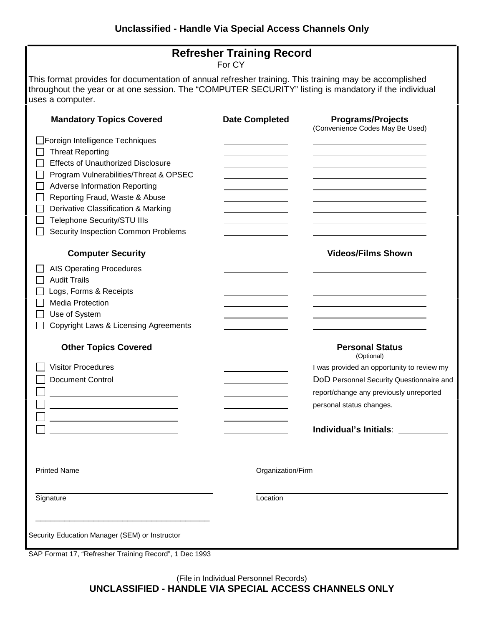| This format provides for documentation of annual refresher training. This training may be accomplished<br>throughout the year or at one session. The "COMPUTER SECURITY" listing is mandatory if the individual<br>uses a computer. |                       |                                                                                                                                                                             |
|-------------------------------------------------------------------------------------------------------------------------------------------------------------------------------------------------------------------------------------|-----------------------|-----------------------------------------------------------------------------------------------------------------------------------------------------------------------------|
| <b>Mandatory Topics Covered</b><br>□Foreign Intelligence Techniques                                                                                                                                                                 | <b>Date Completed</b> | <b>Programs/Projects</b><br>(Convenience Codes May Be Used)                                                                                                                 |
| <b>Threat Reporting</b><br><b>Effects of Unauthorized Disclosure</b><br>Program Vulnerabilities/Threat & OPSEC                                                                                                                      |                       |                                                                                                                                                                             |
| <b>Adverse Information Reporting</b><br>Reporting Fraud, Waste & Abuse                                                                                                                                                              |                       |                                                                                                                                                                             |
| Derivative Classification & Marking<br>Telephone Security/STU IIIs<br>Security Inspection Common Problems                                                                                                                           |                       |                                                                                                                                                                             |
| <b>Computer Security</b>                                                                                                                                                                                                            |                       | <b>Videos/Films Shown</b>                                                                                                                                                   |
| <b>AIS Operating Procedures</b><br><b>Audit Trails</b><br>Logs, Forms & Receipts<br><b>Media Protection</b><br>Use of System                                                                                                        |                       |                                                                                                                                                                             |
| Copyright Laws & Licensing Agreements<br><b>Other Topics Covered</b>                                                                                                                                                                |                       | <b>Personal Status</b>                                                                                                                                                      |
| <b>Visitor Procedures</b><br><b>Document Control</b><br><u> 1989 - Johann Barbara, martin amerikan basar dan basa dan basar dalam basa dalam basa dalam basa dalam basa </u>                                                        |                       | (Optional)<br>I was provided an opportunity to review my<br>DoD Personnel Security Questionnaire and<br>report/change any previously unreported<br>personal status changes. |
|                                                                                                                                                                                                                                     |                       | Individual's Initials: ___________                                                                                                                                          |
| <b>Printed Name</b>                                                                                                                                                                                                                 | Organization/Firm     |                                                                                                                                                                             |
| Signature                                                                                                                                                                                                                           | Location              |                                                                                                                                                                             |

SAP Format 17, "Refresher Training Record", 1 Dec 1993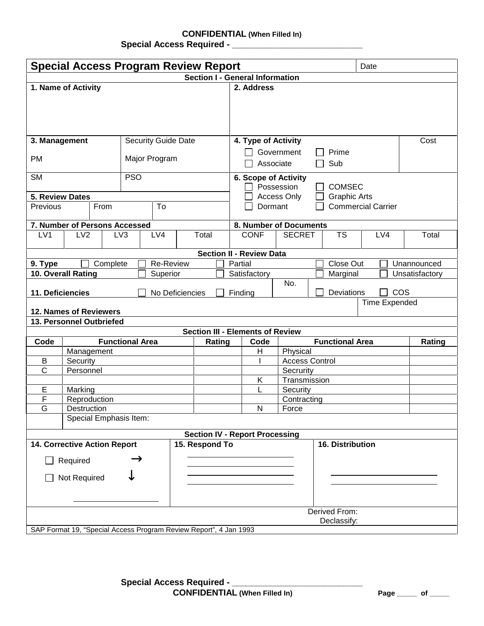### **CONFIDENTIAL (When Filled In) Special Access Required - \_\_\_\_\_\_\_\_\_\_\_\_\_\_\_\_\_\_\_\_\_\_\_\_\_\_\_**

| <b>Special Access Program Review Report</b><br>Date               |                       |                        |            |  |                  |                     |        |         |                                               |                                    |  |  |                              |  |     |  |                |  |
|-------------------------------------------------------------------|-----------------------|------------------------|------------|--|------------------|---------------------|--------|---------|-----------------------------------------------|------------------------------------|--|--|------------------------------|--|-----|--|----------------|--|
|                                                                   |                       |                        |            |  |                  |                     |        |         | <b>Section I - General Information</b>        |                                    |  |  |                              |  |     |  |                |  |
| 1. Name of Activity                                               |                       |                        |            |  |                  |                     |        |         | 2. Address                                    |                                    |  |  |                              |  |     |  |                |  |
|                                                                   |                       |                        |            |  |                  |                     |        |         |                                               |                                    |  |  |                              |  |     |  |                |  |
|                                                                   |                       |                        |            |  |                  |                     |        |         |                                               |                                    |  |  |                              |  |     |  |                |  |
|                                                                   |                       |                        |            |  |                  |                     |        |         |                                               |                                    |  |  |                              |  |     |  |                |  |
| 3. Management                                                     |                       |                        |            |  |                  | Security Guide Date |        |         | 4. Type of Activity                           |                                    |  |  |                              |  |     |  | Cost           |  |
|                                                                   |                       |                        |            |  |                  |                     |        |         |                                               | Government                         |  |  | Prime                        |  |     |  |                |  |
| <b>PM</b>                                                         |                       |                        |            |  | Major Program    |                     |        |         |                                               | Associate                          |  |  | Sub                          |  |     |  |                |  |
|                                                                   |                       |                        |            |  |                  |                     |        |         |                                               |                                    |  |  |                              |  |     |  |                |  |
| <b>SM</b>                                                         |                       |                        | <b>PSO</b> |  |                  |                     |        |         | <b>6. Scope of Activity</b>                   | Possession                         |  |  | <b>COMSEC</b>                |  |     |  |                |  |
| <b>5. Review Dates</b>                                            |                       |                        |            |  |                  |                     |        |         |                                               | <b>Access Only</b>                 |  |  | <b>Graphic Arts</b>          |  |     |  |                |  |
| Previous                                                          |                       | From                   |            |  | To               |                     |        |         | Dormant                                       |                                    |  |  | <b>Commercial Carrier</b>    |  |     |  |                |  |
|                                                                   |                       |                        |            |  |                  |                     |        |         |                                               |                                    |  |  |                              |  |     |  |                |  |
| 7. Number of Persons Accessed                                     |                       |                        |            |  |                  |                     |        |         | 8. Number of Documents                        |                                    |  |  |                              |  |     |  |                |  |
| LV1                                                               | LV <sub>2</sub>       |                        | LV3        |  | LVA              | Total               |        |         | <b>CONF</b>                                   | <b>SECRET</b>                      |  |  | <b>TS</b>                    |  | LVA |  | Total          |  |
|                                                                   |                       |                        |            |  |                  |                     |        |         | <b>Section II - Review Data</b>               |                                    |  |  |                              |  |     |  |                |  |
| 9. Type                                                           |                       | Complete               |            |  | <b>Re-Review</b> |                     |        | Partial |                                               |                                    |  |  | Close Out                    |  |     |  | Unannounced    |  |
| 10. Overall Rating                                                |                       |                        |            |  | Superior         |                     |        |         | Satisfactory                                  |                                    |  |  | Marginal                     |  |     |  | Unsatisfactory |  |
|                                                                   | No.                   |                        |            |  |                  |                     |        |         |                                               |                                    |  |  |                              |  |     |  |                |  |
| 11. Deficiencies                                                  |                       |                        |            |  |                  | No Deficiencies     |        |         | COS<br>Deviations<br>Finding<br>Time Expended |                                    |  |  |                              |  |     |  |                |  |
| 12. Names of Reviewers                                            |                       |                        |            |  |                  |                     |        |         |                                               |                                    |  |  |                              |  |     |  |                |  |
| 13. Personnel Outbriefed                                          |                       |                        |            |  |                  |                     |        |         |                                               |                                    |  |  |                              |  |     |  |                |  |
|                                                                   |                       |                        |            |  |                  |                     |        |         | <b>Section III - Elements of Review</b>       |                                    |  |  |                              |  |     |  |                |  |
| Code                                                              |                       | <b>Functional Area</b> |            |  |                  |                     | Rating |         | Code                                          |                                    |  |  | <b>Functional Area</b>       |  |     |  | Rating         |  |
|                                                                   |                       | Management             |            |  |                  |                     |        |         | Н                                             | Physical                           |  |  |                              |  |     |  |                |  |
| B<br>$\overline{\text{c}}$                                        | Security<br>Personnel |                        |            |  |                  |                     |        |         |                                               | <b>Access Control</b><br>Secrurity |  |  |                              |  |     |  |                |  |
|                                                                   |                       |                        |            |  |                  |                     |        |         | Κ                                             | Transmission                       |  |  |                              |  |     |  |                |  |
| E                                                                 | Marking               |                        |            |  |                  |                     |        |         | L                                             | Security                           |  |  |                              |  |     |  |                |  |
| F                                                                 |                       | Reproduction           |            |  |                  |                     |        |         |                                               | Contracting                        |  |  |                              |  |     |  |                |  |
| G                                                                 | Destruction           |                        |            |  |                  |                     |        |         | N                                             | Force                              |  |  |                              |  |     |  |                |  |
|                                                                   |                       | Special Emphasis Item: |            |  |                  |                     |        |         |                                               |                                    |  |  |                              |  |     |  |                |  |
|                                                                   |                       |                        |            |  |                  |                     |        |         | <b>Section IV - Report Processing</b>         |                                    |  |  |                              |  |     |  |                |  |
| <b>14. Corrective Action Report</b>                               |                       |                        |            |  |                  | 15. Respond To      |        |         |                                               |                                    |  |  | 16. Distribution             |  |     |  |                |  |
|                                                                   | Required              |                        |            |  |                  |                     |        |         |                                               |                                    |  |  |                              |  |     |  |                |  |
|                                                                   |                       |                        |            |  |                  |                     |        |         |                                               |                                    |  |  |                              |  |     |  |                |  |
| Not Required                                                      |                       |                        |            |  |                  |                     |        |         |                                               |                                    |  |  |                              |  |     |  |                |  |
|                                                                   |                       |                        |            |  |                  |                     |        |         |                                               |                                    |  |  |                              |  |     |  |                |  |
|                                                                   |                       |                        |            |  |                  |                     |        |         |                                               |                                    |  |  |                              |  |     |  |                |  |
|                                                                   |                       |                        |            |  |                  |                     |        |         |                                               |                                    |  |  | Derived From:<br>Declassify: |  |     |  |                |  |
| SAP Format 19, "Special Access Program Review Report", 4 Jan 1993 |                       |                        |            |  |                  |                     |        |         |                                               |                                    |  |  |                              |  |     |  |                |  |
|                                                                   |                       |                        |            |  |                  |                     |        |         |                                               |                                    |  |  |                              |  |     |  |                |  |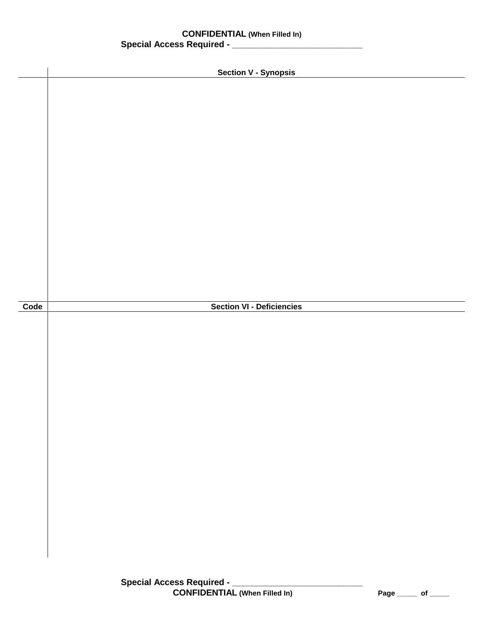## **CONFIDENTIAL (When Filled In) Special Access Required - \_\_\_\_\_\_\_\_\_\_\_\_\_\_\_\_\_\_\_\_\_\_\_\_\_\_\_**

|      | <b>Section V - Synopsis</b>      |  |
|------|----------------------------------|--|
|      |                                  |  |
|      |                                  |  |
|      |                                  |  |
|      |                                  |  |
|      |                                  |  |
|      |                                  |  |
|      |                                  |  |
|      |                                  |  |
|      |                                  |  |
|      |                                  |  |
|      |                                  |  |
|      |                                  |  |
|      |                                  |  |
| Code | <b>Section VI - Deficiencies</b> |  |
|      |                                  |  |
|      |                                  |  |
|      |                                  |  |
|      |                                  |  |
|      |                                  |  |
|      |                                  |  |
|      |                                  |  |
|      |                                  |  |
|      |                                  |  |
|      |                                  |  |
|      |                                  |  |
|      |                                  |  |
|      |                                  |  |
|      |                                  |  |
|      |                                  |  |
|      |                                  |  |
|      | <b>Special Access Required -</b> |  |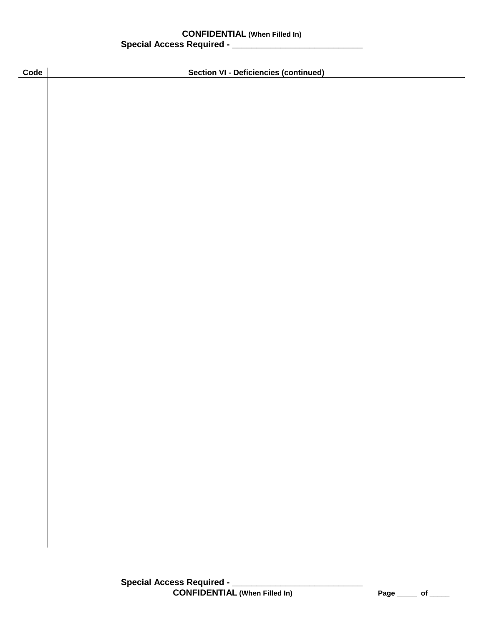| Code | <b>Section VI - Deficiencies (continued)</b> |
|------|----------------------------------------------|
|      |                                              |
|      |                                              |
|      |                                              |
|      |                                              |
|      |                                              |
|      |                                              |
|      |                                              |
|      |                                              |
|      |                                              |
|      |                                              |
|      |                                              |
|      |                                              |
|      |                                              |
|      |                                              |
|      |                                              |
|      |                                              |
|      |                                              |
|      |                                              |
|      |                                              |
|      |                                              |
|      |                                              |
|      |                                              |
|      |                                              |
|      |                                              |
|      |                                              |
|      |                                              |
|      |                                              |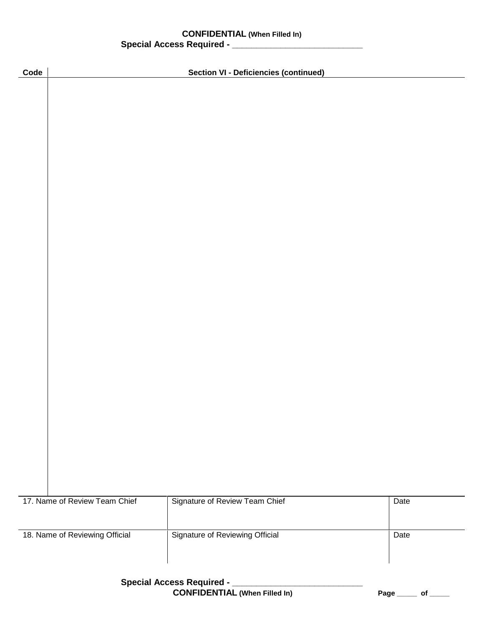| Code                           | <b>Section VI - Deficiencies (continued)</b> |                                       |      |  |
|--------------------------------|----------------------------------------------|---------------------------------------|------|--|
|                                |                                              |                                       |      |  |
|                                |                                              |                                       |      |  |
|                                |                                              |                                       |      |  |
|                                |                                              |                                       |      |  |
|                                |                                              |                                       |      |  |
|                                |                                              |                                       |      |  |
|                                |                                              |                                       |      |  |
|                                |                                              |                                       |      |  |
|                                |                                              |                                       |      |  |
|                                |                                              |                                       |      |  |
|                                |                                              |                                       |      |  |
|                                |                                              |                                       |      |  |
|                                |                                              |                                       |      |  |
|                                |                                              |                                       |      |  |
|                                |                                              |                                       |      |  |
|                                |                                              |                                       |      |  |
|                                |                                              |                                       |      |  |
|                                |                                              |                                       |      |  |
|                                |                                              |                                       |      |  |
|                                |                                              |                                       |      |  |
|                                |                                              |                                       |      |  |
|                                |                                              |                                       |      |  |
|                                |                                              |                                       |      |  |
|                                |                                              |                                       |      |  |
|                                |                                              |                                       |      |  |
|                                |                                              |                                       |      |  |
|                                | 17. Name of Review Team Chief                | <b>Signature of Review Team Chief</b> | Date |  |
|                                |                                              |                                       |      |  |
| 18. Name of Reviewing Official |                                              | Signature of Reviewing Official       | Date |  |
|                                |                                              |                                       |      |  |
|                                |                                              |                                       |      |  |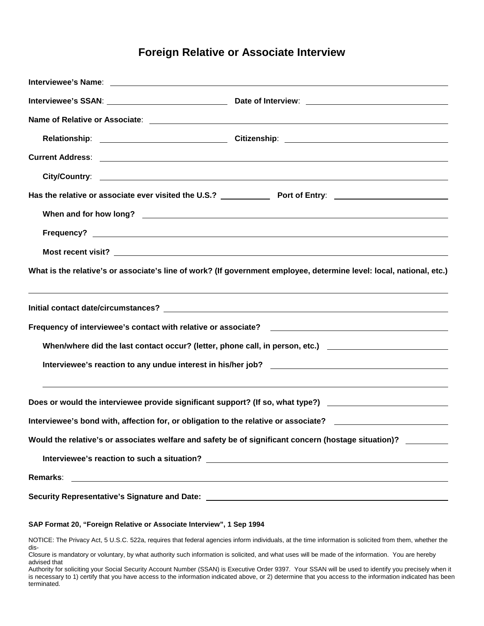## **Foreign Relative or Associate Interview**

|                                                                                                                                                                                                                                      | What is the relative's or associate's line of work? (If government employee, determine level: local, national, etc.) |  |  |  |
|--------------------------------------------------------------------------------------------------------------------------------------------------------------------------------------------------------------------------------------|----------------------------------------------------------------------------------------------------------------------|--|--|--|
|                                                                                                                                                                                                                                      |                                                                                                                      |  |  |  |
|                                                                                                                                                                                                                                      |                                                                                                                      |  |  |  |
|                                                                                                                                                                                                                                      | When/where did the last contact occur? (letter, phone call, in person, etc.) ________________________________        |  |  |  |
|                                                                                                                                                                                                                                      |                                                                                                                      |  |  |  |
|                                                                                                                                                                                                                                      | Does or would the interviewee provide significant support? (If so, what type?) _____________________                 |  |  |  |
|                                                                                                                                                                                                                                      | Interviewee's bond with, affection for, or obligation to the relative or associate? _________________________        |  |  |  |
|                                                                                                                                                                                                                                      | Would the relative's or associates welfare and safety be of significant concern (hostage situation)?                 |  |  |  |
|                                                                                                                                                                                                                                      |                                                                                                                      |  |  |  |
| Remarks: <u>Executive Contract Construction of the Construction of the Construction of the Construction of the Construction of the Construction of the Construction of the Construction of the Construction of the Construction </u> |                                                                                                                      |  |  |  |
| Security Representative's Signature and Date: __________________________________                                                                                                                                                     |                                                                                                                      |  |  |  |

#### **SAP Format 20, "Foreign Relative or Associate Interview", 1 Sep 1994**

NOTICE: The Privacy Act, 5 U.S.C. 522a, requires that federal agencies inform individuals, at the time information is solicited from them, whether the dis-

Closure is mandatory or voluntary, by what authority such information is solicited, and what uses will be made of the information. You are hereby advised that

Authority for soliciting your Social Security Account Number (SSAN) is Executive Order 9397. Your SSAN will be used to identify you precisely when it is necessary to 1) certify that you have access to the information indicated above, or 2) determine that you access to the information indicated has been terminated.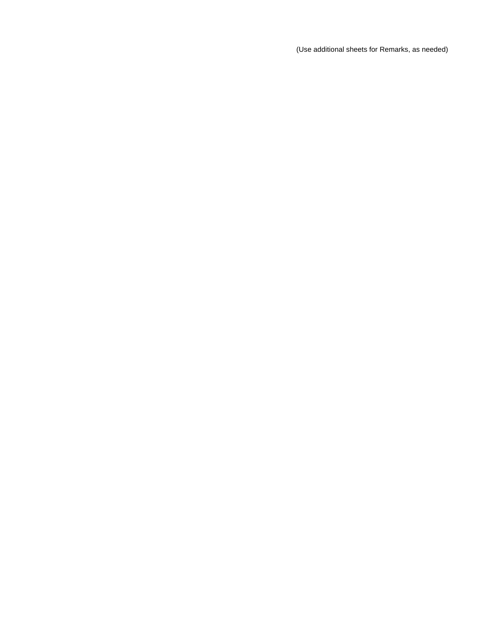(Use additional sheets for Remarks, as needed)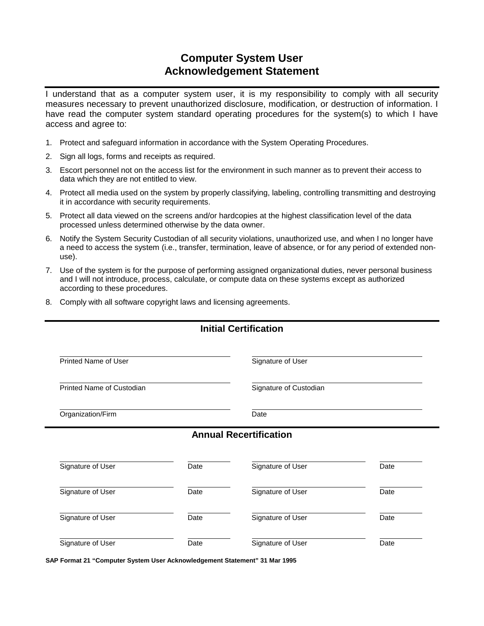## **Computer System User Acknowledgement Statement**

I understand that as a computer system user, it is my responsibility to comply with all security measures necessary to prevent unauthorized disclosure, modification, or destruction of information. I have read the computer system standard operating procedures for the system(s) to which I have access and agree to:

- 1. Protect and safeguard information in accordance with the System Operating Procedures.
- 2. Sign all logs, forms and receipts as required.
- 3. Escort personnel not on the access list for the environment in such manner as to prevent their access to data which they are not entitled to view.
- 4. Protect all media used on the system by properly classifying, labeling, controlling transmitting and destroying it in accordance with security requirements.
- 5. Protect all data viewed on the screens and/or hardcopies at the highest classification level of the data processed unless determined otherwise by the data owner.
- 6. Notify the System Security Custodian of all security violations, unauthorized use, and when I no longer have a need to access the system (i.e., transfer, termination, leave of absence, or for any period of extended nonuse).
- 7. Use of the system is for the purpose of performing assigned organizational duties, never personal business and I will not introduce, process, calculate, or compute data on these systems except as authorized according to these procedures.
- 8. Comply with all software copyright laws and licensing agreements.

| <b>Initial Certification</b> |      |                               |      |  |
|------------------------------|------|-------------------------------|------|--|
| <b>Printed Name of User</b>  |      | Signature of User             |      |  |
| Printed Name of Custodian    |      | Signature of Custodian        |      |  |
| Organization/Firm            |      | Date                          |      |  |
|                              |      | <b>Annual Recertification</b> |      |  |
| Signature of User            | Date | Signature of User             | Date |  |
| Signature of User            | Date | Signature of User             | Date |  |
| Signature of User            | Date | Signature of User             | Date |  |
| Signature of User            | Date | Signature of User             | Date |  |

**SAP Format 21 "Computer System User Acknowledgement Statement" 31 Mar 1995**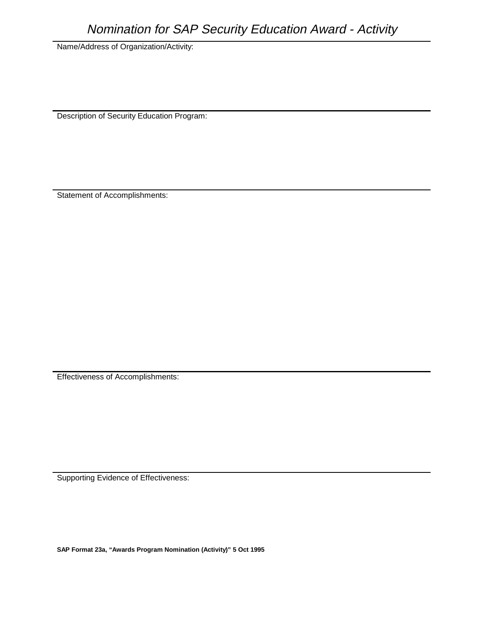Name/Address of Organization/Activity:

Description of Security Education Program:

Statement of Accomplishments:

Effectiveness of Accomplishments:

Supporting Evidence of Effectiveness:

**SAP Format 23a, "Awards Program Nomination (Activity)" 5 Oct 1995**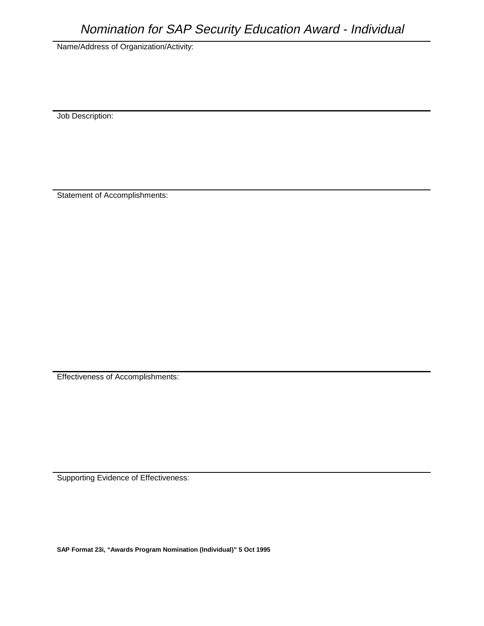Name/Address of Organization/Activity:

Job Description:

Statement of Accomplishments:

Effectiveness of Accomplishments:

Supporting Evidence of Effectiveness:

**SAP Format 23i, "Awards Program Nomination (Individual)" 5 Oct 1995**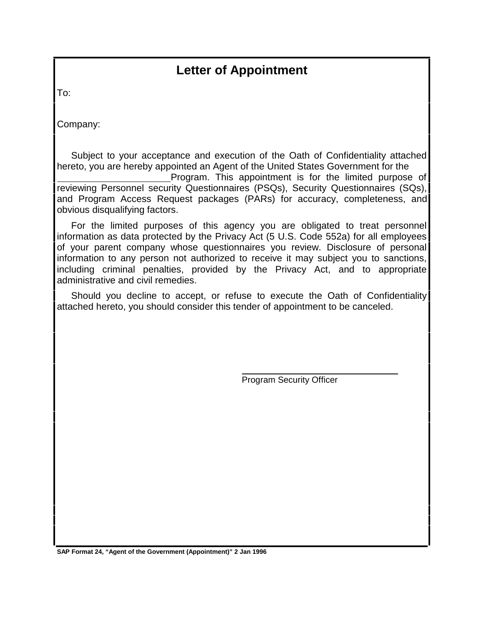# **Letter of Appointment**

To:

Company:

Subject to your acceptance and execution of the Oath of Confidentiality attached hereto, you are hereby appointed an Agent of the United States Government for the Program. This appointment is for the limited purpose of reviewing Personnel security Questionnaires (PSQs), Security Questionnaires (SQs), and Program Access Request packages (PARs) for accuracy, completeness, and obvious disqualifying factors.

For the limited purposes of this agency you are obligated to treat personnel information as data protected by the Privacy Act (5 U.S. Code 552a) for all employees of your parent company whose questionnaires you review. Disclosure of personal information to any person not authorized to receive it may subject you to sanctions, including criminal penalties, provided by the Privacy Act, and to appropriate administrative and civil remedies.

Should you decline to accept, or refuse to execute the Oath of Confidentiality attached hereto, you should consider this tender of appointment to be canceled.

 $\overline{a}$ 

Program Security Officer

**SAP Format 24, "Agent of the Government (Appointment)" 2 Jan 1996**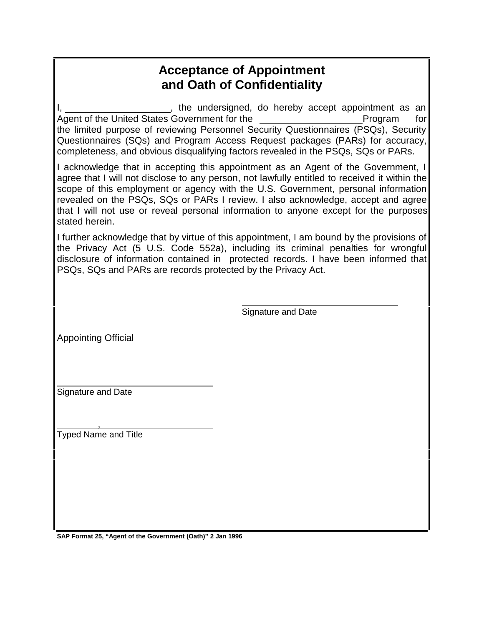# **Acceptance of Appointment and Oath of Confidentiality**

the undersigned, do hereby accept appointment as an Agent of the United States Government for the **Program** for the limited purpose of reviewing Personnel Security Questionnaires (PSQs), Security Questionnaires (SQs) and Program Access Request packages (PARs) for accuracy, completeness, and obvious disqualifying factors revealed in the PSQs, SQs or PARs.

I acknowledge that in accepting this appointment as an Agent of the Government, I agree that I will not disclose to any person, not lawfully entitled to received it within the scope of this employment or agency with the U.S. Government, personal information revealed on the PSQs, SQs or PARs I review. I also acknowledge, accept and agree that I will not use or reveal personal information to anyone except for the purposes stated herein.

I further acknowledge that by virtue of this appointment, I am bound by the provisions of the Privacy Act (5 U.S. Code 552a), including its criminal penalties for wrongful disclosure of information contained in protected records. I have been informed that PSQs, SQs and PARs are records protected by the Privacy Act.

 $\overline{a}$ 

Signature and Date

Appointing Official

 $\overline{a}$ Signature and Date

 $\overline{\phantom{a}}$ ,  $\overline{\phantom{a}}$ ,  $\overline{\phantom{a}}$ Typed Name and Title

**SAP Format 25, "Agent of the Government (Oath)" 2 Jan 1996**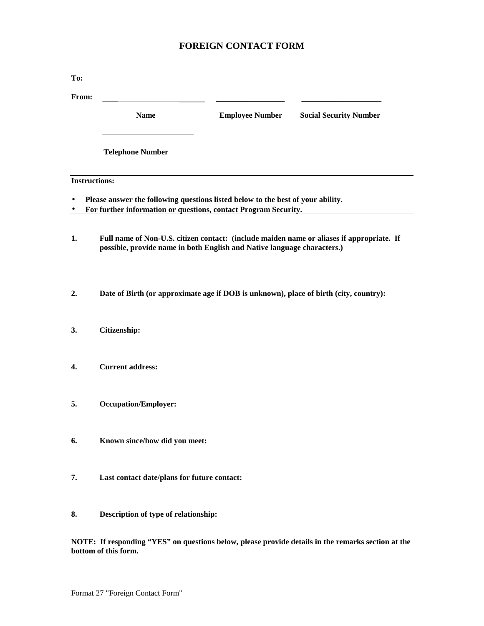## **FOREIGN CONTACT FORM**

| To:                    |                                                                                                                                                                      |                                                                                       |                        |                               |  |  |
|------------------------|----------------------------------------------------------------------------------------------------------------------------------------------------------------------|---------------------------------------------------------------------------------------|------------------------|-------------------------------|--|--|
|                        | From:                                                                                                                                                                | <b>Name</b>                                                                           | <b>Employee Number</b> | <b>Social Security Number</b> |  |  |
|                        |                                                                                                                                                                      | <b>Telephone Number</b>                                                               |                        |                               |  |  |
|                        | <b>Instructions:</b>                                                                                                                                                 |                                                                                       |                        |                               |  |  |
| $\bullet$<br>$\bullet$ | Please answer the following questions listed below to the best of your ability.<br>For further information or questions, contact Program Security.                   |                                                                                       |                        |                               |  |  |
| 1.                     | Full name of Non-U.S. citizen contact: (include maiden name or aliases if appropriate. If<br>possible, provide name in both English and Native language characters.) |                                                                                       |                        |                               |  |  |
| 2.                     |                                                                                                                                                                      | Date of Birth (or approximate age if DOB is unknown), place of birth (city, country): |                        |                               |  |  |
| 3.                     |                                                                                                                                                                      | Citizenship:                                                                          |                        |                               |  |  |
| 4.                     |                                                                                                                                                                      | <b>Current address:</b>                                                               |                        |                               |  |  |
| 5.                     |                                                                                                                                                                      | <b>Occupation/Employer:</b>                                                           |                        |                               |  |  |
| 6.                     |                                                                                                                                                                      | Known since/how did you meet:                                                         |                        |                               |  |  |
| 7.                     |                                                                                                                                                                      | Last contact date/plans for future contact:                                           |                        |                               |  |  |
| 8.                     |                                                                                                                                                                      | Description of type of relationship:                                                  |                        |                               |  |  |

**NOTE: If responding "YES" on questions below, please provide details in the remarks section at the bottom of this form.**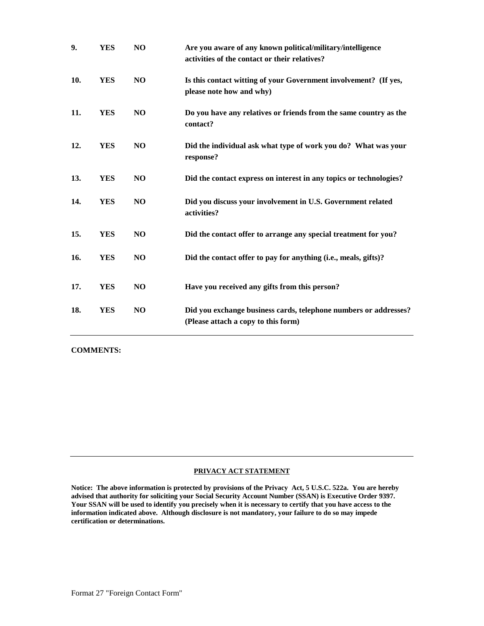| 9.  | <b>YES</b> | NO             | Are you aware of any known political/military/intelligence<br>activities of the contact or their relatives? |
|-----|------------|----------------|-------------------------------------------------------------------------------------------------------------|
| 10. | <b>YES</b> | N <sub>O</sub> | Is this contact witting of your Government involvement? (If yes,<br>please note how and why)                |
| 11. | <b>YES</b> | NO             | Do you have any relatives or friends from the same country as the<br>contact?                               |
| 12. | <b>YES</b> | N <sub>O</sub> | Did the individual ask what type of work you do? What was your<br>response?                                 |
| 13. | <b>YES</b> | NO             | Did the contact express on interest in any topics or technologies?                                          |
| 14. | <b>YES</b> | NO             | Did you discuss your involvement in U.S. Government related<br>activities?                                  |
| 15. | <b>YES</b> | N <sub>O</sub> | Did the contact offer to arrange any special treatment for you?                                             |
| 16. | <b>YES</b> | N <sub>O</sub> | Did the contact offer to pay for anything (i.e., meals, gifts)?                                             |
| 17. | <b>YES</b> | NO             | Have you received any gifts from this person?                                                               |
| 18. | <b>YES</b> | NO             | Did you exchange business cards, telephone numbers or addresses?<br>(Please attach a copy to this form)     |

**COMMENTS:**

### **PRIVACY ACT STATEMENT**

**Notice: The above information is protected by provisions of the Privacy Act, 5 U.S.C. 522a. You are hereby advised that authority for soliciting your Social Security Account Number (SSAN) is Executive Order 9397. Your SSAN will be used to identify you precisely when it is necessary to certify that you have access to the information indicated above. Although disclosure is not mandatory, your failure to do so may impede certification or determinations.**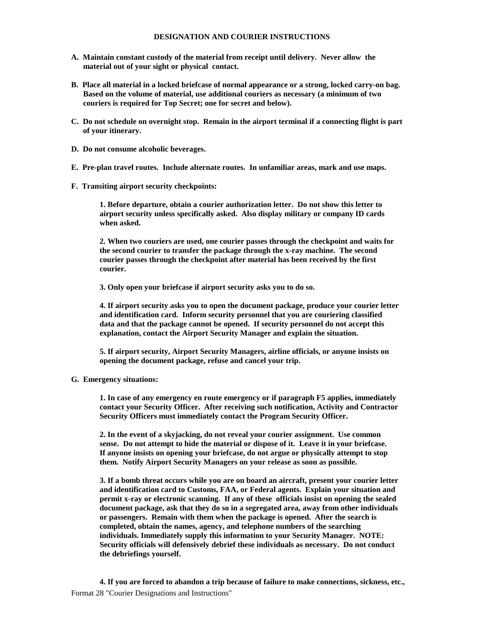#### **DESIGNATION AND COURIER INSTRUCTIONS**

- **A. Maintain constant custody of the material from receipt until delivery. Never allow the material out of your sight or physical contact.**
- **B. Place all material in a locked briefcase of normal appearance or a strong, locked carry-on bag. Based on the volume of material, use additional couriers as necessary (a minimum of two couriers is required for Top Secret; one for secret and below).**
- **C. Do not schedule on overnight stop. Remain in the airport terminal if a connecting flight is part of your itinerary.**
- **D. Do not consume alcoholic beverages.**
- **E. Pre-plan travel routes. Include alternate routes. In unfamiliar areas, mark and use maps.**
- **F. Transiting airport security checkpoints:**

**1. Before departure, obtain a courier authorization letter. Do not show this letter to airport security unless specifically asked. Also display military or company ID cards when asked.**

**2. When two couriers are used, one courier passes through the checkpoint and waits for the second courier to transfer the package through the x-ray machine. The second courier passes through the checkpoint after material has been received by the first courier.**

**3. Only open your briefcase if airport security asks you to do so.**

**4. If airport security asks you to open the document package, produce your courier letter and identification card. Inform security personnel that you are couriering classified data and that the package cannot be opened. If security personnel do not accept this explanation, contact the Airport Security Manager and explain the situation.**

**5. If airport security, Airport Security Managers, airline officials, or anyone insists on opening the document package, refuse and cancel your trip.**

#### **G. Emergency situations:**

**1. In case of any emergency en route emergency or if paragraph F5 applies, immediately contact your Security Officer. After receiving such notification, Activity and Contractor Security Officers must immediately contact the Program Security Officer.**

**2. In the event of a skyjacking, do not reveal your courier assignment. Use common sense. Do not attempt to hide the material or dispose of it. Leave it in your briefcase. If anyone insists on opening your briefcase, do not argue or physically attempt to stop them. Notify Airport Security Managers on your release as soon as possible.**

**3. If a bomb threat occurs while you are on board an aircraft, present your courier letter and identification card to Customs, FAA, or Federal agents. Explain your situation and permit x-ray or electronic scanning. If any of these officials insist on opening the sealed document package, ask that they do so in a segregated area, away from other individuals or passengers. Remain with them when the package is opened. After the search is completed, obtain the names, agency, and telephone numbers of the searching individuals. Immediately supply this information to your Security Manager. NOTE: Security officials will defensively debrief these individuals as necessary. Do not conduct the debriefings yourself.**